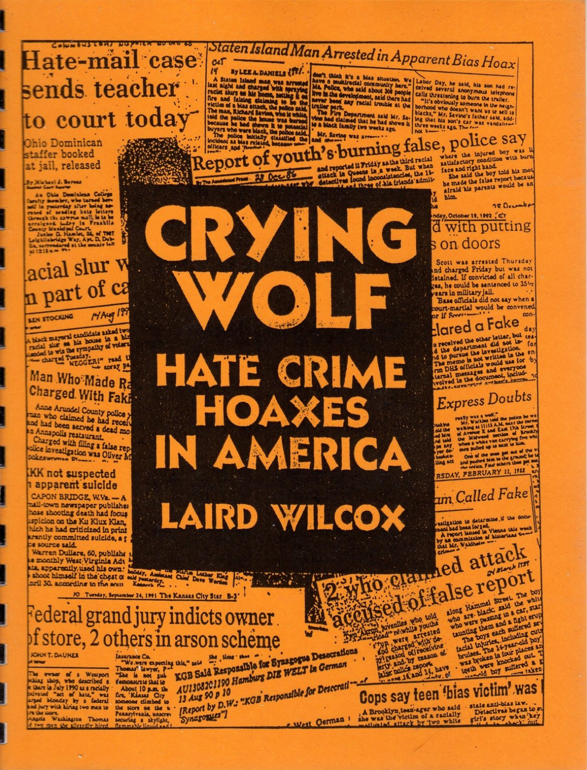# Hate-mail case sends teacher to court today

Ohio Dominican staffer booked at jail, released

### By Michael J. Berous

An Ohio Deminican College faculty member, who turned here self in resterday after heing neresed of sending hate letters through the campus mall, is to be arraigned beday in Franklin County Municipal Court.

Janier D. Hamlet, 35, of 7967 Leighlinbridge Way, Apt. D, Deblin, surrendered at the county laft  $111215n = 96$ 

## acial slur w h part of ca MANy 19

**BEN STOCKING** 

A black mayoral candidate asked two racial slim on his house in a bis isoled to win the sympathy of voters WEGGERI" read

## **Let spray pa** Man Who Made R Charged With Faki

Anne Arundel County police; man who claimed he had receiv and had been served a dead mo! a Annapolis restaurant. Charged with filing a false repolice investigation was Oliver M Colemannia Plasses



Mr. Walkins told the police he was really was a wolf." WERING AL 11115 A.M. MEET the corre of Avenue K and East 17th Street UW Midwood section of Brookly when a white van carrying thre wh

One of the men pet out of the v and pushed him to the ground; he to

blacks," Mr. Savino's father said, adding that his son's car was vandalized

where the injured boy was li

satisfactory condition with burn.

She said the boy told his mot he made the false report because afraid his parents would be an

28 December

nday, October 19, 1992 . CT with putting on doors

Scott was arrested Thursday nd charged Friday but was not Betained. If convicted of all charges, he could be sentenced to 351/2 vears in military jail.

Base officials did not say when a court-martial would be convened con

**Elared a Fake** day

d the department did not innd to pursue the lavestigation. The memo is not written in the rm DHS officials would use for by ternal messages and everyone volved in the document, includwith a surge they are harde become

# **Express Doubts**

**Lak Ind** ald the and him nd told men pulled up to next to him. **pe any** yor de-

am Called Fake

estigation to determine, if the docu-

A report lasued la Vienna tals week

along Hammel Street. The boy

who are black said the white who were persons in a car, Fiar

taunting them and a fight erup

The boys each suffered sey

factal injuries, including cuts

bruises, The Ityesrald boy was broken in four places an

**Lee the Western Knocked out.** 

**Manuald boy suffered a s** 

al March 1759

by an commission of historians to-

nent had been for ged.

that Mr. Waldhelm

of false report

Clermed attack

bookst or the wellica. Final actions them get east **Ulag act** RSDAY, PEBRUARY 11, 1911

## **IKK** not suspected apparent suicide

CAPON BRIDGE, W.Va. - A mall-town newspaper publisher hose shooting death had focus ispicion on the Ku Klux Klan. hich he had criticized in print arently committed suicide, a r De source said.

Warren Duliere, 60, publishe as monthly West-Virginia Adv holdsy, Assistant Chief Dave Worden ata, apparently, used his own.' shoot himself in the chest or said researchy. nril 30, according to the anii

# LAIRD WILCOX

10 Tuesday, September 24, 1991 The Kansas City Star B-3

## Federal grand jury indicts owner of store, 2 others in arson scheme

#### **JOHN T. DAUNER Element**

The swaar of a Westport pulling shop, who described a e there in July 1990 as a racially pursted "act of hate," was arged Monday by a federal and jury with hiring two men to in the store.

Angels Washington Thomas d two men she alleredly hired

"She is not gun Compastrate that to About 10 p.m. the fire, Kansas City someone climbed to the store on the a Penarylvania, unscrev securing a skylight,

KGB Sald Responsible for Synagogue Desecrations AUI308201190 Hamburg DIE WELT In German [Report by D.W.: "KGB Responsible for Desceration

West Oerman 1

A Brooklyn teen-ager who said she was the victim of a racially alligied attack by two white

juveniles who told

Frue were arrested

Prince of directiving

Alse notice report

forty and by reason of

alse police and 14, have

Trand " n' while you the

Cops say teen 'bias victim' was state anti-blas law. Detectives began to su girl's story when key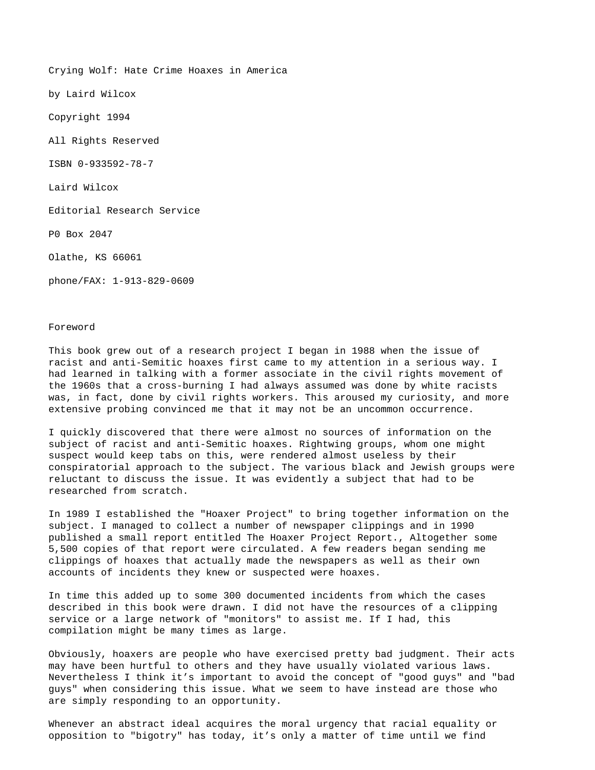Crying Wolf: Hate Crime Hoaxes in America by Laird Wilcox Copyright 1994 All Rights Reserved ISBN 0-933592-78-7 Laird Wilcox Editorial Research Service P0 Box 2047 Olathe, KS 66061 phone/FAX: 1-913-829-0609

#### Foreword

This book grew out of a research project I began in 1988 when the issue of racist and anti-Semitic hoaxes first came to my attention in a serious way. I had learned in talking with a former associate in the civil rights movement of the 1960s that a cross-burning I had always assumed was done by white racists was, in fact, done by civil rights workers. This aroused my curiosity, and more extensive probing convinced me that it may not be an uncommon occurrence.

I quickly discovered that there were almost no sources of information on the subject of racist and anti-Semitic hoaxes. Rightwing groups, whom one might suspect would keep tabs on this, were rendered almost useless by their conspiratorial approach to the subject. The various black and Jewish groups were reluctant to discuss the issue. It was evidently a subject that had to be researched from scratch.

In 1989 I established the "Hoaxer Project" to bring together information on the subject. I managed to collect a number of newspaper clippings and in 1990 published a small report entitled The Hoaxer Project Report., Altogether some 5,500 copies of that report were circulated. A few readers began sending me clippings of hoaxes that actually made the newspapers as well as their own accounts of incidents they knew or suspected were hoaxes.

In time this added up to some 300 documented incidents from which the cases described in this book were drawn. I did not have the resources of a clipping service or a large network of "monitors" to assist me. If I had, this compilation might be many times as large.

Obviously, hoaxers are people who have exercised pretty bad judgment. Their acts may have been hurtful to others and they have usually violated various laws. Nevertheless I think it's important to avoid the concept of "good guys" and "bad guys" when considering this issue. What we seem to have instead are those who are simply responding to an opportunity.

Whenever an abstract ideal acquires the moral urgency that racial equality or opposition to "bigotry" has today, it's only a matter of time until we find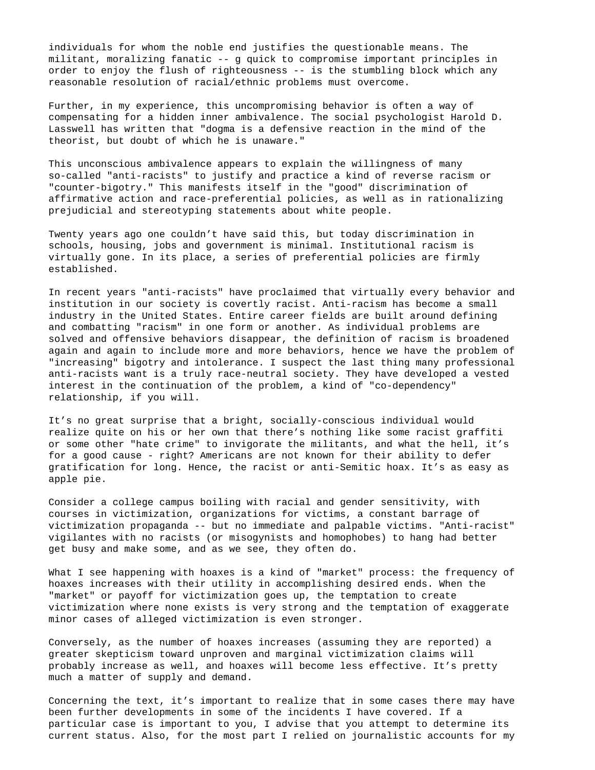individuals for whom the noble end justifies the questionable means. The militant, moralizing fanatic -- g quick to compromise important principles in order to enjoy the flush of righteousness -- is the stumbling block which any reasonable resolution of racial/ethnic problems must overcome.

Further, in my experience, this uncompromising behavior is often a way of compensating for a hidden inner ambivalence. The social psychologist Harold D. Lasswell has written that "dogma is a defensive reaction in the mind of the theorist, but doubt of which he is unaware."

This unconscious ambivalence appears to explain the willingness of many so-called "anti-racists" to justify and practice a kind of reverse racism or "counter-bigotry." This manifests itself in the "good" discrimination of affirmative action and race-preferential policies, as well as in rationalizing prejudicial and stereotyping statements about white people.

Twenty years ago one couldn't have said this, but today discrimination in schools, housing, jobs and government is minimal. Institutional racism is virtually gone. In its place, a series of preferential policies are firmly established.

In recent years "anti-racists" have proclaimed that virtually every behavior and institution in our society is covertly racist. Anti-racism has become a small industry in the United States. Entire career fields are built around defining and combatting "racism" in one form or another. As individual problems are solved and offensive behaviors disappear, the definition of racism is broadened again and again to include more and more behaviors, hence we have the problem of "increasing" bigotry and intolerance. I suspect the last thing many professional anti-racists want is a truly race-neutral society. They have developed a vested interest in the continuation of the problem, a kind of "co-dependency" relationship, if you will.

It's no great surprise that a bright, socially-conscious individual would realize quite on his or her own that there's nothing like some racist graffiti or some other "hate crime" to invigorate the militants, and what the hell, it's for a good cause - right? Americans are not known for their ability to defer gratification for long. Hence, the racist or anti-Semitic hoax. It's as easy as apple pie.

Consider a college campus boiling with racial and gender sensitivity, with courses in victimization, organizations for victims, a constant barrage of victimization propaganda -- but no immediate and palpable victims. "Anti-racist" vigilantes with no racists (or misogynists and homophobes) to hang had better get busy and make some, and as we see, they often do.

What I see happening with hoaxes is a kind of "market" process: the frequency of hoaxes increases with their utility in accomplishing desired ends. When the "market" or payoff for victimization goes up, the temptation to create victimization where none exists is very strong and the temptation of exaggerate minor cases of alleged victimization is even stronger.

Conversely, as the number of hoaxes increases (assuming they are reported) a greater skepticism toward unproven and marginal victimization claims will probably increase as well, and hoaxes will become less effective. It's pretty much a matter of supply and demand.

Concerning the text, it's important to realize that in some cases there may have been further developments in some of the incidents I have covered. If a particular case is important to you, I advise that you attempt to determine its current status. Also, for the most part I relied on journalistic accounts for my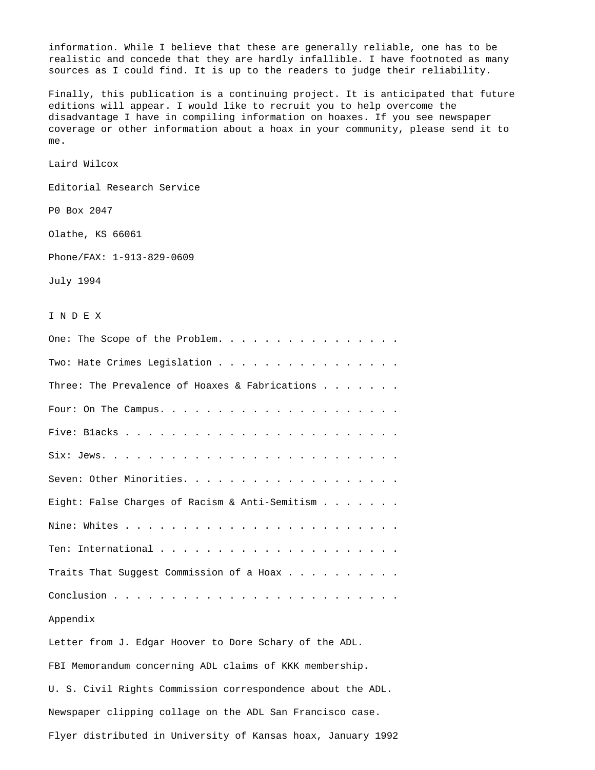information. While I believe that these are generally reliable, one has to be realistic and concede that they are hardly infallible. I have footnoted as many sources as I could find. It is up to the readers to judge their reliability.

Finally, this publication is a continuing project. It is anticipated that future editions will appear. I would like to recruit you to help overcome the disadvantage I have in compiling information on hoaxes. If you see newspaper coverage or other information about a hoax in your community, please send it to me.

Laird Wilcox

Editorial Research Service

P0 Box 2047

Olathe, KS 66061

Phone/FAX: 1-913-829-0609

July 1994

I N D E X

| One: The Scope of the Problem.                              |
|-------------------------------------------------------------|
| Two: Hate Crimes Legislation                                |
| Three: The Prevalence of Hoaxes & Fabrications              |
|                                                             |
| Five: Blacks                                                |
|                                                             |
| Seven: Other Minorities.                                    |
| Eight: False Charges of Racism & Anti-Semitism              |
|                                                             |
| Ten: International                                          |
| Traits That Suggest Commission of a Hoax                    |
|                                                             |
| Appendix                                                    |
| Letter from J. Edgar Hoover to Dore Schary of the ADL.      |
| FBI Memorandum concerning ADL claims of KKK membership.     |
| U. S. Civil Rights Commission correspondence about the ADL. |
| Newspaper clipping collage on the ADL San Francisco case.   |

Flyer distributed in University of Kansas hoax, January 1992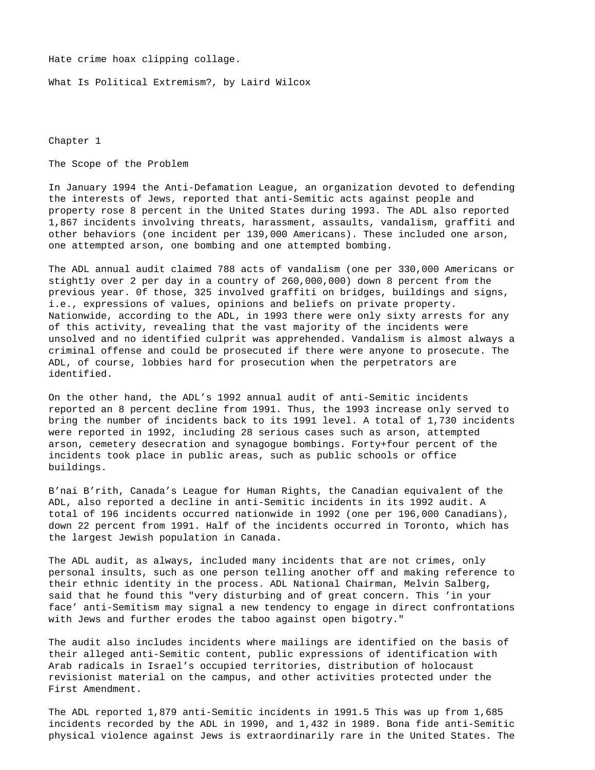Hate crime hoax clipping collage.

What Is Political Extremism?, by Laird Wilcox

Chapter 1

The Scope of the Problem

In January 1994 the Anti-Defamation League, an organization devoted to defending the interests of Jews, reported that anti-Semitic acts against people and property rose 8 percent in the United States during 1993. The ADL also reported 1,867 incidents involving threats, harassment, assaults, vandalism, graffiti and other behaviors (one incident per 139,000 Americans). These included one arson, one attempted arson, one bombing and one attempted bombing.

The ADL annual audit claimed 788 acts of vandalism (one per 330,000 Americans or stight1y over 2 per day in a country of 260,000,000) down 8 percent from the previous year. 0f those, 325 involved graffiti on bridges, buildings and signs, i.e., expressions of values, opinions and beliefs on private property. Nationwide, according to the ADL, in 1993 there were only sixty arrests for any of this activity, revealing that the vast majority of the incidents were unsolved and no identified culprit was apprehended. Vandalism is almost always a criminal offense and could be prosecuted if there were anyone to prosecute. The ADL, of course, lobbies hard for prosecution when the perpetrators are identified.

On the other hand, the ADL's 1992 annual audit of anti-Semitic incidents reported an 8 percent decline from 1991. Thus, the 1993 increase only served to bring the number of incidents back to its 1991 level. A total of 1,730 incidents were reported in 1992, including 28 serious cases such as arson, attempted arson, cemetery desecration and synagogue bombings. Forty+four percent of the incidents took place in public areas, such as public schools or office buildings.

B'nai B'rith, Canada's League for Human Rights, the Canadian equivalent of the ADL, also reported a decline in anti-Semitic incidents in its 1992 audit. A total of 196 incidents occurred nationwide in 1992 (one per 196,000 Canadians), down 22 percent from 1991. Half of the incidents occurred in Toronto, which has the largest Jewish population in Canada.

The ADL audit, as always, included many incidents that are not crimes, only personal insults, such as one person telling another off and making reference to their ethnic identity in the process. ADL National Chairman, Melvin Salberg, said that he found this "very disturbing and of great concern. This 'in your face' anti-Semitism may signal a new tendency to engage in direct confrontations with Jews and further erodes the taboo against open bigotry."

The audit also includes incidents where mailings are identified on the basis of their alleged anti-Semitic content, public expressions of identification with Arab radicals in Israel's occupied territories, distribution of holocaust revisionist material on the campus, and other activities protected under the First Amendment.

The ADL reported 1,879 anti-Semitic incidents in 1991.5 This was up from 1,685 incidents recorded by the ADL in 1990, and 1,432 in 1989. Bona fide anti-Semitic physical violence against Jews is extraordinarily rare in the United States. The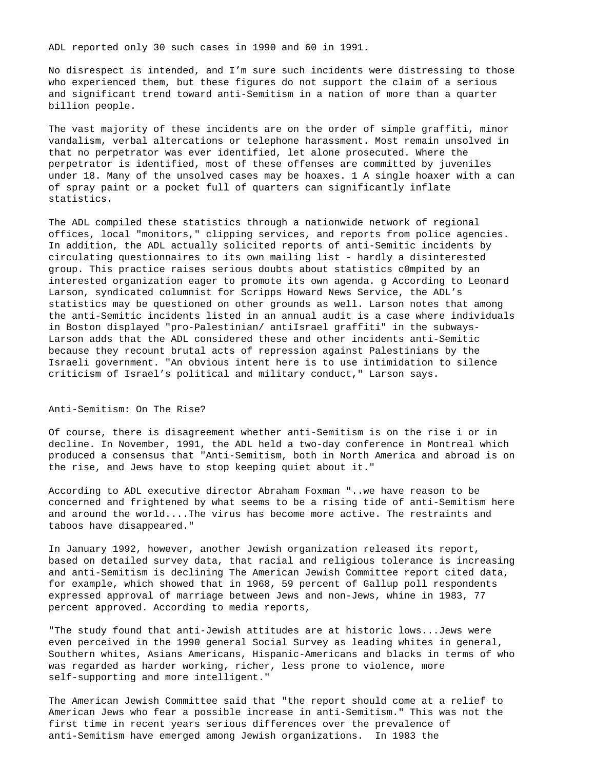ADL reported only 30 such cases in 1990 and 60 in 1991.

No disrespect is intended, and I'm sure such incidents were distressing to those who experienced them, but these figures do not support the claim of a serious and significant trend toward anti-Semitism in a nation of more than a quarter billion people.

The vast majority of these incidents are on the order of simple graffiti, minor vandalism, verbal altercations or telephone harassment. Most remain unsolved in that no perpetrator was ever identified, let alone prosecuted. Where the perpetrator is identified, most of these offenses are committed by juveniles under 18. Many of the unsolved cases may be hoaxes. 1 A single hoaxer with a can of spray paint or a pocket full of quarters can significantly inflate statistics.

The ADL compiled these statistics through a nationwide network of regional offices, local "monitors," clipping services, and reports from police agencies. In addition, the ADL actually solicited reports of anti-Semitic incidents by circulating questionnaires to its own mailing list - hardly a disinterested group. This practice raises serious doubts about statistics c0mpited by an interested organization eager to promote its own agenda. g According to Leonard Larson, syndicated columnist for Scripps Howard News Service, the ADL's statistics may be questioned on other grounds as well. Larson notes that among the anti-Semitic incidents listed in an annual audit is a case where individuals in Boston displayed "pro-Palestinian/ antiIsrael graffiti" in the subways-Larson adds that the ADL considered these and other incidents anti-Semitic because they recount brutal acts of repression against Palestinians by the Israeli government. "An obvious intent here is to use intimidation to silence criticism of Israel's political and military conduct," Larson says.

#### Anti-Semitism: On The Rise?

Of course, there is disagreement whether anti-Semitism is on the rise i or in decline. In November, 1991, the ADL held a two-day conference in Montreal which produced a consensus that "Anti-Semitism, both in North America and abroad is on the rise, and Jews have to stop keeping quiet about it."

According to ADL executive director Abraham Foxman "..we have reason to be concerned and frightened by what seems to be a rising tide of anti-Semitism here and around the world....The virus has become more active. The restraints and taboos have disappeared."

In January 1992, however, another Jewish organization released its report, based on detailed survey data, that racial and religious tolerance is increasing and anti-Semitism is declining The American Jewish Committee report cited data, for example, which showed that in 1968, 59 percent of Gallup poll respondents expressed approval of marriage between Jews and non-Jews, whine in 1983, 77 percent approved. According to media reports,

"The study found that anti-Jewish attitudes are at historic lows...Jews were even perceived in the 1990 general Social Survey as leading whites in general, Southern whites, Asians Americans, Hispanic-Americans and blacks in terms of who was regarded as harder working, richer, less prone to violence, more self-supporting and more intelligent."

The American Jewish Committee said that "the report should come at a relief to American Jews who fear a possible increase in anti-Semitism." This was not the first time in recent years serious differences over the prevalence of anti-Semitism have emerged among Jewish organizations. In 1983 the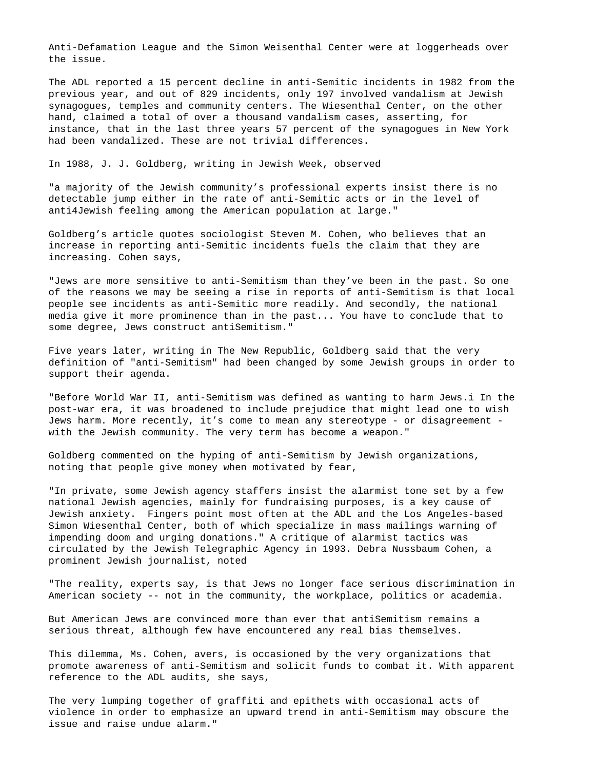Anti-Defamation League and the Simon Weisenthal Center were at loggerheads over the issue.

The ADL reported a 15 percent decline in anti-Semitic incidents in 1982 from the previous year, and out of 829 incidents, only 197 involved vandalism at Jewish synagogues, temples and community centers. The Wiesenthal Center, on the other hand, claimed a total of over a thousand vandalism cases, asserting, for instance, that in the last three years 57 percent of the synagogues in New York had been vandalized. These are not trivial differences.

In 1988, J. J. Goldberg, writing in Jewish Week, observed

"a majority of the Jewish community's professional experts insist there is no detectable jump either in the rate of anti-Semitic acts or in the level of anti4Jewish feeling among the American population at large."

Goldberg's article quotes sociologist Steven M. Cohen, who believes that an increase in reporting anti-Semitic incidents fuels the claim that they are increasing. Cohen says,

"Jews are more sensitive to anti-Semitism than they've been in the past. So one of the reasons we may be seeing a rise in reports of anti-Semitism is that local people see incidents as anti-Semitic more readily. And secondly, the national media give it more prominence than in the past... You have to conclude that to some degree, Jews construct antiSemitism."

Five years later, writing in The New Republic, Goldberg said that the very definition of "anti-Semitism" had been changed by some Jewish groups in order to support their agenda.

"Before World War II, anti-Semitism was defined as wanting to harm Jews.i In the post-war era, it was broadened to include prejudice that might lead one to wish Jews harm. More recently, it's come to mean any stereotype - or disagreement with the Jewish community. The very term has become a weapon."

Goldberg commented on the hyping of anti-Semitism by Jewish organizations, noting that people give money when motivated by fear,

"In private, some Jewish agency staffers insist the alarmist tone set by a few national Jewish agencies, mainly for fundraising purposes, is a key cause of Jewish anxiety. Fingers point most often at the ADL and the Los Angeles-based Simon Wiesenthal Center, both of which specialize in mass mailings warning of impending doom and urging donations." A critique of alarmist tactics was circulated by the Jewish Telegraphic Agency in 1993. Debra Nussbaum Cohen, a prominent Jewish journalist, noted

"The reality, experts say, is that Jews no longer face serious discrimination in American society -- not in the community, the workplace, politics or academia.

But American Jews are convinced more than ever that antiSemitism remains a serious threat, although few have encountered any real bias themselves.

This dilemma, Ms. Cohen, avers, is occasioned by the very organizations that promote awareness of anti-Semitism and solicit funds to combat it. With apparent reference to the ADL audits, she says,

The very lumping together of graffiti and epithets with occasional acts of violence in order to emphasize an upward trend in anti-Semitism may obscure the issue and raise undue alarm."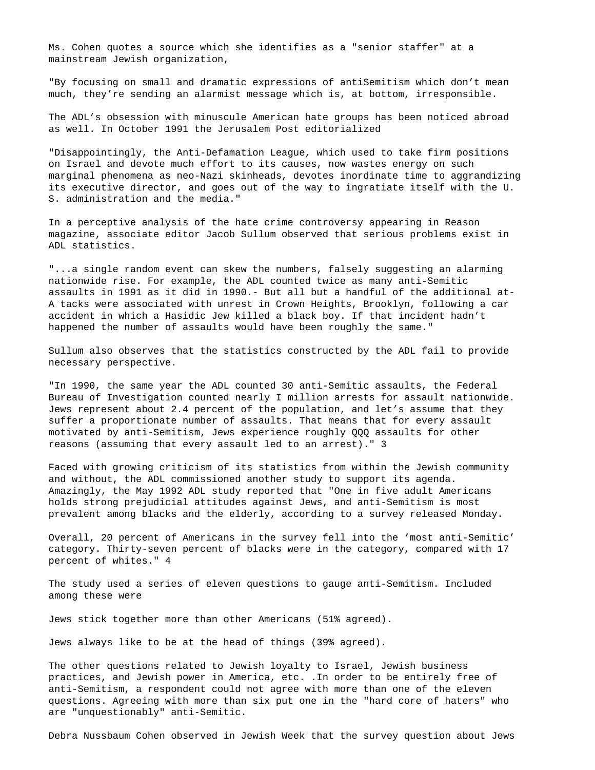Ms. Cohen quotes a source which she identifies as a "senior staffer" at a mainstream Jewish organization,

"By focusing on small and dramatic expressions of antiSemitism which don't mean much, they're sending an alarmist message which is, at bottom, irresponsible.

The ADL's obsession with minuscule American hate groups has been noticed abroad as well. In October 1991 the Jerusalem Post editorialized

"Disappointingly, the Anti-Defamation League, which used to take firm positions on Israel and devote much effort to its causes, now wastes energy on such marginal phenomena as neo-Nazi skinheads, devotes inordinate time to aggrandizing its executive director, and goes out of the way to ingratiate itself with the U. S. administration and the media."

In a perceptive analysis of the hate crime controversy appearing in Reason magazine, associate editor Jacob Sullum observed that serious problems exist in ADL statistics.

"...a single random event can skew the numbers, falsely suggesting an alarming nationwide rise. For example, the ADL counted twice as many anti-Semitic assaults in 1991 as it did in 1990.- But all but a handful of the additional at-A tacks were associated with unrest in Crown Heights, Brooklyn, following a car accident in which a Hasidic Jew killed a black boy. If that incident hadn't happened the number of assaults would have been roughly the same."

Sullum also observes that the statistics constructed by the ADL fail to provide necessary perspective.

"In 1990, the same year the ADL counted 30 anti-Semitic assaults, the Federal Bureau of Investigation counted nearly I million arrests for assault nationwide. Jews represent about 2.4 percent of the population, and let's assume that they suffer a proportionate number of assaults. That means that for every assault motivated by anti-Semitism, Jews experience roughly QQQ assaults for other reasons (assuming that every assault led to an arrest)." 3

Faced with growing criticism of its statistics from within the Jewish community and without, the ADL commissioned another study to support its agenda. Amazingly, the May 1992 ADL study reported that "One in five adult Americans holds strong prejudicial attitudes against Jews, and anti-Semitism is most prevalent among blacks and the elderly, according to a survey released Monday.

Overall, 20 percent of Americans in the survey fell into the 'most anti-Semitic' category. Thirty-seven percent of blacks were in the category, compared with 17 percent of whites." 4

The study used a series of eleven questions to gauge anti-Semitism. Included among these were

Jews stick together more than other Americans (51% agreed).

Jews always like to be at the head of things (39% agreed).

The other questions related to Jewish loyalty to Israel, Jewish business practices, and Jewish power in America, etc. .In order to be entirely free of anti-Semitism, a respondent could not agree with more than one of the eleven questions. Agreeing with more than six put one in the "hard core of haters" who are "unquestionably" anti-Semitic.

Debra Nussbaum Cohen observed in Jewish Week that the survey question about Jews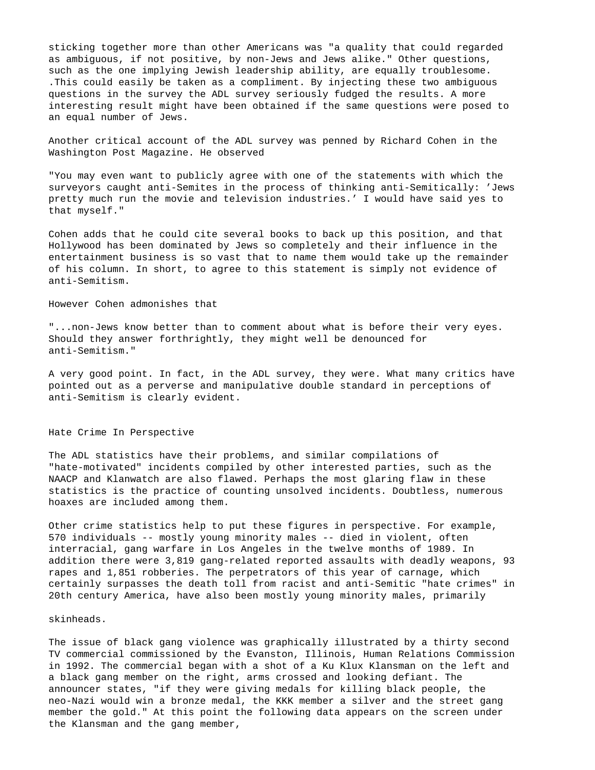sticking together more than other Americans was "a quality that could regarded as ambiguous, if not positive, by non-Jews and Jews alike." Other questions, such as the one implying Jewish leadership ability, are equally troublesome. .This could easily be taken as a compliment. By injecting these two ambiguous questions in the survey the ADL survey seriously fudged the results. A more interesting result might have been obtained if the same questions were posed to an equal number of Jews.

Another critical account of the ADL survey was penned by Richard Cohen in the Washington Post Magazine. He observed

"You may even want to publicly agree with one of the statements with which the surveyors caught anti-Semites in the process of thinking anti-Semitically: 'Jews pretty much run the movie and television industries.' I would have said yes to that myself."

Cohen adds that he could cite several books to back up this position, and that Hollywood has been dominated by Jews so completely and their influence in the entertainment business is so vast that to name them would take up the remainder of his column. In short, to agree to this statement is simply not evidence of anti-Semitism.

#### However Cohen admonishes that

"...non-Jews know better than to comment about what is before their very eyes. Should they answer forthrightly, they might well be denounced for anti-Semitism."

A very good point. In fact, in the ADL survey, they were. What many critics have pointed out as a perverse and manipulative double standard in perceptions of anti-Semitism is clearly evident.

#### Hate Crime In Perspective

The ADL statistics have their problems, and similar compilations of "hate-motivated" incidents compiled by other interested parties, such as the NAACP and Klanwatch are also flawed. Perhaps the most glaring flaw in these statistics is the practice of counting unsolved incidents. Doubtless, numerous hoaxes are included among them.

Other crime statistics help to put these figures in perspective. For example, 570 individuals -- mostly young minority males -- died in violent, often interracial, gang warfare in Los Angeles in the twelve months of 1989. In addition there were 3,819 gang-related reported assaults with deadly weapons, 93 rapes and 1,851 robberies. The perpetrators of this year of carnage, which certainly surpasses the death toll from racist and anti-Semitic "hate crimes" in 20th century America, have also been mostly young minority males, primarily

#### skinheads.

The issue of black gang violence was graphically illustrated by a thirty second TV commercial commissioned by the Evanston, Illinois, Human Relations Commission in 1992. The commercial began with a shot of a Ku Klux Klansman on the left and a black gang member on the right, arms crossed and looking defiant. The announcer states, "if they were giving medals for killing black people, the neo-Nazi would win a bronze medal, the KKK member a silver and the street gang member the gold." At this point the following data appears on the screen under the Klansman and the gang member,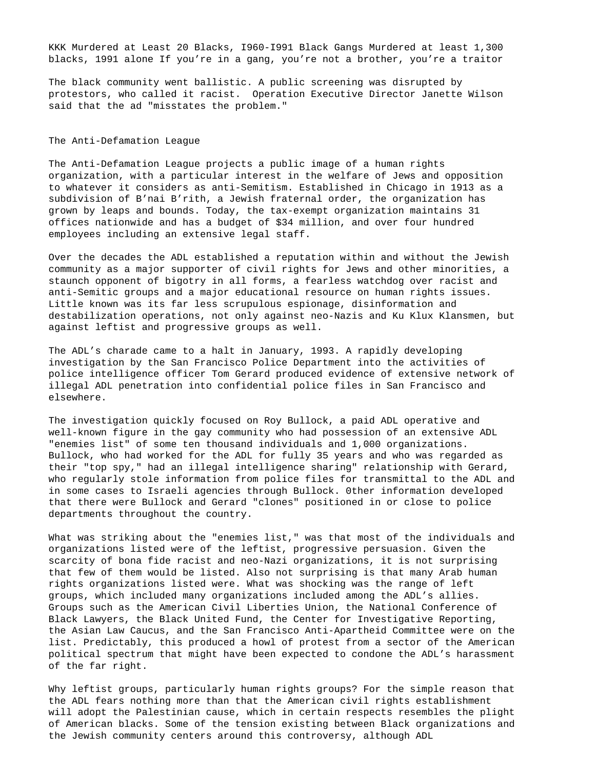KKK Murdered at Least 20 Blacks, I960-I991 Black Gangs Murdered at least 1,300 blacks, 1991 alone If you're in a gang, you're not a brother, you're a traitor

The black community went ballistic. A public screening was disrupted by protestors, who called it racist. Operation Executive Director Janette Wilson said that the ad "misstates the problem."

#### The Anti-Defamation League

The Anti-Defamation League projects a public image of a human rights organization, with a particular interest in the welfare of Jews and opposition to whatever it considers as anti-Semitism. Established in Chicago in 1913 as a subdivision of B'nai B'rith, a Jewish fraternal order, the organization has grown by leaps and bounds. Today, the tax-exempt organization maintains 31 offices nationwide and has a budget of \$34 million, and over four hundred employees including an extensive legal staff.

Over the decades the ADL established a reputation within and without the Jewish community as a major supporter of civil rights for Jews and other minorities, a staunch opponent of bigotry in all forms, a fearless watchdog over racist and anti-Semitic groups and a major educational resource on human rights issues. Little known was its far less scrupulous espionage, disinformation and destabilization operations, not only against neo-Nazis and Ku Klux Klansmen, but against leftist and progressive groups as well.

The ADL's charade came to a halt in January, 1993. A rapidly developing investigation by the San Francisco Police Department into the activities of police intelligence officer Tom Gerard produced evidence of extensive network of illegal ADL penetration into confidential police files in San Francisco and elsewhere.

The investigation quickly focused on Roy Bullock, a paid ADL operative and well-known figure in the gay community who had possession of an extensive ADL "enemies list" of some ten thousand individuals and 1,000 organizations. Bullock, who had worked for the ADL for fully 35 years and who was regarded as their "top spy," had an illegal intelligence sharing" relationship with Gerard, who regularly stole information from police files for transmittal to the ADL and in some cases to Israeli agencies through Bullock. 0ther information developed that there were Bullock and Gerard "clones" positioned in or close to police departments throughout the country.

What was striking about the "enemies list," was that most of the individuals and organizations listed were of the leftist, progressive persuasion. Given the scarcity of bona fide racist and neo-Nazi organizations, it is not surprising that few of them would be listed. Also not surprising is that many Arab human rights organizations listed were. What was shocking was the range of left groups, which included many organizations included among the ADL's allies. Groups such as the American Civil Liberties Union, the National Conference of Black Lawyers, the Black United Fund, the Center for Investigative Reporting, the Asian Law Caucus, and the San Francisco Anti-Apartheid Committee were on the list. Predictably, this produced a howl of protest from a sector of the American political spectrum that might have been expected to condone the ADL's harassment of the far right.

Why leftist groups, particularly human rights groups? For the simple reason that the ADL fears nothing more than that the American civil rights establishment will adopt the Palestinian cause, which in certain respects resembles the plight of American blacks. Some of the tension existing between Black organizations and the Jewish community centers around this controversy, although ADL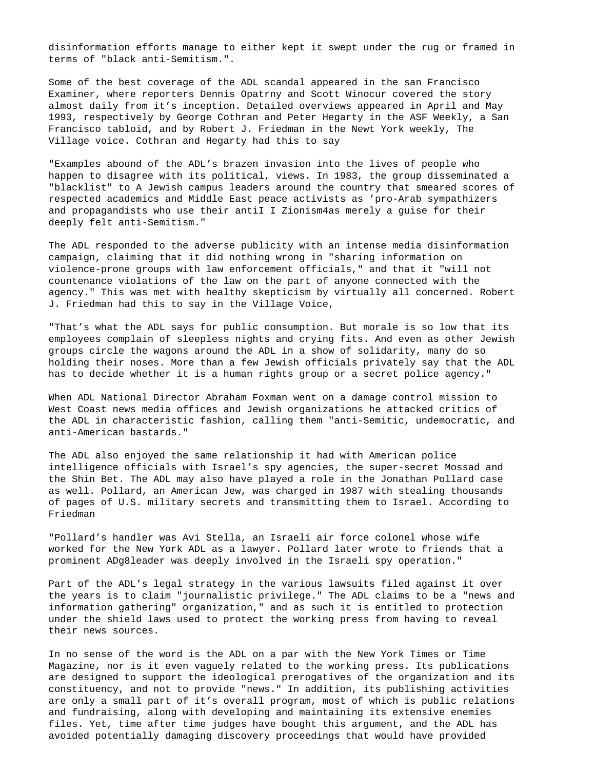disinformation efforts manage to either kept it swept under the rug or framed in terms of "black anti-Semitism.".

Some of the best coverage of the ADL scandal appeared in the san Francisco Examiner, where reporters Dennis Opatrny and Scott Winocur covered the story almost daily from it's inception. Detailed overviews appeared in April and May 1993, respectively by George Cothran and Peter Hegarty in the ASF Weekly, a San Francisco tabloid, and by Robert J. Friedman in the Newt York weekly, The Village voice. Cothran and Hegarty had this to say

"Examples abound of the ADL's brazen invasion into the lives of people who happen to disagree with its political, views. In 1983, the group disseminated a "blacklist" to A Jewish campus leaders around the country that smeared scores of respected academics and Middle East peace activists as 'pro-Arab sympathizers and propagandists who use their antiI I Zionism4as merely a guise for their deeply felt anti-Semitism."

The ADL responded to the adverse publicity with an intense media disinformation campaign, claiming that it did nothing wrong in "sharing information on violence-prone groups with law enforcement officials," and that it "will not countenance violations of the law on the part of anyone connected with the agency." This was met with healthy skepticism by virtually all concerned. Robert J. Friedman had this to say in the Village Voice,

"That's what the ADL says for public consumption. But morale is so low that its employees complain of sleepless nights and crying fits. And even as other Jewish groups circle the wagons around the ADL in a show of solidarity, many do so holding their noses. More than a few Jewish officials privately say that the ADL has to decide whether it is a human rights group or a secret police agency."

When ADL National Director Abraham Foxman went on a damage control mission to West Coast news media offices and Jewish organizations he attacked critics of the ADL in characteristic fashion, calling them "anti-Semitic, undemocratic, and anti-American bastards."

The ADL also enjoyed the same relationship it had with American police intelligence officials with Israel's spy agencies, the super-secret Mossad and the Shin Bet. The ADL may also have played a role in the Jonathan Pollard case as well. Pollard, an American Jew, was charged in 1987 with stealing thousands of pages of U.S. military secrets and transmitting them to Israel. According to Friedman

"Pollard's handler was Avi Stella, an Israeli air force colonel whose wife worked for the New York ADL as a lawyer. Pollard later wrote to friends that a prominent ADg8leader was deeply involved in the Israeli spy operation."

Part of the ADL's legal strategy in the various lawsuits filed against it over the years is to claim "journalistic privilege." The ADL claims to be a "news and information gathering" organization," and as such it is entitled to protection under the shield laws used to protect the working press from having to reveal their news sources.

In no sense of the word is the ADL on a par with the New York Times or Time Magazine, nor is it even vaguely related to the working press. Its publications are designed to support the ideological prerogatives of the organization and its constituency, and not to provide "news." In addition, its publishing activities are only a small part of it's overall program, most of which is public relations and fundraising, along with developing and maintaining its extensive enemies files. Yet, time after time judges have bought this argument, and the ADL has avoided potentially damaging discovery proceedings that would have provided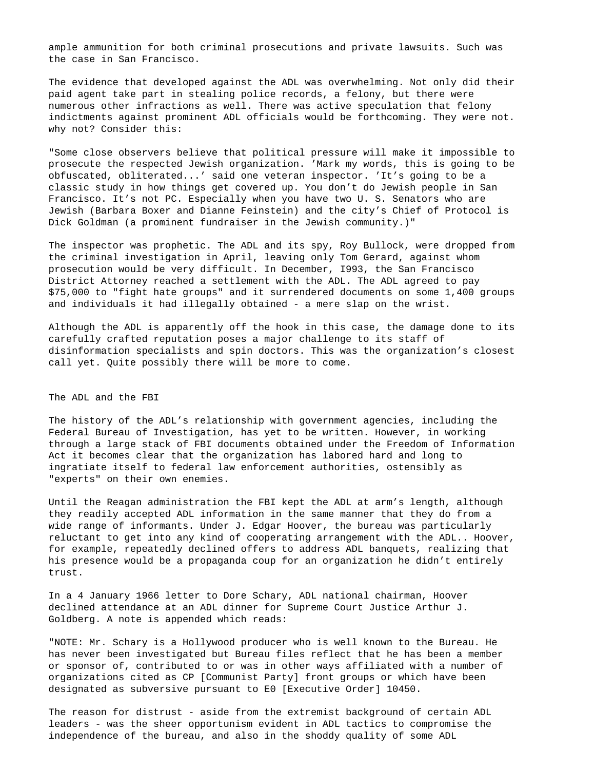ample ammunition for both criminal prosecutions and private lawsuits. Such was the case in San Francisco.

The evidence that developed against the ADL was overwhelming. Not only did their paid agent take part in stealing police records, a felony, but there were numerous other infractions as well. There was active speculation that felony indictments against prominent ADL officials would be forthcoming. They were not. why not? Consider this:

"Some close observers believe that political pressure will make it impossible to prosecute the respected Jewish organization. 'Mark my words, this is going to be obfuscated, obliterated...' said one veteran inspector. 'It's going to be a classic study in how things get covered up. You don't do Jewish people in San Francisco. It's not PC. Especially when you have two U. S. Senators who are Jewish (Barbara Boxer and Dianne Feinstein) and the city's Chief of Protocol is Dick Goldman (a prominent fundraiser in the Jewish community.)"

The inspector was prophetic. The ADL and its spy, Roy Bullock, were dropped from the criminal investigation in April, leaving only Tom Gerard, against whom prosecution would be very difficult. In December, I993, the San Francisco District Attorney reached a settlement with the ADL. The ADL agreed to pay \$75,000 to "fight hate groups" and it surrendered documents on some 1,400 groups and individuals it had illegally obtained - a mere slap on the wrist.

Although the ADL is apparently off the hook in this case, the damage done to its carefully crafted reputation poses a major challenge to its staff of disinformation specialists and spin doctors. This was the organization's closest call yet. Quite possibly there will be more to come.

The ADL and the FBI

The history of the ADL's relationship with government agencies, including the Federal Bureau of Investigation, has yet to be written. However, in working through a large stack of FBI documents obtained under the Freedom of Information Act it becomes clear that the organization has labored hard and long to ingratiate itself to federal law enforcement authorities, ostensibly as "experts" on their own enemies.

Until the Reagan administration the FBI kept the ADL at arm's length, although they readily accepted ADL information in the same manner that they do from a wide range of informants. Under J. Edgar Hoover, the bureau was particularly reluctant to get into any kind of cooperating arrangement with the ADL.. Hoover, for example, repeatedly declined offers to address ADL banquets, realizing that his presence would be a propaganda coup for an organization he didn't entirely trust.

In a 4 January 1966 letter to Dore Schary, ADL national chairman, Hoover declined attendance at an ADL dinner for Supreme Court Justice Arthur J. Goldberg. A note is appended which reads:

"NOTE: Mr. Schary is a Hollywood producer who is well known to the Bureau. He has never been investigated but Bureau files reflect that he has been a member or sponsor of, contributed to or was in other ways affiliated with a number of organizations cited as CP [Communist Party] front groups or which have been designated as subversive pursuant to E0 [Executive Order] 10450.

The reason for distrust - aside from the extremist background of certain ADL leaders - was the sheer opportunism evident in ADL tactics to compromise the independence of the bureau, and also in the shoddy quality of some ADL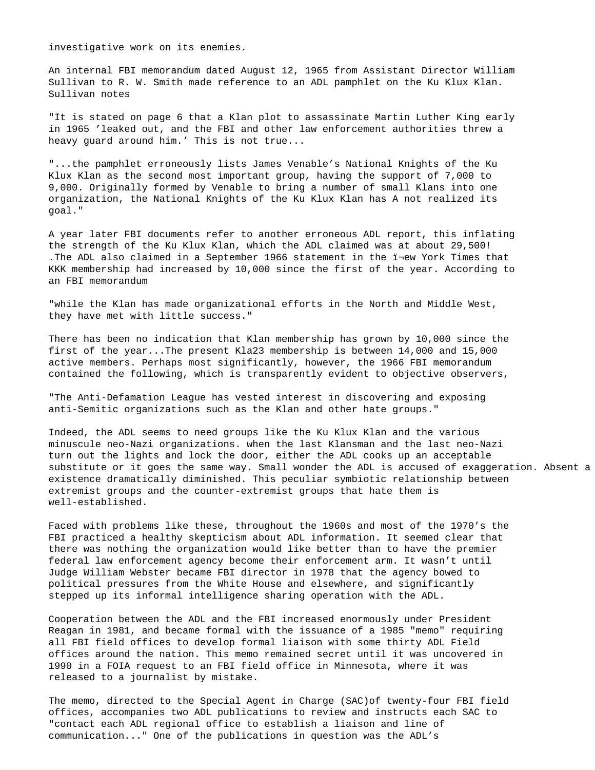investigative work on its enemies.

An internal FBI memorandum dated August 12, 1965 from Assistant Director William Sullivan to R. W. Smith made reference to an ADL pamphlet on the Ku Klux Klan. Sullivan notes

"It is stated on page 6 that a Klan plot to assassinate Martin Luther King early in 1965 'leaked out, and the FBI and other law enforcement authorities threw a heavy guard around him.' This is not true...

"...the pamphlet erroneously lists James Venable's National Knights of the Ku Klux Klan as the second most important group, having the support of 7,000 to 9,000. Originally formed by Venable to bring a number of small Klans into one organization, the National Knights of the Ku Klux Klan has A not realized its goal."

A year later FBI documents refer to another erroneous ADL report, this inflating the strength of the Ku Klux Klan, which the ADL claimed was at about 29,500! .The ADL also claimed in a September 1966 statement in the ï¬ ew York Times that KKK membership had increased by 10,000 since the first of the year. According to an FBI memorandum

"while the Klan has made organizational efforts in the North and Middle West, they have met with little success."

There has been no indication that Klan membership has grown by 10,000 since the first of the year...The present Kla23 membership is between 14,000 and 15,000 active members. Perhaps most significantly, however, the 1966 FBI memorandum contained the following, which is transparently evident to objective observers,

"The Anti-Defamation League has vested interest in discovering and exposing anti-Semitic organizations such as the Klan and other hate groups."

Indeed, the ADL seems to need groups like the Ku Klux Klan and the various minuscule neo-Nazi organizations. when the last Klansman and the last neo-Nazi turn out the lights and lock the door, either the ADL cooks up an acceptable substitute or it goes the same way. Small wonder the ADL is accused of exaggeration. Absent a existence dramatically diminished. This peculiar symbiotic relationship between extremist groups and the counter-extremist groups that hate them is well-established.

Faced with problems like these, throughout the 1960s and most of the 1970's the FBI practiced a healthy skepticism about ADL information. It seemed clear that there was nothing the organization would like better than to have the premier federal law enforcement agency become their enforcement arm. It wasn't until Judge William Webster became FBI director in 1978 that the agency bowed to political pressures from the White House and elsewhere, and significantly stepped up its informal intelligence sharing operation with the ADL.

Cooperation between the ADL and the FBI increased enormously under President Reagan in 1981, and became formal with the issuance of a 1985 "memo" requiring all FBI field offices to develop formal liaison with some thirty ADL Field offices around the nation. This memo remained secret until it was uncovered in 1990 in a FOIA request to an FBI field office in Minnesota, where it was released to a journalist by mistake.

The memo, directed to the Special Agent in Charge (SAC)of twenty-four FBI field offices, accompanies two ADL publications to review and instructs each SAC to "contact each ADL regional office to establish a liaison and line of communication..." One of the publications in question was the ADL's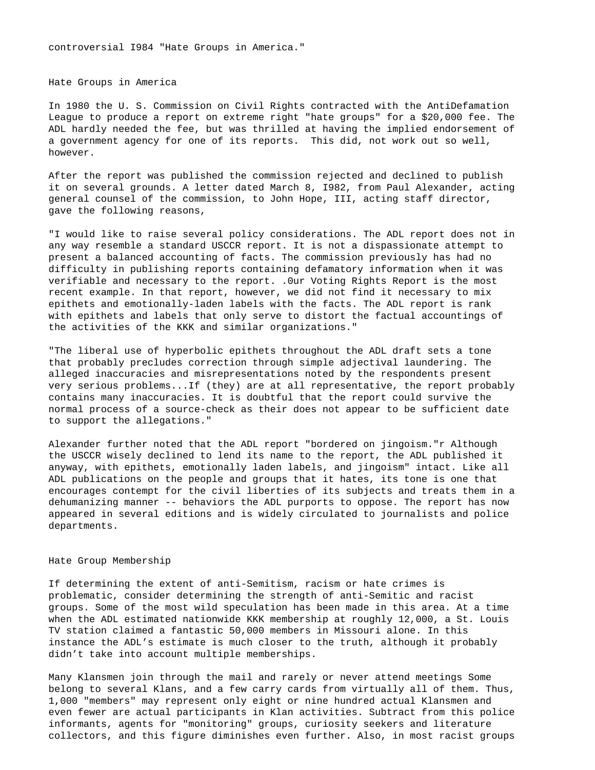controversial I984 "Hate Groups in America."

Hate Groups in America

In 1980 the U. S. Commission on Civil Rights contracted with the AntiDefamation League to produce a report on extreme right "hate groups" for a \$20,000 fee. The ADL hardly needed the fee, but was thrilled at having the implied endorsement of a government agency for one of its reports. This did, not work out so well, however.

After the report was published the commission rejected and declined to publish it on several grounds. A letter dated March 8, I982, from Paul Alexander, acting general counsel of the commission, to John Hope, III, acting staff director, gave the following reasons,

"I would like to raise several policy considerations. The ADL report does not in any way resemble a standard USCCR report. It is not a dispassionate attempt to present a balanced accounting of facts. The commission previously has had no difficulty in publishing reports containing defamatory information when it was verifiable and necessary to the report. .0ur Voting Rights Report is the most recent example. In that report, however, we did not find it necessary to mix epithets and emotionally-laden labels with the facts. The ADL report is rank with epithets and labels that only serve to distort the factual accountings of the activities of the KKK and similar organizations."

"The liberal use of hyperbolic epithets throughout the ADL draft sets a tone that probably precludes correction through simple adjectival laundering. The alleged inaccuracies and misrepresentations noted by the respondents present very serious problems...If (they) are at all representative, the report probably contains many inaccuracies. It is doubtful that the report could survive the normal process of a source-check as their does not appear to be sufficient date to support the allegations."

Alexander further noted that the ADL report "bordered on jingoism."r Although the USCCR wisely declined to lend its name to the report, the ADL published it anyway, with epithets, emotionally laden labels, and jingoism" intact. Like all ADL publications on the people and groups that it hates, its tone is one that encourages contempt for the civil liberties of its subjects and treats them in a dehumanizing manner -- behaviors the ADL purports to oppose. The report has now appeared in several editions and is widely circulated to journalists and police departments.

#### Hate Group Membership

If determining the extent of anti-Semitism, racism or hate crimes is problematic, consider determining the strength of anti-Semitic and racist groups. Some of the most wild speculation has been made in this area. At a time when the ADL estimated nationwide KKK membership at roughly 12,000, a St. Louis TV station claimed a fantastic 50,000 members in Missouri alone. In this instance the ADL's estimate is much closer to the truth, although it probably didn't take into account multiple memberships.

Many Klansmen join through the mail and rarely or never attend meetings Some belong to several Klans, and a few carry cards from virtually all of them. Thus, 1,000 "members" may represent only eight or nine hundred actual Klansmen and even fewer are actual participants in Klan activities. Subtract from this police informants, agents for "monitoring" groups, curiosity seekers and literature collectors, and this figure diminishes even further. Also, in most racist groups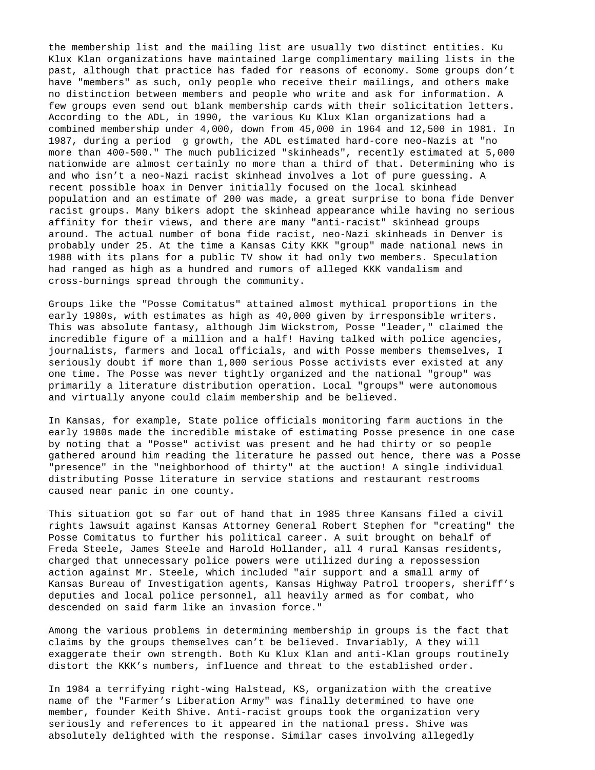the membership list and the mailing list are usually two distinct entities. Ku Klux Klan organizations have maintained large complimentary mailing lists in the past, although that practice has faded for reasons of economy. Some groups don't have "members" as such, only people who receive their mailings, and others make no distinction between members and people who write and ask for information. A few groups even send out blank membership cards with their solicitation letters. According to the ADL, in 1990, the various Ku Klux Klan organizations had a combined membership under 4,000, down from 45,000 in 1964 and 12,500 in 1981. In 1987, during a period g growth, the ADL estimated hard-core neo-Nazis at "no more than 400-500." The much publicized "skinheads", recently estimated at 5,000 nationwide are almost certainly no more than a third of that. Determining who is and who isn't a neo-Nazi racist skinhead involves a lot of pure guessing. A recent possible hoax in Denver initially focused on the local skinhead population and an estimate of 200 was made, a great surprise to bona fide Denver racist groups. Many bikers adopt the skinhead appearance while having no serious affinity for their views, and there are many "anti-racist" skinhead groups around. The actual number of bona fide racist, neo-Nazi skinheads in Denver is probably under 25. At the time a Kansas City KKK "group" made national news in 1988 with its plans for a public TV show it had only two members. Speculation had ranged as high as a hundred and rumors of alleged KKK vandalism and cross-burnings spread through the community.

Groups like the "Posse Comitatus" attained almost mythical proportions in the early 1980s, with estimates as high as 40,000 given by irresponsible writers. This was absolute fantasy, although Jim Wickstrom, Posse "leader," claimed the incredible figure of a million and a half! Having talked with police agencies, journalists, farmers and local officials, and with Posse members themselves, I seriously doubt if more than 1,000 serious Posse activists ever existed at any one time. The Posse was never tightly organized and the national "group" was primarily a literature distribution operation. Local "groups" were autonomous and virtually anyone could claim membership and be believed.

In Kansas, for example, State police officials monitoring farm auctions in the early 1980s made the incredible mistake of estimating Posse presence in one case by noting that a "Posse" activist was present and he had thirty or so people gathered around him reading the literature he passed out hence, there was a Posse "presence" in the "neighborhood of thirty" at the auction! A single individual distributing Posse literature in service stations and restaurant restrooms caused near panic in one county.

This situation got so far out of hand that in 1985 three Kansans filed a civil rights lawsuit against Kansas Attorney General Robert Stephen for "creating" the Posse Comitatus to further his political career. A suit brought on behalf of Freda Steele, James Steele and Harold Hollander, all 4 rural Kansas residents, charged that unnecessary police powers were utilized during a repossession action against Mr. Steele, which included "air support and a small army of Kansas Bureau of Investigation agents, Kansas Highway Patrol troopers, sheriff's deputies and local police personnel, all heavily armed as for combat, who descended on said farm like an invasion force."

Among the various problems in determining membership in groups is the fact that claims by the groups themselves can't be believed. Invariably, A they will exaggerate their own strength. Both Ku Klux Klan and anti-Klan groups routinely distort the KKK's numbers, influence and threat to the established order.

In 1984 a terrifying right-wing Halstead, KS, organization with the creative name of the "Farmer's Liberation Army" was finally determined to have one member, founder Keith Shive. Anti-racist groups took the organization very seriously and references to it appeared in the national press. Shive was absolutely delighted with the response. Similar cases involving allegedly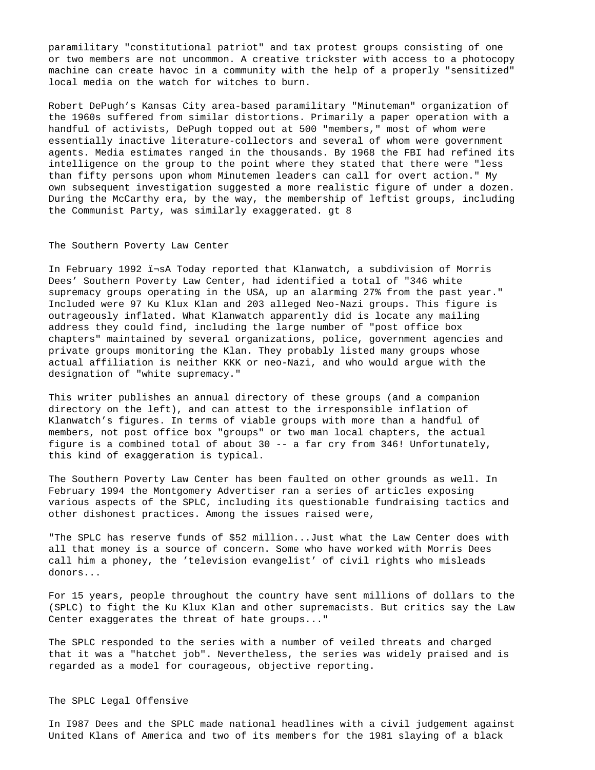paramilitary "constitutional patriot" and tax protest groups consisting of one or two members are not uncommon. A creative trickster with access to a photocopy machine can create havoc in a community with the help of a properly "sensitized" local media on the watch for witches to burn.

Robert DePugh's Kansas City area-based paramilitary "Minuteman" organization of the 1960s suffered from similar distortions. Primarily a paper operation with a handful of activists, DePugh topped out at 500 "members," most of whom were essentially inactive literature-collectors and several of whom were government agents. Media estimates ranged in the thousands. By 1968 the FBI had refined its intelligence on the group to the point where they stated that there were "less than fifty persons upon whom Minutemen leaders can call for overt action." My own subsequent investigation suggested a more realistic figure of under a dozen. During the McCarthy era, by the way, the membership of leftist groups, including the Communist Party, was similarly exaggerated. gt 8

#### The Southern Poverty Law Center

In February 1992 ï¬ sA Today reported that Klanwatch, a subdivision of Morris Dees' Southern Poverty Law Center, had identified a total of "346 white supremacy groups operating in the USA, up an alarming 27% from the past year." Included were 97 Ku Klux Klan and 203 alleged Neo-Nazi groups. This figure is outrageously inflated. What Klanwatch apparently did is locate any mailing address they could find, including the large number of "post office box chapters" maintained by several organizations, police, government agencies and private groups monitoring the Klan. They probably listed many groups whose actual affiliation is neither KKK or neo-Nazi, and who would argue with the designation of "white supremacy."

This writer publishes an annual directory of these groups (and a companion directory on the left), and can attest to the irresponsible inflation of Klanwatch's figures. In terms of viable groups with more than a handful of members, not post office box "groups" or two man local chapters, the actual figure is a combined total of about 30 -- a far cry from 346! Unfortunately, this kind of exaggeration is typical.

The Southern Poverty Law Center has been faulted on other grounds as well. In February 1994 the Montgomery Advertiser ran a series of articles exposing various aspects of the SPLC, including its questionable fundraising tactics and other dishonest practices. Among the issues raised were,

"The SPLC has reserve funds of \$52 million...Just what the Law Center does with all that money is a source of concern. Some who have worked with Morris Dees call him a phoney, the 'television evangelist' of civil rights who misleads donors...

For 15 years, people throughout the country have sent millions of dollars to the (SPLC) to fight the Ku Klux Klan and other supremacists. But critics say the Law Center exaggerates the threat of hate groups..."

The SPLC responded to the series with a number of veiled threats and charged that it was a "hatchet job". Nevertheless, the series was widely praised and is regarded as a model for courageous, objective reporting.

#### The SPLC Legal Offensive

In I987 Dees and the SPLC made national headlines with a civil judgement against United Klans of America and two of its members for the 1981 slaying of a black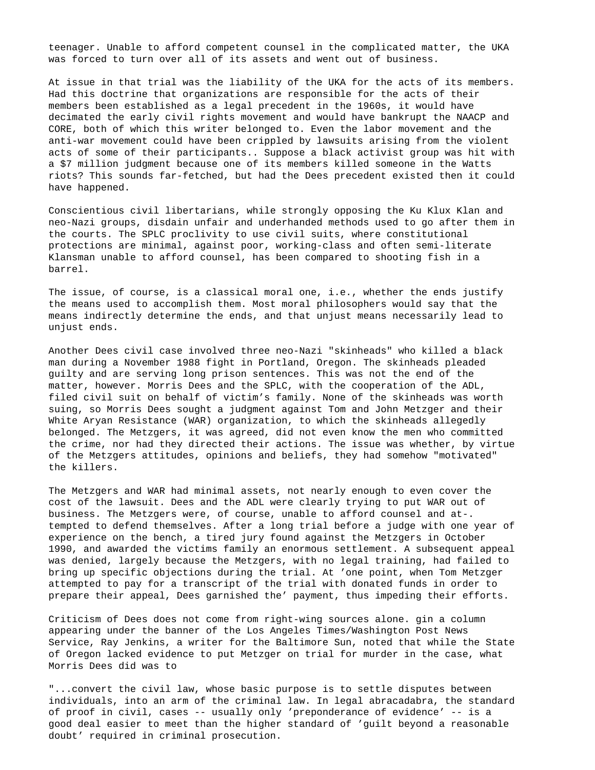teenager. Unable to afford competent counsel in the complicated matter, the UKA was forced to turn over all of its assets and went out of business.

At issue in that trial was the liability of the UKA for the acts of its members. Had this doctrine that organizations are responsible for the acts of their members been established as a legal precedent in the 1960s, it would have decimated the early civil rights movement and would have bankrupt the NAACP and CORE, both of which this writer belonged to. Even the labor movement and the anti-war movement could have been crippled by lawsuits arising from the violent acts of some of their participants.. Suppose a black activist group was hit with a \$7 million judgment because one of its members killed someone in the Watts riots? This sounds far-fetched, but had the Dees precedent existed then it could have happened.

Conscientious civil libertarians, while strongly opposing the Ku Klux Klan and neo-Nazi groups, disdain unfair and underhanded methods used to go after them in the courts. The SPLC proclivity to use civil suits, where constitutional protections are minimal, against poor, working-class and often semi-literate Klansman unable to afford counsel, has been compared to shooting fish in a barrel.

The issue, of course, is a classical moral one, i.e., whether the ends justify the means used to accomplish them. Most moral philosophers would say that the means indirectly determine the ends, and that unjust means necessarily lead to unjust ends.

Another Dees civil case involved three neo-Nazi "skinheads" who killed a black man during a November 1988 fight in Portland, Oregon. The skinheads pleaded guilty and are serving long prison sentences. This was not the end of the matter, however. Morris Dees and the SPLC, with the cooperation of the ADL, filed civil suit on behalf of victim's family. None of the skinheads was worth suing, so Morris Dees sought a judgment against Tom and John Metzger and their White Aryan Resistance (WAR) organization, to which the skinheads allegedly belonged. The Metzgers, it was agreed, did not even know the men who committed the crime, nor had they directed their actions. The issue was whether, by virtue of the Metzgers attitudes, opinions and beliefs, they had somehow "motivated" the killers.

The Metzgers and WAR had minimal assets, not nearly enough to even cover the cost of the lawsuit. Dees and the ADL were clearly trying to put WAR out of business. The Metzgers were, of course, unable to afford counsel and at-. tempted to defend themselves. After a long trial before a judge with one year of experience on the bench, a tired jury found against the Metzgers in October 1990, and awarded the victims family an enormous settlement. A subsequent appeal was denied, largely because the Metzgers, with no legal training, had failed to bring up specific objections during the trial. At 'one point, when Tom Metzger attempted to pay for a transcript of the trial with donated funds in order to prepare their appeal, Dees garnished the' payment, thus impeding their efforts.

Criticism of Dees does not come from right-wing sources alone. gin a column appearing under the banner of the Los Angeles Times/Washington Post News Service, Ray Jenkins, a writer for the Baltimore Sun, noted that while the State of Oregon lacked evidence to put Metzger on trial for murder in the case, what Morris Dees did was to

"...convert the civil law, whose basic purpose is to settle disputes between individuals, into an arm of the criminal law. In legal abracadabra, the standard of proof in civil, cases -- usually only 'preponderance of evidence' -- is a good deal easier to meet than the higher standard of 'guilt beyond a reasonable doubt' required in criminal prosecution.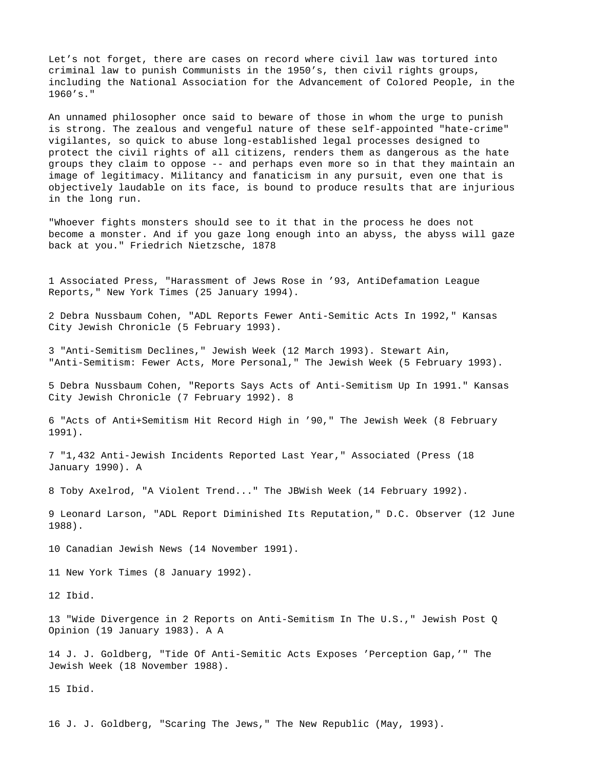Let's not forget, there are cases on record where civil law was tortured into criminal law to punish Communists in the 1950's, then civil rights groups, including the National Association for the Advancement of Colored People, in the 1960's."

An unnamed philosopher once said to beware of those in whom the urge to punish is strong. The zealous and vengeful nature of these self-appointed "hate-crime" vigilantes, so quick to abuse long-established legal processes designed to protect the civil rights of all citizens, renders them as dangerous as the hate groups they claim to oppose -- and perhaps even more so in that they maintain an image of legitimacy. Militancy and fanaticism in any pursuit, even one that is objectively laudable on its face, is bound to produce results that are injurious in the long run.

"Whoever fights monsters should see to it that in the process he does not become a monster. And if you gaze long enough into an abyss, the abyss will gaze back at you." Friedrich Nietzsche, 1878

1 Associated Press, "Harassment of Jews Rose in '93, AntiDefamation League Reports," New York Times (25 January 1994).

2 Debra Nussbaum Cohen, "ADL Reports Fewer Anti-Semitic Acts In 1992," Kansas City Jewish Chronicle (5 February 1993).

3 "Anti-Semitism Declines," Jewish Week (12 March 1993). Stewart Ain, "Anti-Semitism: Fewer Acts, More Personal," The Jewish Week (5 February 1993).

5 Debra Nussbaum Cohen, "Reports Says Acts of Anti-Semitism Up In 1991." Kansas City Jewish Chronicle (7 February 1992). 8

6 "Acts of Anti+Semitism Hit Record High in '90," The Jewish Week (8 February 1991).

7 "1,432 Anti-Jewish Incidents Reported Last Year," Associated (Press (18 January 1990). A

8 Toby Axelrod, "A Violent Trend..." The JBWish Week (14 February 1992).

9 Leonard Larson, "ADL Report Diminished Its Reputation," D.C. Observer (12 June 1988).

10 Canadian Jewish News (14 November 1991).

11 New York Times (8 January 1992).

12 Ibid.

13 "Wide Divergence in 2 Reports on Anti-Semitism In The U.S.," Jewish Post Q Opinion (19 January 1983). A A

14 J. J. Goldberg, "Tide Of Anti-Semitic Acts Exposes 'Perception Gap,'" The Jewish Week (18 November 1988).

15 Ibid.

16 J. J. Goldberg, "Scaring The Jews," The New Republic (May, 1993).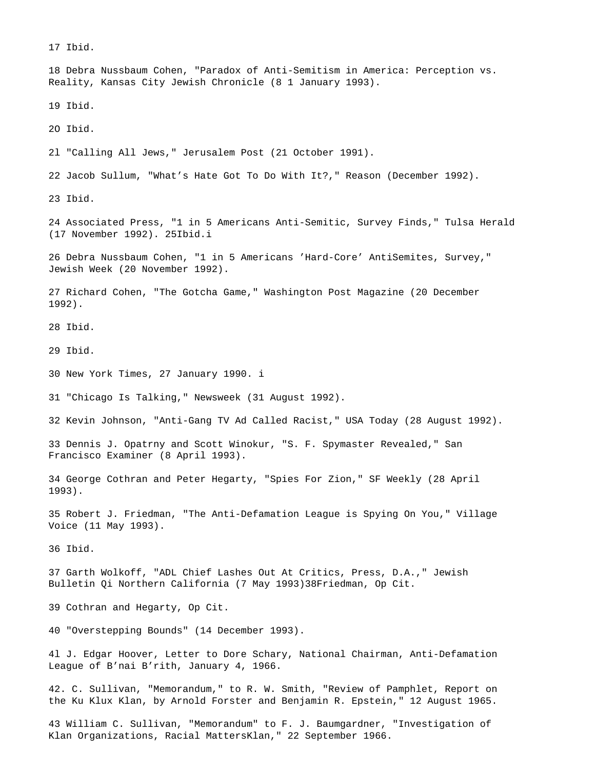17 Ibid. 18 Debra Nussbaum Cohen, "Paradox of Anti-Semitism in America: Perception vs. Reality, Kansas City Jewish Chronicle (8 1 January 1993). 19 Ibid. 2O Ibid. 2l "Calling All Jews," Jerusalem Post (21 October 1991). 22 Jacob Sullum, "What's Hate Got To Do With It?," Reason (December 1992). 23 Ibid. 24 Associated Press, "1 in 5 Americans Anti-Semitic, Survey Finds," Tulsa Herald (17 November 1992). 25Ibid.i 26 Debra Nussbaum Cohen, "1 in 5 Americans 'Hard-Core' AntiSemites, Survey," Jewish Week (20 November 1992). 27 Richard Cohen, "The Gotcha Game," Washington Post Magazine (20 December 1992). 28 Ibid. 29 Ibid. 30 New York Times, 27 January 1990. i 31 "Chicago Is Talking," Newsweek (31 August 1992). 32 Kevin Johnson, "Anti-Gang TV Ad Called Racist," USA Today (28 August 1992). 33 Dennis J. Opatrny and Scott Winokur, "S. F. Spymaster Revealed," San Francisco Examiner (8 April 1993). 34 George Cothran and Peter Hegarty, "Spies For Zion," SF Weekly (28 April 1993). 35 Robert J. Friedman, "The Anti-Defamation League is Spying On You," Village Voice (11 May 1993). 36 Ibid. 37 Garth Wolkoff, "ADL Chief Lashes Out At Critics, Press, D.A.," Jewish Bulletin Qi Northern California (7 May 1993)38Friedman, Op Cit. 39 Cothran and Hegarty, Op Cit. 40 "Overstepping Bounds" (14 December 1993). 4l J. Edgar Hoover, Letter to Dore Schary, National Chairman, Anti-Defamation League of B'nai B'rith, January 4, 1966. 42. C. Sullivan, "Memorandum," to R. W. Smith, "Review of Pamphlet, Report on the Ku Klux Klan, by Arnold Forster and Benjamin R. Epstein," 12 August 1965. 43 William C. Sullivan, "Memorandum" to F. J. Baumgardner, "Investigation of

Klan Organizations, Racial MattersKlan," 22 September 1966.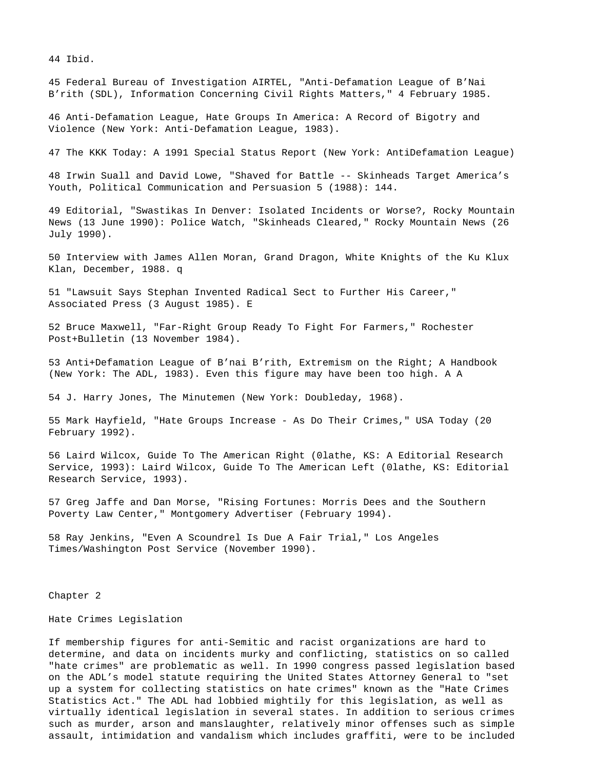44 Ibid.

45 Federal Bureau of Investigation AIRTEL, "Anti-Defamation League of B'Nai B'rith (SDL), Information Concerning Civil Rights Matters," 4 February 1985.

46 Anti-Defamation League, Hate Groups In America: A Record of Bigotry and Violence (New York: Anti-Defamation League, 1983).

47 The KKK Today: A 1991 Special Status Report (New York: AntiDefamation League)

48 Irwin Suall and David Lowe, "Shaved for Battle -- Skinheads Target America's Youth, Political Communication and Persuasion 5 (1988): 144.

49 Editorial, "Swastikas In Denver: Isolated Incidents or Worse?, Rocky Mountain News (13 June 1990): Police Watch, "Skinheads Cleared," Rocky Mountain News (26 July 1990).

50 Interview with James Allen Moran, Grand Dragon, White Knights of the Ku Klux Klan, December, 1988. q

51 "Lawsuit Says Stephan Invented Radical Sect to Further His Career," Associated Press (3 August 1985). E

52 Bruce Maxwell, "Far-Right Group Ready To Fight For Farmers," Rochester Post+Bulletin (13 November 1984).

53 Anti+Defamation League of B'nai B'rith, Extremism on the Right; A Handbook (New York: The ADL, 1983). Even this figure may have been too high. A A

54 J. Harry Jones, The Minutemen (New York: Doubleday, 1968).

55 Mark Hayfield, "Hate Groups Increase - As Do Their Crimes," USA Today (20 February 1992).

56 Laird Wilcox, Guide To The American Right (0lathe, KS: A Editorial Research Service, 1993): Laird Wilcox, Guide To The American Left (0lathe, KS: Editorial Research Service, 1993).

57 Greg Jaffe and Dan Morse, "Rising Fortunes: Morris Dees and the Southern Poverty Law Center," Montgomery Advertiser (February 1994).

58 Ray Jenkins, "Even A Scoundrel Is Due A Fair Trial," Los Angeles Times/Washington Post Service (November 1990).

Chapter 2

Hate Crimes Legislation

If membership figures for anti-Semitic and racist organizations are hard to determine, and data on incidents murky and conflicting, statistics on so called "hate crimes" are problematic as well. In 1990 congress passed legislation based on the ADL's model statute requiring the United States Attorney General to "set up a system for collecting statistics on hate crimes" known as the "Hate Crimes Statistics Act." The ADL had lobbied mightily for this legislation, as well as virtually identical legislation in several states. In addition to serious crimes such as murder, arson and manslaughter, relatively minor offenses such as simple assault, intimidation and vandalism which includes graffiti, were to be included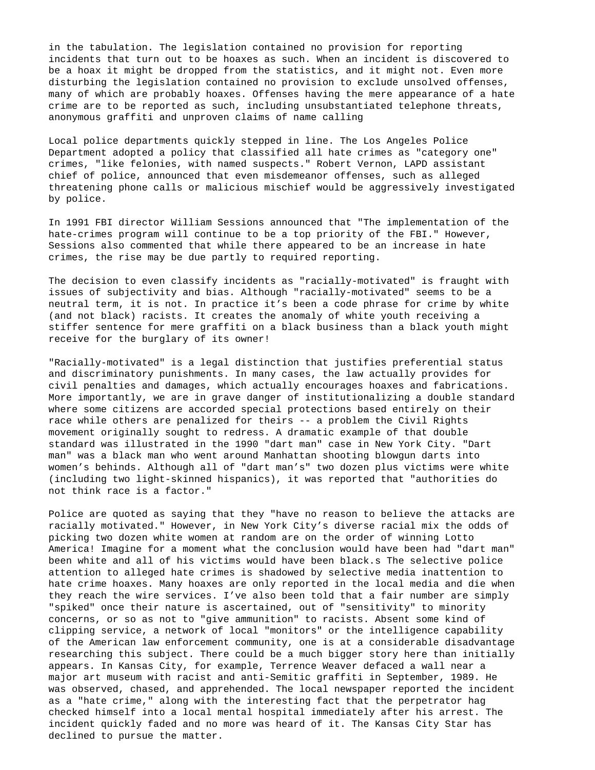in the tabulation. The legislation contained no provision for reporting incidents that turn out to be hoaxes as such. When an incident is discovered to be a hoax it might be dropped from the statistics, and it might not. Even more disturbing the legislation contained no provision to exclude unsolved offenses, many of which are probably hoaxes. Offenses having the mere appearance of a hate crime are to be reported as such, including unsubstantiated telephone threats, anonymous graffiti and unproven claims of name calling

Local police departments quickly stepped in line. The Los Angeles Police Department adopted a policy that classified all hate crimes as "category one" crimes, "like felonies, with named suspects." Robert Vernon, LAPD assistant chief of police, announced that even misdemeanor offenses, such as alleged threatening phone calls or malicious mischief would be aggressively investigated by police.

In 1991 FBI director William Sessions announced that "The implementation of the hate-crimes program will continue to be a top priority of the FBI." However, Sessions also commented that while there appeared to be an increase in hate crimes, the rise may be due partly to required reporting.

The decision to even classify incidents as "racially-motivated" is fraught with issues of subjectivity and bias. Although "racially-motivated" seems to be a neutral term, it is not. In practice it's been a code phrase for crime by white (and not black) racists. It creates the anomaly of white youth receiving a stiffer sentence for mere graffiti on a black business than a black youth might receive for the burglary of its owner!

"Racially-motivated" is a legal distinction that justifies preferential status and discriminatory punishments. In many cases, the law actually provides for civil penalties and damages, which actually encourages hoaxes and fabrications. More importantly, we are in grave danger of institutionalizing a double standard where some citizens are accorded special protections based entirely on their race while others are penalized for theirs -- a problem the Civil Rights movement originally sought to redress. A dramatic example of that double standard was illustrated in the 1990 "dart man" case in New York City. "Dart man" was a black man who went around Manhattan shooting blowgun darts into women's behinds. Although all of "dart man's" two dozen plus victims were white (including two light-skinned hispanics), it was reported that "authorities do not think race is a factor."

Police are quoted as saying that they "have no reason to believe the attacks are racially motivated." However, in New York City's diverse racial mix the odds of picking two dozen white women at random are on the order of winning Lotto America! Imagine for a moment what the conclusion would have been had "dart man" been white and all of his victims would have been black.s The selective police attention to alleged hate crimes is shadowed by selective media inattention to hate crime hoaxes. Many hoaxes are only reported in the local media and die when they reach the wire services. I've also been told that a fair number are simply "spiked" once their nature is ascertained, out of "sensitivity" to minority concerns, or so as not to "give ammunition" to racists. Absent some kind of clipping service, a network of local "monitors" or the intelligence capability of the American law enforcement community, one is at a considerable disadvantage researching this subject. There could be a much bigger story here than initially appears. In Kansas City, for example, Terrence Weaver defaced a wall near a major art museum with racist and anti-Semitic graffiti in September, 1989. He was observed, chased, and apprehended. The local newspaper reported the incident as a "hate crime," along with the interesting fact that the perpetrator hag checked himself into a local mental hospital immediately after his arrest. The incident quickly faded and no more was heard of it. The Kansas City Star has declined to pursue the matter.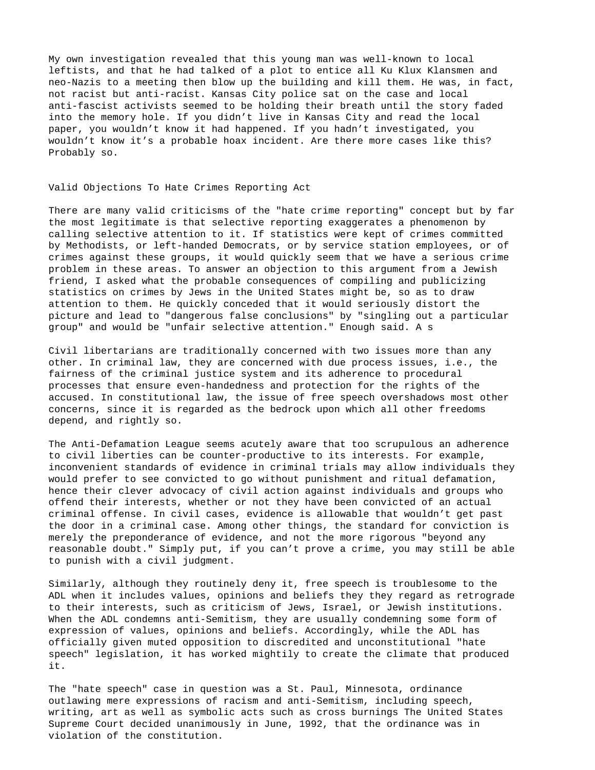My own investigation revealed that this young man was well-known to local leftists, and that he had talked of a plot to entice all Ku Klux Klansmen and neo-Nazis to a meeting then blow up the building and kill them. He was, in fact, not racist but anti-racist. Kansas City police sat on the case and local anti-fascist activists seemed to be holding their breath until the story faded into the memory hole. If you didn't live in Kansas City and read the local paper, you wouldn't know it had happened. If you hadn't investigated, you wouldn't know it's a probable hoax incident. Are there more cases like this? Probably so.

#### Valid Objections To Hate Crimes Reporting Act

There are many valid criticisms of the "hate crime reporting" concept but by far the most legitimate is that selective reporting exaggerates a phenomenon by calling selective attention to it. If statistics were kept of crimes committed by Methodists, or left-handed Democrats, or by service station employees, or of crimes against these groups, it would quickly seem that we have a serious crime problem in these areas. To answer an objection to this argument from a Jewish friend, I asked what the probable consequences of compiling and publicizing statistics on crimes by Jews in the United States might be, so as to draw attention to them. He quickly conceded that it would seriously distort the picture and lead to "dangerous false conclusions" by "singling out a particular group" and would be "unfair selective attention." Enough said. A s

Civil libertarians are traditionally concerned with two issues more than any other. In criminal law, they are concerned with due process issues, i.e., the fairness of the criminal justice system and its adherence to procedural processes that ensure even-handedness and protection for the rights of the accused. In constitutional law, the issue of free speech overshadows most other concerns, since it is regarded as the bedrock upon which all other freedoms depend, and rightly so.

The Anti-Defamation League seems acutely aware that too scrupulous an adherence to civil liberties can be counter-productive to its interests. For example, inconvenient standards of evidence in criminal trials may allow individuals they would prefer to see convicted to go without punishment and ritual defamation, hence their clever advocacy of civil action against individuals and groups who offend their interests, whether or not they have been convicted of an actual criminal offense. In civil cases, evidence is allowable that wouldn't get past the door in a criminal case. Among other things, the standard for conviction is merely the preponderance of evidence, and not the more rigorous "beyond any reasonable doubt." Simply put, if you can't prove a crime, you may still be able to punish with a civil judgment.

Similarly, although they routinely deny it, free speech is troublesome to the ADL when it includes values, opinions and beliefs they they regard as retrograde to their interests, such as criticism of Jews, Israel, or Jewish institutions. When the ADL condemns anti-Semitism, they are usually condemning some form of expression of values, opinions and beliefs. Accordingly, while the ADL has officially given muted opposition to discredited and unconstitutional "hate speech" legislation, it has worked mightily to create the climate that produced it.

The "hate speech" case in question was a St. Paul, Minnesota, ordinance outlawing mere expressions of racism and anti-Semitism, including speech, writing, art as well as symbolic acts such as cross burnings The United States Supreme Court decided unanimously in June, 1992, that the ordinance was in violation of the constitution.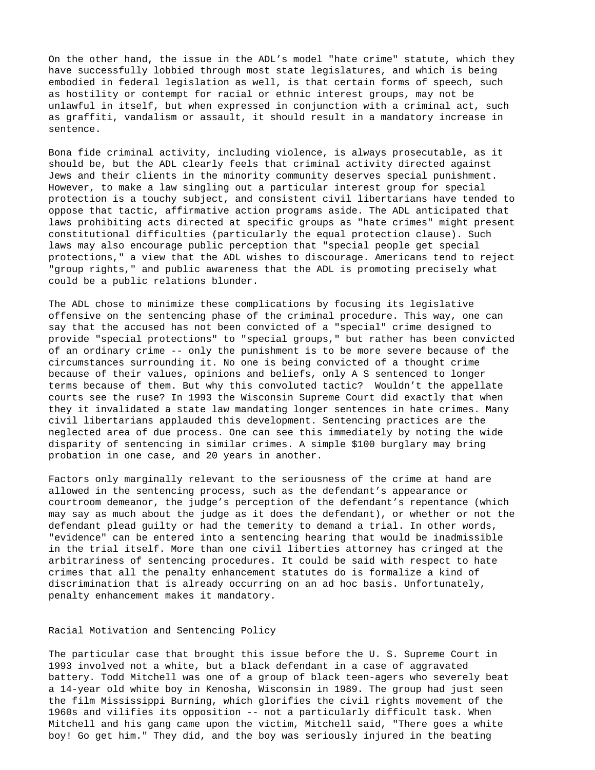On the other hand, the issue in the ADL's model "hate crime" statute, which they have successfully lobbied through most state legislatures, and which is being embodied in federal legislation as well, is that certain forms of speech, such as hostility or contempt for racial or ethnic interest groups, may not be unlawful in itself, but when expressed in conjunction with a criminal act, such as graffiti, vandalism or assault, it should result in a mandatory increase in sentence.

Bona fide criminal activity, including violence, is always prosecutable, as it should be, but the ADL clearly feels that criminal activity directed against Jews and their clients in the minority community deserves special punishment. However, to make a law singling out a particular interest group for special protection is a touchy subject, and consistent civil libertarians have tended to oppose that tactic, affirmative action programs aside. The ADL anticipated that laws prohibiting acts directed at specific groups as "hate crimes" might present constitutional difficulties (particularly the equal protection clause). Such laws may also encourage public perception that "special people get special protections," a view that the ADL wishes to discourage. Americans tend to reject "group rights," and public awareness that the ADL is promoting precisely what could be a public relations blunder.

The ADL chose to minimize these complications by focusing its legislative offensive on the sentencing phase of the criminal procedure. This way, one can say that the accused has not been convicted of a "special" crime designed to provide "special protections" to "special groups," but rather has been convicted of an ordinary crime -- only the punishment is to be more severe because of the circumstances surrounding it. No one is being convicted of a thought crime because of their values, opinions and beliefs, only A S sentenced to longer terms because of them. But why this convoluted tactic? Wouldn't the appellate courts see the ruse? In 1993 the Wisconsin Supreme Court did exactly that when they it invalidated a state law mandating longer sentences in hate crimes. Many civil libertarians applauded this development. Sentencing practices are the neglected area of due process. One can see this immediately by noting the wide disparity of sentencing in similar crimes. A simple \$100 burglary may bring probation in one case, and 20 years in another.

Factors only marginally relevant to the seriousness of the crime at hand are allowed in the sentencing process, such as the defendant's appearance or courtroom demeanor, the judge's perception of the defendant's repentance (which may say as much about the judge as it does the defendant), or whether or not the defendant plead guilty or had the temerity to demand a trial. In other words, "evidence" can be entered into a sentencing hearing that would be inadmissible in the trial itself. More than one civil liberties attorney has cringed at the arbitrariness of sentencing procedures. It could be said with respect to hate crimes that all the penalty enhancement statutes do is formalize a kind of discrimination that is already occurring on an ad hoc basis. Unfortunately, penalty enhancement makes it mandatory.

#### Racial Motivation and Sentencing Policy

The particular case that brought this issue before the U. S. Supreme Court in 1993 involved not a white, but a black defendant in a case of aggravated battery. Todd Mitchell was one of a group of black teen-agers who severely beat a 14-year old white boy in Kenosha, Wisconsin in 1989. The group had just seen the film Mississippi Burning, which glorifies the civil rights movement of the 1960s and vilifies its opposition -- not a particularly difficult task. When Mitchell and his gang came upon the victim, Mitchell said, "There goes a white boy! Go get him." They did, and the boy was seriously injured in the beating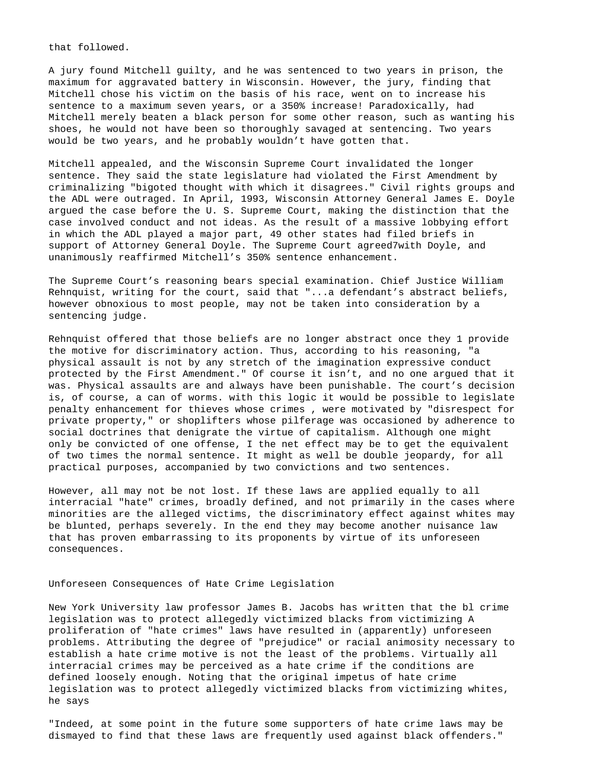that followed.

A jury found Mitchell guilty, and he was sentenced to two years in prison, the maximum for aggravated battery in Wisconsin. However, the jury, finding that Mitchell chose his victim on the basis of his race, went on to increase his sentence to a maximum seven years, or a 350% increase! Paradoxically, had Mitchell merely beaten a black person for some other reason, such as wanting his shoes, he would not have been so thoroughly savaged at sentencing. Two years would be two years, and he probably wouldn't have gotten that.

Mitchell appealed, and the Wisconsin Supreme Court invalidated the longer sentence. They said the state legislature had violated the First Amendment by criminalizing "bigoted thought with which it disagrees." Civil rights groups and the ADL were outraged. In April, 1993, Wisconsin Attorney General James E. Doyle argued the case before the U. S. Supreme Court, making the distinction that the case involved conduct and not ideas. As the result of a massive lobbying effort in which the ADL played a major part, 49 other states had filed briefs in support of Attorney General Doyle. The Supreme Court agreed7with Doyle, and unanimously reaffirmed Mitchell's 350% sentence enhancement.

The Supreme Court's reasoning bears special examination. Chief Justice William Rehnquist, writing for the court, said that "...a defendant's abstract beliefs, however obnoxious to most people, may not be taken into consideration by a sentencing judge.

Rehnquist offered that those beliefs are no longer abstract once they 1 provide the motive for discriminatory action. Thus, according to his reasoning, "a physical assault is not by any stretch of the imagination expressive conduct protected by the First Amendment." Of course it isn't, and no one argued that it was. Physical assaults are and always have been punishable. The court's decision is, of course, a can of worms. with this logic it would be possible to legislate penalty enhancement for thieves whose crimes , were motivated by "disrespect for private property," or shoplifters whose pilferage was occasioned by adherence to social doctrines that denigrate the virtue of capitalism. Although one might only be convicted of one offense, I the net effect may be to get the equivalent of two times the normal sentence. It might as well be double jeopardy, for all practical purposes, accompanied by two convictions and two sentences.

However, all may not be not lost. If these laws are applied equally to all interracial "hate" crimes, broadly defined, and not primarily in the cases where minorities are the alleged victims, the discriminatory effect against whites may be blunted, perhaps severely. In the end they may become another nuisance law that has proven embarrassing to its proponents by virtue of its unforeseen consequences.

#### Unforeseen Consequences of Hate Crime Legislation

New York University law professor James B. Jacobs has written that the bl crime legislation was to protect allegedly victimized blacks from victimizing A proliferation of "hate crimes" laws have resulted in (apparently) unforeseen problems. Attributing the degree of "prejudice" or racial animosity necessary to establish a hate crime motive is not the least of the problems. Virtually all interracial crimes may be perceived as a hate crime if the conditions are defined loosely enough. Noting that the original impetus of hate crime legislation was to protect allegedly victimized blacks from victimizing whites, he says

"Indeed, at some point in the future some supporters of hate crime laws may be dismayed to find that these laws are frequently used against black offenders."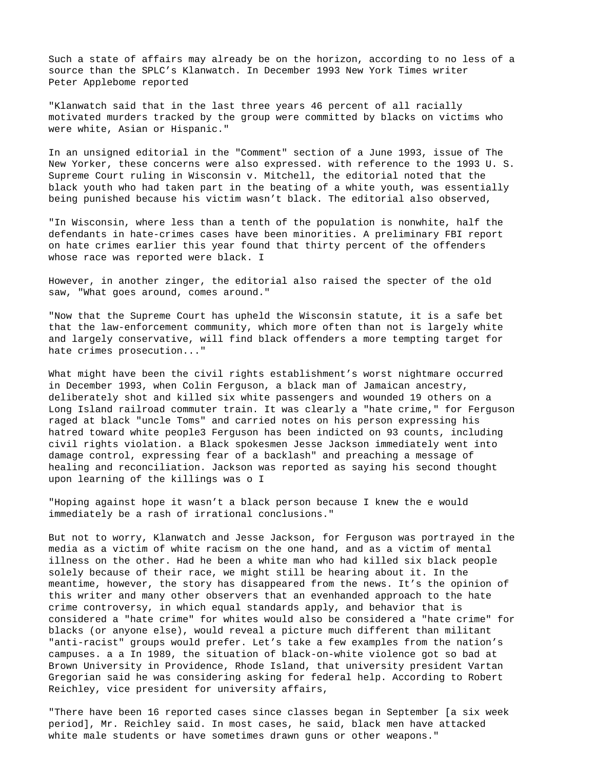Such a state of affairs may already be on the horizon, according to no less of a source than the SPLC's Klanwatch. In December 1993 New York Times writer Peter Applebome reported

"Klanwatch said that in the last three years 46 percent of all racially motivated murders tracked by the group were committed by blacks on victims who were white, Asian or Hispanic."

In an unsigned editorial in the "Comment" section of a June 1993, issue of The New Yorker, these concerns were also expressed. with reference to the 1993 U. S. Supreme Court ruling in Wisconsin v. Mitchell, the editorial noted that the black youth who had taken part in the beating of a white youth, was essentially being punished because his victim wasn't black. The editorial also observed,

"In Wisconsin, where less than a tenth of the population is nonwhite, half the defendants in hate-crimes cases have been minorities. A preliminary FBI report on hate crimes earlier this year found that thirty percent of the offenders whose race was reported were black. I

However, in another zinger, the editorial also raised the specter of the old saw, "What goes around, comes around."

"Now that the Supreme Court has upheld the Wisconsin statute, it is a safe bet that the law-enforcement community, which more often than not is largely white and largely conservative, will find black offenders a more tempting target for hate crimes prosecution..."

What might have been the civil rights establishment's worst nightmare occurred in December 1993, when Colin Ferguson, a black man of Jamaican ancestry, deliberately shot and killed six white passengers and wounded 19 others on a Long Island railroad commuter train. It was clearly a "hate crime," for Ferguson raged at black "uncle Toms" and carried notes on his person expressing his hatred toward white people3 Ferguson has been indicted on 93 counts, including civil rights violation. a Black spokesmen Jesse Jackson immediately went into damage control, expressing fear of a backlash" and preaching a message of healing and reconciliation. Jackson was reported as saying his second thought upon learning of the killings was o I

"Hoping against hope it wasn't a black person because I knew the e would immediately be a rash of irrational conclusions."

But not to worry, Klanwatch and Jesse Jackson, for Ferguson was portrayed in the media as a victim of white racism on the one hand, and as a victim of mental illness on the other. Had he been a white man who had killed six black people solely because of their race, we might still be hearing about it. In the meantime, however, the story has disappeared from the news. It's the opinion of this writer and many other observers that an evenhanded approach to the hate crime controversy, in which equal standards apply, and behavior that is considered a "hate crime" for whites would also be considered a "hate crime" for blacks (or anyone else), would reveal a picture much different than militant "anti-racist" groups would prefer. Let's take a few examples from the nation's campuses. a a In 1989, the situation of black-on-white violence got so bad at Brown University in Providence, Rhode Island, that university president Vartan Gregorian said he was considering asking for federal help. According to Robert Reichley, vice president for university affairs,

"There have been 16 reported cases since classes began in September [a six week period], Mr. Reichley said. In most cases, he said, black men have attacked white male students or have sometimes drawn guns or other weapons."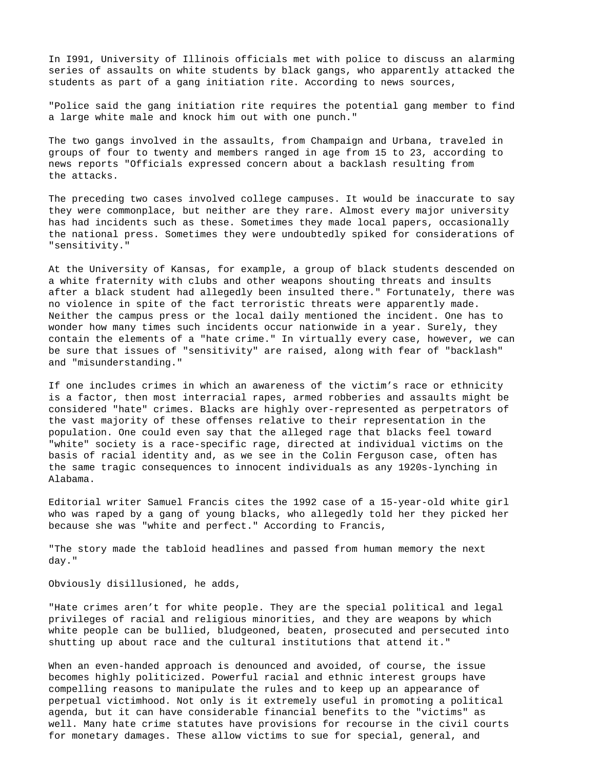In I991, University of Illinois officials met with police to discuss an alarming series of assaults on white students by black gangs, who apparently attacked the students as part of a gang initiation rite. According to news sources,

"Police said the gang initiation rite requires the potential gang member to find a large white male and knock him out with one punch."

The two gangs involved in the assaults, from Champaign and Urbana, traveled in groups of four to twenty and members ranged in age from 15 to 23, according to news reports "Officials expressed concern about a backlash resulting from the attacks.

The preceding two cases involved college campuses. It would be inaccurate to say they were commonplace, but neither are they rare. Almost every major university has had incidents such as these. Sometimes they made local papers, occasionally the national press. Sometimes they were undoubtedly spiked for considerations of "sensitivity."

At the University of Kansas, for example, a group of black students descended on a white fraternity with clubs and other weapons shouting threats and insults after a black student had allegedly been insulted there." Fortunately, there was no violence in spite of the fact terroristic threats were apparently made. Neither the campus press or the local daily mentioned the incident. One has to wonder how many times such incidents occur nationwide in a year. Surely, they contain the elements of a "hate crime." In virtually every case, however, we can be sure that issues of "sensitivity" are raised, along with fear of "backlash" and "misunderstanding."

If one includes crimes in which an awareness of the victim's race or ethnicity is a factor, then most interracial rapes, armed robberies and assaults might be considered "hate" crimes. Blacks are highly over-represented as perpetrators of the vast majority of these offenses relative to their representation in the population. One could even say that the alleged rage that blacks feel toward "white" society is a race-specific rage, directed at individual victims on the basis of racial identity and, as we see in the Colin Ferguson case, often has the same tragic consequences to innocent individuals as any 1920s-lynching in Alabama.

Editorial writer Samuel Francis cites the 1992 case of a 15-year-old white girl who was raped by a gang of young blacks, who allegedly told her they picked her because she was "white and perfect." According to Francis,

"The story made the tabloid headlines and passed from human memory the next day."

Obviously disillusioned, he adds,

"Hate crimes aren't for white people. They are the special political and legal privileges of racial and religious minorities, and they are weapons by which white people can be bullied, bludgeoned, beaten, prosecuted and persecuted into shutting up about race and the cultural institutions that attend it."

When an even-handed approach is denounced and avoided, of course, the issue becomes highly politicized. Powerful racial and ethnic interest groups have compelling reasons to manipulate the rules and to keep up an appearance of perpetual victimhood. Not only is it extremely useful in promoting a political agenda, but it can have considerable financial benefits to the "victims" as well. Many hate crime statutes have provisions for recourse in the civil courts for monetary damages. These allow victims to sue for special, general, and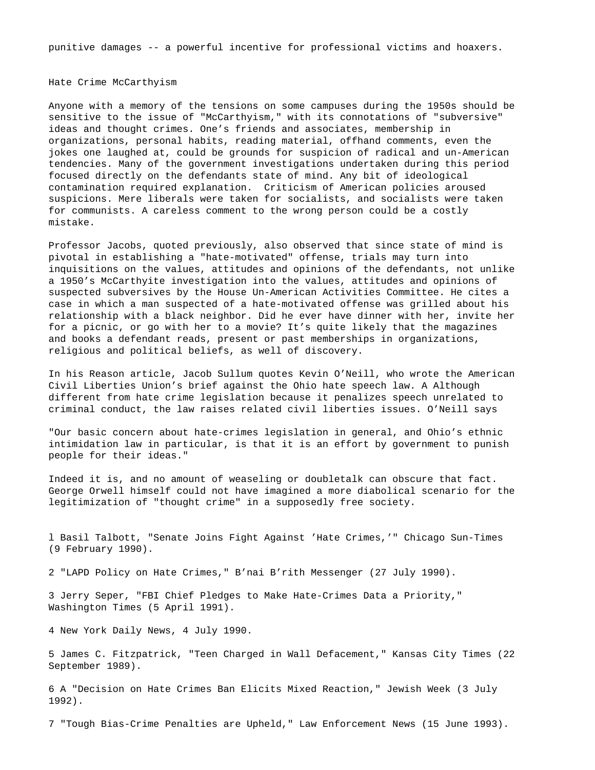punitive damages -- a powerful incentive for professional victims and hoaxers.

Hate Crime McCarthyism

Anyone with a memory of the tensions on some campuses during the 1950s should be sensitive to the issue of "McCarthyism," with its connotations of "subversive" ideas and thought crimes. One's friends and associates, membership in organizations, personal habits, reading material, offhand comments, even the jokes one laughed at, could be grounds for suspicion of radical and un-American tendencies. Many of the government investigations undertaken during this period focused directly on the defendants state of mind. Any bit of ideological contamination required explanation. Criticism of American policies aroused suspicions. Mere liberals were taken for socialists, and socialists were taken for communists. A careless comment to the wrong person could be a costly mistake.

Professor Jacobs, quoted previously, also observed that since state of mind is pivotal in establishing a "hate-motivated" offense, trials may turn into inquisitions on the values, attitudes and opinions of the defendants, not unlike a 1950's McCarthyite investigation into the values, attitudes and opinions of suspected subversives by the House Un-American Activities Committee. He cites a case in which a man suspected of a hate-motivated offense was grilled about his relationship with a black neighbor. Did he ever have dinner with her, invite her for a picnic, or go with her to a movie? It's quite likely that the magazines and books a defendant reads, present or past memberships in organizations, religious and political beliefs, as well of discovery.

In his Reason article, Jacob Sullum quotes Kevin O'Neill, who wrote the American Civil Liberties Union's brief against the Ohio hate speech law. A Although different from hate crime legislation because it penalizes speech unrelated to criminal conduct, the law raises related civil liberties issues. O'Neill says

"Our basic concern about hate-crimes legislation in general, and Ohio's ethnic intimidation law in particular, is that it is an effort by government to punish people for their ideas."

Indeed it is, and no amount of weaseling or doubletalk can obscure that fact. George Orwell himself could not have imagined a more diabolical scenario for the legitimization of "thought crime" in a supposedly free society.

l Basil Talbott, "Senate Joins Fight Against 'Hate Crimes,'" Chicago Sun-Times (9 February 1990).

2 "LAPD Policy on Hate Crimes," B'nai B'rith Messenger (27 July 1990).

3 Jerry Seper, "FBI Chief Pledges to Make Hate-Crimes Data a Priority," Washington Times (5 April 1991).

4 New York Daily News, 4 July 1990.

5 James C. Fitzpatrick, "Teen Charged in Wall Defacement," Kansas City Times (22 September 1989).

6 A "Decision on Hate Crimes Ban Elicits Mixed Reaction," Jewish Week (3 July 1992).

7 "Tough Bias-Crime Penalties are Upheld," Law Enforcement News (15 June 1993).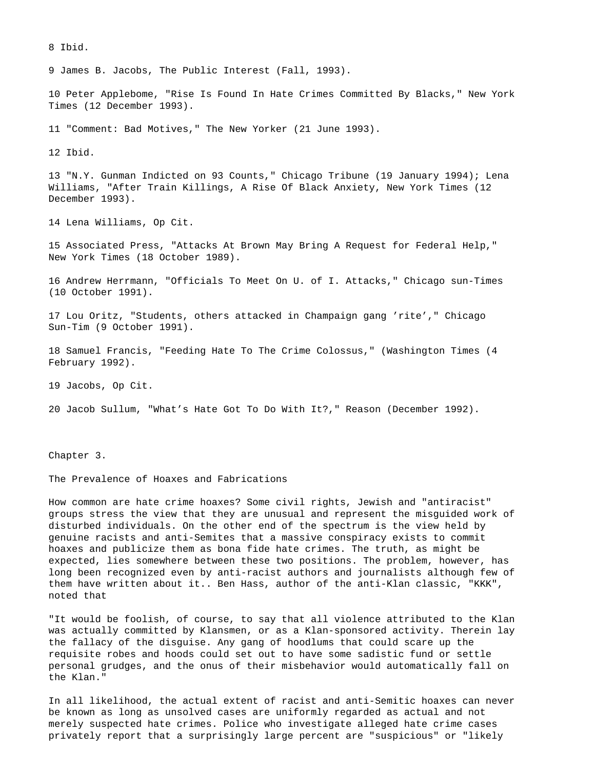8 Ibid.

9 James B. Jacobs, The Public Interest (Fall, 1993).

10 Peter Applebome, "Rise Is Found In Hate Crimes Committed By Blacks," New York Times (12 December 1993).

11 "Comment: Bad Motives," The New Yorker (21 June 1993).

12 Ibid.

13 "N.Y. Gunman Indicted on 93 Counts," Chicago Tribune (19 January 1994); Lena Williams, "After Train Killings, A Rise Of Black Anxiety, New York Times (12 December 1993).

14 Lena Williams, Op Cit.

15 Associated Press, "Attacks At Brown May Bring A Request for Federal Help," New York Times (18 October 1989).

16 Andrew Herrmann, "Officials To Meet On U. of I. Attacks," Chicago sun-Times (10 October 1991).

17 Lou Oritz, "Students, others attacked in Champaign gang 'rite'," Chicago Sun-Tim (9 October 1991).

18 Samuel Francis, "Feeding Hate To The Crime Colossus," (Washington Times (4 February 1992).

19 Jacobs, Op Cit.

20 Jacob Sullum, "What's Hate Got To Do With It?," Reason (December 1992).

Chapter 3.

The Prevalence of Hoaxes and Fabrications

How common are hate crime hoaxes? Some civil rights, Jewish and "antiracist" groups stress the view that they are unusual and represent the misguided work of disturbed individuals. On the other end of the spectrum is the view held by genuine racists and anti-Semites that a massive conspiracy exists to commit hoaxes and publicize them as bona fide hate crimes. The truth, as might be expected, lies somewhere between these two positions. The problem, however, has long been recognized even by anti-racist authors and journalists although few of them have written about it.. Ben Hass, author of the anti-Klan classic, "KKK", noted that

"It would be foolish, of course, to say that all violence attributed to the Klan was actually committed by Klansmen, or as a Klan-sponsored activity. Therein lay the fallacy of the disguise. Any gang of hoodlums that could scare up the requisite robes and hoods could set out to have some sadistic fund or settle personal grudges, and the onus of their misbehavior would automatically fall on the Klan."

In all likelihood, the actual extent of racist and anti-Semitic hoaxes can never be known as long as unsolved cases are uniformly regarded as actual and not merely suspected hate crimes. Police who investigate alleged hate crime cases privately report that a surprisingly large percent are "suspicious" or "likely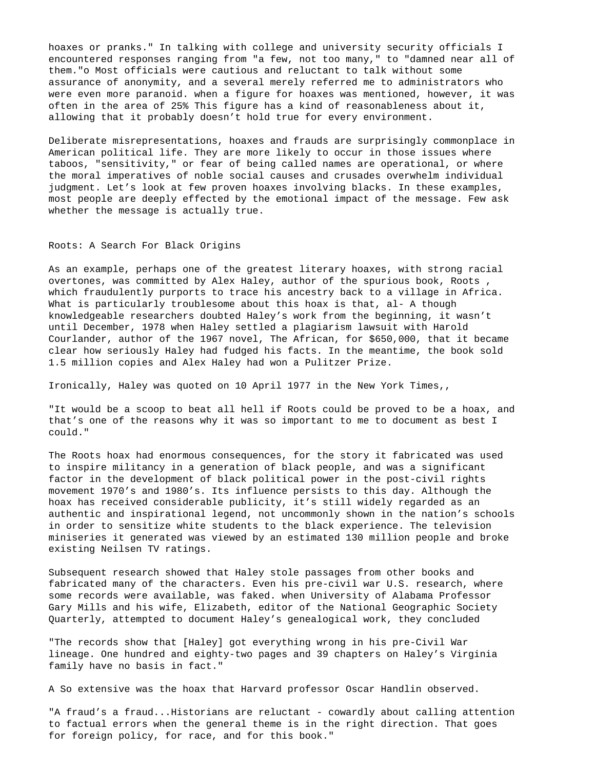hoaxes or pranks." In talking with college and university security officials I encountered responses ranging from "a few, not too many," to "damned near all of them."o Most officials were cautious and reluctant to talk without some assurance of anonymity, and a several merely referred me to administrators who were even more paranoid. when a figure for hoaxes was mentioned, however, it was often in the area of 25% This figure has a kind of reasonableness about it, allowing that it probably doesn't hold true for every environment.

Deliberate misrepresentations, hoaxes and frauds are surprisingly commonplace in American political life. They are more likely to occur in those issues where taboos, "sensitivity," or fear of being called names are operational, or where the moral imperatives of noble social causes and crusades overwhelm individual judgment. Let's look at few proven hoaxes involving blacks. In these examples, most people are deeply effected by the emotional impact of the message. Few ask whether the message is actually true.

Roots: A Search For Black Origins

As an example, perhaps one of the greatest literary hoaxes, with strong racial overtones, was committed by Alex Haley, author of the spurious book, Roots , which fraudulently purports to trace his ancestry back to a village in Africa. What is particularly troublesome about this hoax is that, al- A though knowledgeable researchers doubted Haley's work from the beginning, it wasn't until December, 1978 when Haley settled a plagiarism lawsuit with Harold Courlander, author of the 1967 novel, The African, for \$650,000, that it became clear how seriously Haley had fudged his facts. In the meantime, the book sold 1.5 million copies and Alex Haley had won a Pulitzer Prize.

Ironically, Haley was quoted on 10 April 1977 in the New York Times,,

"It would be a scoop to beat all hell if Roots could be proved to be a hoax, and that's one of the reasons why it was so important to me to document as best I could."

The Roots hoax had enormous consequences, for the story it fabricated was used to inspire militancy in a generation of black people, and was a significant factor in the development of black political power in the post-civil rights movement 1970's and 1980's. Its influence persists to this day. Although the hoax has received considerable publicity, it's still widely regarded as an authentic and inspirational legend, not uncommonly shown in the nation's schools in order to sensitize white students to the black experience. The television miniseries it generated was viewed by an estimated 130 million people and broke existing Neilsen TV ratings.

Subsequent research showed that Haley stole passages from other books and fabricated many of the characters. Even his pre-civil war U.S. research, where some records were available, was faked. when University of Alabama Professor Gary Mills and his wife, Elizabeth, editor of the National Geographic Society Quarterly, attempted to document Haley's genealogical work, they concluded

"The records show that [Haley] got everything wrong in his pre-Civil War lineage. One hundred and eighty-two pages and 39 chapters on Haley's Virginia family have no basis in fact."

A So extensive was the hoax that Harvard professor Oscar Handlin observed.

"A fraud's a fraud...Historians are reluctant - cowardly about calling attention to factual errors when the general theme is in the right direction. That goes for foreign policy, for race, and for this book."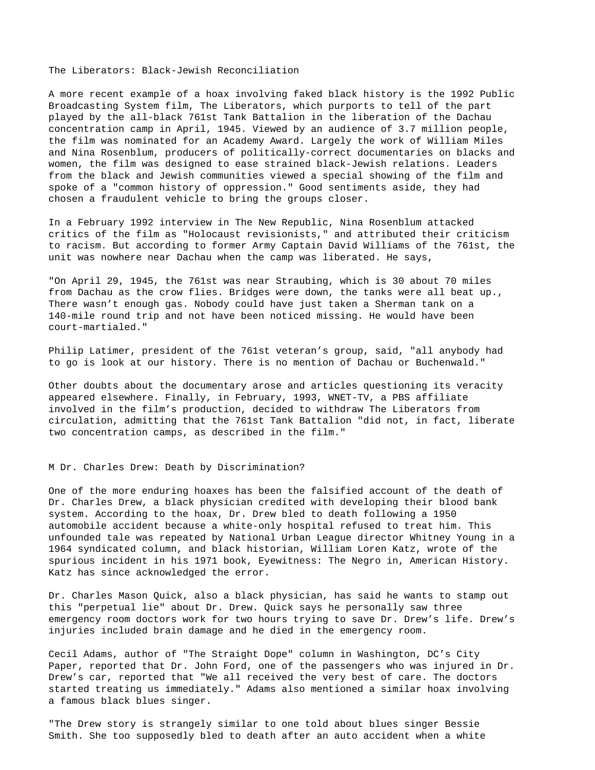The Liberators: Black-Jewish Reconciliation

A more recent example of a hoax involving faked black history is the 1992 Public Broadcasting System film, The Liberators, which purports to tell of the part played by the all-black 761st Tank Battalion in the liberation of the Dachau concentration camp in April, 1945. Viewed by an audience of 3.7 million people, the film was nominated for an Academy Award. Largely the work of William Miles and Nina Rosenblum, producers of politically-correct documentaries on blacks and women, the film was designed to ease strained black-Jewish relations. Leaders from the black and Jewish communities viewed a special showing of the film and spoke of a "common history of oppression." Good sentiments aside, they had chosen a fraudulent vehicle to bring the groups closer.

In a February 1992 interview in The New Republic, Nina Rosenblum attacked critics of the film as "Holocaust revisionists," and attributed their criticism to racism. But according to former Army Captain David Williams of the 761st, the unit was nowhere near Dachau when the camp was liberated. He says,

"On April 29, 1945, the 761st was near Straubing, which is 30 about 70 miles from Dachau as the crow flies. Bridges were down, the tanks were all beat up., There wasn't enough gas. Nobody could have just taken a Sherman tank on a 140-mile round trip and not have been noticed missing. He would have been court-martialed."

Philip Latimer, president of the 761st veteran's group, said, "all anybody had to go is look at our history. There is no mention of Dachau or Buchenwald."

Other doubts about the documentary arose and articles questioning its veracity appeared elsewhere. Finally, in February, 1993, WNET-TV, a PBS affiliate involved in the film's production, decided to withdraw The Liberators from circulation, admitting that the 761st Tank Battalion "did not, in fact, liberate two concentration camps, as described in the film."

M Dr. Charles Drew: Death by Discrimination?

One of the more enduring hoaxes has been the falsified account of the death of Dr. Charles Drew, a black physician credited with developing their blood bank system. According to the hoax, Dr. Drew bled to death following a 1950 automobile accident because a white-only hospital refused to treat him. This unfounded tale was repeated by National Urban League director Whitney Young in a 1964 syndicated column, and black historian, William Loren Katz, wrote of the spurious incident in his 1971 book, Eyewitness: The Negro in, American History. Katz has since acknowledged the error.

Dr. Charles Mason Quick, also a black physician, has said he wants to stamp out this "perpetual lie" about Dr. Drew. Quick says he personally saw three emergency room doctors work for two hours trying to save Dr. Drew's life. Drew's injuries included brain damage and he died in the emergency room.

Cecil Adams, author of "The Straight Dope" column in Washington, DC's City Paper, reported that Dr. John Ford, one of the passengers who was injured in Dr. Drew's car, reported that "We all received the very best of care. The doctors started treating us immediately." Adams also mentioned a similar hoax involving a famous black blues singer.

"The Drew story is strangely similar to one told about blues singer Bessie Smith. She too supposedly bled to death after an auto accident when a white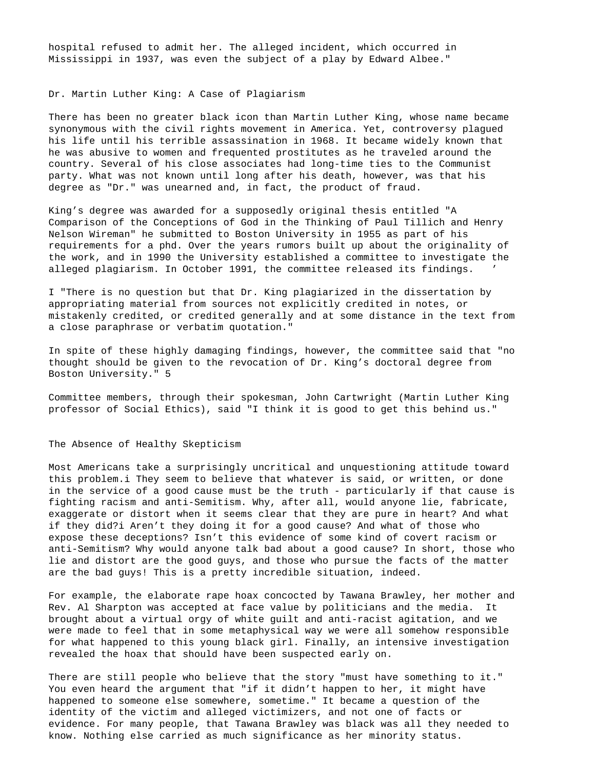hospital refused to admit her. The alleged incident, which occurred in Mississippi in 1937, was even the subject of a play by Edward Albee."

#### Dr. Martin Luther King: A Case of Plagiarism

There has been no greater black icon than Martin Luther King, whose name became synonymous with the civil rights movement in America. Yet, controversy plagued his life until his terrible assassination in 1968. It became widely known that he was abusive to women and frequented prostitutes as he traveled around the country. Several of his close associates had long-time ties to the Communist party. What was not known until long after his death, however, was that his degree as "Dr." was unearned and, in fact, the product of fraud.

King's degree was awarded for a supposedly original thesis entitled "A Comparison of the Conceptions of God in the Thinking of Paul Tillich and Henry Nelson Wireman" he submitted to Boston University in 1955 as part of his requirements for a phd. Over the years rumors built up about the originality of the work, and in 1990 the University established a committee to investigate the alleged plagiarism. In October 1991, the committee released its findings. '

I "There is no question but that Dr. King plagiarized in the dissertation by appropriating material from sources not explicitly credited in notes, or mistakenly credited, or credited generally and at some distance in the text from a close paraphrase or verbatim quotation."

In spite of these highly damaging findings, however, the committee said that "no thought should be given to the revocation of Dr. King's doctoral degree from Boston University." 5

Committee members, through their spokesman, John Cartwright (Martin Luther King professor of Social Ethics), said "I think it is good to get this behind us."

#### The Absence of Healthy Skepticism

Most Americans take a surprisingly uncritical and unquestioning attitude toward this problem.i They seem to believe that whatever is said, or written, or done in the service of a good cause must be the truth - particularly if that cause is fighting racism and anti-Semitism. Why, after all, would anyone lie, fabricate, exaggerate or distort when it seems clear that they are pure in heart? And what if they did?i Aren't they doing it for a good cause? And what of those who expose these deceptions? Isn't this evidence of some kind of covert racism or anti-Semitism? Why would anyone talk bad about a good cause? In short, those who lie and distort are the good guys, and those who pursue the facts of the matter are the bad guys! This is a pretty incredible situation, indeed.

For example, the elaborate rape hoax concocted by Tawana Brawley, her mother and Rev. Al Sharpton was accepted at face value by politicians and the media. It brought about a virtual orgy of white guilt and anti-racist agitation, and we were made to feel that in some metaphysical way we were all somehow responsible for what happened to this young black girl. Finally, an intensive investigation revealed the hoax that should have been suspected early on.

There are still people who believe that the story "must have something to it." You even heard the argument that "if it didn't happen to her, it might have happened to someone else somewhere, sometime." It became a question of the identity of the victim and alleged victimizers, and not one of facts or evidence. For many people, that Tawana Brawley was black was all they needed to know. Nothing else carried as much significance as her minority status.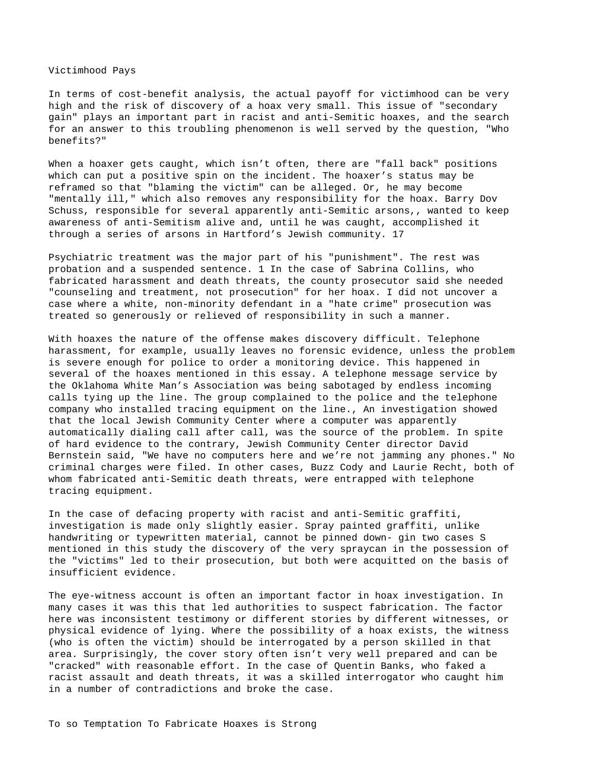#### Victimhood Pays

In terms of cost-benefit analysis, the actual payoff for victimhood can be very high and the risk of discovery of a hoax very small. This issue of "secondary gain" plays an important part in racist and anti-Semitic hoaxes, and the search for an answer to this troubling phenomenon is well served by the question, "Who benefits?"

When a hoaxer gets caught, which isn't often, there are "fall back" positions which can put a positive spin on the incident. The hoaxer's status may be reframed so that "blaming the victim" can be alleged. Or, he may become "mentally ill," which also removes any responsibility for the hoax. Barry Dov Schuss, responsible for several apparently anti-Semitic arsons,, wanted to keep awareness of anti-Semitism alive and, until he was caught, accomplished it through a series of arsons in Hartford's Jewish community. 17

Psychiatric treatment was the major part of his "punishment". The rest was probation and a suspended sentence. 1 In the case of Sabrina Collins, who fabricated harassment and death threats, the county prosecutor said she needed "counseling and treatment, not prosecution" for her hoax. I did not uncover a case where a white, non-minority defendant in a "hate crime" prosecution was treated so generously or relieved of responsibility in such a manner.

With hoaxes the nature of the offense makes discovery difficult. Telephone harassment, for example, usually leaves no forensic evidence, unless the problem is severe enough for police to order a monitoring device. This happened in several of the hoaxes mentioned in this essay. A telephone message service by the Oklahoma White Man's Association was being sabotaged by endless incoming calls tying up the line. The group complained to the police and the telephone company who installed tracing equipment on the line., An investigation showed that the local Jewish Community Center where a computer was apparently automatically dialing call after call, was the source of the problem. In spite of hard evidence to the contrary, Jewish Community Center director David Bernstein said, "We have no computers here and we're not jamming any phones." No criminal charges were filed. In other cases, Buzz Cody and Laurie Recht, both of whom fabricated anti-Semitic death threats, were entrapped with telephone tracing equipment.

In the case of defacing property with racist and anti-Semitic graffiti, investigation is made only slightly easier. Spray painted graffiti, unlike handwriting or typewritten material, cannot be pinned down- gin two cases S mentioned in this study the discovery of the very spraycan in the possession of the "victims" led to their prosecution, but both were acquitted on the basis of insufficient evidence.

The eye-witness account is often an important factor in hoax investigation. In many cases it was this that led authorities to suspect fabrication. The factor here was inconsistent testimony or different stories by different witnesses, or physical evidence of lying. Where the possibility of a hoax exists, the witness (who is often the victim) should be interrogated by a person skilled in that area. Surprisingly, the cover story often isn't very well prepared and can be "cracked" with reasonable effort. In the case of Quentin Banks, who faked a racist assault and death threats, it was a skilled interrogator who caught him in a number of contradictions and broke the case.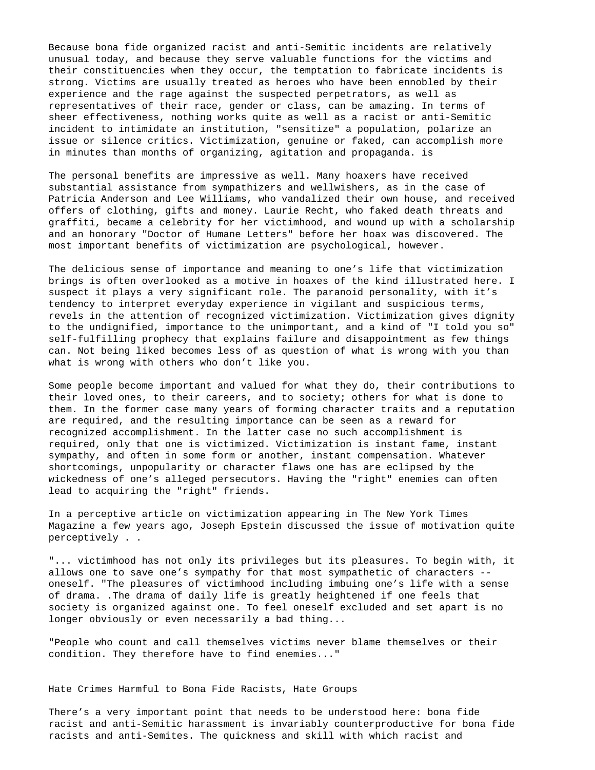Because bona fide organized racist and anti-Semitic incidents are relatively unusual today, and because they serve valuable functions for the victims and their constituencies when they occur, the temptation to fabricate incidents is strong. Victims are usually treated as heroes who have been ennobled by their experience and the rage against the suspected perpetrators, as well as representatives of their race, gender or class, can be amazing. In terms of sheer effectiveness, nothing works quite as well as a racist or anti-Semitic incident to intimidate an institution, "sensitize" a population, polarize an issue or silence critics. Victimization, genuine or faked, can accomplish more in minutes than months of organizing, agitation and propaganda. is

The personal benefits are impressive as well. Many hoaxers have received substantial assistance from sympathizers and wellwishers, as in the case of Patricia Anderson and Lee Williams, who vandalized their own house, and received offers of clothing, gifts and money. Laurie Recht, who faked death threats and graffiti, became a celebrity for her victimhood, and wound up with a scholarship and an honorary "Doctor of Humane Letters" before her hoax was discovered. The most important benefits of victimization are psychological, however.

The delicious sense of importance and meaning to one's life that victimization brings is often overlooked as a motive in hoaxes of the kind illustrated here. I suspect it plays a very significant role. The paranoid personality, with it's tendency to interpret everyday experience in vigilant and suspicious terms, revels in the attention of recognized victimization. Victimization gives dignity to the undignified, importance to the unimportant, and a kind of "I told you so" self-fulfilling prophecy that explains failure and disappointment as few things can. Not being liked becomes less of as question of what is wrong with you than what is wrong with others who don't like you.

Some people become important and valued for what they do, their contributions to their loved ones, to their careers, and to society; others for what is done to them. In the former case many years of forming character traits and a reputation are required, and the resulting importance can be seen as a reward for recognized accomplishment. In the latter case no such accomplishment is required, only that one is victimized. Victimization is instant fame, instant sympathy, and often in some form or another, instant compensation. Whatever shortcomings, unpopularity or character flaws one has are eclipsed by the wickedness of one's alleged persecutors. Having the "right" enemies can often lead to acquiring the "right" friends.

In a perceptive article on victimization appearing in The New York Times Magazine a few years ago, Joseph Epstein discussed the issue of motivation quite perceptively . .

"... victimhood has not only its privileges but its pleasures. To begin with, it allows one to save one's sympathy for that most sympathetic of characters - oneself. "The pleasures of victimhood including imbuing one's life with a sense of drama. .The drama of daily life is greatly heightened if one feels that society is organized against one. To feel oneself excluded and set apart is no longer obviously or even necessarily a bad thing...

"People who count and call themselves victims never blame themselves or their condition. They therefore have to find enemies..."

Hate Crimes Harmful to Bona Fide Racists, Hate Groups

There's a very important point that needs to be understood here: bona fide racist and anti-Semitic harassment is invariably counterproductive for bona fide racists and anti-Semites. The quickness and skill with which racist and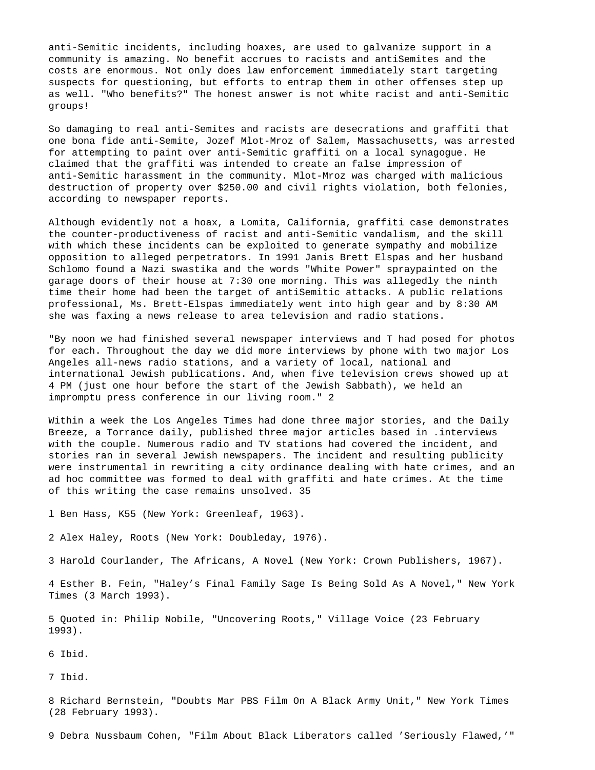anti-Semitic incidents, including hoaxes, are used to galvanize support in a community is amazing. No benefit accrues to racists and antiSemites and the costs are enormous. Not only does law enforcement immediately start targeting suspects for questioning, but efforts to entrap them in other offenses step up as well. "Who benefits?" The honest answer is not white racist and anti-Semitic groups!

So damaging to real anti-Semites and racists are desecrations and graffiti that one bona fide anti-Semite, Jozef Mlot-Mroz of Salem, Massachusetts, was arrested for attempting to paint over anti-Semitic graffiti on a local synagogue. He claimed that the graffiti was intended to create an false impression of anti-Semitic harassment in the community. Mlot-Mroz was charged with malicious destruction of property over \$250.00 and civil rights violation, both felonies, according to newspaper reports.

Although evidently not a hoax, a Lomita, California, graffiti case demonstrates the counter-productiveness of racist and anti-Semitic vandalism, and the skill with which these incidents can be exploited to generate sympathy and mobilize opposition to alleged perpetrators. In 1991 Janis Brett Elspas and her husband Schlomo found a Nazi swastika and the words "White Power" spraypainted on the garage doors of their house at 7:30 one morning. This was allegedly the ninth time their home had been the target of antiSemitic attacks. A public relations professional, Ms. Brett-Elspas immediately went into high gear and by 8:30 AM she was faxing a news release to area television and radio stations.

"By noon we had finished several newspaper interviews and T had posed for photos for each. Throughout the day we did more interviews by phone with two major Los Angeles all-news radio stations, and a variety of local, national and international Jewish publications. And, when five television crews showed up at 4 PM (just one hour before the start of the Jewish Sabbath), we held an impromptu press conference in our living room." 2

Within a week the Los Angeles Times had done three major stories, and the Daily Breeze, a Torrance daily, published three major articles based in .interviews with the couple. Numerous radio and TV stations had covered the incident, and stories ran in several Jewish newspapers. The incident and resulting publicity were instrumental in rewriting a city ordinance dealing with hate crimes, and an ad hoc committee was formed to deal with graffiti and hate crimes. At the time of this writing the case remains unsolved. 35

l Ben Hass, K55 (New York: Greenleaf, 1963).

2 Alex Haley, Roots (New York: Doubleday, 1976).

3 Harold Courlander, The Africans, A Novel (New York: Crown Publishers, 1967).

4 Esther B. Fein, "Haley's Final Family Sage Is Being Sold As A Novel," New York Times (3 March 1993).

5 Quoted in: Philip Nobile, "Uncovering Roots," Village Voice (23 February 1993).

6 Ibid.

7 Ibid.

8 Richard Bernstein, "Doubts Mar PBS Film On A Black Army Unit," New York Times (28 February 1993).

9 Debra Nussbaum Cohen, "Film About Black Liberators called 'Seriously Flawed,'"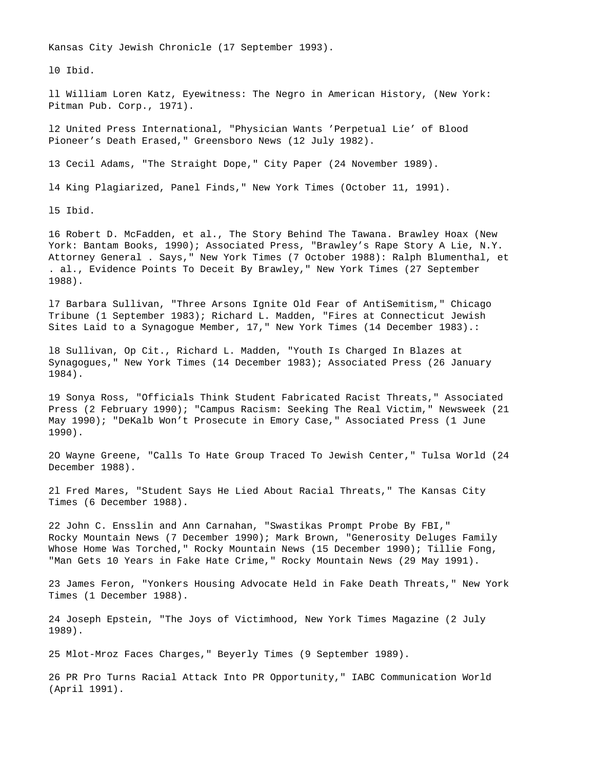Kansas City Jewish Chronicle (17 September 1993).

l0 Ibid.

ll William Loren Katz, Eyewitness: The Negro in American History, (New York: Pitman Pub. Corp., 1971).

l2 United Press International, "Physician Wants 'Perpetual Lie' of Blood Pioneer's Death Erased," Greensboro News (12 July 1982).

13 Cecil Adams, "The Straight Dope," City Paper (24 November 1989).

l4 King Plagiarized, Panel Finds," New York Times (October 11, 1991).

l5 Ibid.

16 Robert D. McFadden, et al., The Story Behind The Tawana. Brawley Hoax (New York: Bantam Books, 1990); Associated Press, "Brawley's Rape Story A Lie, N.Y. Attorney General . Says," New York Times (7 October 1988): Ralph Blumenthal, et . al., Evidence Points To Deceit By Brawley," New York Times (27 September 1988).

l7 Barbara Sullivan, "Three Arsons Ignite Old Fear of AntiSemitism," Chicago Tribune (1 September 1983); Richard L. Madden, "Fires at Connecticut Jewish Sites Laid to a Synagogue Member, 17," New York Times (14 December 1983).:

l8 Sullivan, Op Cit., Richard L. Madden, "Youth Is Charged In Blazes at Synagogues," New York Times (14 December 1983); Associated Press (26 January 1984).

19 Sonya Ross, "Officials Think Student Fabricated Racist Threats," Associated Press (2 February 1990); "Campus Racism: Seeking The Real Victim," Newsweek (21 May 1990); "DeKalb Won't Prosecute in Emory Case," Associated Press (1 June 1990).

2O Wayne Greene, "Calls To Hate Group Traced To Jewish Center," Tulsa World (24 December 1988).

2l Fred Mares, "Student Says He Lied About Racial Threats," The Kansas City Times (6 December 1988).

22 John C. Ensslin and Ann Carnahan, "Swastikas Prompt Probe By FBI," Rocky Mountain News (7 December 1990); Mark Brown, "Generosity Deluges Family Whose Home Was Torched," Rocky Mountain News (15 December 1990); Tillie Fong, "Man Gets 10 Years in Fake Hate Crime," Rocky Mountain News (29 May 1991).

23 James Feron, "Yonkers Housing Advocate Held in Fake Death Threats," New York Times (1 December 1988).

24 Joseph Epstein, "The Joys of Victimhood, New York Times Magazine (2 July 1989).

25 Mlot-Mroz Faces Charges," Beyerly Times (9 September 1989).

26 PR Pro Turns Racial Attack Into PR Opportunity," IABC Communication World (April 1991).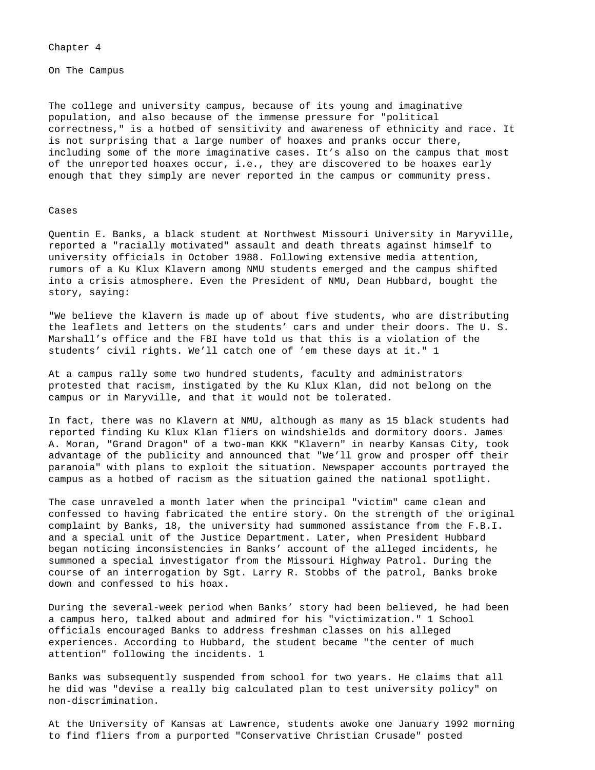Chapter 4

On The Campus

The college and university campus, because of its young and imaginative population, and also because of the immense pressure for "political correctness," is a hotbed of sensitivity and awareness of ethnicity and race. It is not surprising that a large number of hoaxes and pranks occur there, including some of the more imaginative cases. It's also on the campus that most of the unreported hoaxes occur, i.e., they are discovered to be hoaxes early enough that they simply are never reported in the campus or community press.

#### Cases

Quentin E. Banks, a black student at Northwest Missouri University in Maryville, reported a "racially motivated" assault and death threats against himself to university officials in October 1988. Following extensive media attention, rumors of a Ku Klux Klavern among NMU students emerged and the campus shifted into a crisis atmosphere. Even the President of NMU, Dean Hubbard, bought the story, saying:

"We believe the klavern is made up of about five students, who are distributing the leaflets and letters on the students' cars and under their doors. The U. S. Marshall's office and the FBI have told us that this is a violation of the students' civil rights. We'll catch one of 'em these days at it." 1

At a campus rally some two hundred students, faculty and administrators protested that racism, instigated by the Ku Klux Klan, did not belong on the campus or in Maryville, and that it would not be tolerated.

In fact, there was no Klavern at NMU, although as many as 15 black students had reported finding Ku Klux Klan fliers on windshields and dormitory doors. James A. Moran, "Grand Dragon" of a two-man KKK "Klavern" in nearby Kansas City, took advantage of the publicity and announced that "We'll grow and prosper off their paranoia" with plans to exploit the situation. Newspaper accounts portrayed the campus as a hotbed of racism as the situation gained the national spotlight.

The case unraveled a month later when the principal "victim" came clean and confessed to having fabricated the entire story. On the strength of the original complaint by Banks, 18, the university had summoned assistance from the F.B.I. and a special unit of the Justice Department. Later, when President Hubbard began noticing inconsistencies in Banks' account of the alleged incidents, he summoned a special investigator from the Missouri Highway Patrol. During the course of an interrogation by Sgt. Larry R. Stobbs of the patrol, Banks broke down and confessed to his hoax.

During the several-week period when Banks' story had been believed, he had been a campus hero, talked about and admired for his "victimization." 1 School officials encouraged Banks to address freshman classes on his alleged experiences. According to Hubbard, the student became "the center of much attention" following the incidents. 1

Banks was subsequently suspended from school for two years. He claims that all he did was "devise a really big calculated plan to test university policy" on non-discrimination.

At the University of Kansas at Lawrence, students awoke one January 1992 morning to find fliers from a purported "Conservative Christian Crusade" posted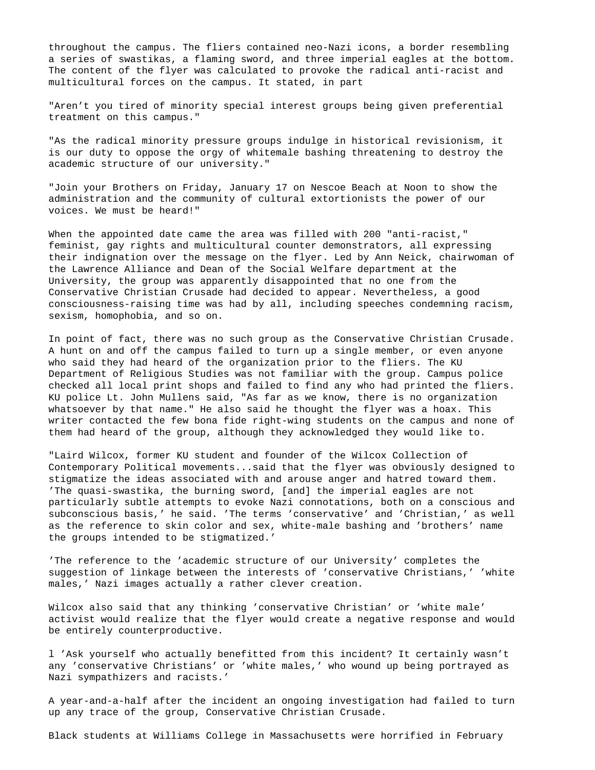throughout the campus. The fliers contained neo-Nazi icons, a border resembling a series of swastikas, a flaming sword, and three imperial eagles at the bottom. The content of the flyer was calculated to provoke the radical anti-racist and multicultural forces on the campus. It stated, in part

"Aren't you tired of minority special interest groups being given preferential treatment on this campus."

"As the radical minority pressure groups indulge in historical revisionism, it is our duty to oppose the orgy of whitemale bashing threatening to destroy the academic structure of our university."

"Join your Brothers on Friday, January 17 on Nescoe Beach at Noon to show the administration and the community of cultural extortionists the power of our voices. We must be heard!"

When the appointed date came the area was filled with 200 "anti-racist," feminist, gay rights and multicultural counter demonstrators, all expressing their indignation over the message on the flyer. Led by Ann Neick, chairwoman of the Lawrence Alliance and Dean of the Social Welfare department at the University, the group was apparently disappointed that no one from the Conservative Christian Crusade had decided to appear. Nevertheless, a good consciousness-raising time was had by all, including speeches condemning racism, sexism, homophobia, and so on.

In point of fact, there was no such group as the Conservative Christian Crusade. A hunt on and off the campus failed to turn up a single member, or even anyone who said they had heard of the organization prior to the fliers. The KU Department of Religious Studies was not familiar with the group. Campus police checked all local print shops and failed to find any who had printed the fliers. KU police Lt. John Mullens said, "As far as we know, there is no organization whatsoever by that name." He also said he thought the flyer was a hoax. This writer contacted the few bona fide right-wing students on the campus and none of them had heard of the group, although they acknowledged they would like to.

"Laird Wilcox, former KU student and founder of the Wilcox Collection of Contemporary Political movements...said that the flyer was obviously designed to stigmatize the ideas associated with and arouse anger and hatred toward them. 'The quasi-swastika, the burning sword, [and] the imperial eagles are not particularly subtle attempts to evoke Nazi connotations, both on a conscious and subconscious basis,' he said. 'The terms 'conservative' and 'Christian,' as well as the reference to skin color and sex, white-male bashing and 'brothers' name the groups intended to be stigmatized.'

'The reference to the 'academic structure of our University' completes the suggestion of linkage between the interests of 'conservative Christians,' 'white males,' Nazi images actually a rather clever creation.

Wilcox also said that any thinking 'conservative Christian' or 'white male' activist would realize that the flyer would create a negative response and would be entirely counterproductive.

l 'Ask yourself who actually benefitted from this incident? It certainly wasn't any 'conservative Christians' or 'white males,' who wound up being portrayed as Nazi sympathizers and racists.'

A year-and-a-half after the incident an ongoing investigation had failed to turn up any trace of the group, Conservative Christian Crusade.

Black students at Williams College in Massachusetts were horrified in February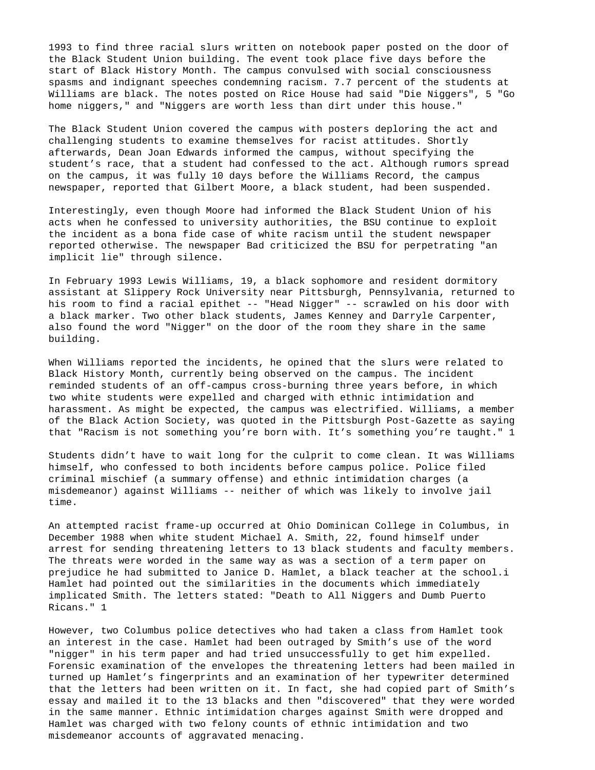1993 to find three racial slurs written on notebook paper posted on the door of the Black Student Union building. The event took place five days before the start of Black History Month. The campus convulsed with social consciousness spasms and indignant speeches condemning racism. 7.7 percent of the students at Williams are black. The notes posted on Rice House had said "Die Niggers", 5 "Go home niggers," and "Niggers are worth less than dirt under this house."

The Black Student Union covered the campus with posters deploring the act and challenging students to examine themselves for racist attitudes. Shortly afterwards, Dean Joan Edwards informed the campus, without specifying the student's race, that a student had confessed to the act. Although rumors spread on the campus, it was fully 10 days before the Williams Record, the campus newspaper, reported that Gilbert Moore, a black student, had been suspended.

Interestingly, even though Moore had informed the Black Student Union of his acts when he confessed to university authorities, the BSU continue to exploit the incident as a bona fide case of white racism until the student newspaper reported otherwise. The newspaper Bad criticized the BSU for perpetrating "an implicit lie" through silence.

In February 1993 Lewis Williams, 19, a black sophomore and resident dormitory assistant at Slippery Rock University near Pittsburgh, Pennsylvania, returned to his room to find a racial epithet -- "Head Nigger" -- scrawled on his door with a black marker. Two other black students, James Kenney and Darryle Carpenter, also found the word "Nigger" on the door of the room they share in the same building.

When Williams reported the incidents, he opined that the slurs were related to Black History Month, currently being observed on the campus. The incident reminded students of an off-campus cross-burning three years before, in which two white students were expelled and charged with ethnic intimidation and harassment. As might be expected, the campus was electrified. Williams, a member of the Black Action Society, was quoted in the Pittsburgh Post-Gazette as saying that "Racism is not something you're born with. It's something you're taught." 1

Students didn't have to wait long for the culprit to come clean. It was Williams himself, who confessed to both incidents before campus police. Police filed criminal mischief (a summary offense) and ethnic intimidation charges (a misdemeanor) against Williams -- neither of which was likely to involve jail time.

An attempted racist frame-up occurred at Ohio Dominican College in Columbus, in December 1988 when white student Michael A. Smith, 22, found himself under arrest for sending threatening letters to 13 black students and faculty members. The threats were worded in the same way as was a section of a term paper on prejudice he had submitted to Janice D. Hamlet, a black teacher at the school.i Hamlet had pointed out the similarities in the documents which immediately implicated Smith. The letters stated: "Death to All Niggers and Dumb Puerto Ricans." 1

However, two Columbus police detectives who had taken a class from Hamlet took an interest in the case. Hamlet had been outraged by Smith's use of the word "nigger" in his term paper and had tried unsuccessfully to get him expelled. Forensic examination of the envelopes the threatening letters had been mailed in turned up Hamlet's fingerprints and an examination of her typewriter determined that the letters had been written on it. In fact, she had copied part of Smith's essay and mailed it to the 13 blacks and then "discovered" that they were worded in the same manner. Ethnic intimidation charges against Smith were dropped and Hamlet was charged with two felony counts of ethnic intimidation and two misdemeanor accounts of aggravated menacing.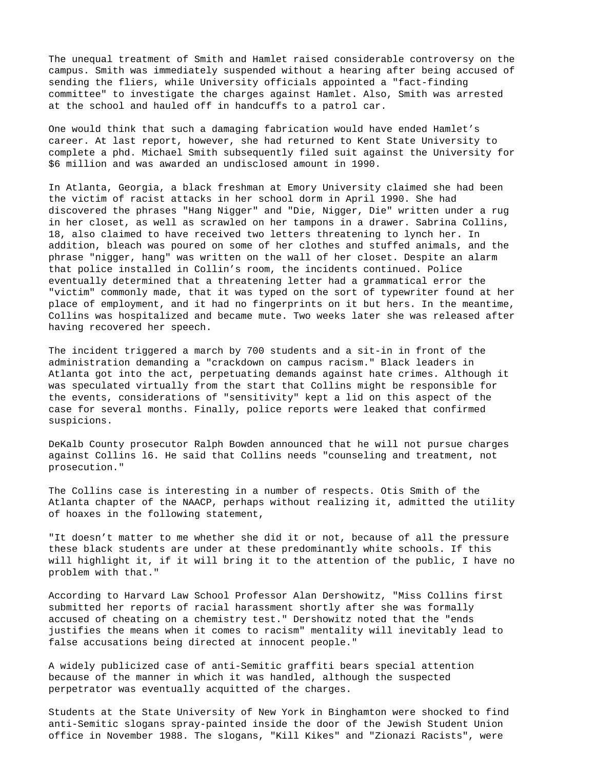The unequal treatment of Smith and Hamlet raised considerable controversy on the campus. Smith was immediately suspended without a hearing after being accused of sending the fliers, while University officials appointed a "fact-finding committee" to investigate the charges against Hamlet. Also, Smith was arrested at the school and hauled off in handcuffs to a patrol car.

One would think that such a damaging fabrication would have ended Hamlet's career. At last report, however, she had returned to Kent State University to complete a phd. Michael Smith subsequently filed suit against the University for \$6 million and was awarded an undisclosed amount in 1990.

In Atlanta, Georgia, a black freshman at Emory University claimed she had been the victim of racist attacks in her school dorm in April 1990. She had discovered the phrases "Hang Nigger" and "Die, Nigger, Die" written under a rug in her closet, as well as scrawled on her tampons in a drawer. Sabrina Collins, 18, also claimed to have received two letters threatening to lynch her. In addition, bleach was poured on some of her clothes and stuffed animals, and the phrase "nigger, hang" was written on the wall of her closet. Despite an alarm that police installed in Collin's room, the incidents continued. Police eventually determined that a threatening letter had a grammatical error the "victim" commonly made, that it was typed on the sort of typewriter found at her place of employment, and it had no fingerprints on it but hers. In the meantime, Collins was hospitalized and became mute. Two weeks later she was released after having recovered her speech.

The incident triggered a march by 700 students and a sit-in in front of the administration demanding a "crackdown on campus racism." Black leaders in Atlanta got into the act, perpetuating demands against hate crimes. Although it was speculated virtually from the start that Collins might be responsible for the events, considerations of "sensitivity" kept a lid on this aspect of the case for several months. Finally, police reports were leaked that confirmed suspicions.

DeKalb County prosecutor Ralph Bowden announced that he will not pursue charges against Collins l6. He said that Collins needs "counseling and treatment, not prosecution."

The Collins case is interesting in a number of respects. Otis Smith of the Atlanta chapter of the NAACP, perhaps without realizing it, admitted the utility of hoaxes in the following statement,

"It doesn't matter to me whether she did it or not, because of all the pressure these black students are under at these predominantly white schools. If this will highlight it, if it will bring it to the attention of the public, I have no problem with that."

According to Harvard Law School Professor Alan Dershowitz, "Miss Collins first submitted her reports of racial harassment shortly after she was formally accused of cheating on a chemistry test." Dershowitz noted that the "ends justifies the means when it comes to racism" mentality will inevitably lead to false accusations being directed at innocent people."

A widely publicized case of anti-Semitic graffiti bears special attention because of the manner in which it was handled, although the suspected perpetrator was eventually acquitted of the charges.

Students at the State University of New York in Binghamton were shocked to find anti-Semitic slogans spray-painted inside the door of the Jewish Student Union office in November 1988. The slogans, "Kill Kikes" and "Zionazi Racists", were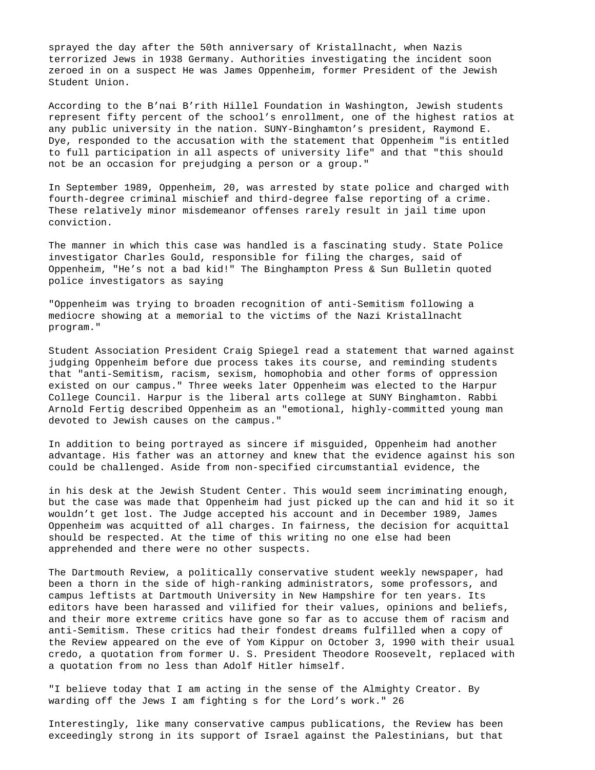sprayed the day after the 50th anniversary of Kristallnacht, when Nazis terrorized Jews in 1938 Germany. Authorities investigating the incident soon zeroed in on a suspect He was James Oppenheim, former President of the Jewish Student Union.

According to the B'nai B'rith Hillel Foundation in Washington, Jewish students represent fifty percent of the school's enrollment, one of the highest ratios at any public university in the nation. SUNY-Binghamton's president, Raymond E. Dye, responded to the accusation with the statement that Oppenheim "is entitled to full participation in all aspects of university life" and that "this should not be an occasion for prejudging a person or a group."

In September 1989, Oppenheim, 20, was arrested by state police and charged with fourth-degree criminal mischief and third-degree false reporting of a crime. These relatively minor misdemeanor offenses rarely result in jail time upon conviction.

The manner in which this case was handled is a fascinating study. State Police investigator Charles Gould, responsible for filing the charges, said of Oppenheim, "He's not a bad kid!" The Binghampton Press & Sun Bulletin quoted police investigators as saying

"Oppenheim was trying to broaden recognition of anti-Semitism following a mediocre showing at a memorial to the victims of the Nazi Kristallnacht program."

Student Association President Craig Spiegel read a statement that warned against judging Oppenheim before due process takes its course, and reminding students that "anti-Semitism, racism, sexism, homophobia and other forms of oppression existed on our campus." Three weeks later Oppenheim was elected to the Harpur College Council. Harpur is the liberal arts college at SUNY Binghamton. Rabbi Arnold Fertig described Oppenheim as an "emotional, highly-committed young man devoted to Jewish causes on the campus."

In addition to being portrayed as sincere if misguided, Oppenheim had another advantage. His father was an attorney and knew that the evidence against his son could be challenged. Aside from non-specified circumstantial evidence, the

in his desk at the Jewish Student Center. This would seem incriminating enough, but the case was made that Oppenheim had just picked up the can and hid it so it wouldn't get lost. The Judge accepted his account and in December 1989, James Oppenheim was acquitted of all charges. In fairness, the decision for acquittal should be respected. At the time of this writing no one else had been apprehended and there were no other suspects.

The Dartmouth Review, a politically conservative student weekly newspaper, had been a thorn in the side of high-ranking administrators, some professors, and campus leftists at Dartmouth University in New Hampshire for ten years. Its editors have been harassed and vilified for their values, opinions and beliefs, and their more extreme critics have gone so far as to accuse them of racism and anti-Semitism. These critics had their fondest dreams fulfilled when a copy of the Review appeared on the eve of Yom Kippur on October 3, 1990 with their usual credo, a quotation from former U. S. President Theodore Roosevelt, replaced with a quotation from no less than Adolf Hitler himself.

"I believe today that I am acting in the sense of the Almighty Creator. By warding off the Jews I am fighting s for the Lord's work." 26

Interestingly, like many conservative campus publications, the Review has been exceedingly strong in its support of Israel against the Palestinians, but that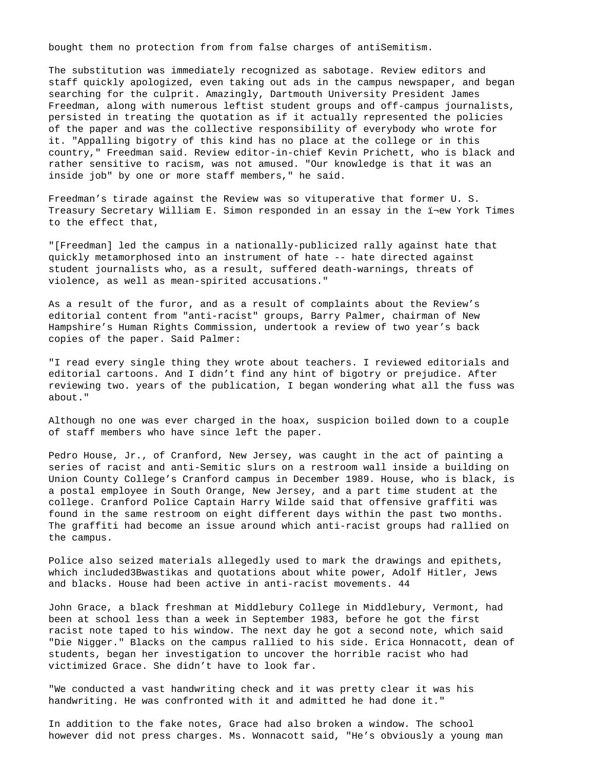bought them no protection from from false charges of antiSemitism.

The substitution was immediately recognized as sabotage. Review editors and staff quickly apologized, even taking out ads in the campus newspaper, and began searching for the culprit. Amazingly, Dartmouth University President James Freedman, along with numerous leftist student groups and off-campus journalists, persisted in treating the quotation as if it actually represented the policies of the paper and was the collective responsibility of everybody who wrote for it. "Appalling bigotry of this kind has no place at the college or in this country," Freedman said. Review editor-in-chief Kevin Prichett, who is black and rather sensitive to racism, was not amused. "Our knowledge is that it was an inside job" by one or more staff members," he said.

Freedman's tirade against the Review was so vituperative that former U. S. Treasury Secretary William E. Simon responded in an essay in the ï¬ ew York Times to the effect that,

"[Freedman] led the campus in a nationally-publicized rally against hate that quickly metamorphosed into an instrument of hate -- hate directed against student journalists who, as a result, suffered death-warnings, threats of violence, as well as mean-spirited accusations."

As a result of the furor, and as a result of complaints about the Review's editorial content from "anti-racist" groups, Barry Palmer, chairman of New Hampshire's Human Rights Commission, undertook a review of two year's back copies of the paper. Said Palmer:

"I read every single thing they wrote about teachers. I reviewed editorials and editorial cartoons. And I didn't find any hint of bigotry or prejudice. After reviewing two. years of the publication, I began wondering what all the fuss was about."

Although no one was ever charged in the hoax, suspicion boiled down to a couple of staff members who have since left the paper.

Pedro House, Jr., of Cranford, New Jersey, was caught in the act of painting a series of racist and anti-Semitic slurs on a restroom wall inside a building on Union County College's Cranford campus in December 1989. House, who is black, is a postal employee in South Orange, New Jersey, and a part time student at the college. Cranford Police Captain Harry Wilde said that offensive graffiti was found in the same restroom on eight different days within the past two months. The graffiti had become an issue around which anti-racist groups had rallied on the campus.

Police also seized materials allegedly used to mark the drawings and epithets, which included3Bwastikas and quotations about white power, Adolf Hitler, Jews and blacks. House had been active in anti-racist movements. 44

John Grace, a black freshman at Middlebury College in Middlebury, Vermont, had been at school less than a week in September 1983, before he got the first racist note taped to his window. The next day he got a second note, which said "Die Nigger." Blacks on the campus rallied to his side. Erica Honnacott, dean of students, began her investigation to uncover the horrible racist who had victimized Grace. She didn't have to look far.

"We conducted a vast handwriting check and it was pretty clear it was his handwriting. He was confronted with it and admitted he had done it."

In addition to the fake notes, Grace had also broken a window. The school however did not press charges. Ms. Wonnacott said, "He's obviously a young man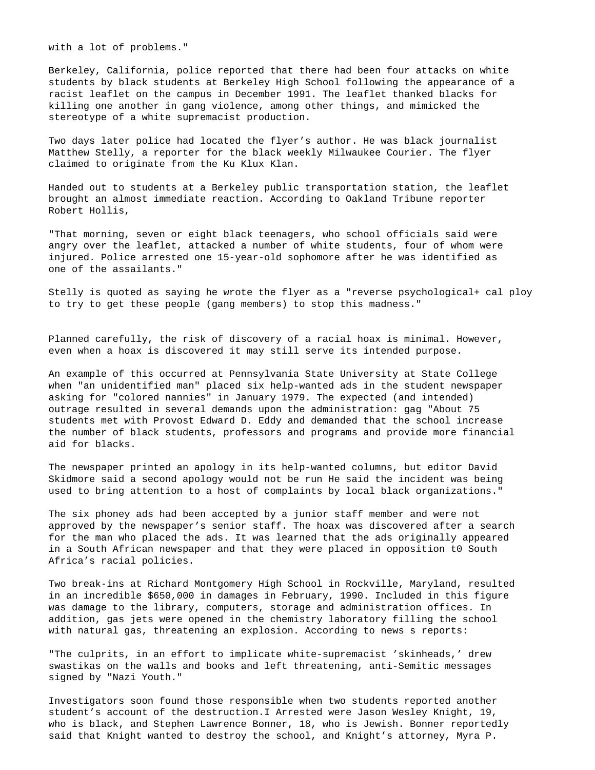with a lot of problems."

Berkeley, California, police reported that there had been four attacks on white students by black students at Berkeley High School following the appearance of a racist leaflet on the campus in December 1991. The leaflet thanked blacks for killing one another in gang violence, among other things, and mimicked the stereotype of a white supremacist production.

Two days later police had located the flyer's author. He was black journalist Matthew Stelly, a reporter for the black weekly Milwaukee Courier. The flyer claimed to originate from the Ku Klux Klan.

Handed out to students at a Berkeley public transportation station, the leaflet brought an almost immediate reaction. According to Oakland Tribune reporter Robert Hollis,

"That morning, seven or eight black teenagers, who school officials said were angry over the leaflet, attacked a number of white students, four of whom were injured. Police arrested one 15-year-old sophomore after he was identified as one of the assailants."

Stelly is quoted as saying he wrote the flyer as a "reverse psychological+ cal ploy to try to get these people (gang members) to stop this madness."

Planned carefully, the risk of discovery of a racial hoax is minimal. However, even when a hoax is discovered it may still serve its intended purpose.

An example of this occurred at Pennsylvania State University at State College when "an unidentified man" placed six help-wanted ads in the student newspaper asking for "colored nannies" in January 1979. The expected (and intended) outrage resulted in several demands upon the administration: gag "About 75 students met with Provost Edward D. Eddy and demanded that the school increase the number of black students, professors and programs and provide more financial aid for blacks.

The newspaper printed an apology in its help-wanted columns, but editor David Skidmore said a second apology would not be run He said the incident was being used to bring attention to a host of complaints by local black organizations."

The six phoney ads had been accepted by a junior staff member and were not approved by the newspaper's senior staff. The hoax was discovered after a search for the man who placed the ads. It was learned that the ads originally appeared in a South African newspaper and that they were placed in opposition t0 South Africa's racial policies.

Two break-ins at Richard Montgomery High School in Rockville, Maryland, resulted in an incredible \$650,000 in damages in February, 1990. Included in this figure was damage to the library, computers, storage and administration offices. In addition, gas jets were opened in the chemistry laboratory filling the school with natural gas, threatening an explosion. According to news s reports:

"The culprits, in an effort to implicate white-supremacist 'skinheads,' drew swastikas on the walls and books and left threatening, anti-Semitic messages signed by "Nazi Youth."

Investigators soon found those responsible when two students reported another student's account of the destruction.I Arrested were Jason Wesley Knight, 19, who is black, and Stephen Lawrence Bonner, 18, who is Jewish. Bonner reportedly said that Knight wanted to destroy the school, and Knight's attorney, Myra P.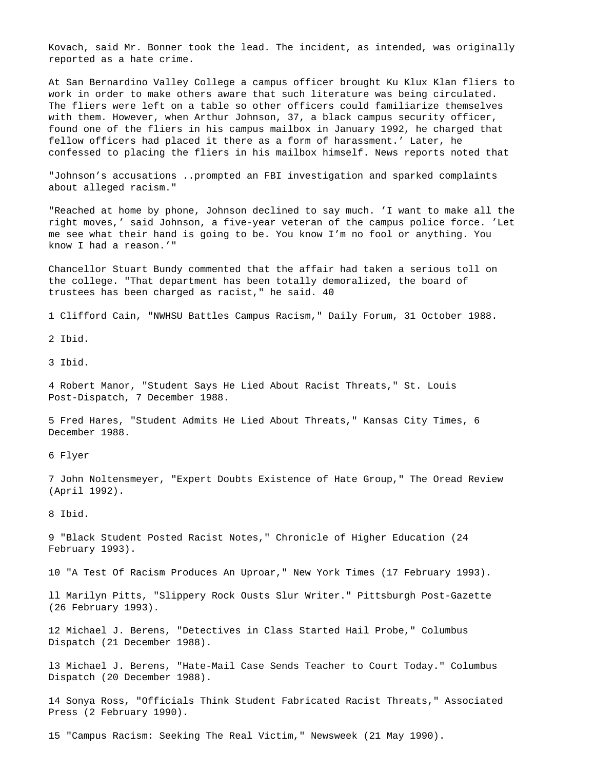Kovach, said Mr. Bonner took the lead. The incident, as intended, was originally reported as a hate crime.

At San Bernardino Valley College a campus officer brought Ku Klux Klan fliers to work in order to make others aware that such literature was being circulated. The fliers were left on a table so other officers could familiarize themselves with them. However, when Arthur Johnson, 37, a black campus security officer, found one of the fliers in his campus mailbox in January 1992, he charged that fellow officers had placed it there as a form of harassment.' Later, he confessed to placing the fliers in his mailbox himself. News reports noted that

"Johnson's accusations ..prompted an FBI investigation and sparked complaints about alleged racism."

"Reached at home by phone, Johnson declined to say much. 'I want to make all the right moves,' said Johnson, a five-year veteran of the campus police force. 'Let me see what their hand is going to be. You know I'm no fool or anything. You know I had a reason.'"

Chancellor Stuart Bundy commented that the affair had taken a serious toll on the college. "That department has been totally demoralized, the board of trustees has been charged as racist," he said. 40

1 Clifford Cain, "NWHSU Battles Campus Racism," Daily Forum, 31 October 1988.

2 Ibid.

3 Ibid.

4 Robert Manor, "Student Says He Lied About Racist Threats," St. Louis Post-Dispatch, 7 December 1988.

5 Fred Hares, "Student Admits He Lied About Threats," Kansas City Times, 6 December 1988.

6 Flyer

7 John Noltensmeyer, "Expert Doubts Existence of Hate Group," The Oread Review (April 1992).

8 Ibid.

9 "Black Student Posted Racist Notes," Chronicle of Higher Education (24 February 1993).

10 "A Test Of Racism Produces An Uproar," New York Times (17 February 1993).

ll Marilyn Pitts, "Slippery Rock Ousts Slur Writer." Pittsburgh Post-Gazette (26 February 1993).

12 Michael J. Berens, "Detectives in Class Started Hail Probe," Columbus Dispatch (21 December 1988).

l3 Michael J. Berens, "Hate-Mail Case Sends Teacher to Court Today." Columbus Dispatch (20 December 1988).

14 Sonya Ross, "Officials Think Student Fabricated Racist Threats," Associated Press (2 February 1990).

15 "Campus Racism: Seeking The Real Victim," Newsweek (21 May 1990).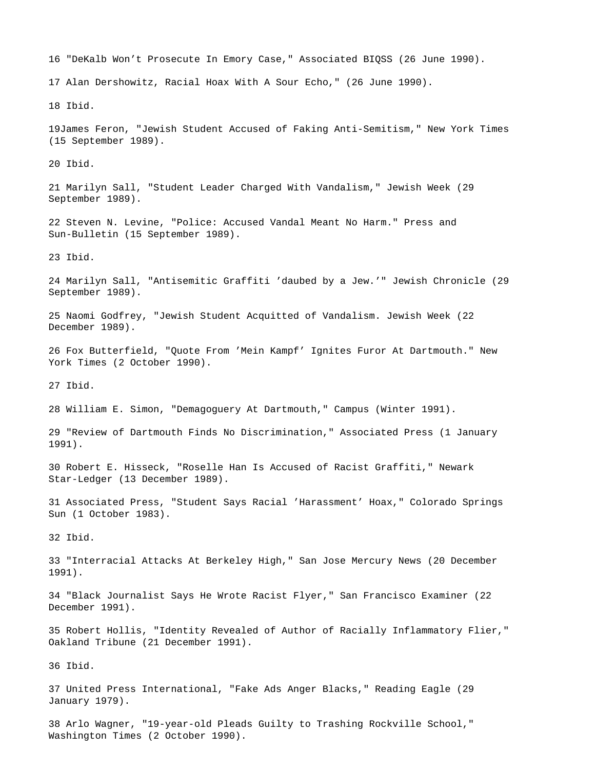16 "DeKalb Won't Prosecute In Emory Case," Associated BIQSS (26 June 1990). 17 Alan Dershowitz, Racial Hoax With A Sour Echo," (26 June 1990). 18 Ibid. 19James Feron, "Jewish Student Accused of Faking Anti-Semitism," New York Times (15 September 1989). 20 Ibid. 21 Marilyn Sall, "Student Leader Charged With Vandalism," Jewish Week (29 September 1989). 22 Steven N. Levine, "Police: Accused Vandal Meant No Harm." Press and Sun-Bulletin (15 September 1989). 23 Ibid. 24 Marilyn Sall, "Antisemitic Graffiti 'daubed by a Jew.'" Jewish Chronicle (29 September 1989). 25 Naomi Godfrey, "Jewish Student Acquitted of Vandalism. Jewish Week (22 December 1989). 26 Fox Butterfield, "Quote From 'Mein Kampf' Ignites Furor At Dartmouth." New York Times (2 October 1990). 27 Ibid. 28 William E. Simon, "Demagoguery At Dartmouth," Campus (Winter 1991). 29 "Review of Dartmouth Finds No Discrimination," Associated Press (1 January 1991). 30 Robert E. Hisseck, "Roselle Han Is Accused of Racist Graffiti," Newark Star-Ledger (13 December 1989). 31 Associated Press, "Student Says Racial 'Harassment' Hoax," Colorado Springs Sun (1 October 1983). 32 Ibid. 33 "Interracial Attacks At Berkeley High," San Jose Mercury News (20 December 1991). 34 "Black Journalist Says He Wrote Racist Flyer," San Francisco Examiner (22 December 1991). 35 Robert Hollis, "Identity Revealed of Author of Racially Inflammatory Flier," Oakland Tribune (21 December 1991). 36 Ibid. 37 United Press International, "Fake Ads Anger Blacks," Reading Eagle (29 January 1979).

38 Arlo Wagner, "19-year-old Pleads Guilty to Trashing Rockville School," Washington Times (2 October 1990).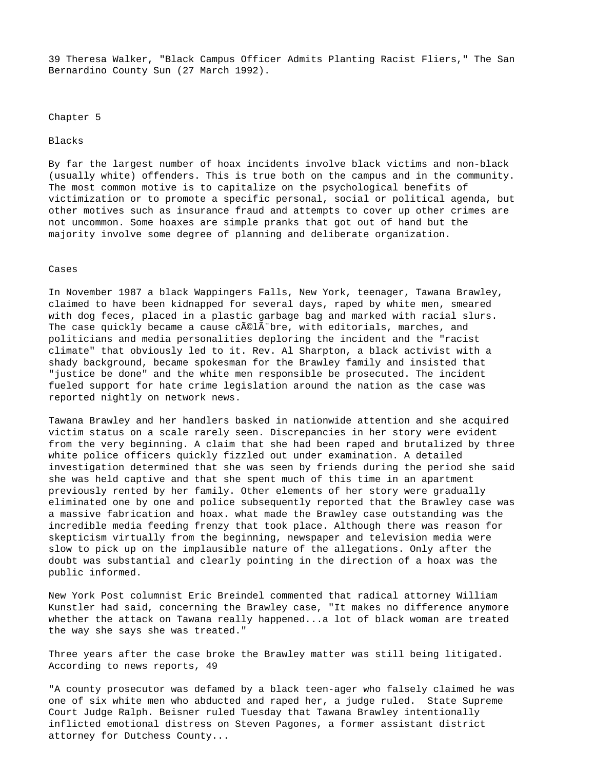39 Theresa Walker, "Black Campus Officer Admits Planting Racist Fliers," The San Bernardino County Sun (27 March 1992).

Chapter 5

Blacks

By far the largest number of hoax incidents involve black victims and non-black (usually white) offenders. This is true both on the campus and in the community. The most common motive is to capitalize on the psychological benefits of victimization or to promote a specific personal, social or political agenda, but other motives such as insurance fraud and attempts to cover up other crimes are not uncommon. Some hoaxes are simple pranks that got out of hand but the majority involve some degree of planning and deliberate organization.

## Cases

In November 1987 a black Wappingers Falls, New York, teenager, Tawana Brawley, claimed to have been kidnapped for several days, raped by white men, smeared with dog feces, placed in a plastic garbage bag and marked with racial slurs. The case quickly became a cause célà bre, with editorials, marches, and politicians and media personalities deploring the incident and the "racist climate" that obviously led to it. Rev. Al Sharpton, a black activist with a shady background, became spokesman for the Brawley family and insisted that "justice be done" and the white men responsible be prosecuted. The incident fueled support for hate crime legislation around the nation as the case was reported nightly on network news.

Tawana Brawley and her handlers basked in nationwide attention and she acquired victim status on a scale rarely seen. Discrepancies in her story were evident from the very beginning. A claim that she had been raped and brutalized by three white police officers quickly fizzled out under examination. A detailed investigation determined that she was seen by friends during the period she said she was held captive and that she spent much of this time in an apartment previously rented by her family. Other elements of her story were gradually eliminated one by one and police subsequently reported that the Brawley case was a massive fabrication and hoax. what made the Brawley case outstanding was the incredible media feeding frenzy that took place. Although there was reason for skepticism virtually from the beginning, newspaper and television media were slow to pick up on the implausible nature of the allegations. Only after the doubt was substantial and clearly pointing in the direction of a hoax was the public informed.

New York Post columnist Eric Breindel commented that radical attorney William Kunstler had said, concerning the Brawley case, "It makes no difference anymore whether the attack on Tawana really happened...a lot of black woman are treated the way she says she was treated."

Three years after the case broke the Brawley matter was still being litigated. According to news reports, 49

"A county prosecutor was defamed by a black teen-ager who falsely claimed he was one of six white men who abducted and raped her, a judge ruled. State Supreme Court Judge Ralph. Beisner ruled Tuesday that Tawana Brawley intentionally inflicted emotional distress on Steven Pagones, a former assistant district attorney for Dutchess County...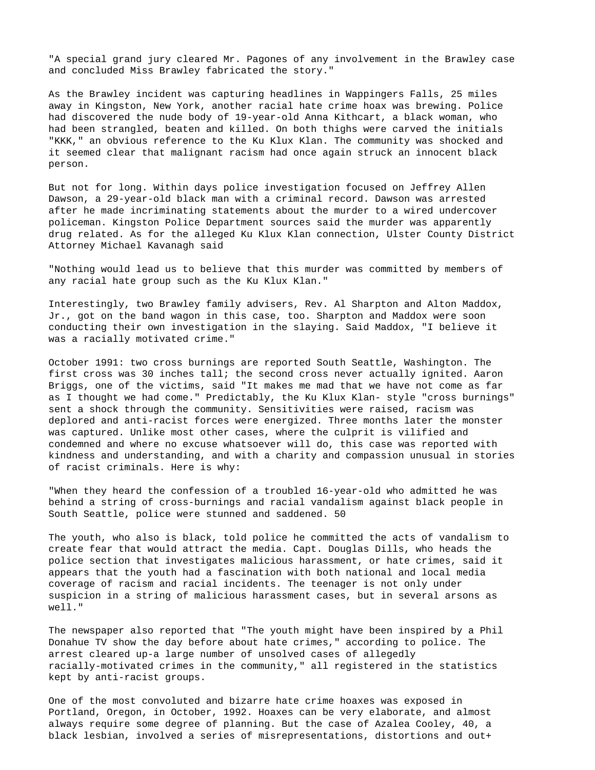"A special grand jury cleared Mr. Pagones of any involvement in the Brawley case and concluded Miss Brawley fabricated the story."

As the Brawley incident was capturing headlines in Wappingers Falls, 25 miles away in Kingston, New York, another racial hate crime hoax was brewing. Police had discovered the nude body of 19-year-old Anna Kithcart, a black woman, who had been strangled, beaten and killed. On both thighs were carved the initials "KKK," an obvious reference to the Ku Klux Klan. The community was shocked and it seemed clear that malignant racism had once again struck an innocent black person.

But not for long. Within days police investigation focused on Jeffrey Allen Dawson, a 29-year-old black man with a criminal record. Dawson was arrested after he made incriminating statements about the murder to a wired undercover policeman. Kingston Police Department sources said the murder was apparently drug related. As for the alleged Ku Klux Klan connection, Ulster County District Attorney Michael Kavanagh said

"Nothing would lead us to believe that this murder was committed by members of any racial hate group such as the Ku Klux Klan."

Interestingly, two Brawley family advisers, Rev. Al Sharpton and Alton Maddox, Jr., got on the band wagon in this case, too. Sharpton and Maddox were soon conducting their own investigation in the slaying. Said Maddox, "I believe it was a racially motivated crime."

October 1991: two cross burnings are reported South Seattle, Washington. The first cross was 30 inches tall; the second cross never actually ignited. Aaron Briggs, one of the victims, said "It makes me mad that we have not come as far as I thought we had come." Predictably, the Ku Klux Klan- style "cross burnings" sent a shock through the community. Sensitivities were raised, racism was deplored and anti-racist forces were energized. Three months later the monster was captured. Unlike most other cases, where the culprit is vilified and condemned and where no excuse whatsoever will do, this case was reported with kindness and understanding, and with a charity and compassion unusual in stories of racist criminals. Here is why:

"When they heard the confession of a troubled 16-year-old who admitted he was behind a string of cross-burnings and racial vandalism against black people in South Seattle, police were stunned and saddened. 50

The youth, who also is black, told police he committed the acts of vandalism to create fear that would attract the media. Capt. Douglas Dills, who heads the police section that investigates malicious harassment, or hate crimes, said it appears that the youth had a fascination with both national and local media coverage of racism and racial incidents. The teenager is not only under suspicion in a string of malicious harassment cases, but in several arsons as well."

The newspaper also reported that "The youth might have been inspired by a Phil Donahue TV show the day before about hate crimes," according to police. The arrest cleared up-a large number of unsolved cases of allegedly racially-motivated crimes in the community," all registered in the statistics kept by anti-racist groups.

One of the most convoluted and bizarre hate crime hoaxes was exposed in Portland, Oregon, in October, 1992. Hoaxes can be very elaborate, and almost always require some degree of planning. But the case of Azalea Cooley, 40, a black lesbian, involved a series of misrepresentations, distortions and out+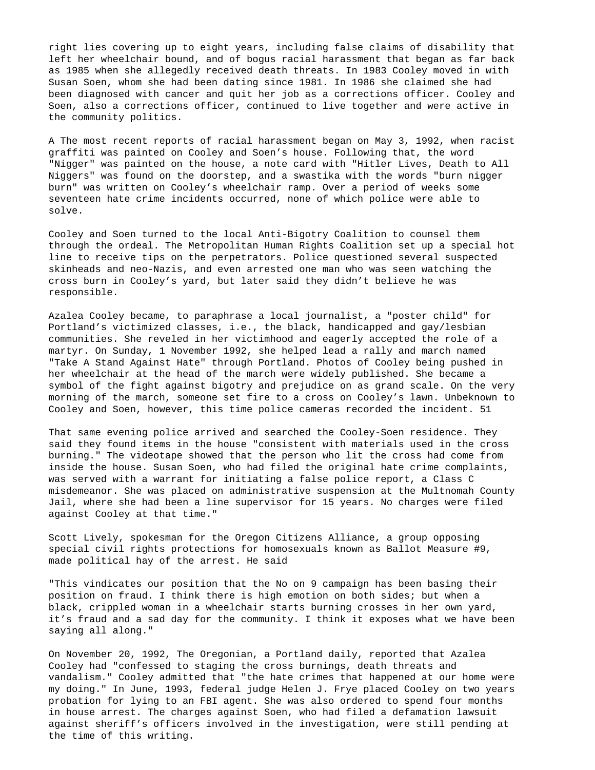right lies covering up to eight years, including false claims of disability that left her wheelchair bound, and of bogus racial harassment that began as far back as 1985 when she allegedly received death threats. In 1983 Cooley moved in with Susan Soen, whom she had been dating since 1981. In 1986 she claimed she had been diagnosed with cancer and quit her job as a corrections officer. Cooley and Soen, also a corrections officer, continued to live together and were active in the community politics.

A The most recent reports of racial harassment began on May 3, 1992, when racist graffiti was painted on Cooley and Soen's house. Following that, the word "Nigger" was painted on the house, a note card with "Hitler Lives, Death to All Niggers" was found on the doorstep, and a swastika with the words "burn nigger burn" was written on Cooley's wheelchair ramp. Over a period of weeks some seventeen hate crime incidents occurred, none of which police were able to solve.

Cooley and Soen turned to the local Anti-Bigotry Coalition to counsel them through the ordeal. The Metropolitan Human Rights Coalition set up a special hot line to receive tips on the perpetrators. Police questioned several suspected skinheads and neo-Nazis, and even arrested one man who was seen watching the cross burn in Cooley's yard, but later said they didn't believe he was responsible.

Azalea Cooley became, to paraphrase a local journalist, a "poster child" for Portland's victimized classes, i.e., the black, handicapped and gay/lesbian communities. She reveled in her victimhood and eagerly accepted the role of a martyr. On Sunday, 1 November 1992, she helped lead a rally and march named "Take A Stand Against Hate" through Portland. Photos of Cooley being pushed in her wheelchair at the head of the march were widely published. She became a symbol of the fight against bigotry and prejudice on as grand scale. On the very morning of the march, someone set fire to a cross on Cooley's lawn. Unbeknown to Cooley and Soen, however, this time police cameras recorded the incident. 51

That same evening police arrived and searched the Cooley-Soen residence. They said they found items in the house "consistent with materials used in the cross burning." The videotape showed that the person who lit the cross had come from inside the house. Susan Soen, who had filed the original hate crime complaints, was served with a warrant for initiating a false police report, a Class C misdemeanor. She was placed on administrative suspension at the Multnomah County Jail, where she had been a line supervisor for 15 years. No charges were filed against Cooley at that time."

Scott Lively, spokesman for the Oregon Citizens Alliance, a group opposing special civil rights protections for homosexuals known as Ballot Measure #9, made political hay of the arrest. He said

"This vindicates our position that the No on 9 campaign has been basing their position on fraud. I think there is high emotion on both sides; but when a black, crippled woman in a wheelchair starts burning crosses in her own yard, it's fraud and a sad day for the community. I think it exposes what we have been saying all along."

On November 20, 1992, The Oregonian, a Portland daily, reported that Azalea Cooley had "confessed to staging the cross burnings, death threats and vandalism." Cooley admitted that "the hate crimes that happened at our home were my doing." In June, 1993, federal judge Helen J. Frye placed Cooley on two years probation for lying to an FBI agent. She was also ordered to spend four months in house arrest. The charges against Soen, who had filed a defamation lawsuit against sheriff's officers involved in the investigation, were still pending at the time of this writing.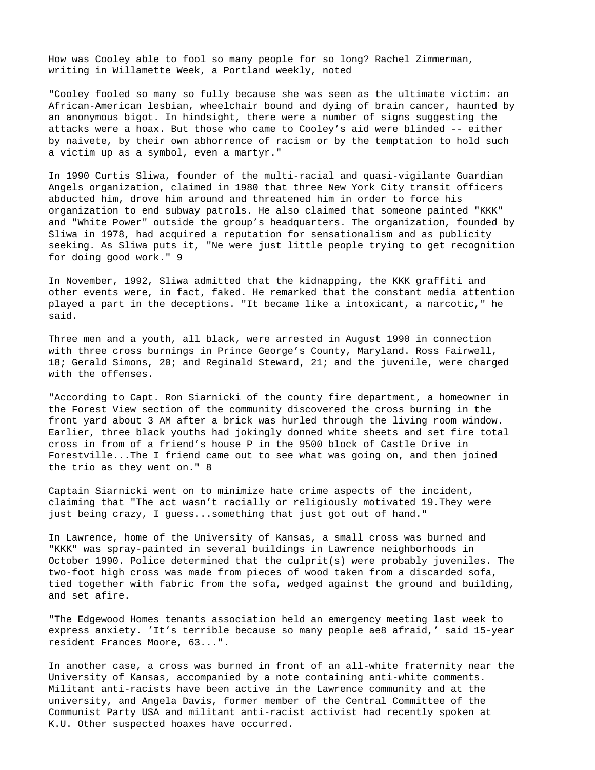How was Cooley able to fool so many people for so long? Rachel Zimmerman, writing in Willamette Week, a Portland weekly, noted

"Cooley fooled so many so fully because she was seen as the ultimate victim: an African-American lesbian, wheelchair bound and dying of brain cancer, haunted by an anonymous bigot. In hindsight, there were a number of signs suggesting the attacks were a hoax. But those who came to Cooley's aid were blinded -- either by naivete, by their own abhorrence of racism or by the temptation to hold such a victim up as a symbol, even a martyr."

In 1990 Curtis Sliwa, founder of the multi-racial and quasi-vigilante Guardian Angels organization, claimed in 1980 that three New York City transit officers abducted him, drove him around and threatened him in order to force his organization to end subway patrols. He also claimed that someone painted "KKK" and "White Power" outside the group's headquarters. The organization, founded by Sliwa in 1978, had acquired a reputation for sensationalism and as publicity seeking. As Sliwa puts it, "Ne were just little people trying to get recognition for doing good work." 9

In November, 1992, Sliwa admitted that the kidnapping, the KKK graffiti and other events were, in fact, faked. He remarked that the constant media attention played a part in the deceptions. "It became like a intoxicant, a narcotic," he said.

Three men and a youth, all black, were arrested in August 1990 in connection with three cross burnings in Prince George's County, Maryland. Ross Fairwell, 18; Gerald Simons, 20; and Reginald Steward, 21; and the juvenile, were charged with the offenses.

"According to Capt. Ron Siarnicki of the county fire department, a homeowner in the Forest View section of the community discovered the cross burning in the front yard about 3 AM after a brick was hurled through the living room window. Earlier, three black youths had jokingly donned white sheets and set fire total cross in from of a friend's house P in the 9500 block of Castle Drive in Forestville...The I friend came out to see what was going on, and then joined the trio as they went on." 8

Captain Siarnicki went on to minimize hate crime aspects of the incident, claiming that "The act wasn't racially or religiously motivated 19.They were just being crazy, I guess...something that just got out of hand."

In Lawrence, home of the University of Kansas, a small cross was burned and "KKK" was spray-painted in several buildings in Lawrence neighborhoods in October 1990. Police determined that the culprit(s) were probably juveniles. The two-foot high cross was made from pieces of wood taken from a discarded sofa, tied together with fabric from the sofa, wedged against the ground and building, and set afire.

"The Edgewood Homes tenants association held an emergency meeting last week to express anxiety. 'It's terrible because so many people ae8 afraid,' said 15-year resident Frances Moore, 63...".

In another case, a cross was burned in front of an all-white fraternity near the University of Kansas, accompanied by a note containing anti-white comments. Militant anti-racists have been active in the Lawrence community and at the university, and Angela Davis, former member of the Central Committee of the Communist Party USA and militant anti-racist activist had recently spoken at K.U. Other suspected hoaxes have occurred.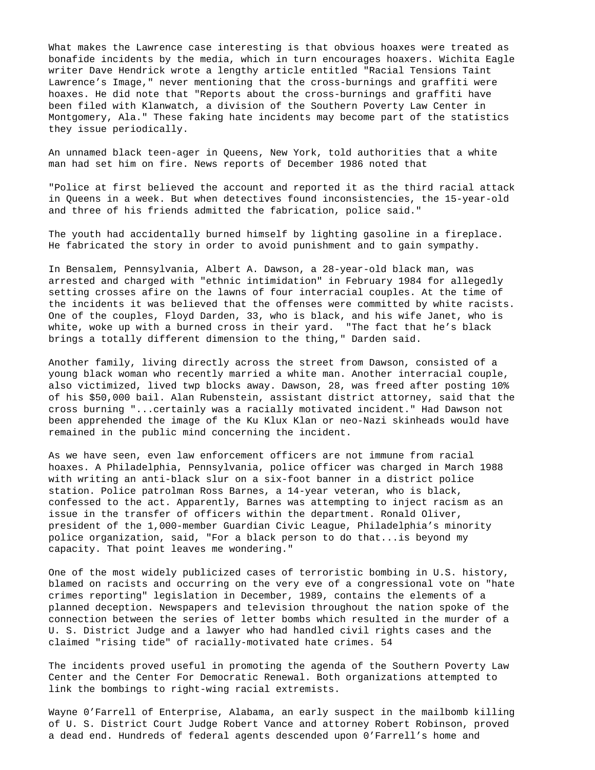What makes the Lawrence case interesting is that obvious hoaxes were treated as bonafide incidents by the media, which in turn encourages hoaxers. Wichita Eagle writer Dave Hendrick wrote a lengthy article entitled "Racial Tensions Taint Lawrence's Image," never mentioning that the cross-burnings and graffiti were hoaxes. He did note that "Reports about the cross-burnings and graffiti have been filed with Klanwatch, a division of the Southern Poverty Law Center in Montgomery, Ala." These faking hate incidents may become part of the statistics they issue periodically.

An unnamed black teen-ager in Queens, New York, told authorities that a white man had set him on fire. News reports of December 1986 noted that

"Police at first believed the account and reported it as the third racial attack in Queens in a week. But when detectives found inconsistencies, the 15-year-old and three of his friends admitted the fabrication, police said."

The youth had accidentally burned himself by lighting gasoline in a fireplace. He fabricated the story in order to avoid punishment and to gain sympathy.

In Bensalem, Pennsylvania, Albert A. Dawson, a 28-year-old black man, was arrested and charged with "ethnic intimidation" in February 1984 for allegedly setting crosses afire on the lawns of four interracial couples. At the time of the incidents it was believed that the offenses were committed by white racists. One of the couples, Floyd Darden, 33, who is black, and his wife Janet, who is white, woke up with a burned cross in their yard. "The fact that he's black brings a totally different dimension to the thing," Darden said.

Another family, living directly across the street from Dawson, consisted of a young black woman who recently married a white man. Another interracial couple, also victimized, lived twp blocks away. Dawson, 28, was freed after posting 10% of his \$50,000 bail. Alan Rubenstein, assistant district attorney, said that the cross burning "...certainly was a racially motivated incident." Had Dawson not been apprehended the image of the Ku Klux Klan or neo-Nazi skinheads would have remained in the public mind concerning the incident.

As we have seen, even law enforcement officers are not immune from racial hoaxes. A Philadelphia, Pennsylvania, police officer was charged in March 1988 with writing an anti-black slur on a six-foot banner in a district police station. Police patrolman Ross Barnes, a 14-year veteran, who is black, confessed to the act. Apparently, Barnes was attempting to inject racism as an issue in the transfer of officers within the department. Ronald Oliver, president of the 1,000-member Guardian Civic League, Philadelphia's minority police organization, said, "For a black person to do that...is beyond my capacity. That point leaves me wondering."

One of the most widely publicized cases of terroristic bombing in U.S. history, blamed on racists and occurring on the very eve of a congressional vote on "hate crimes reporting" legislation in December, 1989, contains the elements of a planned deception. Newspapers and television throughout the nation spoke of the connection between the series of letter bombs which resulted in the murder of a U. S. District Judge and a lawyer who had handled civil rights cases and the claimed "rising tide" of racially-motivated hate crimes. 54

The incidents proved useful in promoting the agenda of the Southern Poverty Law Center and the Center For Democratic Renewal. Both organizations attempted to link the bombings to right-wing racial extremists.

Wayne 0'Farrell of Enterprise, Alabama, an early suspect in the mailbomb killing of U. S. District Court Judge Robert Vance and attorney Robert Robinson, proved a dead end. Hundreds of federal agents descended upon 0'Farrell's home and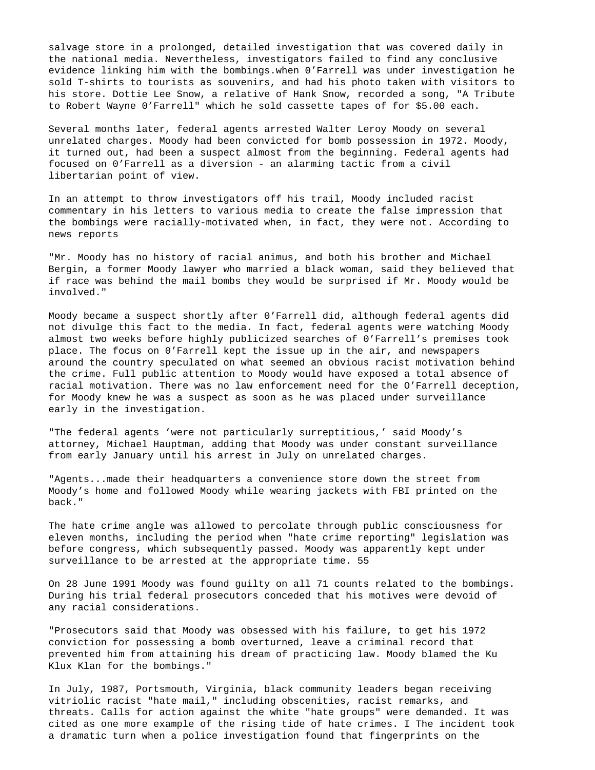salvage store in a prolonged, detailed investigation that was covered daily in the national media. Nevertheless, investigators failed to find any conclusive evidence linking him with the bombings.when 0'Farrell was under investigation he sold T-shirts to tourists as souvenirs, and had his photo taken with visitors to his store. Dottie Lee Snow, a relative of Hank Snow, recorded a song, "A Tribute to Robert Wayne 0'Farrell" which he sold cassette tapes of for \$5.00 each.

Several months later, federal agents arrested Walter Leroy Moody on several unrelated charges. Moody had been convicted for bomb possession in 1972. Moody, it turned out, had been a suspect almost from the beginning. Federal agents had focused on 0'Farrell as a diversion - an alarming tactic from a civil libertarian point of view.

In an attempt to throw investigators off his trail, Moody included racist commentary in his letters to various media to create the false impression that the bombings were racially-motivated when, in fact, they were not. According to news reports

"Mr. Moody has no history of racial animus, and both his brother and Michael Bergin, a former Moody lawyer who married a black woman, said they believed that if race was behind the mail bombs they would be surprised if Mr. Moody would be involved."

Moody became a suspect shortly after 0'Farrell did, although federal agents did not divulge this fact to the media. In fact, federal agents were watching Moody almost two weeks before highly publicized searches of 0'Farrell's premises took place. The focus on 0'Farrell kept the issue up in the air, and newspapers around the country speculated on what seemed an obvious racist motivation behind the crime. Full public attention to Moody would have exposed a total absence of racial motivation. There was no law enforcement need for the O'Farrell deception, for Moody knew he was a suspect as soon as he was placed under surveillance early in the investigation.

"The federal agents 'were not particularly surreptitious,' said Moody's attorney, Michael Hauptman, adding that Moody was under constant surveillance from early January until his arrest in July on unrelated charges.

"Agents...made their headquarters a convenience store down the street from Moody's home and followed Moody while wearing jackets with FBI printed on the back."

The hate crime angle was allowed to percolate through public consciousness for eleven months, including the period when "hate crime reporting" legislation was before congress, which subsequently passed. Moody was apparently kept under surveillance to be arrested at the appropriate time. 55

On 28 June 1991 Moody was found guilty on all 71 counts related to the bombings. During his trial federal prosecutors conceded that his motives were devoid of any racial considerations.

"Prosecutors said that Moody was obsessed with his failure, to get his 1972 conviction for possessing a bomb overturned, leave a criminal record that prevented him from attaining his dream of practicing law. Moody blamed the Ku Klux Klan for the bombings."

In July, 1987, Portsmouth, Virginia, black community leaders began receiving vitriolic racist "hate mail," including obscenities, racist remarks, and threats. Calls for action against the white "hate groups" were demanded. It was cited as one more example of the rising tide of hate crimes. I The incident took a dramatic turn when a police investigation found that fingerprints on the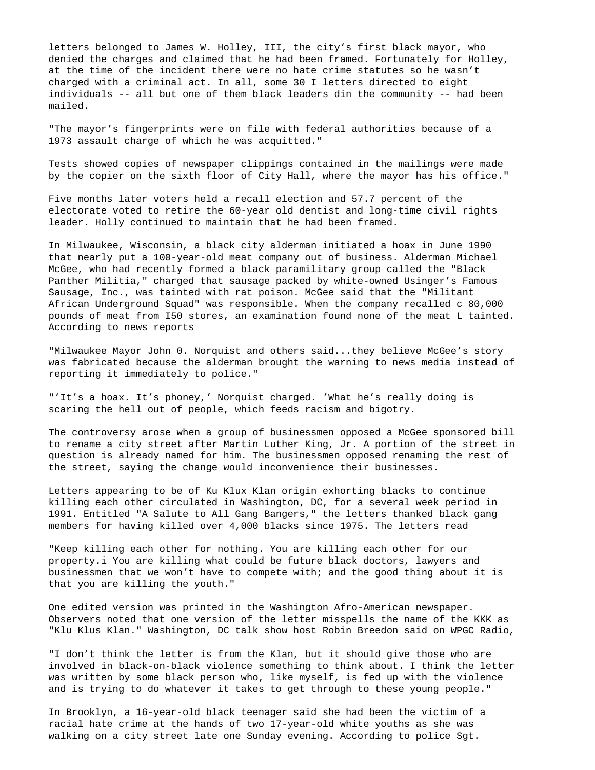letters belonged to James W. Holley, III, the city's first black mayor, who denied the charges and claimed that he had been framed. Fortunately for Holley, at the time of the incident there were no hate crime statutes so he wasn't charged with a criminal act. In all, some 30 I letters directed to eight individuals -- all but one of them black leaders din the community -- had been mailed.

"The mayor's fingerprints were on file with federal authorities because of a 1973 assault charge of which he was acquitted."

Tests showed copies of newspaper clippings contained in the mailings were made by the copier on the sixth floor of City Hall, where the mayor has his office."

Five months later voters held a recall election and 57.7 percent of the electorate voted to retire the 60-year old dentist and long-time civil rights leader. Holly continued to maintain that he had been framed.

In Milwaukee, Wisconsin, a black city alderman initiated a hoax in June 1990 that nearly put a 100-year-old meat company out of business. Alderman Michael McGee, who had recently formed a black paramilitary group called the "Black Panther Militia," charged that sausage packed by white-owned Usinger's Famous Sausage, Inc., was tainted with rat poison. McGee said that the "Militant African Underground Squad" was responsible. When the company recalled c 80,000 pounds of meat from I50 stores, an examination found none of the meat L tainted. According to news reports

"Milwaukee Mayor John 0. Norquist and others said...they believe McGee's story was fabricated because the alderman brought the warning to news media instead of reporting it immediately to police."

"'It's a hoax. It's phoney,' Norquist charged. 'What he's really doing is scaring the hell out of people, which feeds racism and bigotry.

The controversy arose when a group of businessmen opposed a McGee sponsored bill to rename a city street after Martin Luther King, Jr. A portion of the street in question is already named for him. The businessmen opposed renaming the rest of the street, saying the change would inconvenience their businesses.

Letters appearing to be of Ku Klux Klan origin exhorting blacks to continue killing each other circulated in Washington, DC, for a several week period in 1991. Entitled "A Salute to All Gang Bangers," the letters thanked black gang members for having killed over 4,000 blacks since 1975. The letters read

"Keep killing each other for nothing. You are killing each other for our property.i You are killing what could be future black doctors, lawyers and businessmen that we won't have to compete with; and the good thing about it is that you are killing the youth."

One edited version was printed in the Washington Afro-American newspaper. Observers noted that one version of the letter misspells the name of the KKK as "Klu Klus Klan." Washington, DC talk show host Robin Breedon said on WPGC Radio,

"I don't think the letter is from the Klan, but it should give those who are involved in black-on-black violence something to think about. I think the letter was written by some black person who, like myself, is fed up with the violence and is trying to do whatever it takes to get through to these young people."

In Brooklyn, a 16-year-old black teenager said she had been the victim of a racial hate crime at the hands of two 17-year-old white youths as she was walking on a city street late one Sunday evening. According to police Sgt.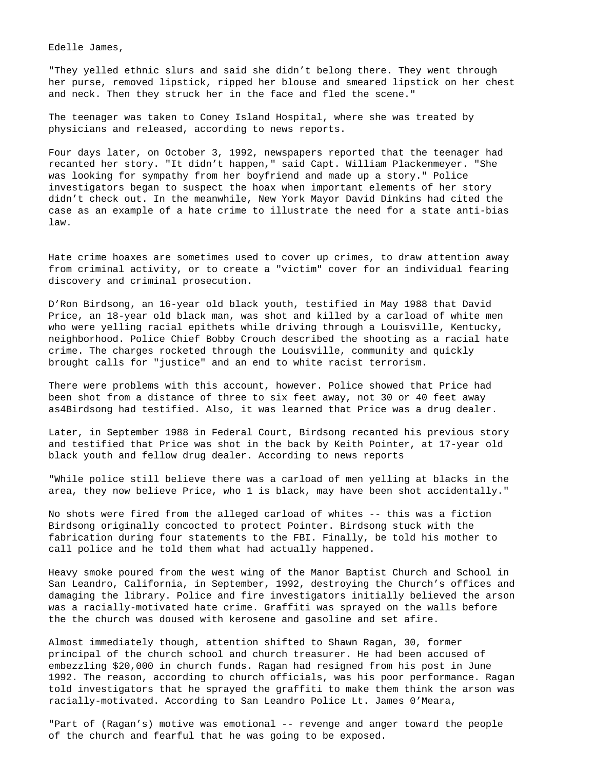Edelle James,

"They yelled ethnic slurs and said she didn't belong there. They went through her purse, removed lipstick, ripped her blouse and smeared lipstick on her chest and neck. Then they struck her in the face and fled the scene."

The teenager was taken to Coney Island Hospital, where she was treated by physicians and released, according to news reports.

Four days later, on October 3, 1992, newspapers reported that the teenager had recanted her story. "It didn't happen," said Capt. William Plackenmeyer. "She was looking for sympathy from her boyfriend and made up a story." Police investigators began to suspect the hoax when important elements of her story didn't check out. In the meanwhile, New York Mayor David Dinkins had cited the case as an example of a hate crime to illustrate the need for a state anti-bias law.

Hate crime hoaxes are sometimes used to cover up crimes, to draw attention away from criminal activity, or to create a "victim" cover for an individual fearing discovery and criminal prosecution.

D'Ron Birdsong, an 16-year old black youth, testified in May 1988 that David Price, an 18-year old black man, was shot and killed by a carload of white men who were yelling racial epithets while driving through a Louisville, Kentucky, neighborhood. Police Chief Bobby Crouch described the shooting as a racial hate crime. The charges rocketed through the Louisville, community and quickly brought calls for "justice" and an end to white racist terrorism.

There were problems with this account, however. Police showed that Price had been shot from a distance of three to six feet away, not 30 or 40 feet away as4Birdsong had testified. Also, it was learned that Price was a drug dealer.

Later, in September 1988 in Federal Court, Birdsong recanted his previous story and testified that Price was shot in the back by Keith Pointer, at 17-year old black youth and fellow drug dealer. According to news reports

"While police still believe there was a carload of men yelling at blacks in the area, they now believe Price, who 1 is black, may have been shot accidentally."

No shots were fired from the alleged carload of whites -- this was a fiction Birdsong originally concocted to protect Pointer. Birdsong stuck with the fabrication during four statements to the FBI. Finally, be told his mother to call police and he told them what had actually happened.

Heavy smoke poured from the west wing of the Manor Baptist Church and School in San Leandro, California, in September, 1992, destroying the Church's offices and damaging the library. Police and fire investigators initially believed the arson was a racially-motivated hate crime. Graffiti was sprayed on the walls before the the church was doused with kerosene and gasoline and set afire.

Almost immediately though, attention shifted to Shawn Ragan, 30, former principal of the church school and church treasurer. He had been accused of embezzling \$20,000 in church funds. Ragan had resigned from his post in June 1992. The reason, according to church officials, was his poor performance. Ragan told investigators that he sprayed the graffiti to make them think the arson was racially-motivated. According to San Leandro Police Lt. James 0'Meara,

"Part of (Ragan's) motive was emotional -- revenge and anger toward the people of the church and fearful that he was going to be exposed.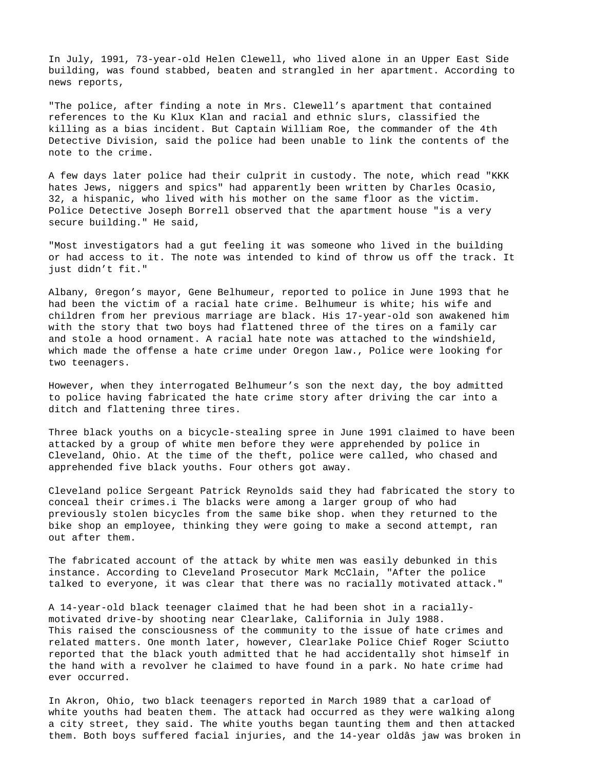In July, 1991, 73-year-old Helen Clewell, who lived alone in an Upper East Side building, was found stabbed, beaten and strangled in her apartment. According to news reports,

"The police, after finding a note in Mrs. Clewell's apartment that contained references to the Ku Klux Klan and racial and ethnic slurs, classified the killing as a bias incident. But Captain William Roe, the commander of the 4th Detective Division, said the police had been unable to link the contents of the note to the crime.

A few days later police had their culprit in custody. The note, which read "KKK hates Jews, niggers and spics" had apparently been written by Charles Ocasio, 32, a hispanic, who lived with his mother on the same floor as the victim. Police Detective Joseph Borrell observed that the apartment house "is a very secure building." He said,

"Most investigators had a gut feeling it was someone who lived in the building or had access to it. The note was intended to kind of throw us off the track. It just didn't fit."

Albany, 0regon's mayor, Gene Belhumeur, reported to police in June 1993 that he had been the victim of a racial hate crime. Belhumeur is white; his wife and children from her previous marriage are black. His 17-year-old son awakened him with the story that two boys had flattened three of the tires on a family car and stole a hood ornament. A racial hate note was attached to the windshield, which made the offense a hate crime under Oregon law., Police were looking for two teenagers.

However, when they interrogated Belhumeur's son the next day, the boy admitted to police having fabricated the hate crime story after driving the car into a ditch and flattening three tires.

Three black youths on a bicycle-stealing spree in June 1991 claimed to have been attacked by a group of white men before they were apprehended by police in Cleveland, Ohio. At the time of the theft, police were called, who chased and apprehended five black youths. Four others got away.

Cleveland police Sergeant Patrick Reynolds said they had fabricated the story to conceal their crimes.i The blacks were among a larger group of who had previously stolen bicycles from the same bike shop. when they returned to the bike shop an employee, thinking they were going to make a second attempt, ran out after them.

The fabricated account of the attack by white men was easily debunked in this instance. According to Cleveland Prosecutor Mark McClain, "After the police talked to everyone, it was clear that there was no racially motivated attack."

A 14-year-old black teenager claimed that he had been shot in a raciallymotivated drive-by shooting near Clearlake, California in July 1988. This raised the consciousness of the community to the issue of hate crimes and related matters. One month later, however, Clearlake Police Chief Roger Sciutto reported that the black youth admitted that he had accidentally shot himself in the hand with a revolver he claimed to have found in a park. No hate crime had ever occurred.

In Akron, Ohio, two black teenagers reported in March 1989 that a carload of white youths had beaten them. The attack had occurred as they were walking along a city street, they said. The white youths began taunting them and then attacked them. Both boys suffered facial injuries, and the 14-year oldâ s jaw was broken in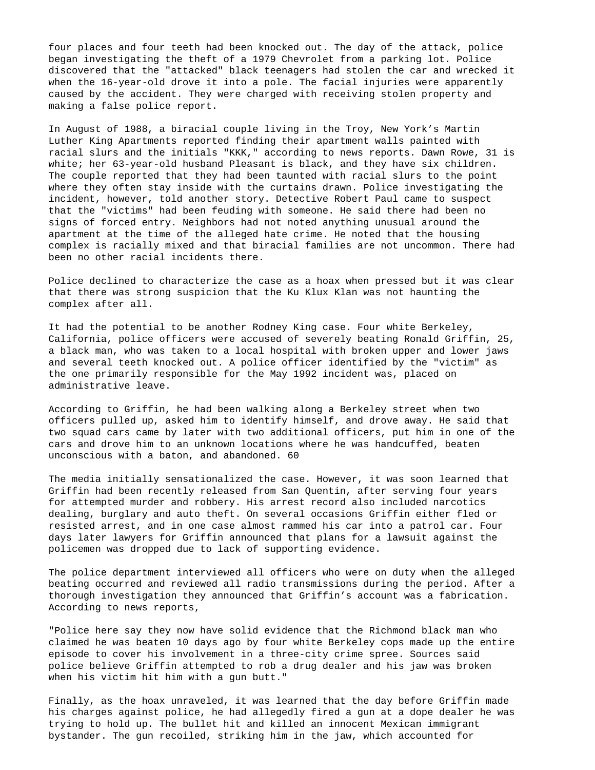four places and four teeth had been knocked out. The day of the attack, police began investigating the theft of a 1979 Chevrolet from a parking lot. Police discovered that the "attacked" black teenagers had stolen the car and wrecked it when the 16-year-old drove it into a pole. The facial injuries were apparently caused by the accident. They were charged with receiving stolen property and making a false police report.

In August of 1988, a biracial couple living in the Troy, New York's Martin Luther King Apartments reported finding their apartment walls painted with racial slurs and the initials "KKK," according to news reports. Dawn Rowe, 31 is white; her 63-year-old husband Pleasant is black, and they have six children. The couple reported that they had been taunted with racial slurs to the point where they often stay inside with the curtains drawn. Police investigating the incident, however, told another story. Detective Robert Paul came to suspect that the "victims" had been feuding with someone. He said there had been no signs of forced entry. Neighbors had not noted anything unusual around the apartment at the time of the alleged hate crime. He noted that the housing complex is racially mixed and that biracial families are not uncommon. There had been no other racial incidents there.

Police declined to characterize the case as a hoax when pressed but it was clear that there was strong suspicion that the Ku Klux Klan was not haunting the complex after all.

It had the potential to be another Rodney King case. Four white Berkeley, California, police officers were accused of severely beating Ronald Griffin, 25, a black man, who was taken to a local hospital with broken upper and lower jaws and several teeth knocked out. A police officer identified by the "victim" as the one primarily responsible for the May 1992 incident was, placed on administrative leave.

According to Griffin, he had been walking along a Berkeley street when two officers pulled up, asked him to identify himself, and drove away. He said that two squad cars came by later with two additional officers, put him in one of the cars and drove him to an unknown locations where he was handcuffed, beaten unconscious with a baton, and abandoned. 60

The media initially sensationalized the case. However, it was soon learned that Griffin had been recently released from San Quentin, after serving four years for attempted murder and robbery. His arrest record also included narcotics dealing, burglary and auto theft. On several occasions Griffin either fled or resisted arrest, and in one case almost rammed his car into a patrol car. Four days later lawyers for Griffin announced that plans for a lawsuit against the policemen was dropped due to lack of supporting evidence.

The police department interviewed all officers who were on duty when the alleged beating occurred and reviewed all radio transmissions during the period. After a thorough investigation they announced that Griffin's account was a fabrication. According to news reports,

"Police here say they now have solid evidence that the Richmond black man who claimed he was beaten 10 days ago by four white Berkeley cops made up the entire episode to cover his involvement in a three-city crime spree. Sources said police believe Griffin attempted to rob a drug dealer and his jaw was broken when his victim hit him with a gun butt."

Finally, as the hoax unraveled, it was learned that the day before Griffin made his charges against police, he had allegedly fired a gun at a dope dealer he was trying to hold up. The bullet hit and killed an innocent Mexican immigrant bystander. The gun recoiled, striking him in the jaw, which accounted for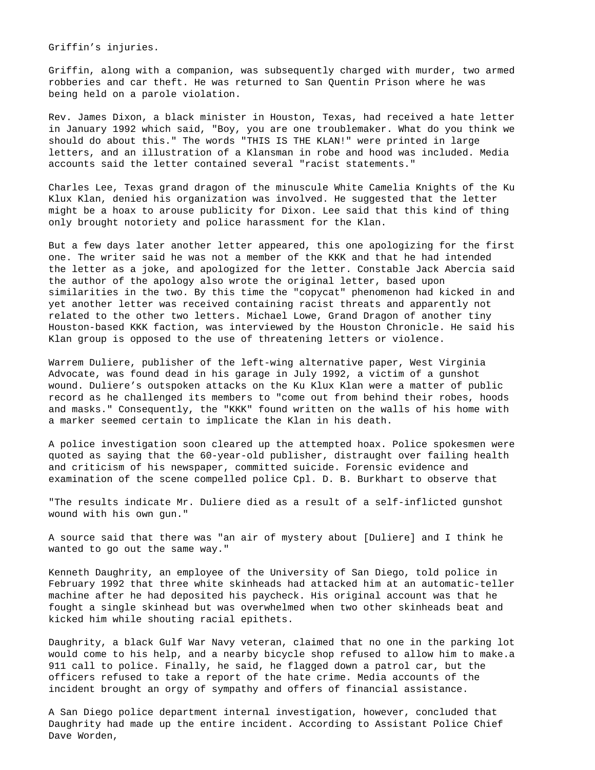Griffin's injuries.

Griffin, along with a companion, was subsequently charged with murder, two armed robberies and car theft. He was returned to San Quentin Prison where he was being held on a parole violation.

Rev. James Dixon, a black minister in Houston, Texas, had received a hate letter in January 1992 which said, "Boy, you are one troublemaker. What do you think we should do about this." The words "THIS IS THE KLAN!" were printed in large letters, and an illustration of a Klansman in robe and hood was included. Media accounts said the letter contained several "racist statements."

Charles Lee, Texas grand dragon of the minuscule White Camelia Knights of the Ku Klux Klan, denied his organization was involved. He suggested that the letter might be a hoax to arouse publicity for Dixon. Lee said that this kind of thing only brought notoriety and police harassment for the Klan.

But a few days later another letter appeared, this one apologizing for the first one. The writer said he was not a member of the KKK and that he had intended the letter as a joke, and apologized for the letter. Constable Jack Abercia said the author of the apology also wrote the original letter, based upon similarities in the two. By this time the "copycat" phenomenon had kicked in and yet another letter was received containing racist threats and apparently not related to the other two letters. Michael Lowe, Grand Dragon of another tiny Houston-based KKK faction, was interviewed by the Houston Chronicle. He said his Klan group is opposed to the use of threatening letters or violence.

Warrem Duliere, publisher of the left-wing alternative paper, West Virginia Advocate, was found dead in his garage in July 1992, a victim of a gunshot wound. Duliere's outspoken attacks on the Ku Klux Klan were a matter of public record as he challenged its members to "come out from behind their robes, hoods and masks." Consequently, the "KKK" found written on the walls of his home with a marker seemed certain to implicate the Klan in his death.

A police investigation soon cleared up the attempted hoax. Police spokesmen were quoted as saying that the 60-year-old publisher, distraught over failing health and criticism of his newspaper, committed suicide. Forensic evidence and examination of the scene compelled police Cpl. D. B. Burkhart to observe that

"The results indicate Mr. Duliere died as a result of a self-inflicted gunshot wound with his own gun."

A source said that there was "an air of mystery about [Duliere] and I think he wanted to go out the same way."

Kenneth Daughrity, an employee of the University of San Diego, told police in February 1992 that three white skinheads had attacked him at an automatic-teller machine after he had deposited his paycheck. His original account was that he fought a single skinhead but was overwhelmed when two other skinheads beat and kicked him while shouting racial epithets.

Daughrity, a black Gulf War Navy veteran, claimed that no one in the parking lot would come to his help, and a nearby bicycle shop refused to allow him to make.a 911 call to police. Finally, he said, he flagged down a patrol car, but the officers refused to take a report of the hate crime. Media accounts of the incident brought an orgy of sympathy and offers of financial assistance.

A San Diego police department internal investigation, however, concluded that Daughrity had made up the entire incident. According to Assistant Police Chief Dave Worden,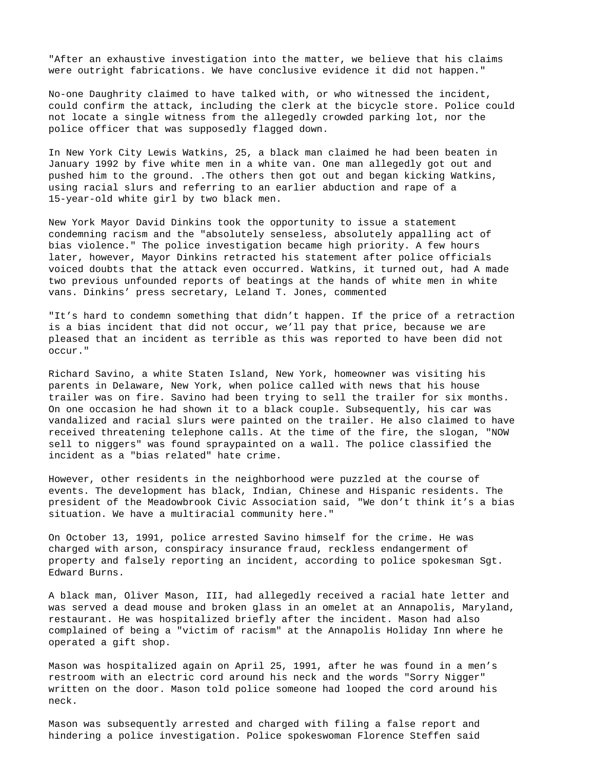"After an exhaustive investigation into the matter, we believe that his claims were outright fabrications. We have conclusive evidence it did not happen."

No-one Daughrity claimed to have talked with, or who witnessed the incident, could confirm the attack, including the clerk at the bicycle store. Police could not locate a single witness from the allegedly crowded parking lot, nor the police officer that was supposedly flagged down.

In New York City Lewis Watkins, 25, a black man claimed he had been beaten in January 1992 by five white men in a white van. One man allegedly got out and pushed him to the ground. .The others then got out and began kicking Watkins, using racial slurs and referring to an earlier abduction and rape of a 15-year-old white girl by two black men.

New York Mayor David Dinkins took the opportunity to issue a statement condemning racism and the "absolutely senseless, absolutely appalling act of bias violence." The police investigation became high priority. A few hours later, however, Mayor Dinkins retracted his statement after police officials voiced doubts that the attack even occurred. Watkins, it turned out, had A made two previous unfounded reports of beatings at the hands of white men in white vans. Dinkins' press secretary, Leland T. Jones, commented

"It's hard to condemn something that didn't happen. If the price of a retraction is a bias incident that did not occur, we'll pay that price, because we are pleased that an incident as terrible as this was reported to have been did not occur."

Richard Savino, a white Staten Island, New York, homeowner was visiting his parents in Delaware, New York, when police called with news that his house trailer was on fire. Savino had been trying to sell the trailer for six months. On one occasion he had shown it to a black couple. Subsequently, his car was vandalized and racial slurs were painted on the trailer. He also claimed to have received threatening telephone calls. At the time of the fire, the slogan, "NOW sell to niggers" was found spraypainted on a wall. The police classified the incident as a "bias related" hate crime.

However, other residents in the neighborhood were puzzled at the course of events. The development has black, Indian, Chinese and Hispanic residents. The president of the Meadowbrook Civic Association said, "We don't think it's a bias situation. We have a multiracial community here."

On October 13, 1991, police arrested Savino himself for the crime. He was charged with arson, conspiracy insurance fraud, reckless endangerment of property and falsely reporting an incident, according to police spokesman Sgt. Edward Burns.

A black man, Oliver Mason, III, had allegedly received a racial hate letter and was served a dead mouse and broken glass in an omelet at an Annapolis, Maryland, restaurant. He was hospitalized briefly after the incident. Mason had also complained of being a "victim of racism" at the Annapolis Holiday Inn where he operated a gift shop.

Mason was hospitalized again on April 25, 1991, after he was found in a men's restroom with an electric cord around his neck and the words "Sorry Nigger" written on the door. Mason told police someone had looped the cord around his neck.

Mason was subsequently arrested and charged with filing a false report and hindering a police investigation. Police spokeswoman Florence Steffen said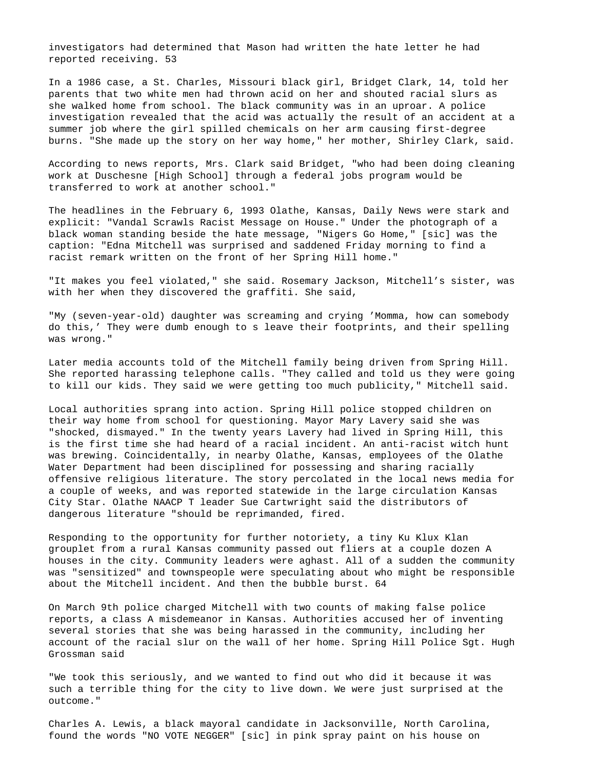investigators had determined that Mason had written the hate letter he had reported receiving. 53

In a 1986 case, a St. Charles, Missouri black girl, Bridget Clark, 14, told her parents that two white men had thrown acid on her and shouted racial slurs as she walked home from school. The black community was in an uproar. A police investigation revealed that the acid was actually the result of an accident at a summer job where the girl spilled chemicals on her arm causing first-degree burns. "She made up the story on her way home," her mother, Shirley Clark, said.

According to news reports, Mrs. Clark said Bridget, "who had been doing cleaning work at Duschesne [High School] through a federal jobs program would be transferred to work at another school."

The headlines in the February 6, 1993 Olathe, Kansas, Daily News were stark and explicit: "Vandal Scrawls Racist Message on House." Under the photograph of a black woman standing beside the hate message, "Nigers Go Home," [sic] was the caption: "Edna Mitchell was surprised and saddened Friday morning to find a racist remark written on the front of her Spring Hill home."

"It makes you feel violated," she said. Rosemary Jackson, Mitchell's sister, was with her when they discovered the graffiti. She said,

"My (seven-year-old) daughter was screaming and crying 'Momma, how can somebody do this,' They were dumb enough to s leave their footprints, and their spelling was wrong."

Later media accounts told of the Mitchell family being driven from Spring Hill. She reported harassing telephone calls. "They called and told us they were going to kill our kids. They said we were getting too much publicity," Mitchell said.

Local authorities sprang into action. Spring Hill police stopped children on their way home from school for questioning. Mayor Mary Lavery said she was "shocked, dismayed." In the twenty years Lavery had lived in Spring Hill, this is the first time she had heard of a racial incident. An anti-racist witch hunt was brewing. Coincidentally, in nearby Olathe, Kansas, employees of the Olathe Water Department had been disciplined for possessing and sharing racially offensive religious literature. The story percolated in the local news media for a couple of weeks, and was reported statewide in the large circulation Kansas City Star. Olathe NAACP T leader Sue Cartwright said the distributors of dangerous literature "should be reprimanded, fired.

Responding to the opportunity for further notoriety, a tiny Ku Klux Klan grouplet from a rural Kansas community passed out fliers at a couple dozen A houses in the city. Community leaders were aghast. All of a sudden the community was "sensitized" and townspeople were speculating about who might be responsible about the Mitchell incident. And then the bubble burst. 64

On March 9th police charged Mitchell with two counts of making false police reports, a class A misdemeanor in Kansas. Authorities accused her of inventing several stories that she was being harassed in the community, including her account of the racial slur on the wall of her home. Spring Hill Police Sgt. Hugh Grossman said

"We took this seriously, and we wanted to find out who did it because it was such a terrible thing for the city to live down. We were just surprised at the outcome."

Charles A. Lewis, a black mayoral candidate in Jacksonville, North Carolina, found the words "NO VOTE NEGGER" [sic] in pink spray paint on his house on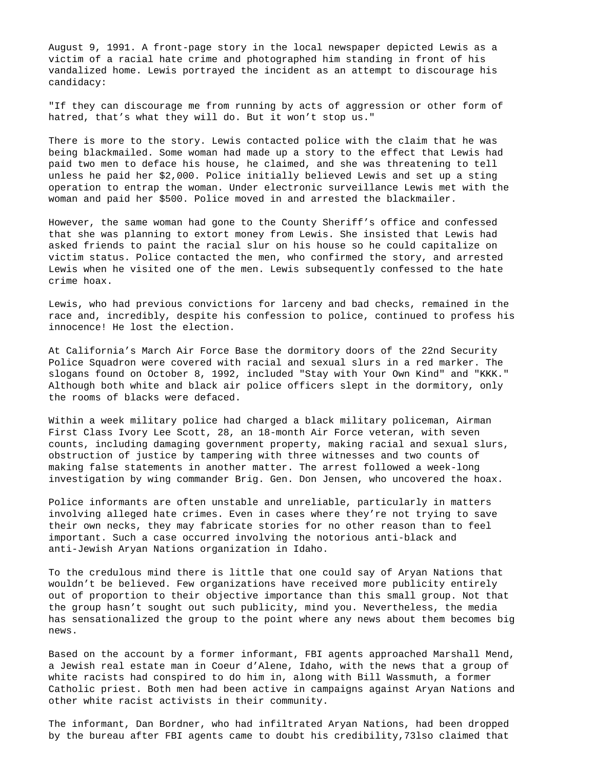August 9, 1991. A front-page story in the local newspaper depicted Lewis as a victim of a racial hate crime and photographed him standing in front of his vandalized home. Lewis portrayed the incident as an attempt to discourage his candidacy:

"If they can discourage me from running by acts of aggression or other form of hatred, that's what they will do. But it won't stop us."

There is more to the story. Lewis contacted police with the claim that he was being blackmailed. Some woman had made up a story to the effect that Lewis had paid two men to deface his house, he claimed, and she was threatening to tell unless he paid her \$2,000. Police initially believed Lewis and set up a sting operation to entrap the woman. Under electronic surveillance Lewis met with the woman and paid her \$500. Police moved in and arrested the blackmailer.

However, the same woman had gone to the County Sheriff's office and confessed that she was planning to extort money from Lewis. She insisted that Lewis had asked friends to paint the racial slur on his house so he could capitalize on victim status. Police contacted the men, who confirmed the story, and arrested Lewis when he visited one of the men. Lewis subsequently confessed to the hate crime hoax.

Lewis, who had previous convictions for larceny and bad checks, remained in the race and, incredibly, despite his confession to police, continued to profess his innocence! He lost the election.

At California's March Air Force Base the dormitory doors of the 22nd Security Police Squadron were covered with racial and sexual slurs in a red marker. The slogans found on October 8, 1992, included "Stay with Your Own Kind" and "KKK." Although both white and black air police officers slept in the dormitory, only the rooms of blacks were defaced.

Within a week military police had charged a black military policeman, Airman First Class Ivory Lee Scott, 28, an 18-month Air Force veteran, with seven counts, including damaging government property, making racial and sexual slurs, obstruction of justice by tampering with three witnesses and two counts of making false statements in another matter. The arrest followed a week-long investigation by wing commander Brig. Gen. Don Jensen, who uncovered the hoax.

Police informants are often unstable and unreliable, particularly in matters involving alleged hate crimes. Even in cases where they're not trying to save their own necks, they may fabricate stories for no other reason than to feel important. Such a case occurred involving the notorious anti-black and anti-Jewish Aryan Nations organization in Idaho.

To the credulous mind there is little that one could say of Aryan Nations that wouldn't be believed. Few organizations have received more publicity entirely out of proportion to their objective importance than this small group. Not that the group hasn't sought out such publicity, mind you. Nevertheless, the media has sensationalized the group to the point where any news about them becomes big news.

Based on the account by a former informant, FBI agents approached Marshall Mend, a Jewish real estate man in Coeur d'Alene, Idaho, with the news that a group of white racists had conspired to do him in, along with Bill Wassmuth, a former Catholic priest. Both men had been active in campaigns against Aryan Nations and other white racist activists in their community.

The informant, Dan Bordner, who had infiltrated Aryan Nations, had been dropped by the bureau after FBI agents came to doubt his credibility,73lso claimed that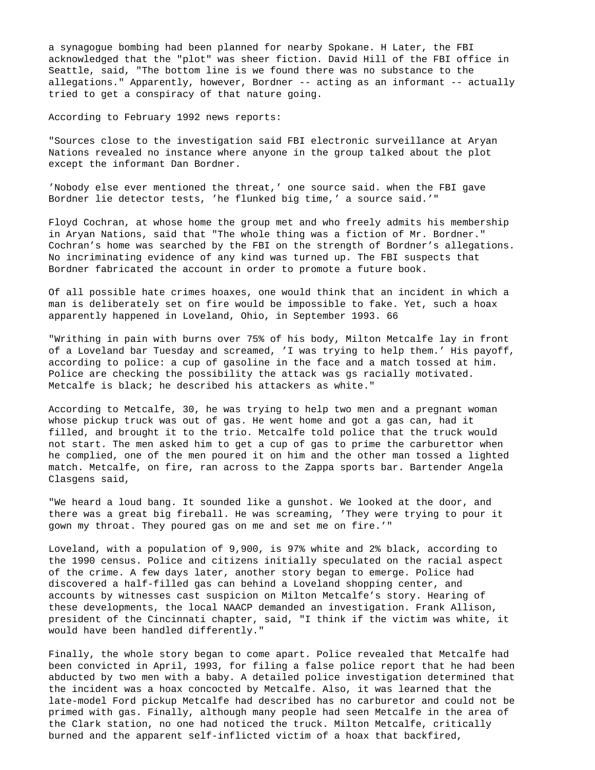a synagogue bombing had been planned for nearby Spokane. H Later, the FBI acknowledged that the "plot" was sheer fiction. David Hill of the FBI office in Seattle, said, "The bottom line is we found there was no substance to the allegations." Apparently, however, Bordner -- acting as an informant -- actually tried to get a conspiracy of that nature going.

According to February 1992 news reports:

"Sources close to the investigation said FBI electronic surveillance at Aryan Nations revealed no instance where anyone in the group talked about the plot except the informant Dan Bordner.

'Nobody else ever mentioned the threat,' one source said. when the FBI gave Bordner lie detector tests, 'he flunked big time,' a source said.'"

Floyd Cochran, at whose home the group met and who freely admits his membership in Aryan Nations, said that "The whole thing was a fiction of Mr. Bordner." Cochran's home was searched by the FBI on the strength of Bordner's allegations. No incriminating evidence of any kind was turned up. The FBI suspects that Bordner fabricated the account in order to promote a future book.

Of all possible hate crimes hoaxes, one would think that an incident in which a man is deliberately set on fire would be impossible to fake. Yet, such a hoax apparently happened in Loveland, Ohio, in September 1993. 66

"Writhing in pain with burns over 75% of his body, Milton Metcalfe lay in front of a Loveland bar Tuesday and screamed, 'I was trying to help them.' His payoff, according to police: a cup of gasoline in the face and a match tossed at him. Police are checking the possibility the attack was gs racially motivated. Metcalfe is black; he described his attackers as white."

According to Metcalfe, 30, he was trying to help two men and a pregnant woman whose pickup truck was out of gas. He went home and got a gas can, had it filled, and brought it to the trio. Metcalfe told police that the truck would not start. The men asked him to get a cup of gas to prime the carburettor when he complied, one of the men poured it on him and the other man tossed a lighted match. Metcalfe, on fire, ran across to the Zappa sports bar. Bartender Angela Clasgens said,

"We heard a loud bang. It sounded like a gunshot. We looked at the door, and there was a great big fireball. He was screaming, 'They were trying to pour it gown my throat. They poured gas on me and set me on fire.'"

Loveland, with a population of 9,900, is 97% white and 2% black, according to the 1990 census. Police and citizens initially speculated on the racial aspect of the crime. A few days later, another story began to emerge. Police had discovered a half-filled gas can behind a Loveland shopping center, and accounts by witnesses cast suspicion on Milton Metcalfe's story. Hearing of these developments, the local NAACP demanded an investigation. Frank Allison, president of the Cincinnati chapter, said, "I think if the victim was white, it would have been handled differently."

Finally, the whole story began to come apart. Police revealed that Metcalfe had been convicted in April, 1993, for filing a false police report that he had been abducted by two men with a baby. A detailed police investigation determined that the incident was a hoax concocted by Metcalfe. Also, it was learned that the late-model Ford pickup Metcalfe had described has no carburetor and could not be primed with gas. Finally, although many people had seen Metcalfe in the area of the Clark station, no one had noticed the truck. Milton Metcalfe, critically burned and the apparent self-inflicted victim of a hoax that backfired,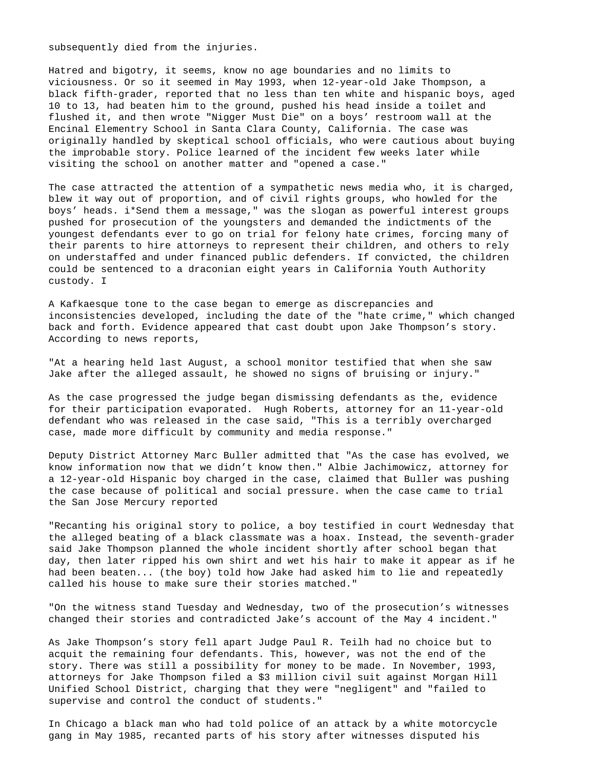subsequently died from the injuries.

Hatred and bigotry, it seems, know no age boundaries and no limits to viciousness. Or so it seemed in May 1993, when 12-year-old Jake Thompson, a black fifth-grader, reported that no less than ten white and hispanic boys, aged 10 to 13, had beaten him to the ground, pushed his head inside a toilet and flushed it, and then wrote "Nigger Must Die" on a boys' restroom wall at the Encinal Elementry School in Santa Clara County, California. The case was originally handled by skeptical school officials, who were cautious about buying the improbable story. Police learned of the incident few weeks later while visiting the school on another matter and "opened a case."

The case attracted the attention of a sympathetic news media who, it is charged, blew it way out of proportion, and of civil rights groups, who howled for the boys' heads. i\*Send them a message," was the slogan as powerful interest groups pushed for prosecution of the youngsters and demanded the indictments of the youngest defendants ever to go on trial for felony hate crimes, forcing many of their parents to hire attorneys to represent their children, and others to rely on understaffed and under financed public defenders. If convicted, the children could be sentenced to a draconian eight years in California Youth Authority custody. I

A Kafkaesque tone to the case began to emerge as discrepancies and inconsistencies developed, including the date of the "hate crime," which changed back and forth. Evidence appeared that cast doubt upon Jake Thompson's story. According to news reports,

"At a hearing held last August, a school monitor testified that when she saw Jake after the alleged assault, he showed no signs of bruising or injury."

As the case progressed the judge began dismissing defendants as the, evidence for their participation evaporated. Hugh Roberts, attorney for an 11-year-old defendant who was released in the case said, "This is a terribly overcharged case, made more difficult by community and media response."

Deputy District Attorney Marc Buller admitted that "As the case has evolved, we know information now that we didn't know then." Albie Jachimowicz, attorney for a 12-year-old Hispanic boy charged in the case, claimed that Buller was pushing the case because of political and social pressure. when the case came to trial the San Jose Mercury reported

"Recanting his original story to police, a boy testified in court Wednesday that the alleged beating of a black classmate was a hoax. Instead, the seventh-grader said Jake Thompson planned the whole incident shortly after school began that day, then later ripped his own shirt and wet his hair to make it appear as if he had been beaten... (the boy) told how Jake had asked him to lie and repeatedly called his house to make sure their stories matched."

"On the witness stand Tuesday and Wednesday, two of the prosecution's witnesses changed their stories and contradicted Jake's account of the May 4 incident."

As Jake Thompson's story fell apart Judge Paul R. Teilh had no choice but to acquit the remaining four defendants. This, however, was not the end of the story. There was still a possibility for money to be made. In November, 1993, attorneys for Jake Thompson filed a \$3 million civil suit against Morgan Hill Unified School District, charging that they were "negligent" and "failed to supervise and control the conduct of students."

In Chicago a black man who had told police of an attack by a white motorcycle gang in May 1985, recanted parts of his story after witnesses disputed his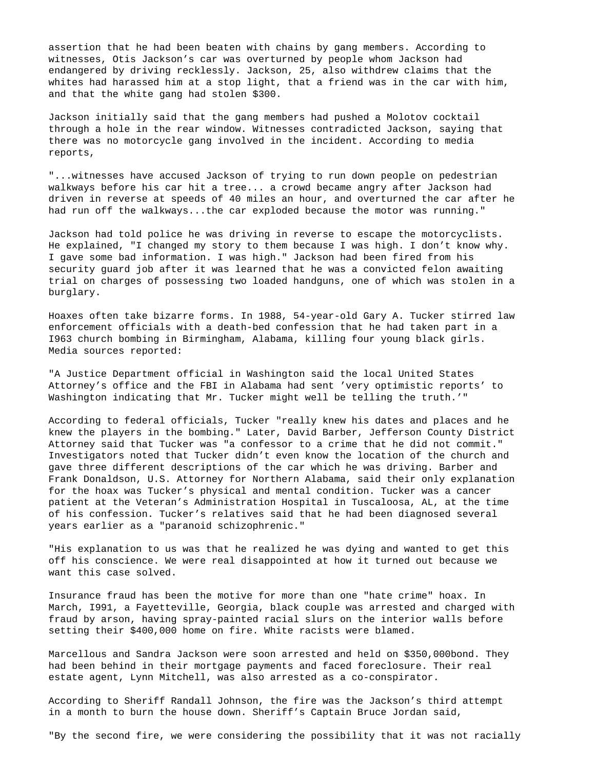assertion that he had been beaten with chains by gang members. According to witnesses, Otis Jackson's car was overturned by people whom Jackson had endangered by driving recklessly. Jackson, 25, also withdrew claims that the whites had harassed him at a stop light, that a friend was in the car with him, and that the white gang had stolen \$300.

Jackson initially said that the gang members had pushed a Molotov cocktail through a hole in the rear window. Witnesses contradicted Jackson, saying that there was no motorcycle gang involved in the incident. According to media reports,

"...witnesses have accused Jackson of trying to run down people on pedestrian walkways before his car hit a tree... a crowd became angry after Jackson had driven in reverse at speeds of 40 miles an hour, and overturned the car after he had run off the walkways...the car exploded because the motor was running."

Jackson had told police he was driving in reverse to escape the motorcyclists. He explained, "I changed my story to them because I was high. I don't know why. I gave some bad information. I was high." Jackson had been fired from his security guard job after it was learned that he was a convicted felon awaiting trial on charges of possessing two loaded handguns, one of which was stolen in a burglary.

Hoaxes often take bizarre forms. In 1988, 54-year-old Gary A. Tucker stirred law enforcement officials with a death-bed confession that he had taken part in a I963 church bombing in Birmingham, Alabama, killing four young black girls. Media sources reported:

"A Justice Department official in Washington said the local United States Attorney's office and the FBI in Alabama had sent 'very optimistic reports' to Washington indicating that Mr. Tucker might well be telling the truth.'"

According to federal officials, Tucker "really knew his dates and places and he knew the players in the bombing." Later, David Barber, Jefferson County District Attorney said that Tucker was "a confessor to a crime that he did not commit." Investigators noted that Tucker didn't even know the location of the church and gave three different descriptions of the car which he was driving. Barber and Frank Donaldson, U.S. Attorney for Northern Alabama, said their only explanation for the hoax was Tucker's physical and mental condition. Tucker was a cancer patient at the Veteran's Administration Hospital in Tuscaloosa, AL, at the time of his confession. Tucker's relatives said that he had been diagnosed several years earlier as a "paranoid schizophrenic."

"His explanation to us was that he realized he was dying and wanted to get this off his conscience. We were real disappointed at how it turned out because we want this case solved.

Insurance fraud has been the motive for more than one "hate crime" hoax. In March, I991, a Fayetteville, Georgia, black couple was arrested and charged with fraud by arson, having spray-painted racial slurs on the interior walls before setting their \$400,000 home on fire. White racists were blamed.

Marcellous and Sandra Jackson were soon arrested and held on \$350,000bond. They had been behind in their mortgage payments and faced foreclosure. Their real estate agent, Lynn Mitchell, was also arrested as a co-conspirator.

According to Sheriff Randall Johnson, the fire was the Jackson's third attempt in a month to burn the house down. Sheriff's Captain Bruce Jordan said,

"By the second fire, we were considering the possibility that it was not racially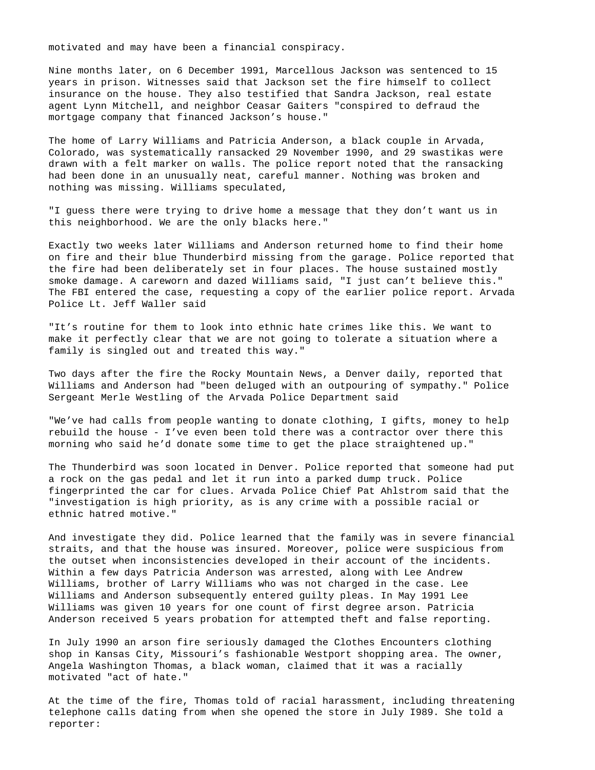motivated and may have been a financial conspiracy.

Nine months later, on 6 December 1991, Marcellous Jackson was sentenced to 15 years in prison. Witnesses said that Jackson set the fire himself to collect insurance on the house. They also testified that Sandra Jackson, real estate agent Lynn Mitchell, and neighbor Ceasar Gaiters "conspired to defraud the mortgage company that financed Jackson's house."

The home of Larry Williams and Patricia Anderson, a black couple in Arvada, Colorado, was systematically ransacked 29 November 1990, and 29 swastikas were drawn with a felt marker on walls. The police report noted that the ransacking had been done in an unusually neat, careful manner. Nothing was broken and nothing was missing. Williams speculated,

"I guess there were trying to drive home a message that they don't want us in this neighborhood. We are the only blacks here."

Exactly two weeks later Williams and Anderson returned home to find their home on fire and their blue Thunderbird missing from the garage. Police reported that the fire had been deliberately set in four places. The house sustained mostly smoke damage. A careworn and dazed Williams said, "I just can't believe this." The FBI entered the case, requesting a copy of the earlier police report. Arvada Police Lt. Jeff Waller said

"It's routine for them to look into ethnic hate crimes like this. We want to make it perfectly clear that we are not going to tolerate a situation where a family is singled out and treated this way."

Two days after the fire the Rocky Mountain News, a Denver daily, reported that Williams and Anderson had "been deluged with an outpouring of sympathy." Police Sergeant Merle Westling of the Arvada Police Department said

"We've had calls from people wanting to donate clothing, I gifts, money to help rebuild the house - I've even been told there was a contractor over there this morning who said he'd donate some time to get the place straightened up."

The Thunderbird was soon located in Denver. Police reported that someone had put a rock on the gas pedal and let it run into a parked dump truck. Police fingerprinted the car for clues. Arvada Police Chief Pat Ahlstrom said that the "investigation is high priority, as is any crime with a possible racial or ethnic hatred motive."

And investigate they did. Police learned that the family was in severe financial straits, and that the house was insured. Moreover, police were suspicious from the outset when inconsistencies developed in their account of the incidents. Within a few days Patricia Anderson was arrested, along with Lee Andrew Williams, brother of Larry Williams who was not charged in the case. Lee Williams and Anderson subsequently entered guilty pleas. In May 1991 Lee Williams was given 10 years for one count of first degree arson. Patricia Anderson received 5 years probation for attempted theft and false reporting.

In July 1990 an arson fire seriously damaged the Clothes Encounters clothing shop in Kansas City, Missouri's fashionable Westport shopping area. The owner, Angela Washington Thomas, a black woman, claimed that it was a racially motivated "act of hate."

At the time of the fire, Thomas told of racial harassment, including threatening telephone calls dating from when she opened the store in July I989. She told a reporter: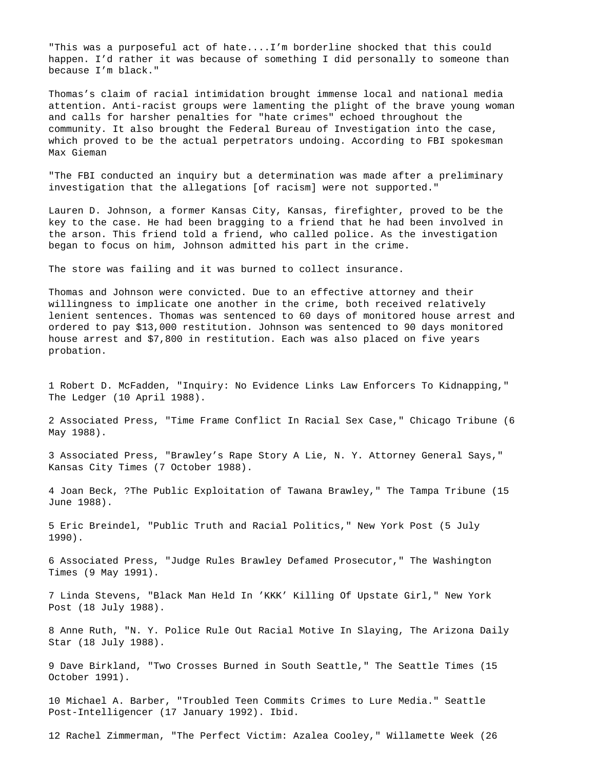"This was a purposeful act of hate....I'm borderline shocked that this could happen. I'd rather it was because of something I did personally to someone than because I'm black."

Thomas's claim of racial intimidation brought immense local and national media attention. Anti-racist groups were lamenting the plight of the brave young woman and calls for harsher penalties for "hate crimes" echoed throughout the community. It also brought the Federal Bureau of Investigation into the case, which proved to be the actual perpetrators undoing. According to FBI spokesman Max Gieman

"The FBI conducted an inquiry but a determination was made after a preliminary investigation that the allegations [of racism] were not supported."

Lauren D. Johnson, a former Kansas City, Kansas, firefighter, proved to be the key to the case. He had been bragging to a friend that he had been involved in the arson. This friend told a friend, who called police. As the investigation began to focus on him, Johnson admitted his part in the crime.

The store was failing and it was burned to collect insurance.

Thomas and Johnson were convicted. Due to an effective attorney and their willingness to implicate one another in the crime, both received relatively lenient sentences. Thomas was sentenced to 60 days of monitored house arrest and ordered to pay \$13,000 restitution. Johnson was sentenced to 90 days monitored house arrest and \$7,800 in restitution. Each was also placed on five years probation.

1 Robert D. McFadden, "Inquiry: No Evidence Links Law Enforcers To Kidnapping," The Ledger (10 April 1988).

2 Associated Press, "Time Frame Conflict In Racial Sex Case," Chicago Tribune (6 May 1988).

3 Associated Press, "Brawley's Rape Story A Lie, N. Y. Attorney General Says," Kansas City Times (7 October 1988).

4 Joan Beck, ?The Public Exploitation of Tawana Brawley," The Tampa Tribune (15 June 1988).

5 Eric Breindel, "Public Truth and Racial Politics," New York Post (5 July 1990).

6 Associated Press, "Judge Rules Brawley Defamed Prosecutor," The Washington Times (9 May 1991).

7 Linda Stevens, "Black Man Held In 'KKK' Killing Of Upstate Girl," New York Post (18 July 1988).

8 Anne Ruth, "N. Y. Police Rule Out Racial Motive In Slaying, The Arizona Daily Star (18 July 1988).

9 Dave Birkland, "Two Crosses Burned in South Seattle," The Seattle Times (15 October 1991).

10 Michael A. Barber, "Troubled Teen Commits Crimes to Lure Media." Seattle Post-Intelligencer (17 January 1992). Ibid.

12 Rachel Zimmerman, "The Perfect Victim: Azalea Cooley," Willamette Week (26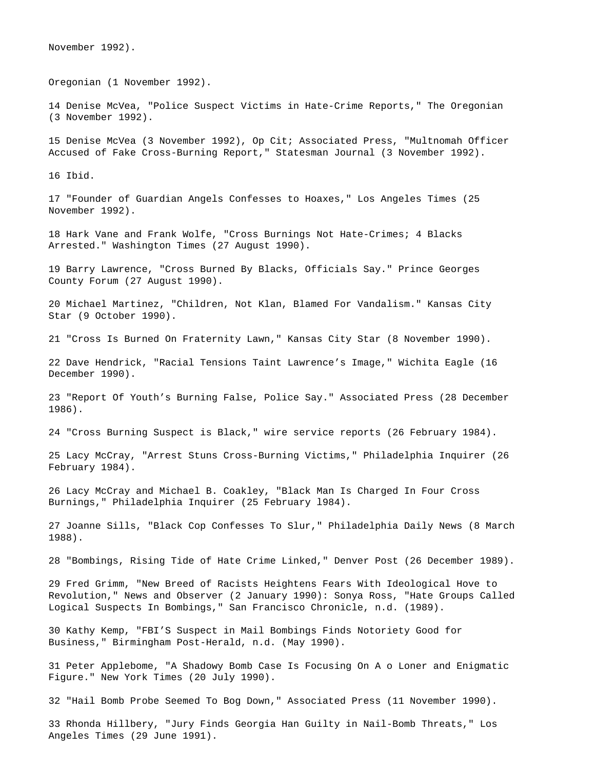November 1992). Oregonian (1 November 1992). 14 Denise McVea, "Police Suspect Victims in Hate-Crime Reports," The Oregonian (3 November 1992). 15 Denise McVea (3 November 1992), Op Cit; Associated Press, "Multnomah Officer Accused of Fake Cross-Burning Report," Statesman Journal (3 November 1992). 16 Ibid. 17 "Founder of Guardian Angels Confesses to Hoaxes," Los Angeles Times (25 November 1992). 18 Hark Vane and Frank Wolfe, "Cross Burnings Not Hate-Crimes; 4 Blacks Arrested." Washington Times (27 August 1990). 19 Barry Lawrence, "Cross Burned By Blacks, Officials Say." Prince Georges County Forum (27 August 1990). 20 Michael Martinez, "Children, Not Klan, Blamed For Vandalism." Kansas City Star (9 October 1990). 21 "Cross Is Burned On Fraternity Lawn," Kansas City Star (8 November 1990). 22 Dave Hendrick, "Racial Tensions Taint Lawrence's Image," Wichita Eagle (16 December 1990). 23 "Report Of Youth's Burning False, Police Say." Associated Press (28 December 1986). 24 "Cross Burning Suspect is Black," wire service reports (26 February 1984). 25 Lacy McCray, "Arrest Stuns Cross-Burning Victims," Philadelphia Inquirer (26 February 1984). 26 Lacy McCray and Michael B. Coakley, "Black Man Is Charged In Four Cross Burnings," Philadelphia Inquirer (25 February l984). 27 Joanne Sills, "Black Cop Confesses To Slur," Philadelphia Daily News (8 March 1988). 28 "Bombings, Rising Tide of Hate Crime Linked," Denver Post (26 December 1989). 29 Fred Grimm, "New Breed of Racists Heightens Fears With Ideological Hove to Revolution," News and Observer (2 January 1990): Sonya Ross, "Hate Groups Called Logical Suspects In Bombings," San Francisco Chronicle, n.d. (1989). 30 Kathy Kemp, "FBI'S Suspect in Mail Bombings Finds Notoriety Good for Business," Birmingham Post-Herald, n.d. (May 1990). 31 Peter Applebome, "A Shadowy Bomb Case Is Focusing On A o Loner and Enigmatic Figure." New York Times (20 July 1990). 32 "Hail Bomb Probe Seemed To Bog Down," Associated Press (11 November 1990).

33 Rhonda Hillbery, "Jury Finds Georgia Han Guilty in Nail-Bomb Threats," Los Angeles Times (29 June 1991).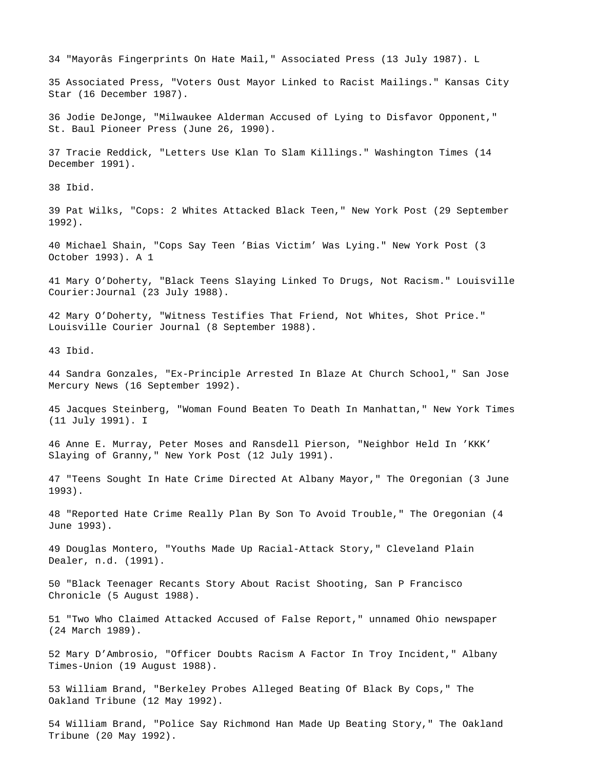34 "Mayorâ s Fingerprints On Hate Mail," Associated Press (13 July 1987). L

35 Associated Press, "Voters Oust Mayor Linked to Racist Mailings." Kansas City Star (16 December 1987).

36 Jodie DeJonge, "Milwaukee Alderman Accused of Lying to Disfavor Opponent," St. Baul Pioneer Press (June 26, 1990).

37 Tracie Reddick, "Letters Use Klan To Slam Killings." Washington Times (14 December 1991).

38 Ibid.

39 Pat Wilks, "Cops: 2 Whites Attacked Black Teen," New York Post (29 September 1992).

40 Michael Shain, "Cops Say Teen 'Bias Victim' Was Lying." New York Post (3 October 1993). A 1

41 Mary O'Doherty, "Black Teens Slaying Linked To Drugs, Not Racism." Louisville Courier:Journal (23 July 1988).

42 Mary O'Doherty, "Witness Testifies That Friend, Not Whites, Shot Price." Louisville Courier Journal (8 September 1988).

43 Ibid.

44 Sandra Gonzales, "Ex-Principle Arrested In Blaze At Church School," San Jose Mercury News (16 September 1992).

45 Jacques Steinberg, "Woman Found Beaten To Death In Manhattan," New York Times (11 July 1991). I

46 Anne E. Murray, Peter Moses and Ransdell Pierson, "Neighbor Held In 'KKK' Slaying of Granny," New York Post (12 July 1991).

47 "Teens Sought In Hate Crime Directed At Albany Mayor," The Oregonian (3 June 1993).

48 "Reported Hate Crime Really Plan By Son To Avoid Trouble," The Oregonian (4 June 1993).

49 Douglas Montero, "Youths Made Up Racial-Attack Story," Cleveland Plain Dealer, n.d. (1991).

50 "Black Teenager Recants Story About Racist Shooting, San P Francisco Chronicle (5 August 1988).

51 "Two Who Claimed Attacked Accused of False Report," unnamed Ohio newspaper (24 March 1989).

52 Mary D'Ambrosio, "Officer Doubts Racism A Factor In Troy Incident," Albany Times-Union (19 August 1988).

53 William Brand, "Berkeley Probes Alleged Beating Of Black By Cops," The Oakland Tribune (12 May 1992).

54 William Brand, "Police Say Richmond Han Made Up Beating Story," The Oakland Tribune (20 May 1992).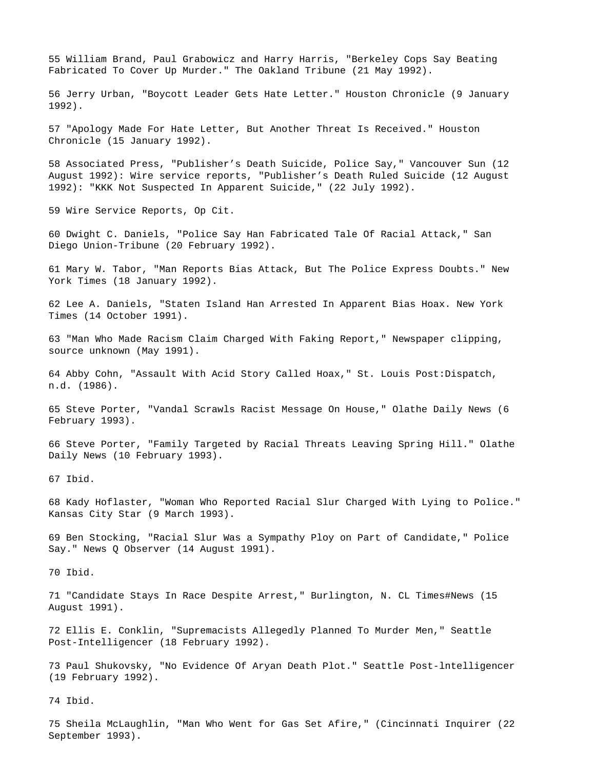55 William Brand, Paul Grabowicz and Harry Harris, "Berkeley Cops Say Beating Fabricated To Cover Up Murder." The Oakland Tribune (21 May 1992).

56 Jerry Urban, "Boycott Leader Gets Hate Letter." Houston Chronicle (9 January 1992).

57 "Apology Made For Hate Letter, But Another Threat Is Received." Houston Chronicle (15 January 1992).

58 Associated Press, "Publisher's Death Suicide, Police Say," Vancouver Sun (12 August 1992): Wire service reports, "Publisher's Death Ruled Suicide (12 August 1992): "KKK Not Suspected In Apparent Suicide," (22 July 1992).

59 Wire Service Reports, Op Cit.

60 Dwight C. Daniels, "Police Say Han Fabricated Tale Of Racial Attack," San Diego Union-Tribune (20 February 1992).

61 Mary W. Tabor, "Man Reports Bias Attack, But The Police Express Doubts." New York Times (18 January 1992).

62 Lee A. Daniels, "Staten Island Han Arrested In Apparent Bias Hoax. New York Times (14 October 1991).

63 "Man Who Made Racism Claim Charged With Faking Report," Newspaper clipping, source unknown (May 1991).

64 Abby Cohn, "Assault With Acid Story Called Hoax," St. Louis Post:Dispatch, n.d. (1986).

65 Steve Porter, "Vandal Scrawls Racist Message On House," Olathe Daily News (6 February 1993).

66 Steve Porter, "Family Targeted by Racial Threats Leaving Spring Hill." Olathe Daily News (10 February 1993).

67 Ibid.

68 Kady Hoflaster, "Woman Who Reported Racial Slur Charged With Lying to Police." Kansas City Star (9 March 1993).

69 Ben Stocking, "Racial Slur Was a Sympathy Ploy on Part of Candidate," Police Say." News Q Observer (14 August 1991).

70 Ibid.

71 "Candidate Stays In Race Despite Arrest," Burlington, N. CL Times#News (15 August 1991).

72 Ellis E. Conklin, "Supremacists Allegedly Planned To Murder Men," Seattle Post-Intelligencer (18 February 1992).

73 Paul Shukovsky, "No Evidence Of Aryan Death Plot." Seattle Post-lntelligencer (19 February 1992).

74 Ibid.

75 Sheila McLaughlin, "Man Who Went for Gas Set Afire," (Cincinnati Inquirer (22 September 1993).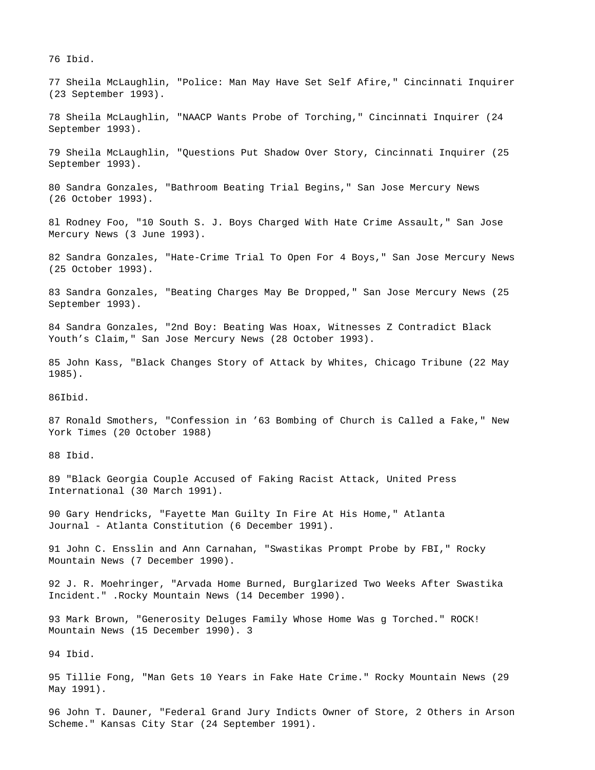76 Ibid.

77 Sheila McLaughlin, "Police: Man May Have Set Self Afire," Cincinnati Inquirer (23 September 1993).

78 Sheila McLaughlin, "NAACP Wants Probe of Torching," Cincinnati Inquirer (24 September 1993).

79 Sheila McLaughlin, "Questions Put Shadow Over Story, Cincinnati Inquirer (25 September 1993).

80 Sandra Gonzales, "Bathroom Beating Trial Begins," San Jose Mercury News (26 October 1993).

8l Rodney Foo, "10 South S. J. Boys Charged With Hate Crime Assault," San Jose Mercury News (3 June 1993).

82 Sandra Gonzales, "Hate-Crime Trial To Open For 4 Boys," San Jose Mercury News (25 October 1993).

83 Sandra Gonzales, "Beating Charges May Be Dropped," San Jose Mercury News (25 September 1993).

84 Sandra Gonzales, "2nd Boy: Beating Was Hoax, Witnesses Z Contradict Black Youth's Claim," San Jose Mercury News (28 October 1993).

85 John Kass, "Black Changes Story of Attack by Whites, Chicago Tribune (22 May 1985).

86Ibid.

87 Ronald Smothers, "Confession in '63 Bombing of Church is Called a Fake," New York Times (20 October 1988)

88 Ibid.

89 "Black Georgia Couple Accused of Faking Racist Attack, United Press International (30 March 1991).

90 Gary Hendricks, "Fayette Man Guilty In Fire At His Home," Atlanta Journal - Atlanta Constitution (6 December 1991).

91 John C. Ensslin and Ann Carnahan, "Swastikas Prompt Probe by FBI," Rocky Mountain News (7 December 1990).

92 J. R. Moehringer, "Arvada Home Burned, Burglarized Two Weeks After Swastika Incident." .Rocky Mountain News (14 December 1990).

93 Mark Brown, "Generosity Deluges Family Whose Home Was g Torched." ROCK! Mountain News (15 December 1990). 3

94 Ibid.

95 Tillie Fong, "Man Gets 10 Years in Fake Hate Crime." Rocky Mountain News (29 May 1991).

96 John T. Dauner, "Federal Grand Jury Indicts Owner of Store, 2 Others in Arson Scheme." Kansas City Star (24 September 1991).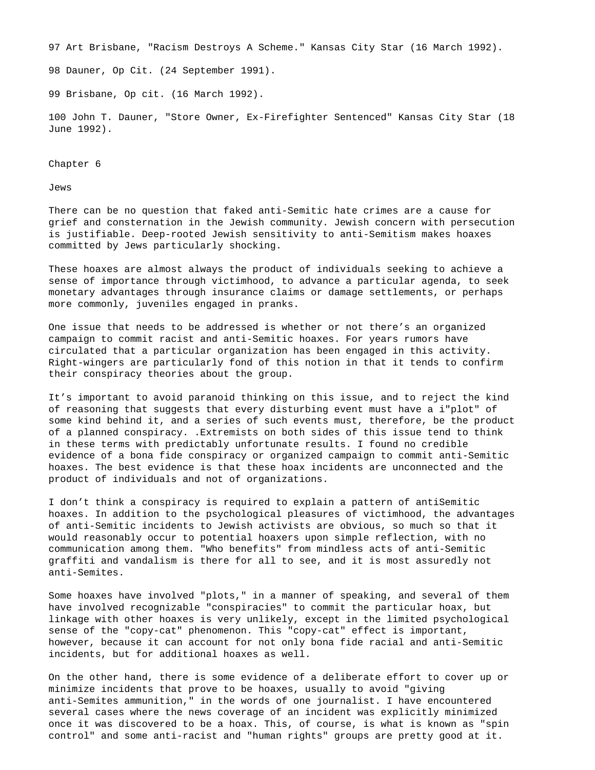97 Art Brisbane, "Racism Destroys A Scheme." Kansas City Star (16 March 1992).

98 Dauner, Op Cit. (24 September 1991).

99 Brisbane, Op cit. (16 March 1992).

100 John T. Dauner, "Store Owner, Ex-Firefighter Sentenced" Kansas City Star (18 June 1992).

Chapter 6

Jews

There can be no question that faked anti-Semitic hate crimes are a cause for grief and consternation in the Jewish community. Jewish concern with persecution is justifiable. Deep-rooted Jewish sensitivity to anti-Semitism makes hoaxes committed by Jews particularly shocking.

These hoaxes are almost always the product of individuals seeking to achieve a sense of importance through victimhood, to advance a particular agenda, to seek monetary advantages through insurance claims or damage settlements, or perhaps more commonly, juveniles engaged in pranks.

One issue that needs to be addressed is whether or not there's an organized campaign to commit racist and anti-Semitic hoaxes. For years rumors have circulated that a particular organization has been engaged in this activity. Right-wingers are particularly fond of this notion in that it tends to confirm their conspiracy theories about the group.

It's important to avoid paranoid thinking on this issue, and to reject the kind of reasoning that suggests that every disturbing event must have a i"plot" of some kind behind it, and a series of such events must, therefore, be the product of a planned conspiracy. .Extremists on both sides of this issue tend to think in these terms with predictably unfortunate results. I found no credible evidence of a bona fide conspiracy or organized campaign to commit anti-Semitic hoaxes. The best evidence is that these hoax incidents are unconnected and the product of individuals and not of organizations.

I don't think a conspiracy is required to explain a pattern of antiSemitic hoaxes. In addition to the psychological pleasures of victimhood, the advantages of anti-Semitic incidents to Jewish activists are obvious, so much so that it would reasonably occur to potential hoaxers upon simple reflection, with no communication among them. "Who benefits" from mindless acts of anti-Semitic graffiti and vandalism is there for all to see, and it is most assuredly not anti-Semites.

Some hoaxes have involved "plots," in a manner of speaking, and several of them have involved recognizable "conspiracies" to commit the particular hoax, but linkage with other hoaxes is very unlikely, except in the limited psychological sense of the "copy-cat" phenomenon. This "copy-cat" effect is important, however, because it can account for not only bona fide racial and anti-Semitic incidents, but for additional hoaxes as well.

On the other hand, there is some evidence of a deliberate effort to cover up or minimize incidents that prove to be hoaxes, usually to avoid "giving anti-Semites ammunition," in the words of one journalist. I have encountered several cases where the news coverage of an incident was explicitly minimized once it was discovered to be a hoax. This, of course, is what is known as "spin control" and some anti-racist and "human rights" groups are pretty good at it.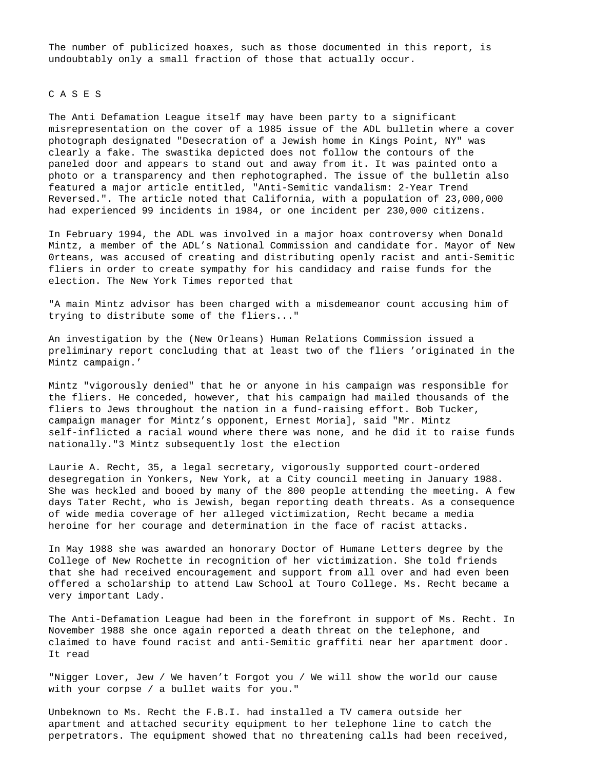The number of publicized hoaxes, such as those documented in this report, is undoubtably only a small fraction of those that actually occur.

## C A S E S

The Anti Defamation League itself may have been party to a significant misrepresentation on the cover of a 1985 issue of the ADL bulletin where a cover photograph designated "Desecration of a Jewish home in Kings Point, NY" was clearly a fake. The swastika depicted does not follow the contours of the paneled door and appears to stand out and away from it. It was painted onto a photo or a transparency and then rephotographed. The issue of the bulletin also featured a major article entitled, "Anti-Semitic vandalism: 2-Year Trend Reversed.". The article noted that California, with a population of 23,000,000 had experienced 99 incidents in 1984, or one incident per 230,000 citizens.

In February 1994, the ADL was involved in a major hoax controversy when Donald Mintz, a member of the ADL's National Commission and candidate for. Mayor of New 0rteans, was accused of creating and distributing openly racist and anti-Semitic fliers in order to create sympathy for his candidacy and raise funds for the election. The New York Times reported that

"A main Mintz advisor has been charged with a misdemeanor count accusing him of trying to distribute some of the fliers..."

An investigation by the (New Orleans) Human Relations Commission issued a preliminary report concluding that at least two of the fliers 'originated in the Mintz campaign.'

Mintz "vigorously denied" that he or anyone in his campaign was responsible for the fliers. He conceded, however, that his campaign had mailed thousands of the fliers to Jews throughout the nation in a fund-raising effort. Bob Tucker, campaign manager for Mintz's opponent, Ernest Moria], said "Mr. Mintz self-inflicted a racial wound where there was none, and he did it to raise funds nationally."3 Mintz subsequently lost the election

Laurie A. Recht, 35, a legal secretary, vigorously supported court-ordered desegregation in Yonkers, New York, at a City council meeting in January 1988. She was heckled and booed by many of the 800 people attending the meeting. A few days Tater Recht, who is Jewish, began reporting death threats. As a consequence of wide media coverage of her alleged victimization, Recht became a media heroine for her courage and determination in the face of racist attacks.

In May 1988 she was awarded an honorary Doctor of Humane Letters degree by the College of New Rochette in recognition of her victimization. She told friends that she had received encouragement and support from all over and had even been offered a scholarship to attend Law School at Touro College. Ms. Recht became a very important Lady.

The Anti-Defamation League had been in the forefront in support of Ms. Recht. In November 1988 she once again reported a death threat on the telephone, and claimed to have found racist and anti-Semitic graffiti near her apartment door. It read

"Nigger Lover, Jew / We haven't Forgot you / We will show the world our cause with your corpse / a bullet waits for you."

Unbeknown to Ms. Recht the F.B.I. had installed a TV camera outside her apartment and attached security equipment to her telephone line to catch the perpetrators. The equipment showed that no threatening calls had been received,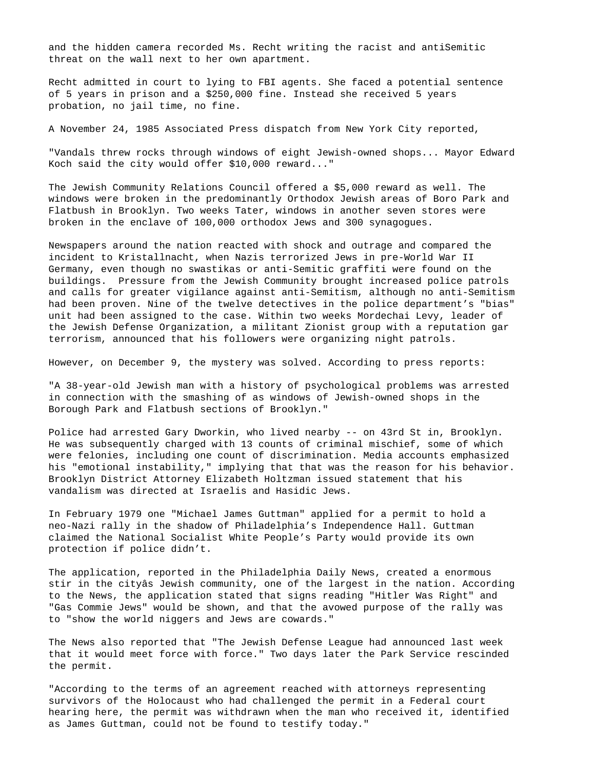and the hidden camera recorded Ms. Recht writing the racist and antiSemitic threat on the wall next to her own apartment.

Recht admitted in court to lying to FBI agents. She faced a potential sentence of 5 years in prison and a \$250,000 fine. Instead she received 5 years probation, no jail time, no fine.

A November 24, 1985 Associated Press dispatch from New York City reported,

"Vandals threw rocks through windows of eight Jewish-owned shops... Mayor Edward Koch said the city would offer \$10,000 reward..."

The Jewish Community Relations Council offered a \$5,000 reward as well. The windows were broken in the predominantly Orthodox Jewish areas of Boro Park and Flatbush in Brooklyn. Two weeks Tater, windows in another seven stores were broken in the enclave of 100,000 orthodox Jews and 300 synagogues.

Newspapers around the nation reacted with shock and outrage and compared the incident to Kristallnacht, when Nazis terrorized Jews in pre-World War II Germany, even though no swastikas or anti-Semitic graffiti were found on the buildings. Pressure from the Jewish Community brought increased police patrols and calls for greater vigilance against anti-Semitism, although no anti-Semitism had been proven. Nine of the twelve detectives in the police department's "bias" unit had been assigned to the case. Within two weeks Mordechai Levy, leader of the Jewish Defense Organization, a militant Zionist group with a reputation gar terrorism, announced that his followers were organizing night patrols.

However, on December 9, the mystery was solved. According to press reports:

"A 38-year-old Jewish man with a history of psychological problems was arrested in connection with the smashing of as windows of Jewish-owned shops in the Borough Park and Flatbush sections of Brooklyn."

Police had arrested Gary Dworkin, who lived nearby -- on 43rd St in, Brooklyn. He was subsequently charged with 13 counts of criminal mischief, some of which were felonies, including one count of discrimination. Media accounts emphasized his "emotional instability," implying that that was the reason for his behavior. Brooklyn District Attorney Elizabeth Holtzman issued statement that his vandalism was directed at Israelis and Hasidic Jews.

In February 1979 one "Michael James Guttman" applied for a permit to hold a neo-Nazi rally in the shadow of Philadelphia's Independence Hall. Guttman claimed the National Socialist White People's Party would provide its own protection if police didn't.

The application, reported in the Philadelphia Daily News, created a enormous stir in the cityâ s Jewish community, one of the largest in the nation. According to the News, the application stated that signs reading "Hitler Was Right" and "Gas Commie Jews" would be shown, and that the avowed purpose of the rally was to "show the world niggers and Jews are cowards."

The News also reported that "The Jewish Defense League had announced last week that it would meet force with force." Two days later the Park Service rescinded the permit.

"According to the terms of an agreement reached with attorneys representing survivors of the Holocaust who had challenged the permit in a Federal court hearing here, the permit was withdrawn when the man who received it, identified as James Guttman, could not be found to testify today."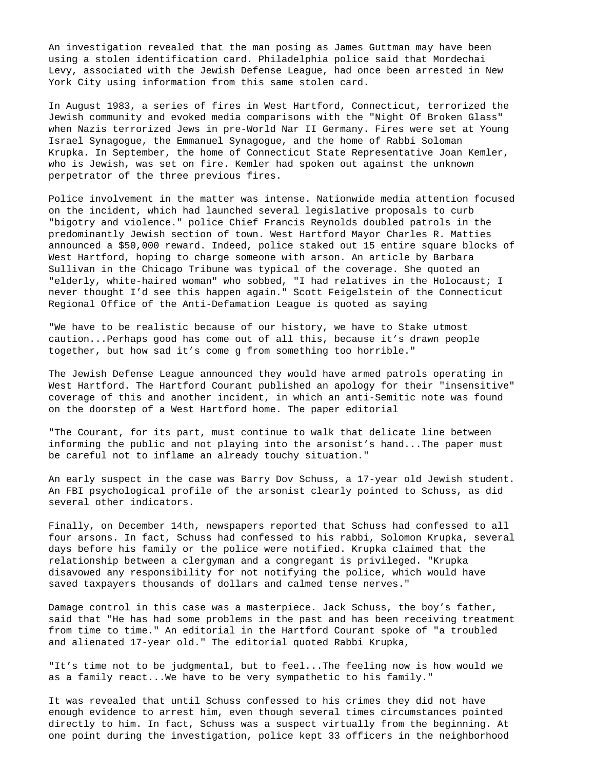An investigation revealed that the man posing as James Guttman may have been using a stolen identification card. Philadelphia police said that Mordechai Levy, associated with the Jewish Defense League, had once been arrested in New York City using information from this same stolen card.

In August 1983, a series of fires in West Hartford, Connecticut, terrorized the Jewish community and evoked media comparisons with the "Night Of Broken Glass" when Nazis terrorized Jews in pre-World Nar II Germany. Fires were set at Young Israel Synagogue, the Emmanuel Synagogue, and the home of Rabbi Soloman Krupka. In September, the home of Connecticut State Representative Joan Kemler, who is Jewish, was set on fire. Kemler had spoken out against the unknown perpetrator of the three previous fires.

Police involvement in the matter was intense. Nationwide media attention focused on the incident, which had launched several legislative proposals to curb "bigotry and violence." police Chief Francis Reynolds doubled patrols in the predominantly Jewish section of town. West Hartford Mayor Charles R. Matties announced a \$50,000 reward. Indeed, police staked out 15 entire square blocks of West Hartford, hoping to charge someone with arson. An article by Barbara Sullivan in the Chicago Tribune was typical of the coverage. She quoted an "elderly, white-haired woman" who sobbed, "I had relatives in the Holocaust; I never thought I'd see this happen again." Scott Feigelstein of the Connecticut Regional Office of the Anti-Defamation League is quoted as saying

"We have to be realistic because of our history, we have to Stake utmost caution...Perhaps good has come out of all this, because it's drawn people together, but how sad it's come g from something too horrible."

The Jewish Defense League announced they would have armed patrols operating in West Hartford. The Hartford Courant published an apology for their "insensitive" coverage of this and another incident, in which an anti-Semitic note was found on the doorstep of a West Hartford home. The paper editorial

"The Courant, for its part, must continue to walk that delicate line between informing the public and not playing into the arsonist's hand...The paper must be careful not to inflame an already touchy situation."

An early suspect in the case was Barry Dov Schuss, a 17-year old Jewish student. An FBI psychological profile of the arsonist clearly pointed to Schuss, as did several other indicators.

Finally, on December 14th, newspapers reported that Schuss had confessed to all four arsons. In fact, Schuss had confessed to his rabbi, Solomon Krupka, several days before his family or the police were notified. Krupka claimed that the relationship between a clergyman and a congregant is privileged. "Krupka disavowed any responsibility for not notifying the police, which would have saved taxpayers thousands of dollars and calmed tense nerves."

Damage control in this case was a masterpiece. Jack Schuss, the boy's father, said that "He has had some problems in the past and has been receiving treatment from time to time." An editorial in the Hartford Courant spoke of "a troubled and alienated 17-year old." The editorial quoted Rabbi Krupka,

"It's time not to be judgmental, but to feel...The feeling now is how would we as a family react...We have to be very sympathetic to his family."

It was revealed that until Schuss confessed to his crimes they did not have enough evidence to arrest him, even though several times circumstances pointed directly to him. In fact, Schuss was a suspect virtually from the beginning. At one point during the investigation, police kept 33 officers in the neighborhood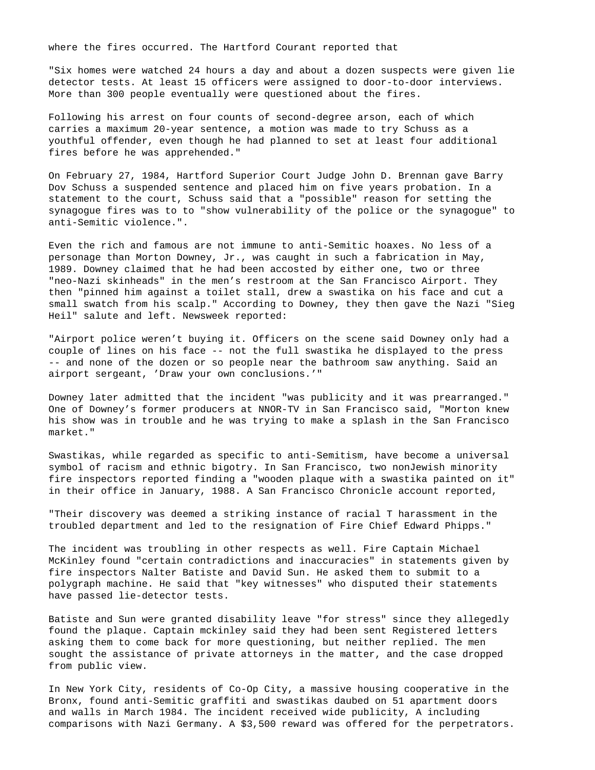where the fires occurred. The Hartford Courant reported that

"Six homes were watched 24 hours a day and about a dozen suspects were given lie detector tests. At least 15 officers were assigned to door-to-door interviews. More than 300 people eventually were questioned about the fires.

Following his arrest on four counts of second-degree arson, each of which carries a maximum 20-year sentence, a motion was made to try Schuss as a youthful offender, even though he had planned to set at least four additional fires before he was apprehended."

On February 27, 1984, Hartford Superior Court Judge John D. Brennan gave Barry Dov Schuss a suspended sentence and placed him on five years probation. In a statement to the court, Schuss said that a "possible" reason for setting the synagogue fires was to to "show vulnerability of the police or the synagogue" to anti-Semitic violence.".

Even the rich and famous are not immune to anti-Semitic hoaxes. No less of a personage than Morton Downey, Jr., was caught in such a fabrication in May, 1989. Downey claimed that he had been accosted by either one, two or three "neo-Nazi skinheads" in the men's restroom at the San Francisco Airport. They then "pinned him against a toilet stall, drew a swastika on his face and cut a small swatch from his scalp." According to Downey, they then gave the Nazi "Sieg Heil" salute and left. Newsweek reported:

"Airport police weren't buying it. Officers on the scene said Downey only had a couple of lines on his face -- not the full swastika he displayed to the press -- and none of the dozen or so people near the bathroom saw anything. Said an airport sergeant, 'Draw your own conclusions.'"

Downey later admitted that the incident "was publicity and it was prearranged." One of Downey's former producers at NNOR-TV in San Francisco said, "Morton knew his show was in trouble and he was trying to make a splash in the San Francisco market."

Swastikas, while regarded as specific to anti-Semitism, have become a universal symbol of racism and ethnic bigotry. In San Francisco, two nonJewish minority fire inspectors reported finding a "wooden plaque with a swastika painted on it" in their office in January, 1988. A San Francisco Chronicle account reported,

"Their discovery was deemed a striking instance of racial T harassment in the troubled department and led to the resignation of Fire Chief Edward Phipps."

The incident was troubling in other respects as well. Fire Captain Michael McKinley found "certain contradictions and inaccuracies" in statements given by fire inspectors Nalter Batiste and David Sun. He asked them to submit to a polygraph machine. He said that "key witnesses" who disputed their statements have passed lie-detector tests.

Batiste and Sun were granted disability leave "for stress" since they allegedly found the plaque. Captain mckinley said they had been sent Registered letters asking them to come back for more questioning, but neither replied. The men sought the assistance of private attorneys in the matter, and the case dropped from public view.

In New York City, residents of Co-Op City, a massive housing cooperative in the Bronx, found anti-Semitic graffiti and swastikas daubed on 51 apartment doors and walls in March 1984. The incident received wide publicity, A including comparisons with Nazi Germany. A \$3,500 reward was offered for the perpetrators.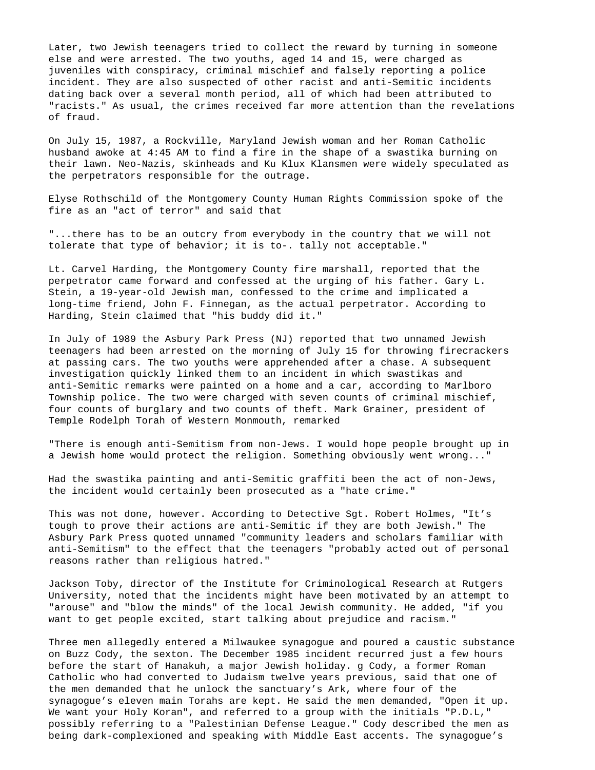Later, two Jewish teenagers tried to collect the reward by turning in someone else and were arrested. The two youths, aged 14 and 15, were charged as juveniles with conspiracy, criminal mischief and falsely reporting a police incident. They are also suspected of other racist and anti-Semitic incidents dating back over a several month period, all of which had been attributed to "racists." As usual, the crimes received far more attention than the revelations of fraud.

On July 15, 1987, a Rockville, Maryland Jewish woman and her Roman Catholic husband awoke at 4:45 AM to find a fire in the shape of a swastika burning on their lawn. Neo-Nazis, skinheads and Ku Klux Klansmen were widely speculated as the perpetrators responsible for the outrage.

Elyse Rothschild of the Montgomery County Human Rights Commission spoke of the fire as an "act of terror" and said that

"...there has to be an outcry from everybody in the country that we will not tolerate that type of behavior; it is to-. tally not acceptable."

Lt. Carvel Harding, the Montgomery County fire marshall, reported that the perpetrator came forward and confessed at the urging of his father. Gary L. Stein, a 19-year-old Jewish man, confessed to the crime and implicated a long-time friend, John F. Finnegan, as the actual perpetrator. According to Harding, Stein claimed that "his buddy did it."

In July of 1989 the Asbury Park Press (NJ) reported that two unnamed Jewish teenagers had been arrested on the morning of July 15 for throwing firecrackers at passing cars. The two youths were apprehended after a chase. A subsequent investigation quickly linked them to an incident in which swastikas and anti-Semitic remarks were painted on a home and a car, according to Marlboro Township police. The two were charged with seven counts of criminal mischief, four counts of burglary and two counts of theft. Mark Grainer, president of Temple Rodelph Torah of Western Monmouth, remarked

"There is enough anti-Semitism from non-Jews. I would hope people brought up in a Jewish home would protect the religion. Something obviously went wrong..."

Had the swastika painting and anti-Semitic graffiti been the act of non-Jews, the incident would certainly been prosecuted as a "hate crime."

This was not done, however. According to Detective Sgt. Robert Holmes, "It's tough to prove their actions are anti-Semitic if they are both Jewish." The Asbury Park Press quoted unnamed "community leaders and scholars familiar with anti-Semitism" to the effect that the teenagers "probably acted out of personal reasons rather than religious hatred."

Jackson Toby, director of the Institute for Criminological Research at Rutgers University, noted that the incidents might have been motivated by an attempt to "arouse" and "blow the minds" of the local Jewish community. He added, "if you want to get people excited, start talking about prejudice and racism."

Three men allegedly entered a Milwaukee synagogue and poured a caustic substance on Buzz Cody, the sexton. The December 1985 incident recurred just a few hours before the start of Hanakuh, a major Jewish holiday. g Cody, a former Roman Catholic who had converted to Judaism twelve years previous, said that one of the men demanded that he unlock the sanctuary's Ark, where four of the synagogue's eleven main Torahs are kept. He said the men demanded, "Open it up. We want your Holy Koran", and referred to a group with the initials "P.D.L," possibly referring to a "Palestinian Defense League." Cody described the men as being dark-complexioned and speaking with Middle East accents. The synagogue's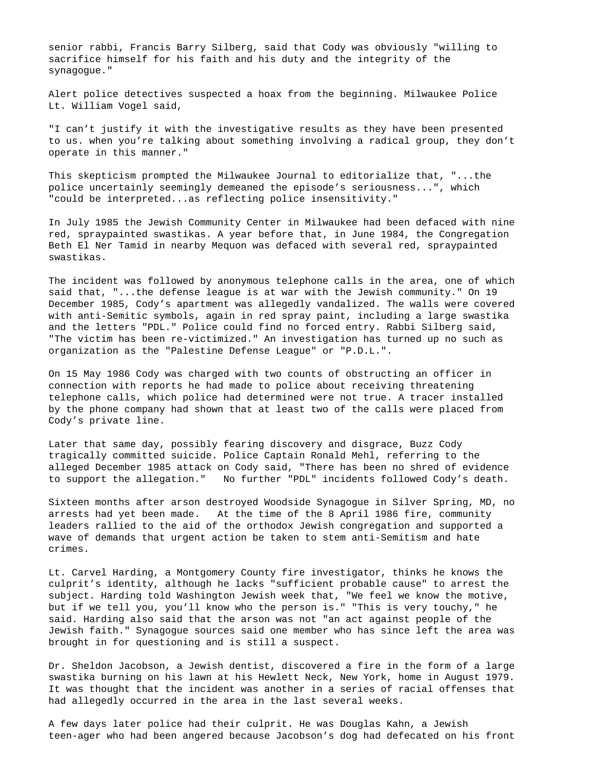senior rabbi, Francis Barry Silberg, said that Cody was obviously "willing to sacrifice himself for his faith and his duty and the integrity of the synagogue."

Alert police detectives suspected a hoax from the beginning. Milwaukee Police Lt. William Vogel said,

"I can't justify it with the investigative results as they have been presented to us. when you're talking about something involving a radical group, they don't operate in this manner."

This skepticism prompted the Milwaukee Journal to editorialize that, "...the police uncertainly seemingly demeaned the episode's seriousness...", which "could be interpreted...as reflecting police insensitivity."

In July 1985 the Jewish Community Center in Milwaukee had been defaced with nine red, spraypainted swastikas. A year before that, in June 1984, the Congregation Beth El Ner Tamid in nearby Mequon was defaced with several red, spraypainted swastikas.

The incident was followed by anonymous telephone calls in the area, one of which said that, "...the defense league is at war with the Jewish community." On 19 December 1985, Cody's apartment was allegedly vandalized. The walls were covered with anti-Semitic symbols, again in red spray paint, including a large swastika and the letters "PDL." Police could find no forced entry. Rabbi Silberg said, "The victim has been re-victimized." An investigation has turned up no such as organization as the "Palestine Defense League" or "P.D.L.".

On 15 May 1986 Cody was charged with two counts of obstructing an officer in connection with reports he had made to police about receiving threatening telephone calls, which police had determined were not true. A tracer installed by the phone company had shown that at least two of the calls were placed from Cody's private line.

Later that same day, possibly fearing discovery and disgrace, Buzz Cody tragically committed suicide. Police Captain Ronald Mehl, referring to the alleged December 1985 attack on Cody said, "There has been no shred of evidence to support the allegation." No further "PDL" incidents followed Cody's death.

Sixteen months after arson destroyed Woodside Synagogue in Silver Spring, MD, no arrests had yet been made. At the time of the 8 April 1986 fire, community leaders rallied to the aid of the orthodox Jewish congregation and supported a wave of demands that urgent action be taken to stem anti-Semitism and hate crimes.

Lt. Carvel Harding, a Montgomery County fire investigator, thinks he knows the culprit's identity, although he lacks "sufficient probable cause" to arrest the subject. Harding told Washington Jewish week that, "We feel we know the motive, but if we tell you, you'll know who the person is." "This is very touchy," he said. Harding also said that the arson was not "an act against people of the Jewish faith." Synagogue sources said one member who has since left the area was brought in for questioning and is still a suspect.

Dr. Sheldon Jacobson, a Jewish dentist, discovered a fire in the form of a large swastika burning on his lawn at his Hewlett Neck, New York, home in August 1979. It was thought that the incident was another in a series of racial offenses that had allegedly occurred in the area in the last several weeks.

A few days later police had their culprit. He was Douglas Kahn, a Jewish teen-ager who had been angered because Jacobson's dog had defecated on his front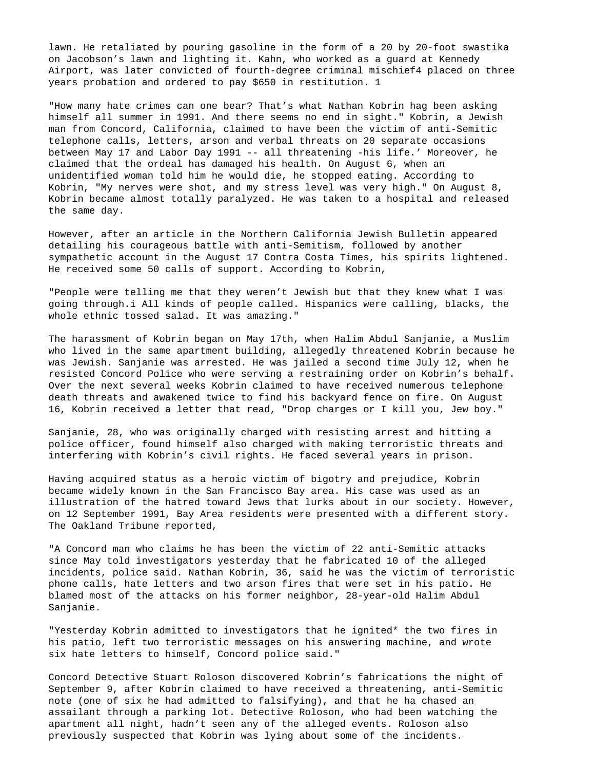lawn. He retaliated by pouring gasoline in the form of a 20 by 20-foot swastika on Jacobson's lawn and lighting it. Kahn, who worked as a guard at Kennedy Airport, was later convicted of fourth-degree criminal mischief4 placed on three years probation and ordered to pay \$650 in restitution. 1

"How many hate crimes can one bear? That's what Nathan Kobrin hag been asking himself all summer in 1991. And there seems no end in sight." Kobrin, a Jewish man from Concord, California, claimed to have been the victim of anti-Semitic telephone calls, letters, arson and verbal threats on 20 separate occasions between May 17 and Labor Day 1991 -- all threatening -his life.' Moreover, he claimed that the ordeal has damaged his health. On August 6, when an unidentified woman told him he would die, he stopped eating. According to Kobrin, "My nerves were shot, and my stress level was very high." On August 8, Kobrin became almost totally paralyzed. He was taken to a hospital and released the same day.

However, after an article in the Northern California Jewish Bulletin appeared detailing his courageous battle with anti-Semitism, followed by another sympathetic account in the August 17 Contra Costa Times, his spirits lightened. He received some 50 calls of support. According to Kobrin,

"People were telling me that they weren't Jewish but that they knew what I was going through.i All kinds of people called. Hispanics were calling, blacks, the whole ethnic tossed salad. It was amazing."

The harassment of Kobrin began on May 17th, when Halim Abdul Sanjanie, a Muslim who lived in the same apartment building, allegedly threatened Kobrin because he was Jewish. Sanjanie was arrested. He was jailed a second time July 12, when he resisted Concord Police who were serving a restraining order on Kobrin's behalf. Over the next several weeks Kobrin claimed to have received numerous telephone death threats and awakened twice to find his backyard fence on fire. On August 16, Kobrin received a letter that read, "Drop charges or I kill you, Jew boy."

Sanjanie, 28, who was originally charged with resisting arrest and hitting a police officer, found himself also charged with making terroristic threats and interfering with Kobrin's civil rights. He faced several years in prison.

Having acquired status as a heroic victim of bigotry and prejudice, Kobrin became widely known in the San Francisco Bay area. His case was used as an illustration of the hatred toward Jews that lurks about in our society. However, on 12 September 1991, Bay Area residents were presented with a different story. The Oakland Tribune reported,

"A Concord man who claims he has been the victim of 22 anti-Semitic attacks since May told investigators yesterday that he fabricated 10 of the alleged incidents, police said. Nathan Kobrin, 36, said he was the victim of terroristic phone calls, hate letters and two arson fires that were set in his patio. He blamed most of the attacks on his former neighbor, 28-year-old Halim Abdul Sanjanie.

"Yesterday Kobrin admitted to investigators that he ignited\* the two fires in his patio, left two terroristic messages on his answering machine, and wrote six hate letters to himself, Concord police said."

Concord Detective Stuart Roloson discovered Kobrin's fabrications the night of September 9, after Kobrin claimed to have received a threatening, anti-Semitic note (one of six he had admitted to falsifying), and that he ha chased an assailant through a parking lot. Detective Roloson, who had been watching the apartment all night, hadn't seen any of the alleged events. Roloson also previously suspected that Kobrin was lying about some of the incidents.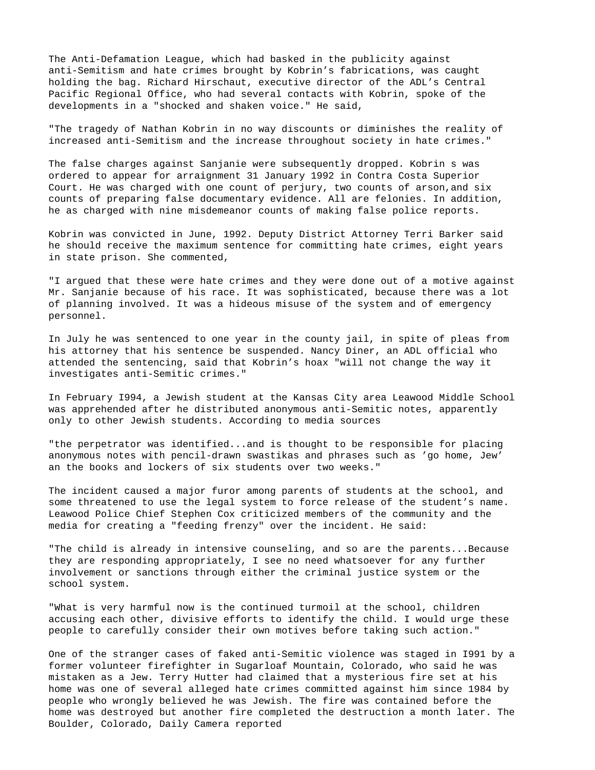The Anti-Defamation League, which had basked in the publicity against anti-Semitism and hate crimes brought by Kobrin's fabrications, was caught holding the bag. Richard Hirschaut, executive director of the ADL's Central Pacific Regional Office, who had several contacts with Kobrin, spoke of the developments in a "shocked and shaken voice." He said,

"The tragedy of Nathan Kobrin in no way discounts or diminishes the reality of increased anti-Semitism and the increase throughout society in hate crimes."

The false charges against Sanjanie were subsequently dropped. Kobrin s was ordered to appear for arraignment 31 January 1992 in Contra Costa Superior Court. He was charged with one count of perjury, two counts of arson,and six counts of preparing false documentary evidence. All are felonies. In addition, he as charged with nine misdemeanor counts of making false police reports.

Kobrin was convicted in June, 1992. Deputy District Attorney Terri Barker said he should receive the maximum sentence for committing hate crimes, eight years in state prison. She commented,

"I argued that these were hate crimes and they were done out of a motive against Mr. Sanjanie because of his race. It was sophisticated, because there was a lot of planning involved. It was a hideous misuse of the system and of emergency personnel.

In July he was sentenced to one year in the county jail, in spite of pleas from his attorney that his sentence be suspended. Nancy Diner, an ADL official who attended the sentencing, said that Kobrin's hoax "will not change the way it investigates anti-Semitic crimes."

In February I994, a Jewish student at the Kansas City area Leawood Middle School was apprehended after he distributed anonymous anti-Semitic notes, apparently only to other Jewish students. According to media sources

"the perpetrator was identified...and is thought to be responsible for placing anonymous notes with pencil-drawn swastikas and phrases such as 'go home, Jew' an the books and lockers of six students over two weeks."

The incident caused a major furor among parents of students at the school, and some threatened to use the legal system to force release of the student's name. Leawood Police Chief Stephen Cox criticized members of the community and the media for creating a "feeding frenzy" over the incident. He said:

"The child is already in intensive counseling, and so are the parents...Because they are responding appropriately, I see no need whatsoever for any further involvement or sanctions through either the criminal justice system or the school system.

"What is very harmful now is the continued turmoil at the school, children accusing each other, divisive efforts to identify the child. I would urge these people to carefully consider their own motives before taking such action."

One of the stranger cases of faked anti-Semitic violence was staged in I991 by a former volunteer firefighter in Sugarloaf Mountain, Colorado, who said he was mistaken as a Jew. Terry Hutter had claimed that a mysterious fire set at his home was one of several alleged hate crimes committed against him since 1984 by people who wrongly believed he was Jewish. The fire was contained before the home was destroyed but another fire completed the destruction a month later. The Boulder, Colorado, Daily Camera reported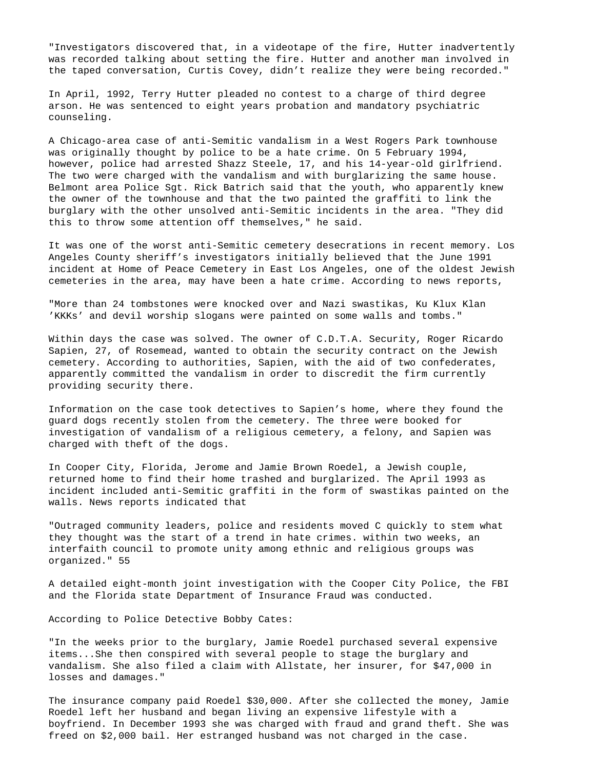"Investigators discovered that, in a videotape of the fire, Hutter inadvertently was recorded talking about setting the fire. Hutter and another man involved in the taped conversation, Curtis Covey, didn't realize they were being recorded."

In April, 1992, Terry Hutter pleaded no contest to a charge of third degree arson. He was sentenced to eight years probation and mandatory psychiatric counseling.

A Chicago-area case of anti-Semitic vandalism in a West Rogers Park townhouse was originally thought by police to be a hate crime. On 5 February 1994, however, police had arrested Shazz Steele, 17, and his 14-year-old girlfriend. The two were charged with the vandalism and with burglarizing the same house. Belmont area Police Sgt. Rick Batrich said that the youth, who apparently knew the owner of the townhouse and that the two painted the graffiti to link the burglary with the other unsolved anti-Semitic incidents in the area. "They did this to throw some attention off themselves," he said.

It was one of the worst anti-Semitic cemetery desecrations in recent memory. Los Angeles County sheriff's investigators initially believed that the June 1991 incident at Home of Peace Cemetery in East Los Angeles, one of the oldest Jewish cemeteries in the area, may have been a hate crime. According to news reports,

"More than 24 tombstones were knocked over and Nazi swastikas, Ku Klux Klan 'KKKs' and devil worship slogans were painted on some walls and tombs."

Within days the case was solved. The owner of C.D.T.A. Security, Roger Ricardo Sapien, 27, of Rosemead, wanted to obtain the security contract on the Jewish cemetery. According to authorities, Sapien, with the aid of two confederates, apparently committed the vandalism in order to discredit the firm currently providing security there.

Information on the case took detectives to Sapien's home, where they found the guard dogs recently stolen from the cemetery. The three were booked for investigation of vandalism of a religious cemetery, a felony, and Sapien was charged with theft of the dogs.

In Cooper City, Florida, Jerome and Jamie Brown Roedel, a Jewish couple, returned home to find their home trashed and burglarized. The April 1993 as incident included anti-Semitic graffiti in the form of swastikas painted on the walls. News reports indicated that

"Outraged community leaders, police and residents moved C quickly to stem what they thought was the start of a trend in hate crimes. within two weeks, an interfaith council to promote unity among ethnic and religious groups was organized." 55

A detailed eight-month joint investigation with the Cooper City Police, the FBI and the Florida state Department of Insurance Fraud was conducted.

According to Police Detective Bobby Cates:

"In the weeks prior to the burglary, Jamie Roedel purchased several expensive items...She then conspired with several people to stage the burglary and vandalism. She also filed a claim with Allstate, her insurer, for \$47,000 in losses and damages."

The insurance company paid Roedel \$30,000. After she collected the money, Jamie Roedel left her husband and began living an expensive lifestyle with a boyfriend. In December 1993 she was charged with fraud and grand theft. She was freed on \$2,000 bail. Her estranged husband was not charged in the case.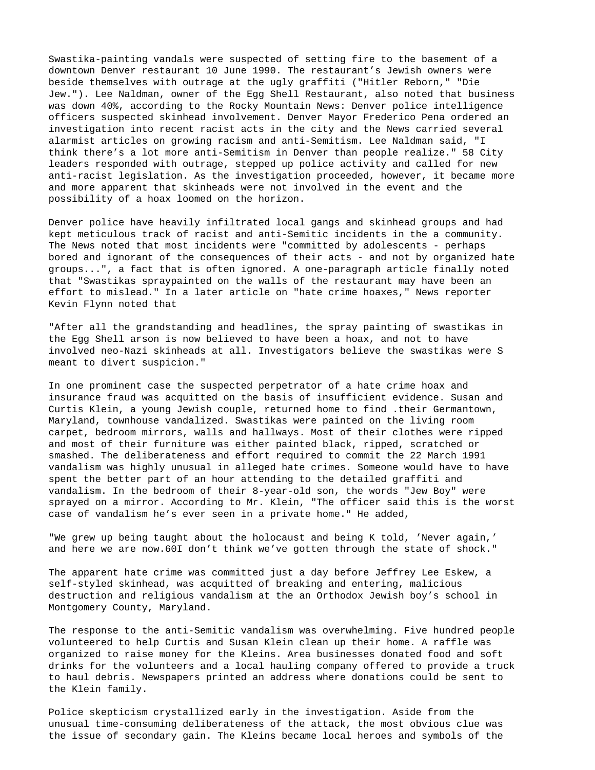Swastika-painting vandals were suspected of setting fire to the basement of a downtown Denver restaurant 10 June 1990. The restaurant's Jewish owners were beside themselves with outrage at the ugly graffiti ("Hitler Reborn," "Die Jew."). Lee Naldman, owner of the Egg Shell Restaurant, also noted that business was down 40%, according to the Rocky Mountain News: Denver police intelligence officers suspected skinhead involvement. Denver Mayor Frederico Pena ordered an investigation into recent racist acts in the city and the News carried several alarmist articles on growing racism and anti-Semitism. Lee Naldman said, "I think there's a lot more anti-Semitism in Denver than people realize." 58 City leaders responded with outrage, stepped up police activity and called for new anti-racist legislation. As the investigation proceeded, however, it became more and more apparent that skinheads were not involved in the event and the possibility of a hoax loomed on the horizon.

Denver police have heavily infiltrated local gangs and skinhead groups and had kept meticulous track of racist and anti-Semitic incidents in the a community. The News noted that most incidents were "committed by adolescents - perhaps bored and ignorant of the consequences of their acts - and not by organized hate groups...", a fact that is often ignored. A one-paragraph article finally noted that "Swastikas spraypainted on the walls of the restaurant may have been an effort to mislead." In a later article on "hate crime hoaxes," News reporter Kevin Flynn noted that

"After all the grandstanding and headlines, the spray painting of swastikas in the Egg Shell arson is now believed to have been a hoax, and not to have involved neo-Nazi skinheads at all. Investigators believe the swastikas were S meant to divert suspicion."

In one prominent case the suspected perpetrator of a hate crime hoax and insurance fraud was acquitted on the basis of insufficient evidence. Susan and Curtis Klein, a young Jewish couple, returned home to find .their Germantown, Maryland, townhouse vandalized. Swastikas were painted on the living room carpet, bedroom mirrors, walls and hallways. Most of their clothes were ripped and most of their furniture was either painted black, ripped, scratched or smashed. The deliberateness and effort required to commit the 22 March 1991 vandalism was highly unusual in alleged hate crimes. Someone would have to have spent the better part of an hour attending to the detailed graffiti and vandalism. In the bedroom of their 8-year-old son, the words "Jew Boy" were sprayed on a mirror. According to Mr. Klein, "The officer said this is the worst case of vandalism he's ever seen in a private home." He added,

"We grew up being taught about the holocaust and being K told, 'Never again,' and here we are now.60I don't think we've gotten through the state of shock."

The apparent hate crime was committed just a day before Jeffrey Lee Eskew, a self-styled skinhead, was acquitted of breaking and entering, malicious destruction and religious vandalism at the an Orthodox Jewish boy's school in Montgomery County, Maryland.

The response to the anti-Semitic vandalism was overwhelming. Five hundred people volunteered to help Curtis and Susan Klein clean up their home. A raffle was organized to raise money for the Kleins. Area businesses donated food and soft drinks for the volunteers and a local hauling company offered to provide a truck to haul debris. Newspapers printed an address where donations could be sent to the Klein family.

Police skepticism crystallized early in the investigation. Aside from the unusual time-consuming deliberateness of the attack, the most obvious clue was the issue of secondary gain. The Kleins became local heroes and symbols of the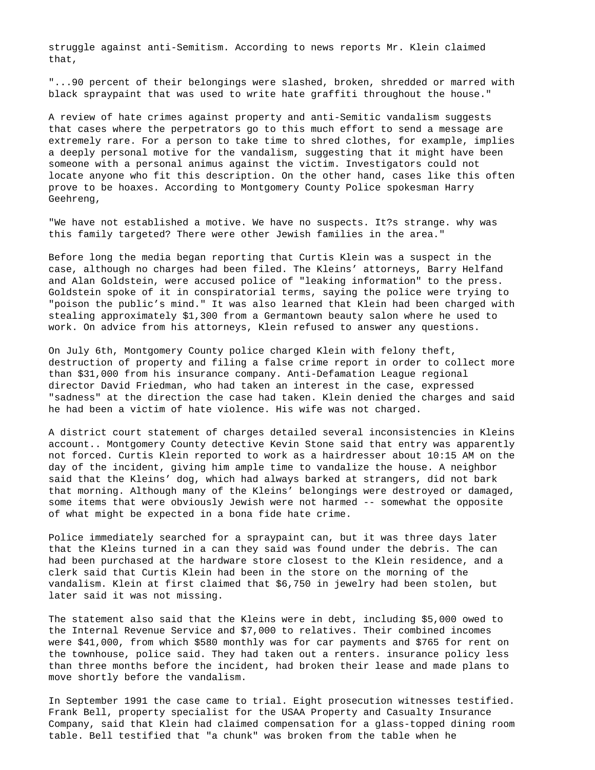struggle against anti-Semitism. According to news reports Mr. Klein claimed that,

"...90 percent of their belongings were slashed, broken, shredded or marred with black spraypaint that was used to write hate graffiti throughout the house."

A review of hate crimes against property and anti-Semitic vandalism suggests that cases where the perpetrators go to this much effort to send a message are extremely rare. For a person to take time to shred clothes, for example, implies a deeply personal motive for the vandalism, suggesting that it might have been someone with a personal animus against the victim. Investigators could not locate anyone who fit this description. On the other hand, cases like this often prove to be hoaxes. According to Montgomery County Police spokesman Harry Geehreng,

"We have not established a motive. We have no suspects. It?s strange. why was this family targeted? There were other Jewish families in the area."

Before long the media began reporting that Curtis Klein was a suspect in the case, although no charges had been filed. The Kleins' attorneys, Barry Helfand and Alan Goldstein, were accused police of "leaking information" to the press. Goldstein spoke of it in conspiratorial terms, saying the police were trying to "poison the public's mind." It was also learned that Klein had been charged with stealing approximately \$1,300 from a Germantown beauty salon where he used to work. On advice from his attorneys, Klein refused to answer any questions.

On July 6th, Montgomery County police charged Klein with felony theft, destruction of property and filing a false crime report in order to collect more than \$31,000 from his insurance company. Anti-Defamation League regional director David Friedman, who had taken an interest in the case, expressed "sadness" at the direction the case had taken. Klein denied the charges and said he had been a victim of hate violence. His wife was not charged.

A district court statement of charges detailed several inconsistencies in Kleins account.. Montgomery County detective Kevin Stone said that entry was apparently not forced. Curtis Klein reported to work as a hairdresser about 10:15 AM on the day of the incident, giving him ample time to vandalize the house. A neighbor said that the Kleins' dog, which had always barked at strangers, did not bark that morning. Although many of the Kleins' belongings were destroyed or damaged, some items that were obviously Jewish were not harmed -- somewhat the opposite of what might be expected in a bona fide hate crime.

Police immediately searched for a spraypaint can, but it was three days later that the Kleins turned in a can they said was found under the debris. The can had been purchased at the hardware store closest to the Klein residence, and a clerk said that Curtis Klein had been in the store on the morning of the vandalism. Klein at first claimed that \$6,750 in jewelry had been stolen, but later said it was not missing.

The statement also said that the Kleins were in debt, including \$5,000 owed to the Internal Revenue Service and \$7,000 to relatives. Their combined incomes were \$41,000, from which \$580 monthly was for car payments and \$765 for rent on the townhouse, police said. They had taken out a renters. insurance policy less than three months before the incident, had broken their lease and made plans to move shortly before the vandalism.

In September 1991 the case came to trial. Eight prosecution witnesses testified. Frank Bell, property specialist for the USAA Property and Casualty Insurance Company, said that Klein had claimed compensation for a glass-topped dining room table. Bell testified that "a chunk" was broken from the table when he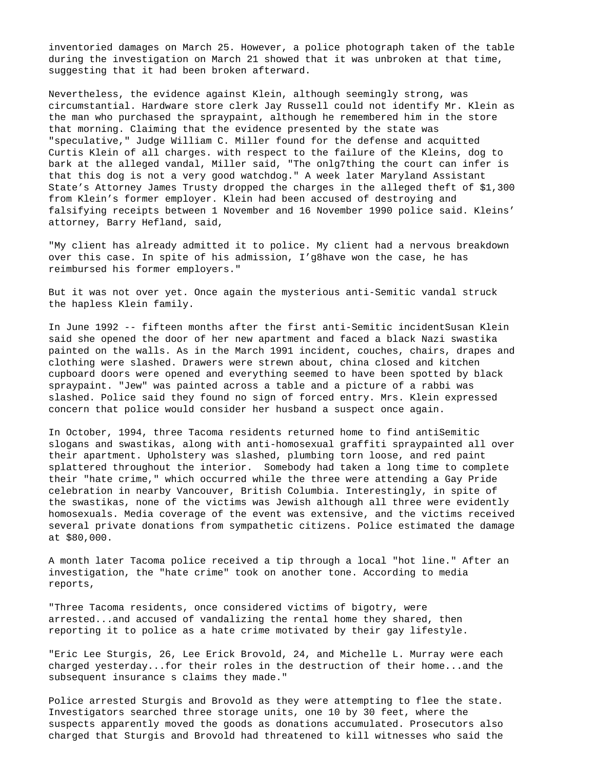inventoried damages on March 25. However, a police photograph taken of the table during the investigation on March 21 showed that it was unbroken at that time, suggesting that it had been broken afterward.

Nevertheless, the evidence against Klein, although seemingly strong, was circumstantial. Hardware store clerk Jay Russell could not identify Mr. Klein as the man who purchased the spraypaint, although he remembered him in the store that morning. Claiming that the evidence presented by the state was "speculative," Judge William C. Miller found for the defense and acquitted Curtis Klein of all charges. with respect to the failure of the Kleins, dog to bark at the alleged vandal, Miller said, "The onlg7thing the court can infer is that this dog is not a very good watchdog." A week later Maryland Assistant State's Attorney James Trusty dropped the charges in the alleged theft of \$1,300 from Klein's former employer. Klein had been accused of destroying and falsifying receipts between 1 November and 16 November 1990 police said. Kleins' attorney, Barry Hefland, said,

"My client has already admitted it to police. My client had a nervous breakdown over this case. In spite of his admission, I'g8have won the case, he has reimbursed his former employers."

But it was not over yet. Once again the mysterious anti-Semitic vandal struck the hapless Klein family.

In June 1992 -- fifteen months after the first anti-Semitic incidentSusan Klein said she opened the door of her new apartment and faced a black Nazi swastika painted on the walls. As in the March 1991 incident, couches, chairs, drapes and clothing were slashed. Drawers were strewn about, china closed and kitchen cupboard doors were opened and everything seemed to have been spotted by black spraypaint. "Jew" was painted across a table and a picture of a rabbi was slashed. Police said they found no sign of forced entry. Mrs. Klein expressed concern that police would consider her husband a suspect once again.

In October, 1994, three Tacoma residents returned home to find antiSemitic slogans and swastikas, along with anti-homosexual graffiti spraypainted all over their apartment. Upholstery was slashed, plumbing torn loose, and red paint splattered throughout the interior. Somebody had taken a long time to complete their "hate crime," which occurred while the three were attending a Gay Pride celebration in nearby Vancouver, British Columbia. Interestingly, in spite of the swastikas, none of the victims was Jewish although all three were evidently homosexuals. Media coverage of the event was extensive, and the victims received several private donations from sympathetic citizens. Police estimated the damage at \$80,000.

A month later Tacoma police received a tip through a local "hot line." After an investigation, the "hate crime" took on another tone. According to media reports,

"Three Tacoma residents, once considered victims of bigotry, were arrested...and accused of vandalizing the rental home they shared, then reporting it to police as a hate crime motivated by their gay lifestyle.

"Eric Lee Sturgis, 26, Lee Erick Brovold, 24, and Michelle L. Murray were each charged yesterday...for their roles in the destruction of their home...and the subsequent insurance s claims they made."

Police arrested Sturgis and Brovold as they were attempting to flee the state. Investigators searched three storage units, one 10 by 30 feet, where the suspects apparently moved the goods as donations accumulated. Prosecutors also charged that Sturgis and Brovold had threatened to kill witnesses who said the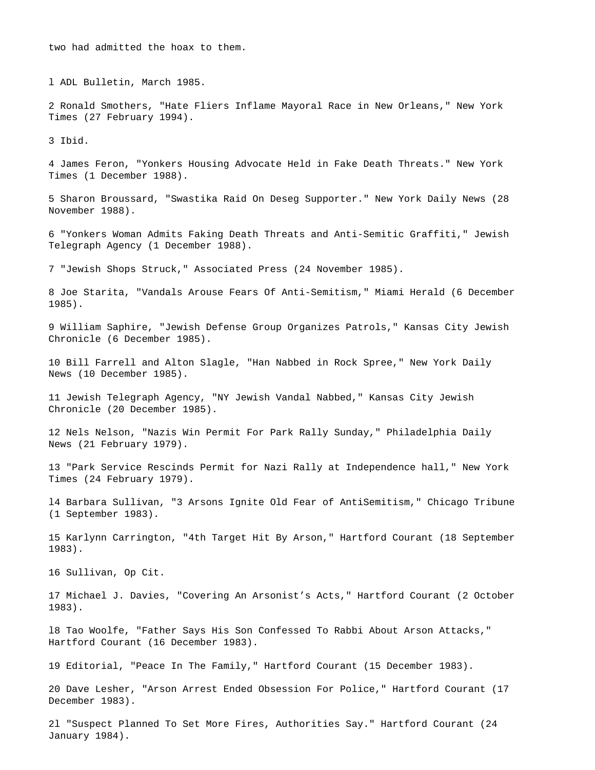two had admitted the hoax to them.

l ADL Bulletin, March 1985.

2 Ronald Smothers, "Hate Fliers Inflame Mayoral Race in New Orleans," New York Times (27 February 1994).

3 Ibid.

4 James Feron, "Yonkers Housing Advocate Held in Fake Death Threats." New York Times (1 December 1988).

5 Sharon Broussard, "Swastika Raid On Deseg Supporter." New York Daily News (28 November 1988).

6 "Yonkers Woman Admits Faking Death Threats and Anti-Semitic Graffiti," Jewish Telegraph Agency (1 December 1988).

7 "Jewish Shops Struck," Associated Press (24 November 1985).

8 Joe Starita, "Vandals Arouse Fears Of Anti-Semitism," Miami Herald (6 December 1985).

9 William Saphire, "Jewish Defense Group Organizes Patrols," Kansas City Jewish Chronicle (6 December 1985).

10 Bill Farrell and Alton Slagle, "Han Nabbed in Rock Spree," New York Daily News (10 December 1985).

11 Jewish Telegraph Agency, "NY Jewish Vandal Nabbed," Kansas City Jewish Chronicle (20 December 1985).

12 Nels Nelson, "Nazis Win Permit For Park Rally Sunday," Philadelphia Daily News (21 February 1979).

13 "Park Service Rescinds Permit for Nazi Rally at Independence hall," New York Times (24 February 1979).

l4 Barbara Sullivan, "3 Arsons Ignite Old Fear of AntiSemitism," Chicago Tribune (1 September 1983).

15 Karlynn Carrington, "4th Target Hit By Arson," Hartford Courant (18 September 1983).

16 Sullivan, Op Cit.

17 Michael J. Davies, "Covering An Arsonist's Acts," Hartford Courant (2 October 1983).

l8 Tao Woolfe, "Father Says His Son Confessed To Rabbi About Arson Attacks," Hartford Courant (16 December 1983).

19 Editorial, "Peace In The Family," Hartford Courant (15 December 1983).

20 Dave Lesher, "Arson Arrest Ended Obsession For Police," Hartford Courant (17 December 1983).

2l "Suspect Planned To Set More Fires, Authorities Say." Hartford Courant (24 January 1984).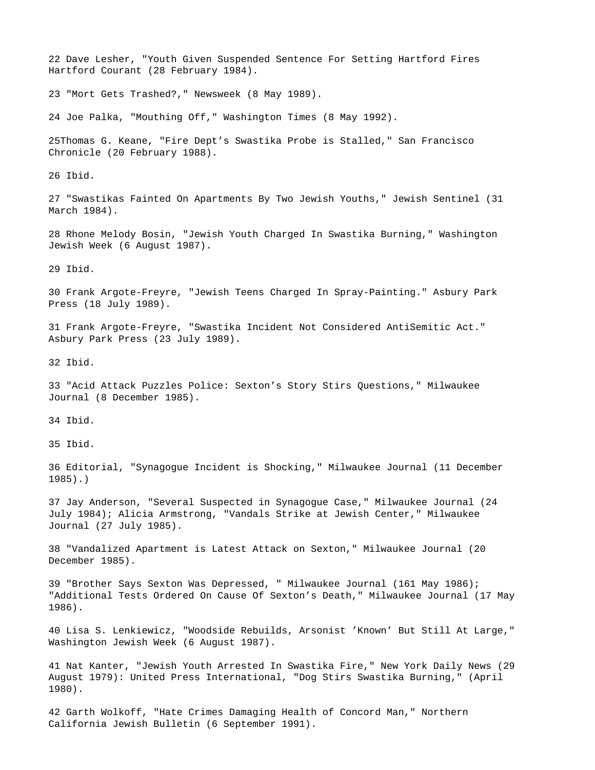22 Dave Lesher, "Youth Given Suspended Sentence For Setting Hartford Fires Hartford Courant (28 February 1984).

23 "Mort Gets Trashed?," Newsweek (8 May 1989).

24 Joe Palka, "Mouthing Off," Washington Times (8 May 1992).

25Thomas G. Keane, "Fire Dept's Swastika Probe is Stalled," San Francisco Chronicle (20 February 1988).

26 Ibid.

27 "Swastikas Fainted On Apartments By Two Jewish Youths," Jewish Sentinel (31 March 1984).

28 Rhone Melody Bosin, "Jewish Youth Charged In Swastika Burning," Washington Jewish Week (6 August 1987).

29 Ibid.

30 Frank Argote-Freyre, "Jewish Teens Charged In Spray-Painting." Asbury Park Press (18 July 1989).

31 Frank Argote-Freyre, "Swastika Incident Not Considered AntiSemitic Act." Asbury Park Press (23 July 1989).

32 Ibid.

33 "Acid Attack Puzzles Police: Sexton's Story Stirs Questions," Milwaukee Journal (8 December 1985).

34 Ibid.

35 Ibid.

36 Editorial, "Synagogue Incident is Shocking," Milwaukee Journal (11 December 1985).)

37 Jay Anderson, "Several Suspected in Synagogue Case," Milwaukee Journal (24 July 1984); Alicia Armstrong, "Vandals Strike at Jewish Center," Milwaukee Journal (27 July 1985).

38 "Vandalized Apartment is Latest Attack on Sexton," Milwaukee Journal (20 December 1985).

39 "Brother Says Sexton Was Depressed, " Milwaukee Journal (161 May 1986); "Additional Tests Ordered On Cause Of Sexton's Death," Milwaukee Journal (17 May 1986).

40 Lisa S. Lenkiewicz, "Woodside Rebuilds, Arsonist 'Known' But Still At Large," Washington Jewish Week (6 August 1987).

41 Nat Kanter, "Jewish Youth Arrested In Swastika Fire," New York Daily News (29 August 1979): United Press International, "Dog Stirs Swastika Burning," (April 1980).

42 Garth Wolkoff, "Hate Crimes Damaging Health of Concord Man," Northern California Jewish Bulletin (6 September 1991).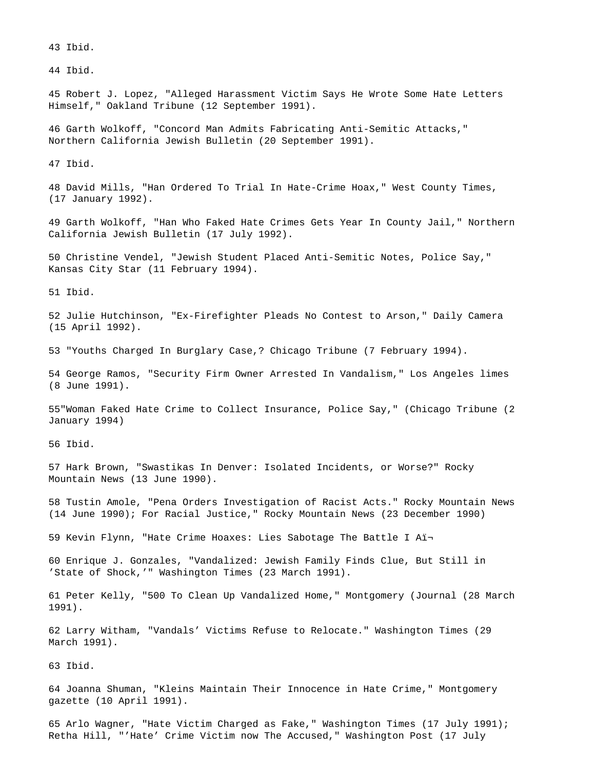43 Ibid. 44 Ibid. 45 Robert J. Lopez, "Alleged Harassment Victim Says He Wrote Some Hate Letters Himself," Oakland Tribune (12 September 1991). 46 Garth Wolkoff, "Concord Man Admits Fabricating Anti-Semitic Attacks," Northern California Jewish Bulletin (20 September 1991). 47 Ibid. 48 David Mills, "Han Ordered To Trial In Hate-Crime Hoax," West County Times, (17 January 1992). 49 Garth Wolkoff, "Han Who Faked Hate Crimes Gets Year In County Jail," Northern California Jewish Bulletin (17 July 1992). 50 Christine Vendel, "Jewish Student Placed Anti-Semitic Notes, Police Say," Kansas City Star (11 February 1994). 51 Ibid. 52 Julie Hutchinson, "Ex-Firefighter Pleads No Contest to Arson," Daily Camera (15 April 1992). 53 "Youths Charged In Burglary Case,? Chicago Tribune (7 February 1994). 54 George Ramos, "Security Firm Owner Arrested In Vandalism," Los Angeles limes (8 June 1991). 55"Woman Faked Hate Crime to Collect Insurance, Police Say," (Chicago Tribune (2 January 1994) 56 Ibid. 57 Hark Brown, "Swastikas In Denver: Isolated Incidents, or Worse?" Rocky Mountain News (13 June 1990). 58 Tustin Amole, "Pena Orders Investigation of Racist Acts." Rocky Mountain News (14 June 1990); For Racial Justice," Rocky Mountain News (23 December 1990) 59 Kevin Flynn, "Hate Crime Hoaxes: Lies Sabotage The Battle I Aï¬ 60 Enrique J. Gonzales, "Vandalized: Jewish Family Finds Clue, But Still in 'State of Shock,'" Washington Times (23 March 1991). 61 Peter Kelly, "500 To Clean Up Vandalized Home," Montgomery (Journal (28 March 1991). 62 Larry Witham, "Vandals' Victims Refuse to Relocate." Washington Times (29 March 1991). 63 Ibid. 64 Joanna Shuman, "Kleins Maintain Their Innocence in Hate Crime," Montgomery gazette (10 April 1991). 65 Arlo Wagner, "Hate Victim Charged as Fake," Washington Times (17 July 1991);

Retha Hill, "'Hate' Crime Victim now The Accused," Washington Post (17 July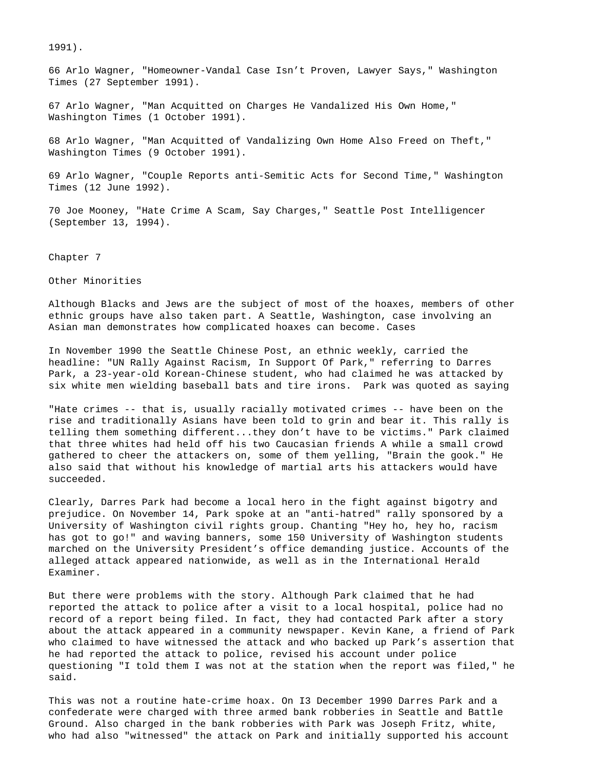1991).

66 Arlo Wagner, "Homeowner-Vandal Case Isn't Proven, Lawyer Says," Washington Times (27 September 1991).

67 Arlo Wagner, "Man Acquitted on Charges He Vandalized His Own Home," Washington Times (1 October 1991).

68 Arlo Wagner, "Man Acquitted of Vandalizing Own Home Also Freed on Theft," Washington Times (9 October 1991).

69 Arlo Wagner, "Couple Reports anti-Semitic Acts for Second Time," Washington Times (12 June 1992).

70 Joe Mooney, "Hate Crime A Scam, Say Charges," Seattle Post Intelligencer (September 13, 1994).

Chapter 7

Other Minorities

Although Blacks and Jews are the subject of most of the hoaxes, members of other ethnic groups have also taken part. A Seattle, Washington, case involving an Asian man demonstrates how complicated hoaxes can become. Cases

In November 1990 the Seattle Chinese Post, an ethnic weekly, carried the headline: "UN Rally Against Racism, In Support Of Park," referring to Darres Park, a 23-year-old Korean-Chinese student, who had claimed he was attacked by six white men wielding baseball bats and tire irons. Park was quoted as saying

"Hate crimes -- that is, usually racially motivated crimes -- have been on the rise and traditionally Asians have been told to grin and bear it. This rally is telling them something different...they don't have to be victims." Park claimed that three whites had held off his two Caucasian friends A while a small crowd gathered to cheer the attackers on, some of them yelling, "Brain the gook." He also said that without his knowledge of martial arts his attackers would have succeeded.

Clearly, Darres Park had become a local hero in the fight against bigotry and prejudice. On November 14, Park spoke at an "anti-hatred" rally sponsored by a University of Washington civil rights group. Chanting "Hey ho, hey ho, racism has got to go!" and waving banners, some 150 University of Washington students marched on the University President's office demanding justice. Accounts of the alleged attack appeared nationwide, as well as in the International Herald Examiner.

But there were problems with the story. Although Park claimed that he had reported the attack to police after a visit to a local hospital, police had no record of a report being filed. In fact, they had contacted Park after a story about the attack appeared in a community newspaper. Kevin Kane, a friend of Park who claimed to have witnessed the attack and who backed up Park's assertion that he had reported the attack to police, revised his account under police questioning "I told them I was not at the station when the report was filed," he said.

This was not a routine hate-crime hoax. On I3 December 1990 Darres Park and a confederate were charged with three armed bank robberies in Seattle and Battle Ground. Also charged in the bank robberies with Park was Joseph Fritz, white, who had also "witnessed" the attack on Park and initially supported his account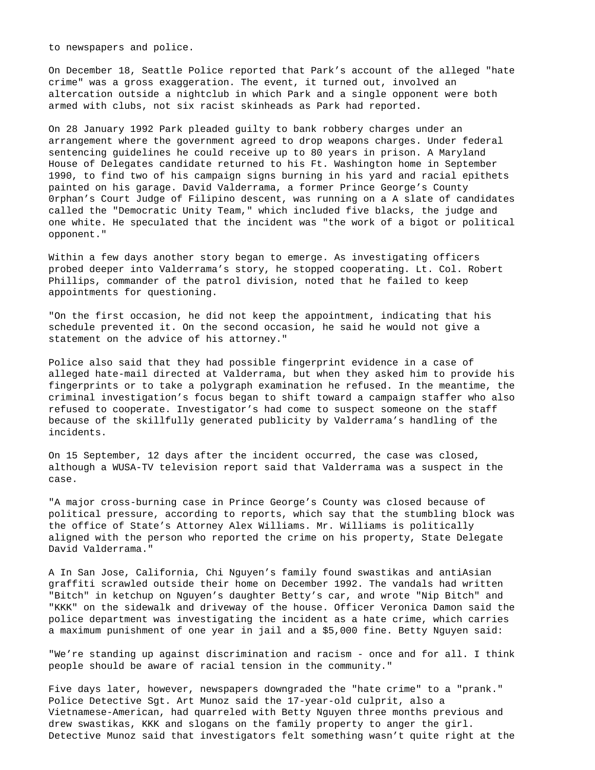to newspapers and police.

On December 18, Seattle Police reported that Park's account of the alleged "hate crime" was a gross exaggeration. The event, it turned out, involved an altercation outside a nightclub in which Park and a single opponent were both armed with clubs, not six racist skinheads as Park had reported.

On 28 January 1992 Park pleaded guilty to bank robbery charges under an arrangement where the government agreed to drop weapons charges. Under federal sentencing guidelines he could receive up to 80 years in prison. A Maryland House of Delegates candidate returned to his Ft. Washington home in September 1990, to find two of his campaign signs burning in his yard and racial epithets painted on his garage. David Valderrama, a former Prince George's County 0rphan's Court Judge of Filipino descent, was running on a A slate of candidates called the "Democratic Unity Team," which included five blacks, the judge and one white. He speculated that the incident was "the work of a bigot or political opponent."

Within a few days another story began to emerge. As investigating officers probed deeper into Valderrama's story, he stopped cooperating. Lt. Col. Robert Phillips, commander of the patrol division, noted that he failed to keep appointments for questioning.

"On the first occasion, he did not keep the appointment, indicating that his schedule prevented it. On the second occasion, he said he would not give a statement on the advice of his attorney."

Police also said that they had possible fingerprint evidence in a case of alleged hate-mail directed at Valderrama, but when they asked him to provide his fingerprints or to take a polygraph examination he refused. In the meantime, the criminal investigation's focus began to shift toward a campaign staffer who also refused to cooperate. Investigator's had come to suspect someone on the staff because of the skillfully generated publicity by Valderrama's handling of the incidents.

On 15 September, 12 days after the incident occurred, the case was closed, although a WUSA-TV television report said that Valderrama was a suspect in the case.

"A major cross-burning case in Prince George's County was closed because of political pressure, according to reports, which say that the stumbling block was the office of State's Attorney Alex Williams. Mr. Williams is politically aligned with the person who reported the crime on his property, State Delegate David Valderrama."

A In San Jose, California, Chi Nguyen's family found swastikas and antiAsian graffiti scrawled outside their home on December 1992. The vandals had written "Bitch" in ketchup on Nguyen's daughter Betty's car, and wrote "Nip Bitch" and "KKK" on the sidewalk and driveway of the house. Officer Veronica Damon said the police department was investigating the incident as a hate crime, which carries a maximum punishment of one year in jail and a \$5,000 fine. Betty Nguyen said:

"We're standing up against discrimination and racism - once and for all. I think people should be aware of racial tension in the community."

Five days later, however, newspapers downgraded the "hate crime" to a "prank." Police Detective Sgt. Art Munoz said the 17-year-old culprit, also a Vietnamese-American, had quarreled with Betty Nguyen three months previous and drew swastikas, KKK and slogans on the family property to anger the girl. Detective Munoz said that investigators felt something wasn't quite right at the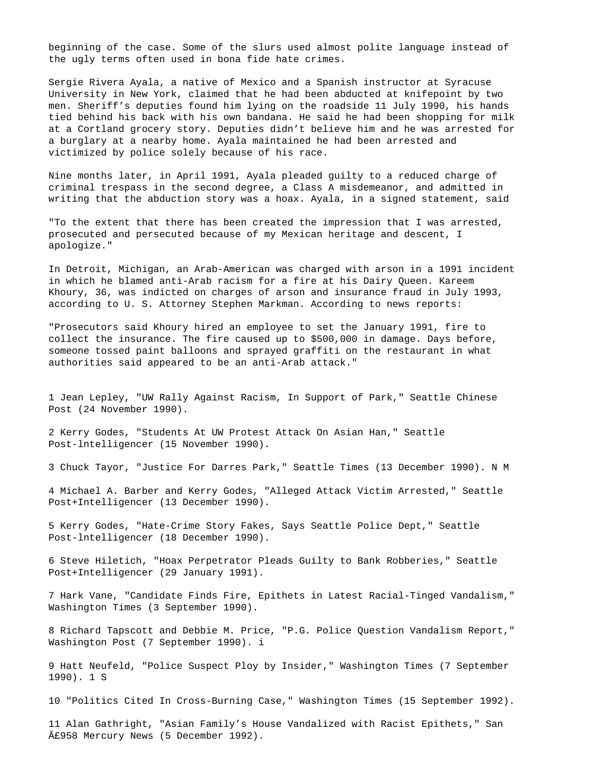beginning of the case. Some of the slurs used almost polite language instead of the ugly terms often used in bona fide hate crimes.

Sergie Rivera Ayala, a native of Mexico and a Spanish instructor at Syracuse University in New York, claimed that he had been abducted at knifepoint by two men. Sheriff's deputies found him lying on the roadside 11 July 1990, his hands tied behind his back with his own bandana. He said he had been shopping for milk at a Cortland grocery story. Deputies didn't believe him and he was arrested for a burglary at a nearby home. Ayala maintained he had been arrested and victimized by police solely because of his race.

Nine months later, in April 1991, Ayala pleaded guilty to a reduced charge of criminal trespass in the second degree, a Class A misdemeanor, and admitted in writing that the abduction story was a hoax. Ayala, in a signed statement, said

"To the extent that there has been created the impression that I was arrested, prosecuted and persecuted because of my Mexican heritage and descent, I apologize."

In Detroit, Michigan, an Arab-American was charged with arson in a 1991 incident in which he blamed anti-Arab racism for a fire at his Dairy Queen. Kareem Khoury, 36, was indicted on charges of arson and insurance fraud in July 1993, according to U. S. Attorney Stephen Markman. According to news reports:

"Prosecutors said Khoury hired an employee to set the January 1991, fire to collect the insurance. The fire caused up to \$500,000 in damage. Days before, someone tossed paint balloons and sprayed graffiti on the restaurant in what authorities said appeared to be an anti-Arab attack."

1 Jean Lepley, "UW Rally Against Racism, In Support of Park," Seattle Chinese Post (24 November 1990).

2 Kerry Godes, "Students At UW Protest Attack On Asian Han," Seattle Post-lntelligencer (15 November 1990).

3 Chuck Tayor, "Justice For Darres Park," Seattle Times (13 December 1990). N M

4 Michael A. Barber and Kerry Godes, "Alleged Attack Victim Arrested," Seattle Post+Intelligencer (13 December 1990).

5 Kerry Godes, "Hate-Crime Story Fakes, Says Seattle Police Dept," Seattle Post-lntelligencer (18 December 1990).

6 Steve Hiletich, "Hoax Perpetrator Pleads Guilty to Bank Robberies," Seattle Post+Intelligencer (29 January 1991).

7 Hark Vane, "Candidate Finds Fire, Epithets in Latest Racial-Tinged Vandalism," Washington Times (3 September 1990).

8 Richard Tapscott and Debbie M. Price, "P.G. Police Question Vandalism Report," Washington Post (7 September 1990). i

9 Hatt Neufeld, "Police Suspect Ploy by Insider," Washington Times (7 September 1990). 1 S

10 "Politics Cited In Cross-Burning Case," Washington Times (15 September 1992).

11 Alan Gathright, "Asian Family's House Vandalized with Racist Epithets," San £958 Mercury News (5 December 1992).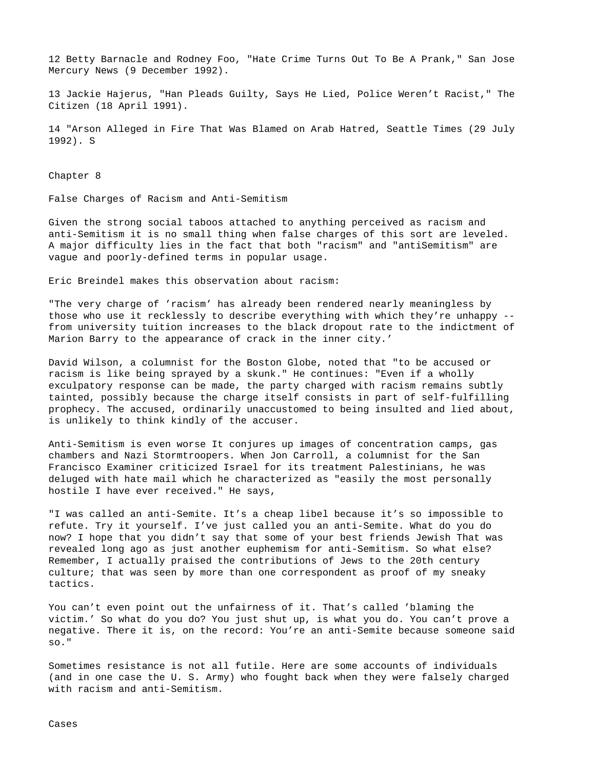12 Betty Barnacle and Rodney Foo, "Hate Crime Turns Out To Be A Prank," San Jose Mercury News (9 December 1992).

13 Jackie Hajerus, "Han Pleads Guilty, Says He Lied, Police Weren't Racist," The Citizen (18 April 1991).

14 "Arson Alleged in Fire That Was Blamed on Arab Hatred, Seattle Times (29 July 1992). S

Chapter 8

False Charges of Racism and Anti-Semitism

Given the strong social taboos attached to anything perceived as racism and anti-Semitism it is no small thing when false charges of this sort are leveled. A major difficulty lies in the fact that both "racism" and "antiSemitism" are vague and poorly-defined terms in popular usage.

Eric Breindel makes this observation about racism:

"The very charge of 'racism' has already been rendered nearly meaningless by those who use it recklessly to describe everything with which they're unhappy - from university tuition increases to the black dropout rate to the indictment of Marion Barry to the appearance of crack in the inner city.'

David Wilson, a columnist for the Boston Globe, noted that "to be accused or racism is like being sprayed by a skunk." He continues: "Even if a wholly exculpatory response can be made, the party charged with racism remains subtly tainted, possibly because the charge itself consists in part of self-fulfilling prophecy. The accused, ordinarily unaccustomed to being insulted and lied about, is unlikely to think kindly of the accuser.

Anti-Semitism is even worse It conjures up images of concentration camps, gas chambers and Nazi Stormtroopers. When Jon Carroll, a columnist for the San Francisco Examiner criticized Israel for its treatment Palestinians, he was deluged with hate mail which he characterized as "easily the most personally hostile I have ever received." He says,

"I was called an anti-Semite. It's a cheap libel because it's so impossible to refute. Try it yourself. I've just called you an anti-Semite. What do you do now? I hope that you didn't say that some of your best friends Jewish That was revealed long ago as just another euphemism for anti-Semitism. So what else? Remember, I actually praised the contributions of Jews to the 20th century culture; that was seen by more than one correspondent as proof of my sneaky tactics.

You can't even point out the unfairness of it. That's called 'blaming the victim.' So what do you do? You just shut up, is what you do. You can't prove a negative. There it is, on the record: You're an anti-Semite because someone said so."

Sometimes resistance is not all futile. Here are some accounts of individuals (and in one case the U. S. Army) who fought back when they were falsely charged with racism and anti-Semitism.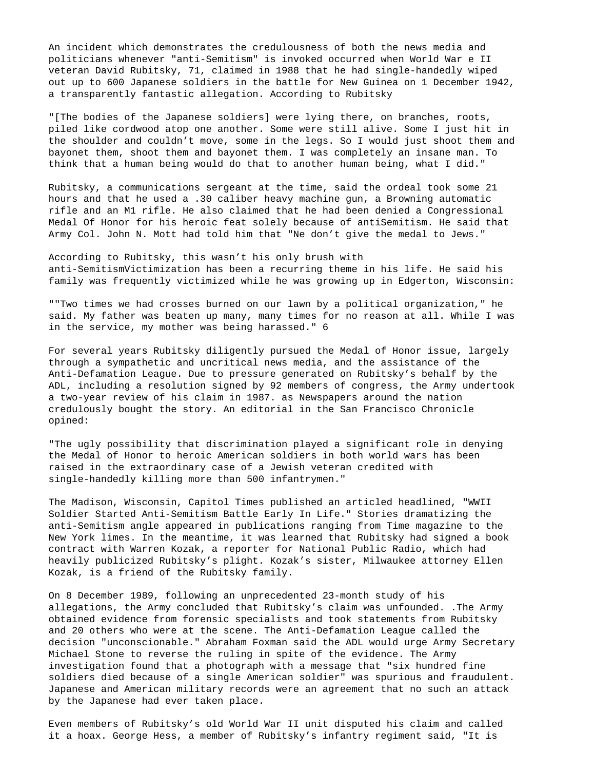An incident which demonstrates the credulousness of both the news media and politicians whenever "anti-Semitism" is invoked occurred when World War e II veteran David Rubitsky, 71, claimed in 1988 that he had single-handedly wiped out up to 600 Japanese soldiers in the battle for New Guinea on 1 December 1942, a transparently fantastic allegation. According to Rubitsky

"[The bodies of the Japanese soldiers] were lying there, on branches, roots, piled like cordwood atop one another. Some were still alive. Some I just hit in the shoulder and couldn't move, some in the legs. So I would just shoot them and bayonet them, shoot them and bayonet them. I was completely an insane man. To think that a human being would do that to another human being, what I did."

Rubitsky, a communications sergeant at the time, said the ordeal took some 21 hours and that he used a .30 caliber heavy machine gun, a Browning automatic rifle and an M1 rifle. He also claimed that he had been denied a Congressional Medal Of Honor for his heroic feat solely because of antiSemitism. He said that Army Col. John N. Mott had told him that "Ne don't give the medal to Jews."

According to Rubitsky, this wasn't his only brush with anti-SemitismVictimization has been a recurring theme in his life. He said his family was frequently victimized while he was growing up in Edgerton, Wisconsin:

""Two times we had crosses burned on our lawn by a political organization," he said. My father was beaten up many, many times for no reason at all. While I was in the service, my mother was being harassed." 6

For several years Rubitsky diligently pursued the Medal of Honor issue, largely through a sympathetic and uncritical news media, and the assistance of the Anti-Defamation League. Due to pressure generated on Rubitsky's behalf by the ADL, including a resolution signed by 92 members of congress, the Army undertook a two-year review of his claim in 1987. as Newspapers around the nation credulously bought the story. An editorial in the San Francisco Chronicle opined:

"The ugly possibility that discrimination played a significant role in denying the Medal of Honor to heroic American soldiers in both world wars has been raised in the extraordinary case of a Jewish veteran credited with single-handedly killing more than 500 infantrymen."

The Madison, Wisconsin, Capitol Times published an articled headlined, "WWII Soldier Started Anti-Semitism Battle Early In Life." Stories dramatizing the anti-Semitism angle appeared in publications ranging from Time magazine to the New York limes. In the meantime, it was learned that Rubitsky had signed a book contract with Warren Kozak, a reporter for National Public Radio, which had heavily publicized Rubitsky's plight. Kozak's sister, Milwaukee attorney Ellen Kozak, is a friend of the Rubitsky family.

On 8 December 1989, following an unprecedented 23-month study of his allegations, the Army concluded that Rubitsky's claim was unfounded. .The Army obtained evidence from forensic specialists and took statements from Rubitsky and 20 others who were at the scene. The Anti-Defamation League called the decision "unconscionable." Abraham Foxman said the ADL would urge Army Secretary Michael Stone to reverse the ruling in spite of the evidence. The Army investigation found that a photograph with a message that "six hundred fine soldiers died because of a single American soldier" was spurious and fraudulent. Japanese and American military records were an agreement that no such an attack by the Japanese had ever taken place.

Even members of Rubitsky's old World War II unit disputed his claim and called it a hoax. George Hess, a member of Rubitsky's infantry regiment said, "It is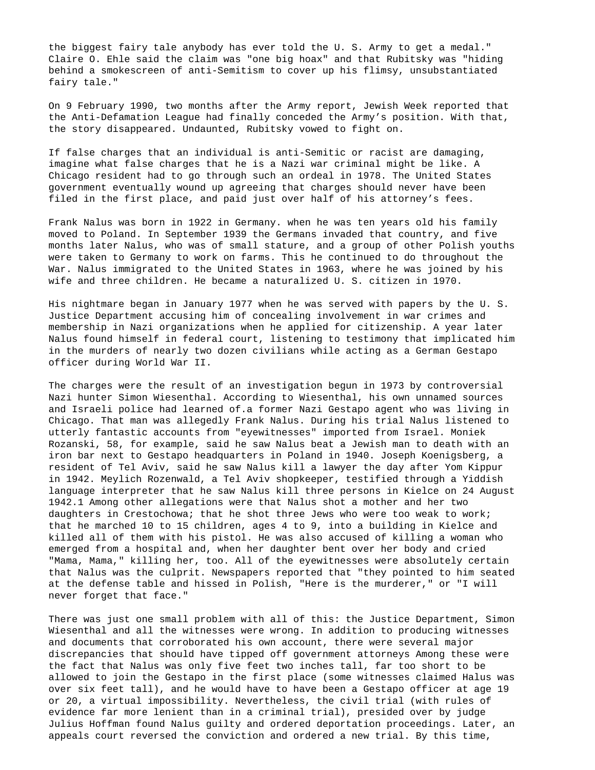the biggest fairy tale anybody has ever told the U. S. Army to get a medal." Claire O. Ehle said the claim was "one big hoax" and that Rubitsky was "hiding behind a smokescreen of anti-Semitism to cover up his flimsy, unsubstantiated fairy tale."

On 9 February 1990, two months after the Army report, Jewish Week reported that the Anti-Defamation League had finally conceded the Army's position. With that, the story disappeared. Undaunted, Rubitsky vowed to fight on.

If false charges that an individual is anti-Semitic or racist are damaging, imagine what false charges that he is a Nazi war criminal might be like. A Chicago resident had to go through such an ordeal in 1978. The United States government eventually wound up agreeing that charges should never have been filed in the first place, and paid just over half of his attorney's fees.

Frank Nalus was born in 1922 in Germany. when he was ten years old his family moved to Poland. In September 1939 the Germans invaded that country, and five months later Nalus, who was of small stature, and a group of other Polish youths were taken to Germany to work on farms. This he continued to do throughout the War. Nalus immigrated to the United States in 1963, where he was joined by his wife and three children. He became a naturalized U. S. citizen in 1970.

His nightmare began in January 1977 when he was served with papers by the U. S. Justice Department accusing him of concealing involvement in war crimes and membership in Nazi organizations when he applied for citizenship. A year later Nalus found himself in federal court, listening to testimony that implicated him in the murders of nearly two dozen civilians while acting as a German Gestapo officer during World War II.

The charges were the result of an investigation begun in 1973 by controversial Nazi hunter Simon Wiesenthal. According to Wiesenthal, his own unnamed sources and Israeli police had learned of.a former Nazi Gestapo agent who was living in Chicago. That man was allegedly Frank Nalus. During his trial Nalus listened to utterly fantastic accounts from "eyewitnesses" imported from Israel. Moniek Rozanski, 58, for example, said he saw Nalus beat a Jewish man to death with an iron bar next to Gestapo headquarters in Poland in 1940. Joseph Koenigsberg, a resident of Tel Aviv, said he saw Nalus kill a lawyer the day after Yom Kippur in 1942. Meylich Rozenwald, a Tel Aviv shopkeeper, testified through a Yiddish language interpreter that he saw Nalus kill three persons in Kielce on 24 August 1942.1 Among other allegations were that Nalus shot a mother and her two daughters in Crestochowa; that he shot three Jews who were too weak to work; that he marched 10 to 15 children, ages 4 to 9, into a building in Kielce and killed all of them with his pistol. He was also accused of killing a woman who emerged from a hospital and, when her daughter bent over her body and cried "Mama, Mama," killing her, too. All of the eyewitnesses were absolutely certain that Nalus was the culprit. Newspapers reported that "they pointed to him seated at the defense table and hissed in Polish, "Here is the murderer," or "I will never forget that face."

There was just one small problem with all of this: the Justice Department, Simon Wiesenthal and all the witnesses were wrong. In addition to producing witnesses and documents that corroborated his own account, there were several major discrepancies that should have tipped off government attorneys Among these were the fact that Nalus was only five feet two inches tall, far too short to be allowed to join the Gestapo in the first place (some witnesses claimed Halus was over six feet tall), and he would have to have been a Gestapo officer at age 19 or 20, a virtual impossibility. Nevertheless, the civil trial (with rules of evidence far more lenient than in a criminal trial), presided over by judge Julius Hoffman found Nalus guilty and ordered deportation proceedings. Later, an appeals court reversed the conviction and ordered a new trial. By this time,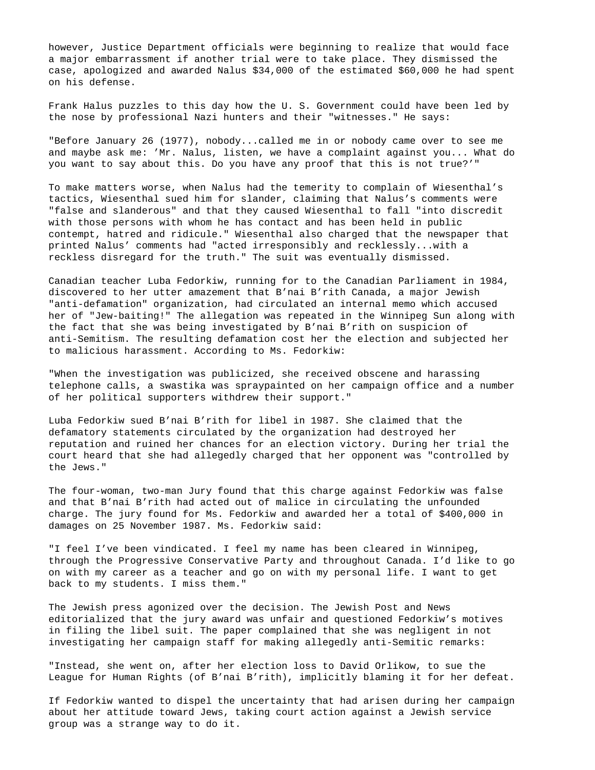however, Justice Department officials were beginning to realize that would face a major embarrassment if another trial were to take place. They dismissed the case, apologized and awarded Nalus \$34,000 of the estimated \$60,000 he had spent on his defense.

Frank Halus puzzles to this day how the U. S. Government could have been led by the nose by professional Nazi hunters and their "witnesses." He says:

"Before January 26 (1977), nobody...called me in or nobody came over to see me and maybe ask me: 'Mr. Nalus, listen, we have a complaint against you... What do you want to say about this. Do you have any proof that this is not true?'"

To make matters worse, when Nalus had the temerity to complain of Wiesenthal's tactics, Wiesenthal sued him for slander, claiming that Nalus's comments were "false and slanderous" and that they caused Wiesenthal to fall "into discredit with those persons with whom he has contact and has been held in public contempt, hatred and ridicule." Wiesenthal also charged that the newspaper that printed Nalus' comments had "acted irresponsibly and recklessly...with a reckless disregard for the truth." The suit was eventually dismissed.

Canadian teacher Luba Fedorkiw, running for to the Canadian Parliament in 1984, discovered to her utter amazement that B'nai B'rith Canada, a major Jewish "anti-defamation" organization, had circulated an internal memo which accused her of "Jew-baiting!" The allegation was repeated in the Winnipeg Sun along with the fact that she was being investigated by B'nai B'rith on suspicion of anti-Semitism. The resulting defamation cost her the election and subjected her to malicious harassment. According to Ms. Fedorkiw:

"When the investigation was publicized, she received obscene and harassing telephone calls, a swastika was spraypainted on her campaign office and a number of her political supporters withdrew their support."

Luba Fedorkiw sued B'nai B'rith for libel in 1987. She claimed that the defamatory statements circulated by the organization had destroyed her reputation and ruined her chances for an election victory. During her trial the court heard that she had allegedly charged that her opponent was "controlled by the Jews."

The four-woman, two-man Jury found that this charge against Fedorkiw was false and that B'nai B'rith had acted out of malice in circulating the unfounded charge. The jury found for Ms. Fedorkiw and awarded her a total of \$400,000 in damages on 25 November 1987. Ms. Fedorkiw said:

"I feel I've been vindicated. I feel my name has been cleared in Winnipeg, through the Progressive Conservative Party and throughout Canada. I'd like to go on with my career as a teacher and go on with my personal life. I want to get back to my students. I miss them."

The Jewish press agonized over the decision. The Jewish Post and News editorialized that the jury award was unfair and questioned Fedorkiw's motives in filing the libel suit. The paper complained that she was negligent in not investigating her campaign staff for making allegedly anti-Semitic remarks:

"Instead, she went on, after her election loss to David Orlikow, to sue the League for Human Rights (of B'nai B'rith), implicitly blaming it for her defeat.

If Fedorkiw wanted to dispel the uncertainty that had arisen during her campaign about her attitude toward Jews, taking court action against a Jewish service group was a strange way to do it.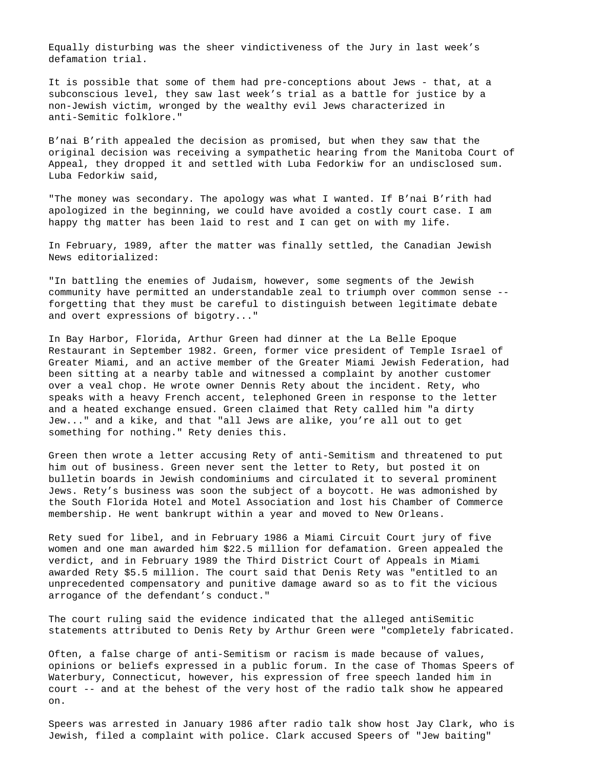Equally disturbing was the sheer vindictiveness of the Jury in last week's defamation trial.

It is possible that some of them had pre-conceptions about Jews - that, at a subconscious level, they saw last week's trial as a battle for justice by a non-Jewish victim, wronged by the wealthy evil Jews characterized in anti-Semitic folklore."

B'nai B'rith appealed the decision as promised, but when they saw that the original decision was receiving a sympathetic hearing from the Manitoba Court of Appeal, they dropped it and settled with Luba Fedorkiw for an undisclosed sum. Luba Fedorkiw said,

"The money was secondary. The apology was what I wanted. If B'nai B'rith had apologized in the beginning, we could have avoided a costly court case. I am happy thg matter has been laid to rest and I can get on with my life.

In February, 1989, after the matter was finally settled, the Canadian Jewish News editorialized:

"In battling the enemies of Judaism, however, some segments of the Jewish community have permitted an understandable zeal to triumph over common sense - forgetting that they must be careful to distinguish between legitimate debate and overt expressions of bigotry..."

In Bay Harbor, Florida, Arthur Green had dinner at the La Belle Epoque Restaurant in September 1982. Green, former vice president of Temple Israel of Greater Miami, and an active member of the Greater Miami Jewish Federation, had been sitting at a nearby table and witnessed a complaint by another customer over a veal chop. He wrote owner Dennis Rety about the incident. Rety, who speaks with a heavy French accent, telephoned Green in response to the letter and a heated exchange ensued. Green claimed that Rety called him "a dirty Jew..." and a kike, and that "all Jews are alike, you're all out to get something for nothing." Rety denies this.

Green then wrote a letter accusing Rety of anti-Semitism and threatened to put him out of business. Green never sent the letter to Rety, but posted it on bulletin boards in Jewish condominiums and circulated it to several prominent Jews. Rety's business was soon the subject of a boycott. He was admonished by the South Florida Hotel and Motel Association and lost his Chamber of Commerce membership. He went bankrupt within a year and moved to New Orleans.

Rety sued for libel, and in February 1986 a Miami Circuit Court jury of five women and one man awarded him \$22.5 million for defamation. Green appealed the verdict, and in February 1989 the Third District Court of Appeals in Miami awarded Rety \$5.5 million. The court said that Denis Rety was "entitled to an unprecedented compensatory and punitive damage award so as to fit the vicious arrogance of the defendant's conduct."

The court ruling said the evidence indicated that the alleged antiSemitic statements attributed to Denis Rety by Arthur Green were "completely fabricated.

Often, a false charge of anti-Semitism or racism is made because of values, opinions or beliefs expressed in a public forum. In the case of Thomas Speers of Waterbury, Connecticut, however, his expression of free speech landed him in court -- and at the behest of the very host of the radio talk show he appeared on.

Speers was arrested in January 1986 after radio talk show host Jay Clark, who is Jewish, filed a complaint with police. Clark accused Speers of "Jew baiting"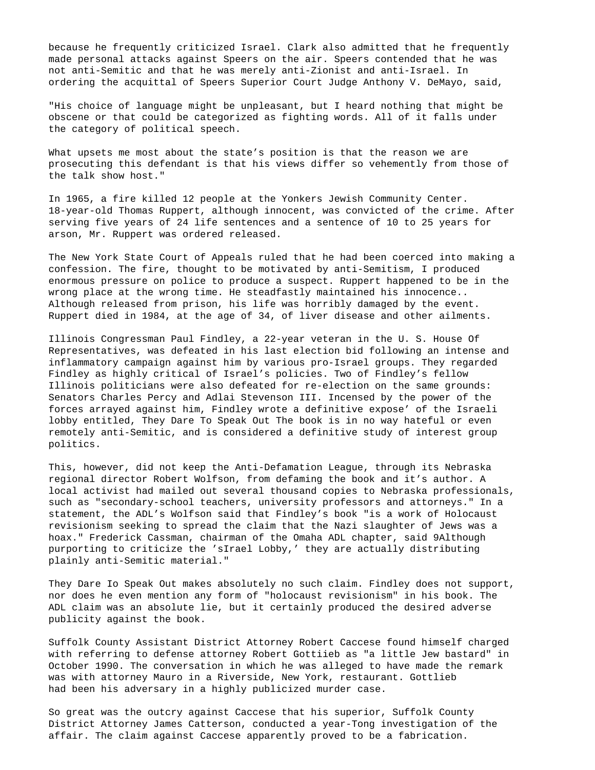because he frequently criticized Israel. Clark also admitted that he frequently made personal attacks against Speers on the air. Speers contended that he was not anti-Semitic and that he was merely anti-Zionist and anti-Israel. In ordering the acquittal of Speers Superior Court Judge Anthony V. DeMayo, said,

"His choice of language might be unpleasant, but I heard nothing that might be obscene or that could be categorized as fighting words. All of it falls under the category of political speech.

What upsets me most about the state's position is that the reason we are prosecuting this defendant is that his views differ so vehemently from those of the talk show host."

In 1965, a fire killed 12 people at the Yonkers Jewish Community Center. 18-year-old Thomas Ruppert, although innocent, was convicted of the crime. After serving five years of 24 life sentences and a sentence of 10 to 25 years for arson, Mr. Ruppert was ordered released.

The New York State Court of Appeals ruled that he had been coerced into making a confession. The fire, thought to be motivated by anti-Semitism, I produced enormous pressure on police to produce a suspect. Ruppert happened to be in the wrong place at the wrong time. He steadfastly maintained his innocence.. Although released from prison, his life was horribly damaged by the event. Ruppert died in 1984, at the age of 34, of liver disease and other ailments.

Illinois Congressman Paul Findley, a 22-year veteran in the U. S. House Of Representatives, was defeated in his last election bid following an intense and inflammatory campaign against him by various pro-Israel groups. They regarded Findley as highly critical of Israel's policies. Two of Findley's fellow Illinois politicians were also defeated for re-election on the same grounds: Senators Charles Percy and Adlai Stevenson III. Incensed by the power of the forces arrayed against him, Findley wrote a definitive expose' of the Israeli lobby entitled, They Dare To Speak Out The book is in no way hateful or even remotely anti-Semitic, and is considered a definitive study of interest group politics.

This, however, did not keep the Anti-Defamation League, through its Nebraska regional director Robert Wolfson, from defaming the book and it's author. A local activist had mailed out several thousand copies to Nebraska professionals, such as "secondary-school teachers, university professors and attorneys." In a statement, the ADL's Wolfson said that Findley's book "is a work of Holocaust revisionism seeking to spread the claim that the Nazi slaughter of Jews was a hoax." Frederick Cassman, chairman of the Omaha ADL chapter, said 9Although purporting to criticize the 'sIrael Lobby,' they are actually distributing plainly anti-Semitic material."

They Dare Io Speak Out makes absolutely no such claim. Findley does not support, nor does he even mention any form of "holocaust revisionism" in his book. The ADL claim was an absolute lie, but it certainly produced the desired adverse publicity against the book.

Suffolk County Assistant District Attorney Robert Caccese found himself charged with referring to defense attorney Robert Gottiieb as "a little Jew bastard" in October 1990. The conversation in which he was alleged to have made the remark was with attorney Mauro in a Riverside, New York, restaurant. Gottlieb had been his adversary in a highly publicized murder case.

So great was the outcry against Caccese that his superior, Suffolk County District Attorney James Catterson, conducted a year-Tong investigation of the affair. The claim against Caccese apparently proved to be a fabrication.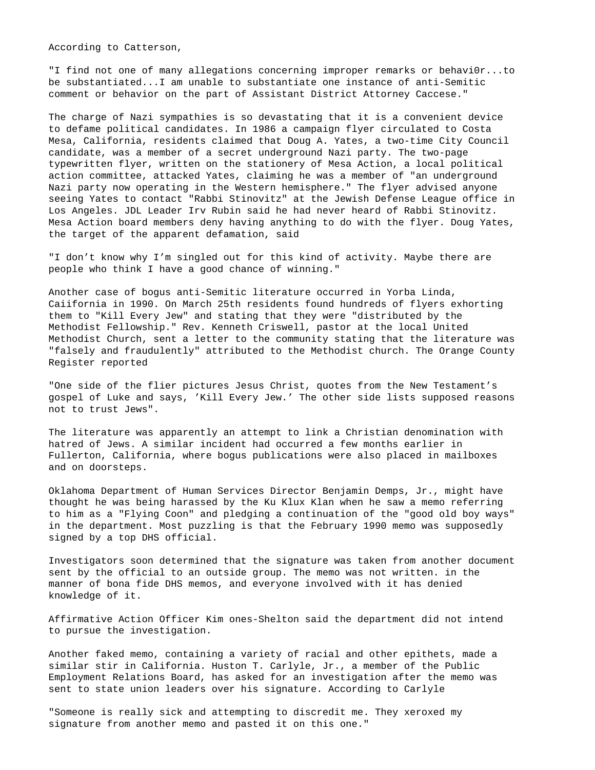According to Catterson,

"I find not one of many allegations concerning improper remarks or behavi0r...to be substantiated...I am unable to substantiate one instance of anti-Semitic comment or behavior on the part of Assistant District Attorney Caccese."

The charge of Nazi sympathies is so devastating that it is a convenient device to defame political candidates. In 1986 a campaign flyer circulated to Costa Mesa, California, residents claimed that Doug A. Yates, a two-time City Council candidate, was a member of a secret underground Nazi party. The two-page typewritten flyer, written on the stationery of Mesa Action, a local political action committee, attacked Yates, claiming he was a member of "an underground Nazi party now operating in the Western hemisphere." The flyer advised anyone seeing Yates to contact "Rabbi Stinovitz" at the Jewish Defense League office in Los Angeles. JDL Leader Irv Rubin said he had never heard of Rabbi Stinovitz. Mesa Action board members deny having anything to do with the flyer. Doug Yates, the target of the apparent defamation, said

"I don't know why I'm singled out for this kind of activity. Maybe there are people who think I have a good chance of winning."

Another case of bogus anti-Semitic literature occurred in Yorba Linda, Caiifornia in 1990. On March 25th residents found hundreds of flyers exhorting them to "Kill Every Jew" and stating that they were "distributed by the Methodist Fellowship." Rev. Kenneth Criswell, pastor at the local United Methodist Church, sent a letter to the community stating that the literature was "falsely and fraudulently" attributed to the Methodist church. The Orange County Register reported

"One side of the flier pictures Jesus Christ, quotes from the New Testament's gospel of Luke and says, 'Kill Every Jew.' The other side lists supposed reasons not to trust Jews".

The literature was apparently an attempt to link a Christian denomination with hatred of Jews. A similar incident had occurred a few months earlier in Fullerton, California, where bogus publications were also placed in mailboxes and on doorsteps.

Oklahoma Department of Human Services Director Benjamin Demps, Jr., might have thought he was being harassed by the Ku Klux Klan when he saw a memo referring to him as a "Flying Coon" and pledging a continuation of the "good old boy ways" in the department. Most puzzling is that the February 1990 memo was supposedly signed by a top DHS official.

Investigators soon determined that the signature was taken from another document sent by the official to an outside group. The memo was not written. in the manner of bona fide DHS memos, and everyone involved with it has denied knowledge of it.

Affirmative Action Officer Kim ones-Shelton said the department did not intend to pursue the investigation.

Another faked memo, containing a variety of racial and other epithets, made a similar stir in California. Huston T. Carlyle, Jr., a member of the Public Employment Relations Board, has asked for an investigation after the memo was sent to state union leaders over his signature. According to Carlyle

"Someone is really sick and attempting to discredit me. They xeroxed my signature from another memo and pasted it on this one."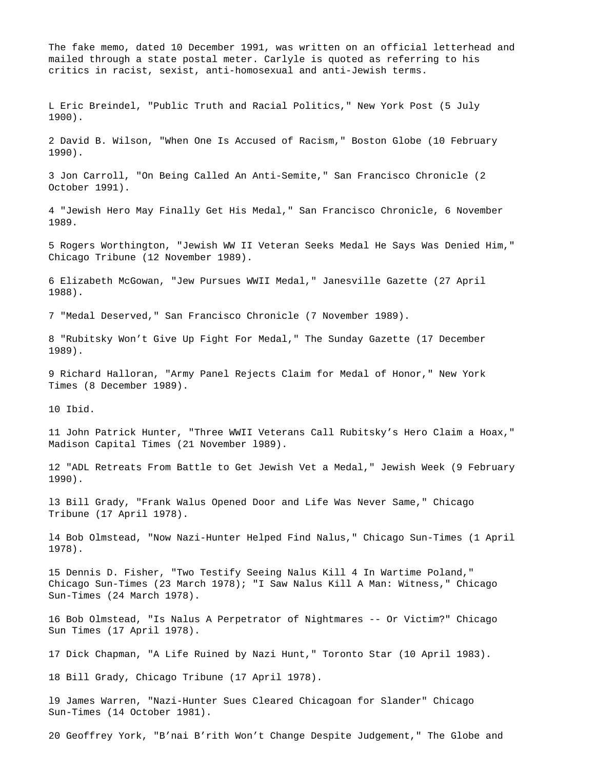The fake memo, dated 10 December 1991, was written on an official letterhead and mailed through a state postal meter. Carlyle is quoted as referring to his critics in racist, sexist, anti-homosexual and anti-Jewish terms.

L Eric Breindel, "Public Truth and Racial Politics," New York Post (5 July 1900).

2 David B. Wilson, "When One Is Accused of Racism," Boston Globe (10 February 1990).

3 Jon Carroll, "On Being Called An Anti-Semite," San Francisco Chronicle (2 October 1991).

4 "Jewish Hero May Finally Get His Medal," San Francisco Chronicle, 6 November 1989.

5 Rogers Worthington, "Jewish WW II Veteran Seeks Medal He Says Was Denied Him," Chicago Tribune (12 November 1989).

6 Elizabeth McGowan, "Jew Pursues WWII Medal," Janesville Gazette (27 April 1988).

7 "Medal Deserved," San Francisco Chronicle (7 November 1989).

8 "Rubitsky Won't Give Up Fight For Medal," The Sunday Gazette (17 December 1989).

9 Richard Halloran, "Army Panel Rejects Claim for Medal of Honor," New York Times (8 December 1989).

10 Ibid.

11 John Patrick Hunter, "Three WWII Veterans Call Rubitsky's Hero Claim a Hoax," Madison Capital Times (21 November l989).

12 "ADL Retreats From Battle to Get Jewish Vet a Medal," Jewish Week (9 February 1990).

l3 Bill Grady, "Frank Walus Opened Door and Life Was Never Same," Chicago Tribune (17 April 1978).

l4 Bob Olmstead, "Now Nazi-Hunter Helped Find Nalus," Chicago Sun-Times (1 April 1978).

15 Dennis D. Fisher, "Two Testify Seeing Nalus Kill 4 In Wartime Poland," Chicago Sun-Times (23 March 1978); "I Saw Nalus Kill A Man: Witness," Chicago Sun-Times (24 March 1978).

16 Bob Olmstead, "Is Nalus A Perpetrator of Nightmares -- Or Victim?" Chicago Sun Times (17 April 1978).

17 Dick Chapman, "A Life Ruined by Nazi Hunt," Toronto Star (10 April 1983).

18 Bill Grady, Chicago Tribune (17 April 1978).

l9 James Warren, "Nazi-Hunter Sues Cleared Chicagoan for Slander" Chicago Sun-Times (14 October 1981).

20 Geoffrey York, "B'nai B'rith Won't Change Despite Judgement," The Globe and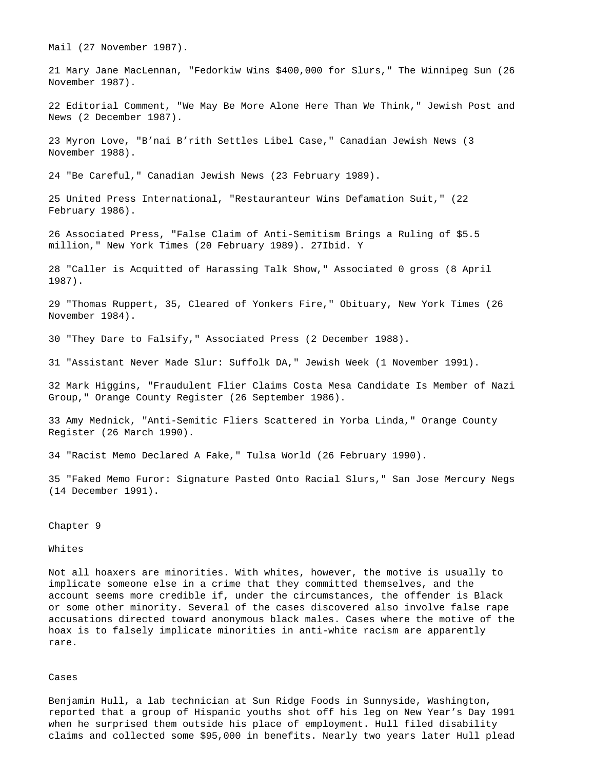Mail (27 November 1987).

21 Mary Jane MacLennan, "Fedorkiw Wins \$400,000 for Slurs," The Winnipeg Sun (26 November 1987).

22 Editorial Comment, "We May Be More Alone Here Than We Think," Jewish Post and News (2 December 1987).

23 Myron Love, "B'nai B'rith Settles Libel Case," Canadian Jewish News (3 November 1988).

24 "Be Careful," Canadian Jewish News (23 February 1989).

25 United Press International, "Restauranteur Wins Defamation Suit," (22 February 1986).

26 Associated Press, "False Claim of Anti-Semitism Brings a Ruling of \$5.5 million," New York Times (20 February 1989). 27Ibid. Y

28 "Caller is Acquitted of Harassing Talk Show," Associated 0 gross (8 April 1987).

29 "Thomas Ruppert, 35, Cleared of Yonkers Fire," Obituary, New York Times (26 November 1984).

30 "They Dare to Falsify," Associated Press (2 December 1988).

31 "Assistant Never Made Slur: Suffolk DA," Jewish Week (1 November 1991).

32 Mark Higgins, "Fraudulent Flier Claims Costa Mesa Candidate Is Member of Nazi Group," Orange County Register (26 September 1986).

33 Amy Mednick, "Anti-Semitic Fliers Scattered in Yorba Linda," Orange County Register (26 March 1990).

34 "Racist Memo Declared A Fake," Tulsa World (26 February 1990).

35 "Faked Memo Furor: Signature Pasted Onto Racial Slurs," San Jose Mercury Negs (14 December 1991).

Chapter 9

Whites

Not all hoaxers are minorities. With whites, however, the motive is usually to implicate someone else in a crime that they committed themselves, and the account seems more credible if, under the circumstances, the offender is Black or some other minority. Several of the cases discovered also involve false rape accusations directed toward anonymous black males. Cases where the motive of the hoax is to falsely implicate minorities in anti-white racism are apparently rare.

## Cases

Benjamin Hull, a lab technician at Sun Ridge Foods in Sunnyside, Washington, reported that a group of Hispanic youths shot off his leg on New Year's Day 1991 when he surprised them outside his place of employment. Hull filed disability claims and collected some \$95,000 in benefits. Nearly two years later Hull plead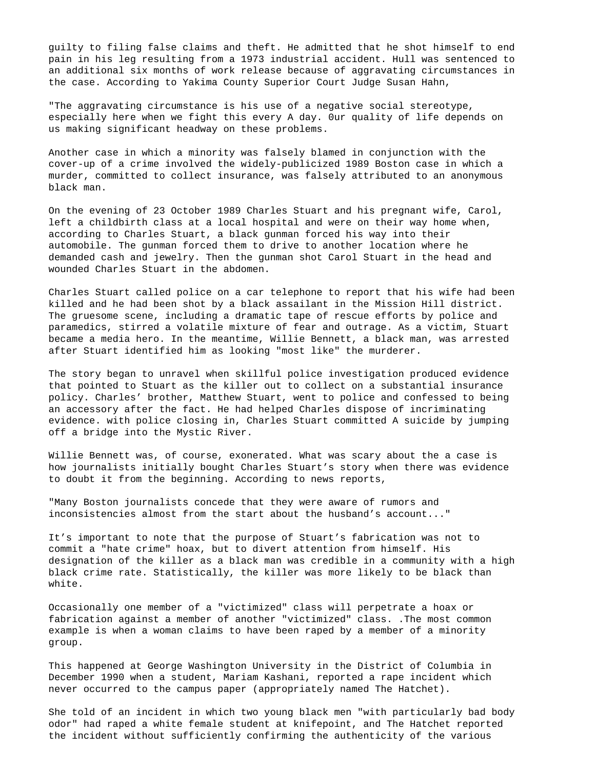guilty to filing false claims and theft. He admitted that he shot himself to end pain in his leg resulting from a 1973 industrial accident. Hull was sentenced to an additional six months of work release because of aggravating circumstances in the case. According to Yakima County Superior Court Judge Susan Hahn,

"The aggravating circumstance is his use of a negative social stereotype, especially here when we fight this every A day. 0ur quality of life depends on us making significant headway on these problems.

Another case in which a minority was falsely blamed in conjunction with the cover-up of a crime involved the widely-publicized 1989 Boston case in which a murder, committed to collect insurance, was falsely attributed to an anonymous black man.

On the evening of 23 October 1989 Charles Stuart and his pregnant wife, Carol, left a childbirth class at a local hospital and were on their way home when, according to Charles Stuart, a black gunman forced his way into their automobile. The gunman forced them to drive to another location where he demanded cash and jewelry. Then the gunman shot Carol Stuart in the head and wounded Charles Stuart in the abdomen.

Charles Stuart called police on a car telephone to report that his wife had been killed and he had been shot by a black assailant in the Mission Hill district. The gruesome scene, including a dramatic tape of rescue efforts by police and paramedics, stirred a volatile mixture of fear and outrage. As a victim, Stuart became a media hero. In the meantime, Willie Bennett, a black man, was arrested after Stuart identified him as looking "most like" the murderer.

The story began to unravel when skillful police investigation produced evidence that pointed to Stuart as the killer out to collect on a substantial insurance policy. Charles' brother, Matthew Stuart, went to police and confessed to being an accessory after the fact. He had helped Charles dispose of incriminating evidence. with police closing in, Charles Stuart committed A suicide by jumping off a bridge into the Mystic River.

Willie Bennett was, of course, exonerated. What was scary about the a case is how journalists initially bought Charles Stuart's story when there was evidence to doubt it from the beginning. According to news reports,

"Many Boston journalists concede that they were aware of rumors and inconsistencies almost from the start about the husband's account..."

It's important to note that the purpose of Stuart's fabrication was not to commit a "hate crime" hoax, but to divert attention from himself. His designation of the killer as a black man was credible in a community with a high black crime rate. Statistically, the killer was more likely to be black than white.

Occasionally one member of a "victimized" class will perpetrate a hoax or fabrication against a member of another "victimized" class. .The most common example is when a woman claims to have been raped by a member of a minority group.

This happened at George Washington University in the District of Columbia in December 1990 when a student, Mariam Kashani, reported a rape incident which never occurred to the campus paper (appropriately named The Hatchet).

She told of an incident in which two young black men "with particularly bad body odor" had raped a white female student at knifepoint, and The Hatchet reported the incident without sufficiently confirming the authenticity of the various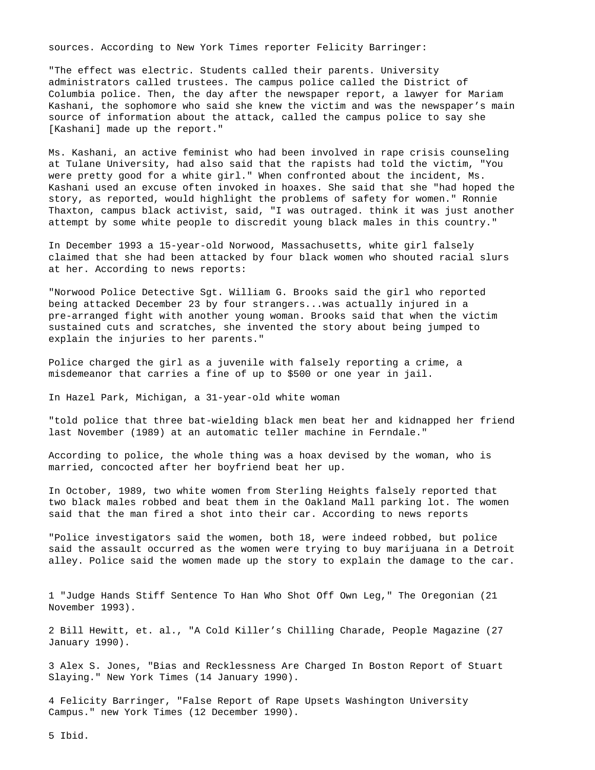sources. According to New York Times reporter Felicity Barringer:

"The effect was electric. Students called their parents. University administrators called trustees. The campus police called the District of Columbia police. Then, the day after the newspaper report, a lawyer for Mariam Kashani, the sophomore who said she knew the victim and was the newspaper's main source of information about the attack, called the campus police to say she [Kashani] made up the report."

Ms. Kashani, an active feminist who had been involved in rape crisis counseling at Tulane University, had also said that the rapists had told the victim, "You were pretty good for a white girl." When confronted about the incident, Ms. Kashani used an excuse often invoked in hoaxes. She said that she "had hoped the story, as reported, would highlight the problems of safety for women." Ronnie Thaxton, campus black activist, said, "I was outraged. think it was just another attempt by some white people to discredit young black males in this country."

In December 1993 a 15-year-old Norwood, Massachusetts, white girl falsely claimed that she had been attacked by four black women who shouted racial slurs at her. According to news reports:

"Norwood Police Detective Sgt. William G. Brooks said the girl who reported being attacked December 23 by four strangers...was actually injured in a pre-arranged fight with another young woman. Brooks said that when the victim sustained cuts and scratches, she invented the story about being jumped to explain the injuries to her parents."

Police charged the girl as a juvenile with falsely reporting a crime, a misdemeanor that carries a fine of up to \$500 or one year in jail.

In Hazel Park, Michigan, a 31-year-old white woman

"told police that three bat-wielding black men beat her and kidnapped her friend last November (1989) at an automatic teller machine in Ferndale."

According to police, the whole thing was a hoax devised by the woman, who is married, concocted after her boyfriend beat her up.

In October, 1989, two white women from Sterling Heights falsely reported that two black males robbed and beat them in the Oakland Mall parking lot. The women said that the man fired a shot into their car. According to news reports

"Police investigators said the women, both 18, were indeed robbed, but police said the assault occurred as the women were trying to buy marijuana in a Detroit alley. Police said the women made up the story to explain the damage to the car.

1 "Judge Hands Stiff Sentence To Han Who Shot Off Own Leg," The Oregonian (21 November 1993).

2 Bill Hewitt, et. al., "A Cold Killer's Chilling Charade, People Magazine (27 January 1990).

3 Alex S. Jones, "Bias and Recklessness Are Charged In Boston Report of Stuart Slaying." New York Times (14 January 1990).

4 Felicity Barringer, "False Report of Rape Upsets Washington University Campus." new York Times (12 December 1990).

5 Ibid.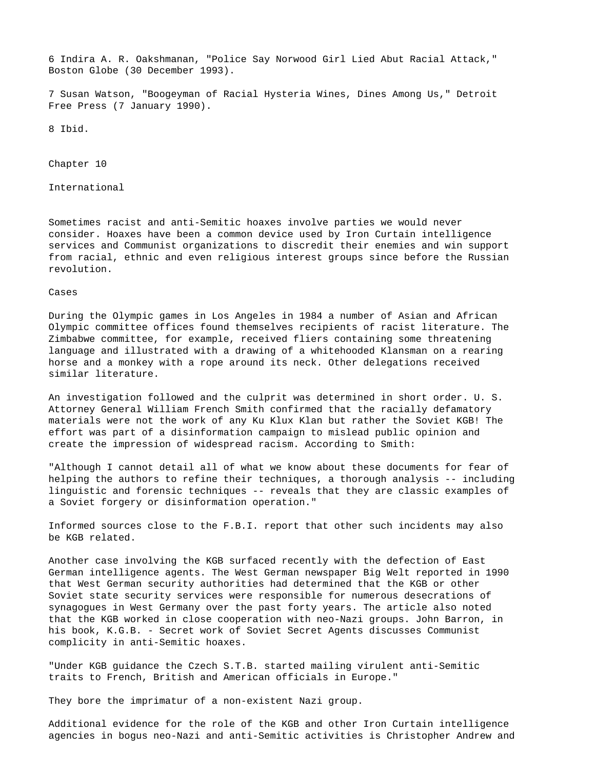6 Indira A. R. Oakshmanan, "Police Say Norwood Girl Lied Abut Racial Attack," Boston Globe (30 December 1993).

7 Susan Watson, "Boogeyman of Racial Hysteria Wines, Dines Among Us," Detroit Free Press (7 January 1990).

8 Ibid.

Chapter 10

International

Sometimes racist and anti-Semitic hoaxes involve parties we would never consider. Hoaxes have been a common device used by Iron Curtain intelligence services and Communist organizations to discredit their enemies and win support from racial, ethnic and even religious interest groups since before the Russian revolution.

Cases

During the Olympic games in Los Angeles in 1984 a number of Asian and African Olympic committee offices found themselves recipients of racist literature. The Zimbabwe committee, for example, received fliers containing some threatening language and illustrated with a drawing of a whitehooded Klansman on a rearing horse and a monkey with a rope around its neck. Other delegations received similar literature.

An investigation followed and the culprit was determined in short order. U. S. Attorney General William French Smith confirmed that the racially defamatory materials were not the work of any Ku Klux Klan but rather the Soviet KGB! The effort was part of a disinformation campaign to mislead public opinion and create the impression of widespread racism. According to Smith:

"Although I cannot detail all of what we know about these documents for fear of helping the authors to refine their techniques, a thorough analysis -- including linguistic and forensic techniques -- reveals that they are classic examples of a Soviet forgery or disinformation operation."

Informed sources close to the F.B.I. report that other such incidents may also be KGB related.

Another case involving the KGB surfaced recently with the defection of East German intelligence agents. The West German newspaper Big Welt reported in 1990 that West German security authorities had determined that the KGB or other Soviet state security services were responsible for numerous desecrations of synagogues in West Germany over the past forty years. The article also noted that the KGB worked in close cooperation with neo-Nazi groups. John Barron, in his book, K.G.B. - Secret work of Soviet Secret Agents discusses Communist complicity in anti-Semitic hoaxes.

"Under KGB guidance the Czech S.T.B. started mailing virulent anti-Semitic traits to French, British and American officials in Europe."

They bore the imprimatur of a non-existent Nazi group.

Additional evidence for the role of the KGB and other Iron Curtain intelligence agencies in bogus neo-Nazi and anti-Semitic activities is Christopher Andrew and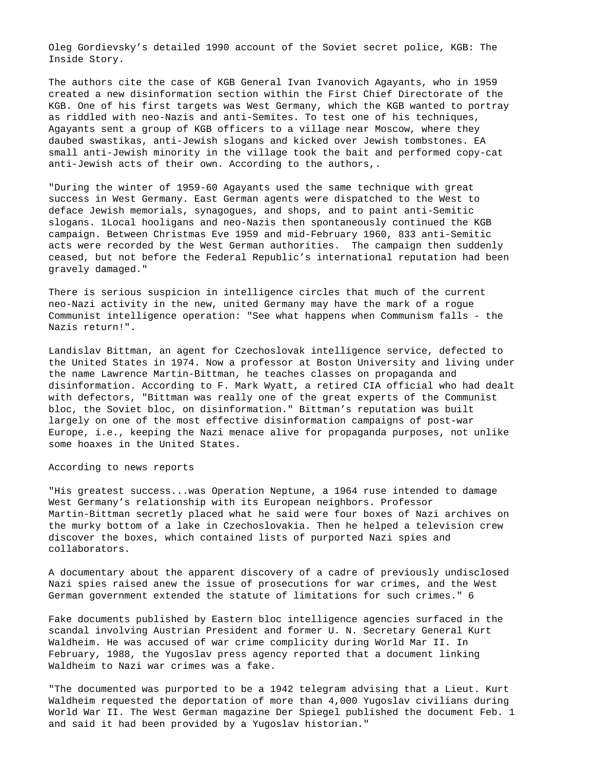Oleg Gordievsky's detailed 1990 account of the Soviet secret police, KGB: The Inside Story.

The authors cite the case of KGB General Ivan Ivanovich Agayants, who in 1959 created a new disinformation section within the First Chief Directorate of the KGB. One of his first targets was West Germany, which the KGB wanted to portray as riddled with neo-Nazis and anti-Semites. To test one of his techniques, Agayants sent a group of KGB officers to a village near Moscow, where they daubed swastikas, anti-Jewish slogans and kicked over Jewish tombstones. EA small anti-Jewish minority in the village took the bait and performed copy-cat anti-Jewish acts of their own. According to the authors,.

"During the winter of 1959-60 Agayants used the same technique with great success in West Germany. East German agents were dispatched to the West to deface Jewish memorials, synagogues, and shops, and to paint anti-Semitic slogans. 1Local hooligans and neo-Nazis then spontaneously continued the KGB campaign. Between Christmas Eve 1959 and mid-February 1960, 833 anti-Semitic acts were recorded by the West German authorities. The campaign then suddenly ceased, but not before the Federal Republic's international reputation had been gravely damaged."

There is serious suspicion in intelligence circles that much of the current neo-Nazi activity in the new, united Germany may have the mark of a rogue Communist intelligence operation: "See what happens when Communism falls - the Nazis return!".

Landislav Bittman, an agent for Czechoslovak intelligence service, defected to the United States in 1974. Now a professor at Boston University and living under the name Lawrence Martin-Bittman, he teaches classes on propaganda and disinformation. According to F. Mark Wyatt, a retired CIA official who had dealt with defectors, "Bittman was really one of the great experts of the Communist bloc, the Soviet bloc, on disinformation." Bittman's reputation was built largely on one of the most effective disinformation campaigns of post-war Europe, i.e., keeping the Nazi menace alive for propaganda purposes, not unlike some hoaxes in the United States.

According to news reports

"His greatest success...was Operation Neptune, a 1964 ruse intended to damage West Germany's relationship with its European neighbors. Professor Martin-Bittman secretly placed what he said were four boxes of Nazi archives on the murky bottom of a lake in Czechoslovakia. Then he helped a television crew discover the boxes, which contained lists of purported Nazi spies and collaborators.

A documentary about the apparent discovery of a cadre of previously undisclosed Nazi spies raised anew the issue of prosecutions for war crimes, and the West German government extended the statute of limitations for such crimes." 6

Fake documents published by Eastern bloc intelligence agencies surfaced in the scandal involving Austrian President and former U. N. Secretary General Kurt Waldheim. He was accused of war crime complicity during World Mar II. In February, 1988, the Yugoslav press agency reported that a document linking Waldheim to Nazi war crimes was a fake.

"The documented was purported to be a 1942 telegram advising that a Lieut. Kurt Waldheim requested the deportation of more than 4,000 Yugoslav civilians during World War II. The West German magazine Der Spiegel published the document Feb. 1 and said it had been provided by a Yugoslav historian."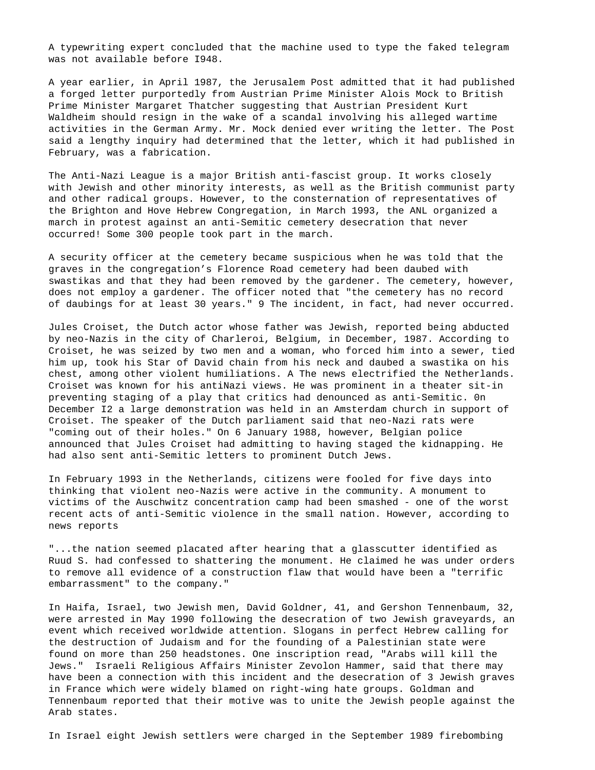A typewriting expert concluded that the machine used to type the faked telegram was not available before I948.

A year earlier, in April 1987, the Jerusalem Post admitted that it had published a forged letter purportedly from Austrian Prime Minister Alois Mock to British Prime Minister Margaret Thatcher suggesting that Austrian President Kurt Waldheim should resign in the wake of a scandal involving his alleged wartime activities in the German Army. Mr. Mock denied ever writing the letter. The Post said a lengthy inquiry had determined that the letter, which it had published in February, was a fabrication.

The Anti-Nazi League is a major British anti-fascist group. It works closely with Jewish and other minority interests, as well as the British communist party and other radical groups. However, to the consternation of representatives of the Brighton and Hove Hebrew Congregation, in March 1993, the ANL organized a march in protest against an anti-Semitic cemetery desecration that never occurred! Some 300 people took part in the march.

A security officer at the cemetery became suspicious when he was told that the graves in the congregation's Florence Road cemetery had been daubed with swastikas and that they had been removed by the gardener. The cemetery, however, does not employ a gardener. The officer noted that "the cemetery has no record of daubings for at least 30 years." 9 The incident, in fact, had never occurred.

Jules Croiset, the Dutch actor whose father was Jewish, reported being abducted by neo-Nazis in the city of Charleroi, Belgium, in December, 1987. According to Croiset, he was seized by two men and a woman, who forced him into a sewer, tied him up, took his Star of David chain from his neck and daubed a swastika on his chest, among other violent humiliations. A The news electrified the Netherlands. Croiset was known for his antiNazi views. He was prominent in a theater sit-in preventing staging of a play that critics had denounced as anti-Semitic. 0n December I2 a large demonstration was held in an Amsterdam church in support of Croiset. The speaker of the Dutch parliament said that neo-Nazi rats were "coming out of their holes." On 6 January 1988, however, Belgian police announced that Jules Croiset had admitting to having staged the kidnapping. He had also sent anti-Semitic letters to prominent Dutch Jews.

In February 1993 in the Netherlands, citizens were fooled for five days into thinking that violent neo-Nazis were active in the community. A monument to victims of the Auschwitz concentration camp had been smashed - one of the worst recent acts of anti-Semitic violence in the small nation. However, according to news reports

"...the nation seemed placated after hearing that a glasscutter identified as Ruud S. had confessed to shattering the monument. He claimed he was under orders to remove all evidence of a construction flaw that would have been a "terrific embarrassment" to the company."

In Haifa, Israel, two Jewish men, David Goldner, 41, and Gershon Tennenbaum, 32, were arrested in May 1990 following the desecration of two Jewish graveyards, an event which received worldwide attention. Slogans in perfect Hebrew calling for the destruction of Judaism and for the founding of a Palestinian state were found on more than 250 headstones. One inscription read, "Arabs will kill the Jews." Israeli Religious Affairs Minister Zevolon Hammer, said that there may have been a connection with this incident and the desecration of 3 Jewish graves in France which were widely blamed on right-wing hate groups. Goldman and Tennenbaum reported that their motive was to unite the Jewish people against the Arab states.

In Israel eight Jewish settlers were charged in the September 1989 firebombing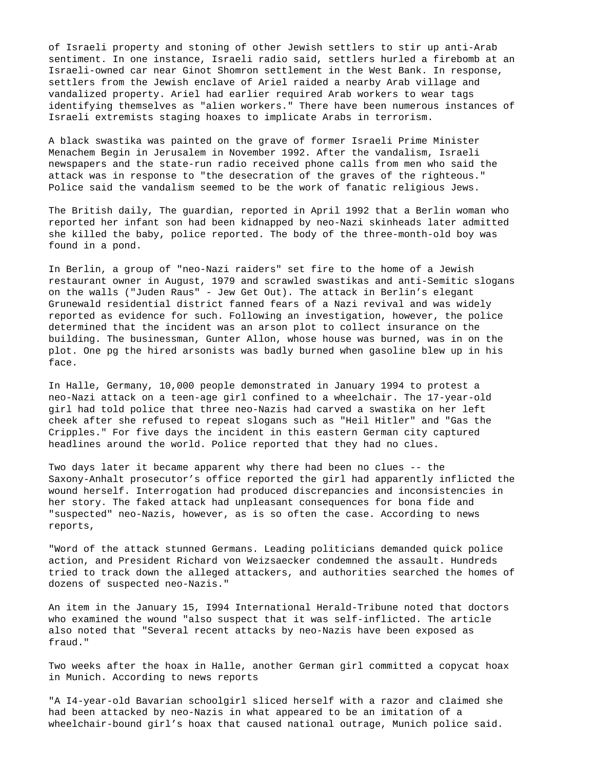of Israeli property and stoning of other Jewish settlers to stir up anti-Arab sentiment. In one instance, Israeli radio said, settlers hurled a firebomb at an Israeli-owned car near Ginot Shomron settlement in the West Bank. In response, settlers from the Jewish enclave of Ariel raided a nearby Arab village and vandalized property. Ariel had earlier required Arab workers to wear tags identifying themselves as "alien workers." There have been numerous instances of Israeli extremists staging hoaxes to implicate Arabs in terrorism.

A black swastika was painted on the grave of former Israeli Prime Minister Menachem Begin in Jerusalem in November 1992. After the vandalism, Israeli newspapers and the state-run radio received phone calls from men who said the attack was in response to "the desecration of the graves of the righteous." Police said the vandalism seemed to be the work of fanatic religious Jews.

The British daily, The guardian, reported in April 1992 that a Berlin woman who reported her infant son had been kidnapped by neo-Nazi skinheads later admitted she killed the baby, police reported. The body of the three-month-old boy was found in a pond.

In Berlin, a group of "neo-Nazi raiders" set fire to the home of a Jewish restaurant owner in August, 1979 and scrawled swastikas and anti-Semitic slogans on the walls ("Juden Raus" - Jew Get Out). The attack in Berlin's elegant Grunewald residential district fanned fears of a Nazi revival and was widely reported as evidence for such. Following an investigation, however, the police determined that the incident was an arson plot to collect insurance on the building. The businessman, Gunter Allon, whose house was burned, was in on the plot. One pg the hired arsonists was badly burned when gasoline blew up in his face.

In Halle, Germany, 10,000 people demonstrated in January 1994 to protest a neo-Nazi attack on a teen-age girl confined to a wheelchair. The 17-year-old girl had told police that three neo-Nazis had carved a swastika on her left cheek after she refused to repeat slogans such as "Heil Hitler" and "Gas the Cripples." For five days the incident in this eastern German city captured headlines around the world. Police reported that they had no clues.

Two days later it became apparent why there had been no clues -- the Saxony-Anhalt prosecutor's office reported the girl had apparently inflicted the wound herself. Interrogation had produced discrepancies and inconsistencies in her story. The faked attack had unpleasant consequences for bona fide and "suspected" neo-Nazis, however, as is so often the case. According to news reports,

"Word of the attack stunned Germans. Leading politicians demanded quick police action, and President Richard von Weizsaecker condemned the assault. Hundreds tried to track down the alleged attackers, and authorities searched the homes of dozens of suspected neo-Nazis."

An item in the January 15, I994 International Herald-Tribune noted that doctors who examined the wound "also suspect that it was self-inflicted. The article also noted that "Several recent attacks by neo-Nazis have been exposed as fraud."

Two weeks after the hoax in Halle, another German girl committed a copycat hoax in Munich. According to news reports

"A I4-year-old Bavarian schoolgirl sliced herself with a razor and claimed she had been attacked by neo-Nazis in what appeared to be an imitation of a wheelchair-bound girl's hoax that caused national outrage, Munich police said.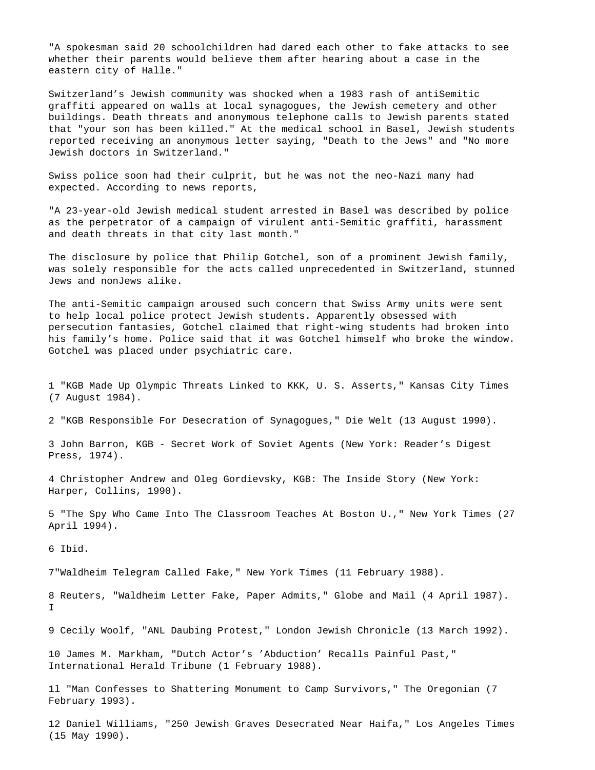"A spokesman said 20 schoolchildren had dared each other to fake attacks to see whether their parents would believe them after hearing about a case in the eastern city of Halle."

Switzerland's Jewish community was shocked when a 1983 rash of antiSemitic graffiti appeared on walls at local synagogues, the Jewish cemetery and other buildings. Death threats and anonymous telephone calls to Jewish parents stated that "your son has been killed." At the medical school in Basel, Jewish students reported receiving an anonymous letter saying, "Death to the Jews" and "No more Jewish doctors in Switzerland."

Swiss police soon had their culprit, but he was not the neo-Nazi many had expected. According to news reports,

"A 23-year-old Jewish medical student arrested in Basel was described by police as the perpetrator of a campaign of virulent anti-Semitic graffiti, harassment and death threats in that city last month."

The disclosure by police that Philip Gotchel, son of a prominent Jewish family, was solely responsible for the acts called unprecedented in Switzerland, stunned Jews and nonJews alike.

The anti-Semitic campaign aroused such concern that Swiss Army units were sent to help local police protect Jewish students. Apparently obsessed with persecution fantasies, Gotchel claimed that right-wing students had broken into his family's home. Police said that it was Gotchel himself who broke the window. Gotchel was placed under psychiatric care.

1 "KGB Made Up Olympic Threats Linked to KKK, U. S. Asserts," Kansas City Times (7 August 1984).

2 "KGB Responsible For Desecration of Synagogues," Die Welt (13 August 1990).

3 John Barron, KGB - Secret Work of Soviet Agents (New York: Reader's Digest Press, 1974).

4 Christopher Andrew and Oleg Gordievsky, KGB: The Inside Story (New York: Harper, Collins, 1990).

5 "The Spy Who Came Into The Classroom Teaches At Boston U.," New York Times (27 April 1994).

6 Ibid.

7"Waldheim Telegram Called Fake," New York Times (11 February 1988).

8 Reuters, "Waldheim Letter Fake, Paper Admits," Globe and Mail (4 April 1987).  $\mathsf{T}$ 

9 Cecily Woolf, "ANL Daubing Protest," London Jewish Chronicle (13 March 1992).

10 James M. Markham, "Dutch Actor's 'Abduction' Recalls Painful Past," International Herald Tribune (1 February 1988).

1l "Man Confesses to Shattering Monument to Camp Survivors," The Oregonian (7 February 1993).

12 Daniel Williams, "250 Jewish Graves Desecrated Near Haifa," Los Angeles Times (15 May 1990).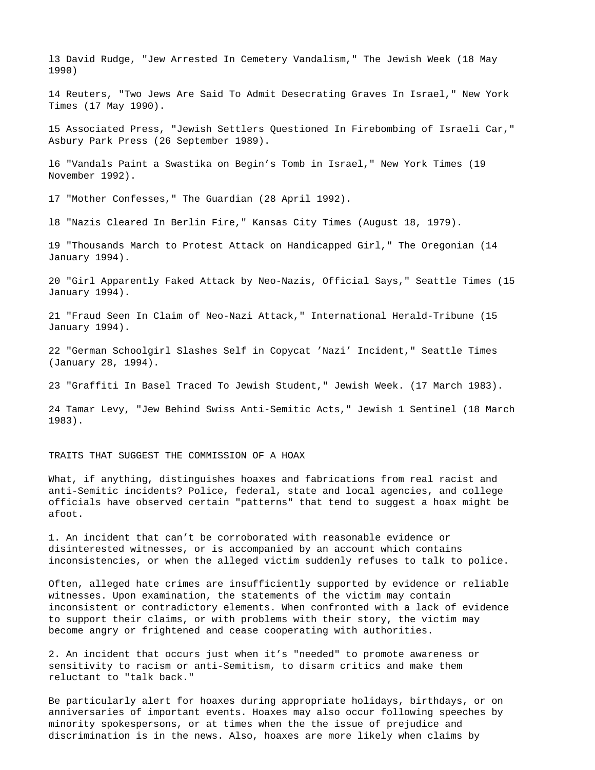l3 David Rudge, "Jew Arrested In Cemetery Vandalism," The Jewish Week (18 May 1990)

14 Reuters, "Two Jews Are Said To Admit Desecrating Graves In Israel," New York Times (17 May 1990).

15 Associated Press, "Jewish Settlers Questioned In Firebombing of Israeli Car," Asbury Park Press (26 September 1989).

l6 "Vandals Paint a Swastika on Begin's Tomb in Israel," New York Times (19 November 1992).

17 "Mother Confesses," The Guardian (28 April 1992).

l8 "Nazis Cleared In Berlin Fire," Kansas City Times (August 18, 1979).

19 "Thousands March to Protest Attack on Handicapped Girl," The Oregonian (14 January 1994).

20 "Girl Apparently Faked Attack by Neo-Nazis, Official Says," Seattle Times (15 January 1994).

21 "Fraud Seen In Claim of Neo-Nazi Attack," International Herald-Tribune (15 January 1994).

22 "German Schoolgirl Slashes Self in Copycat 'Nazi' Incident," Seattle Times (January 28, 1994).

23 "Graffiti In Basel Traced To Jewish Student," Jewish Week. (17 March 1983).

24 Tamar Levy, "Jew Behind Swiss Anti-Semitic Acts," Jewish 1 Sentinel (18 March 1983).

TRAITS THAT SUGGEST THE COMMISSION OF A HOAX

What, if anything, distinguishes hoaxes and fabrications from real racist and anti-Semitic incidents? Police, federal, state and local agencies, and college officials have observed certain "patterns" that tend to suggest a hoax might be afoot.

1. An incident that can't be corroborated with reasonable evidence or disinterested witnesses, or is accompanied by an account which contains inconsistencies, or when the alleged victim suddenly refuses to talk to police.

Often, alleged hate crimes are insufficiently supported by evidence or reliable witnesses. Upon examination, the statements of the victim may contain inconsistent or contradictory elements. When confronted with a lack of evidence to support their claims, or with problems with their story, the victim may become angry or frightened and cease cooperating with authorities.

2. An incident that occurs just when it's "needed" to promote awareness or sensitivity to racism or anti-Semitism, to disarm critics and make them reluctant to "talk back."

Be particularly alert for hoaxes during appropriate holidays, birthdays, or on anniversaries of important events. Hoaxes may also occur following speeches by minority spokespersons, or at times when the the issue of prejudice and discrimination is in the news. Also, hoaxes are more likely when claims by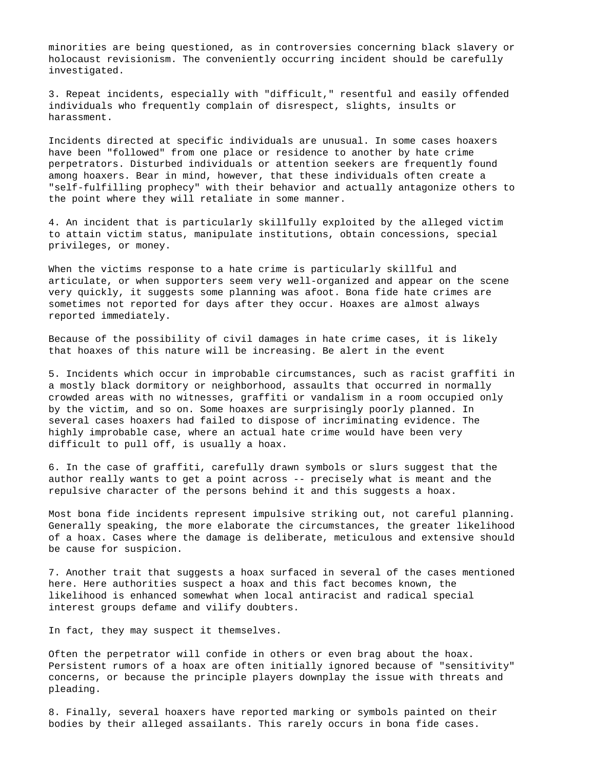minorities are being questioned, as in controversies concerning black slavery or holocaust revisionism. The conveniently occurring incident should be carefully investigated.

3. Repeat incidents, especially with "difficult," resentful and easily offended individuals who frequently complain of disrespect, slights, insults or harassment.

Incidents directed at specific individuals are unusual. In some cases hoaxers have been "followed" from one place or residence to another by hate crime perpetrators. Disturbed individuals or attention seekers are frequently found among hoaxers. Bear in mind, however, that these individuals often create a "self-fulfilling prophecy" with their behavior and actually antagonize others to the point where they will retaliate in some manner.

4. An incident that is particularly skillfully exploited by the alleged victim to attain victim status, manipulate institutions, obtain concessions, special privileges, or money.

When the victims response to a hate crime is particularly skillful and articulate, or when supporters seem very well-organized and appear on the scene very quickly, it suggests some planning was afoot. Bona fide hate crimes are sometimes not reported for days after they occur. Hoaxes are almost always reported immediately.

Because of the possibility of civil damages in hate crime cases, it is likely that hoaxes of this nature will be increasing. Be alert in the event

5. Incidents which occur in improbable circumstances, such as racist graffiti in a mostly black dormitory or neighborhood, assaults that occurred in normally crowded areas with no witnesses, graffiti or vandalism in a room occupied only by the victim, and so on. Some hoaxes are surprisingly poorly planned. In several cases hoaxers had failed to dispose of incriminating evidence. The highly improbable case, where an actual hate crime would have been very difficult to pull off, is usually a hoax.

6. In the case of graffiti, carefully drawn symbols or slurs suggest that the author really wants to get a point across -- precisely what is meant and the repulsive character of the persons behind it and this suggests a hoax.

Most bona fide incidents represent impulsive striking out, not careful planning. Generally speaking, the more elaborate the circumstances, the greater likelihood of a hoax. Cases where the damage is deliberate, meticulous and extensive should be cause for suspicion.

7. Another trait that suggests a hoax surfaced in several of the cases mentioned here. Here authorities suspect a hoax and this fact becomes known, the likelihood is enhanced somewhat when local antiracist and radical special interest groups defame and vilify doubters.

In fact, they may suspect it themselves.

Often the perpetrator will confide in others or even brag about the hoax. Persistent rumors of a hoax are often initially ignored because of "sensitivity" concerns, or because the principle players downplay the issue with threats and pleading.

8. Finally, several hoaxers have reported marking or symbols painted on their bodies by their alleged assailants. This rarely occurs in bona fide cases.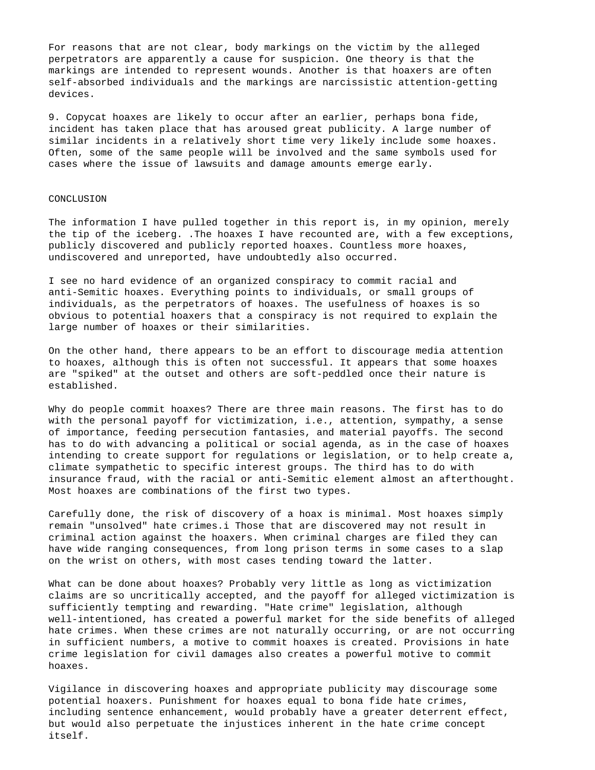For reasons that are not clear, body markings on the victim by the alleged perpetrators are apparently a cause for suspicion. One theory is that the markings are intended to represent wounds. Another is that hoaxers are often self-absorbed individuals and the markings are narcissistic attention-getting devices.

9. Copycat hoaxes are likely to occur after an earlier, perhaps bona fide, incident has taken place that has aroused great publicity. A large number of similar incidents in a relatively short time very likely include some hoaxes. Often, some of the same people will be involved and the same symbols used for cases where the issue of lawsuits and damage amounts emerge early.

## CONCLUSION

The information I have pulled together in this report is, in my opinion, merely the tip of the iceberg. .The hoaxes I have recounted are, with a few exceptions, publicly discovered and publicly reported hoaxes. Countless more hoaxes, undiscovered and unreported, have undoubtedly also occurred.

I see no hard evidence of an organized conspiracy to commit racial and anti-Semitic hoaxes. Everything points to individuals, or small groups of individuals, as the perpetrators of hoaxes. The usefulness of hoaxes is so obvious to potential hoaxers that a conspiracy is not required to explain the large number of hoaxes or their similarities.

On the other hand, there appears to be an effort to discourage media attention to hoaxes, although this is often not successful. It appears that some hoaxes are "spiked" at the outset and others are soft-peddled once their nature is established.

Why do people commit hoaxes? There are three main reasons. The first has to do with the personal payoff for victimization, i.e., attention, sympathy, a sense of importance, feeding persecution fantasies, and material payoffs. The second has to do with advancing a political or social agenda, as in the case of hoaxes intending to create support for regulations or legislation, or to help create a, climate sympathetic to specific interest groups. The third has to do with insurance fraud, with the racial or anti-Semitic element almost an afterthought. Most hoaxes are combinations of the first two types.

Carefully done, the risk of discovery of a hoax is minimal. Most hoaxes simply remain "unsolved" hate crimes.i Those that are discovered may not result in criminal action against the hoaxers. When criminal charges are filed they can have wide ranging consequences, from long prison terms in some cases to a slap on the wrist on others, with most cases tending toward the latter.

What can be done about hoaxes? Probably very little as long as victimization claims are so uncritically accepted, and the payoff for alleged victimization is sufficiently tempting and rewarding. "Hate crime" legislation, although well-intentioned, has created a powerful market for the side benefits of alleged hate crimes. When these crimes are not naturally occurring, or are not occurring in sufficient numbers, a motive to commit hoaxes is created. Provisions in hate crime legislation for civil damages also creates a powerful motive to commit hoaxes.

Vigilance in discovering hoaxes and appropriate publicity may discourage some potential hoaxers. Punishment for hoaxes equal to bona fide hate crimes, including sentence enhancement, would probably have a greater deterrent effect, but would also perpetuate the injustices inherent in the hate crime concept itself.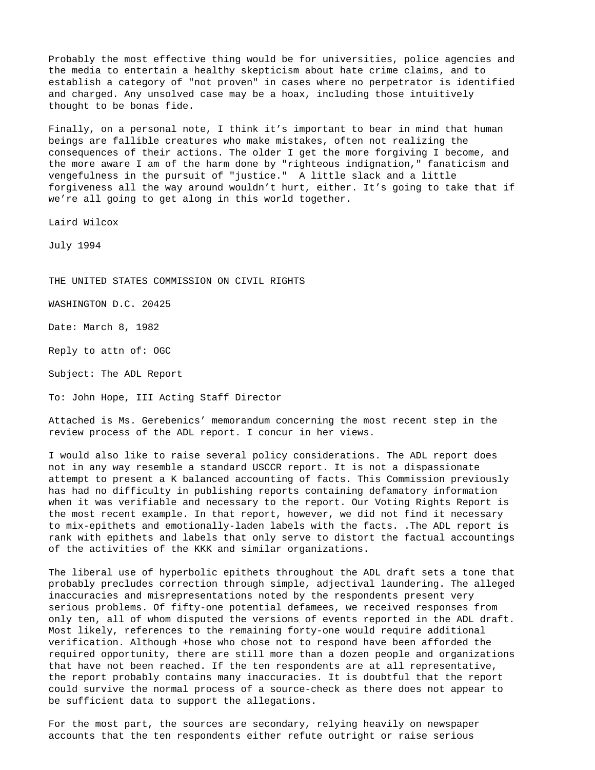Probably the most effective thing would be for universities, police agencies and the media to entertain a healthy skepticism about hate crime claims, and to establish a category of "not proven" in cases where no perpetrator is identified and charged. Any unsolved case may be a hoax, including those intuitively thought to be bonas fide.

Finally, on a personal note, I think it's important to bear in mind that human beings are fallible creatures who make mistakes, often not realizing the consequences of their actions. The older I get the more forgiving I become, and the more aware I am of the harm done by "righteous indignation," fanaticism and vengefulness in the pursuit of "justice." A little slack and a little forgiveness all the way around wouldn't hurt, either. It's going to take that if we're all going to get along in this world together.

Laird Wilcox

July 1994

THE UNITED STATES COMMISSION ON CIVIL RIGHTS

WASHINGTON D.C. 20425

Date: March 8, 1982

Reply to attn of: OGC

Subject: The ADL Report

To: John Hope, III Acting Staff Director

Attached is Ms. Gerebenics' memorandum concerning the most recent step in the review process of the ADL report. I concur in her views.

I would also like to raise several policy considerations. The ADL report does not in any way resemble a standard USCCR report. It is not a dispassionate attempt to present a K balanced accounting of facts. This Commission previously has had no difficulty in publishing reports containing defamatory information when it was verifiable and necessary to the report. Our Voting Rights Report is the most recent example. In that report, however, we did not find it necessary to mix-epithets and emotionally-laden labels with the facts. .The ADL report is rank with epithets and labels that only serve to distort the factual accountings of the activities of the KKK and similar organizations.

The liberal use of hyperbolic epithets throughout the ADL draft sets a tone that probably precludes correction through simple, adjectival laundering. The alleged inaccuracies and misrepresentations noted by the respondents present very serious problems. Of fifty-one potential defamees, we received responses from only ten, all of whom disputed the versions of events reported in the ADL draft. Most likely, references to the remaining forty-one would require additional verification. Although +hose who chose not to respond have been afforded the required opportunity, there are still more than a dozen people and organizations that have not been reached. If the ten respondents are at all representative, the report probably contains many inaccuracies. It is doubtful that the report could survive the normal process of a source-check as there does not appear to be sufficient data to support the allegations.

For the most part, the sources are secondary, relying heavily on newspaper accounts that the ten respondents either refute outright or raise serious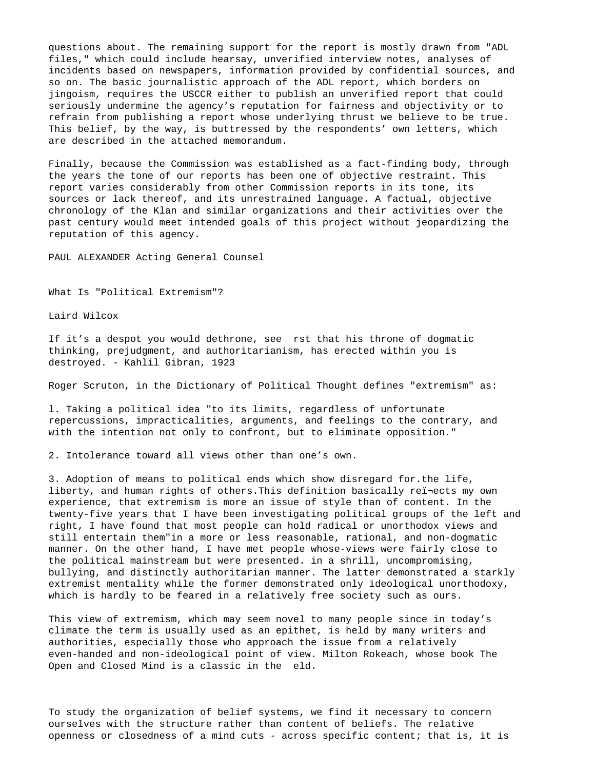questions about. The remaining support for the report is mostly drawn from "ADL files," which could include hearsay, unverified interview notes, analyses of incidents based on newspapers, information provided by confidential sources, and so on. The basic journalistic approach of the ADL report, which borders on jingoism, requires the USCCR either to publish an unverified report that could seriously undermine the agency's reputation for fairness and objectivity or to refrain from publishing a report whose underlying thrust we believe to be true. This belief, by the way, is buttressed by the respondents' own letters, which are described in the attached memorandum.

Finally, because the Commission was established as a fact-finding body, through the years the tone of our reports has been one of objective restraint. This report varies considerably from other Commission reports in its tone, its sources or lack thereof, and its unrestrained language. A factual, objective chronology of the Klan and similar organizations and their activities over the past century would meet intended goals of this project without jeopardizing the reputation of this agency.

PAUL ALEXANDER Acting General Counsel

What Is "Political Extremism"?

Laird Wilcox

If it's a despot you would dethrone, see rst that his throne of dogmatic thinking, prejudgment, and authoritarianism, has erected within you is destroyed. - Kahlil Gibran, 1923

Roger Scruton, in the Dictionary of Political Thought defines "extremism" as:

l. Taking a political idea "to its limits, regardless of unfortunate repercussions, impracticalities, arguments, and feelings to the contrary, and with the intention not only to confront, but to eliminate opposition."

2. Intolerance toward all views other than one's own.

3. Adoption of means to political ends which show disregard for.the life, liberty, and human rights of others.This definition basically reï¬ ects my own experience, that extremism is more an issue of style than of content. In the twenty-five years that I have been investigating political groups of the left and right, I have found that most people can hold radical or unorthodox views and still entertain them"in a more or less reasonable, rational, and non-dogmatic manner. On the other hand, I have met people whose-views were fairly close to the political mainstream but were presented. in a shrill, uncompromising, bullying, and distinctly authoritarian manner. The latter demonstrated a starkly extremist mentality while the former demonstrated only ideological unorthodoxy, which is hardly to be feared in a relatively free society such as ours.

This view of extremism, which may seem novel to many people since in today's climate the term is usually used as an epithet, is held by many writers and authorities, especially those who approach the issue from a relatively even-handed and non-ideological point of view. Milton Rokeach, whose book The Open and Closed Mind is a classic in the eld.

To study the organization of belief systems, we find it necessary to concern ourselves with the structure rather than content of beliefs. The relative openness or closedness of a mind cuts - across specific content; that is, it is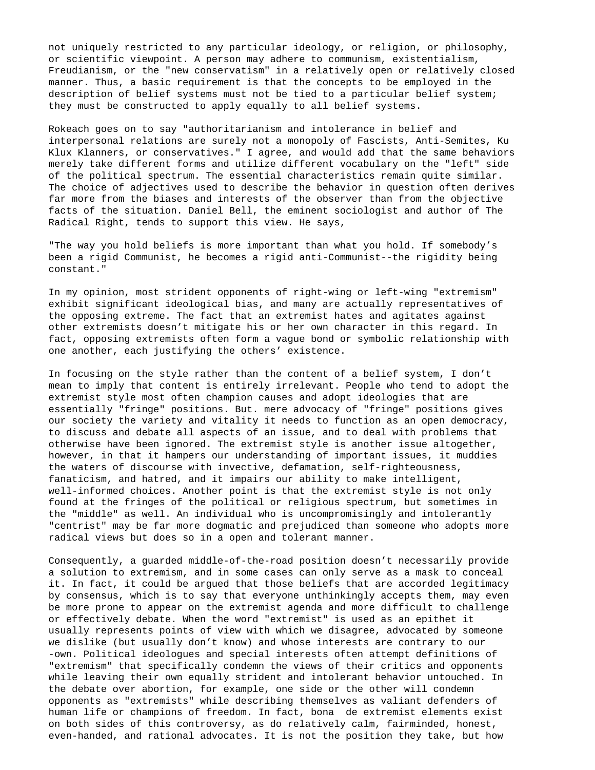not uniquely restricted to any particular ideology, or religion, or philosophy, or scientific viewpoint. A person may adhere to communism, existentialism, Freudianism, or the "new conservatism" in a relatively open or relatively closed manner. Thus, a basic requirement is that the concepts to be employed in the description of belief systems must not be tied to a particular belief system; they must be constructed to apply equally to all belief systems.

Rokeach goes on to say "authoritarianism and intolerance in belief and interpersonal relations are surely not a monopoly of Fascists, Anti-Semites, Ku Klux Klanners, or conservatives." I agree, and would add that the same behaviors merely take different forms and utilize different vocabulary on the "left" side of the political spectrum. The essential characteristics remain quite similar. The choice of adjectives used to describe the behavior in question often derives far more from the biases and interests of the observer than from the objective facts of the situation. Daniel Bell, the eminent sociologist and author of The Radical Right, tends to support this view. He says,

"The way you hold beliefs is more important than what you hold. If somebody's been a rigid Communist, he becomes a rigid anti-Communist--the rigidity being constant."

In my opinion, most strident opponents of right-wing or left-wing "extremism" exhibit significant ideological bias, and many are actually representatives of the opposing extreme. The fact that an extremist hates and agitates against other extremists doesn't mitigate his or her own character in this regard. In fact, opposing extremists often form a vague bond or symbolic relationship with one another, each justifying the others' existence.

In focusing on the style rather than the content of a belief system, I don't mean to imply that content is entirely irrelevant. People who tend to adopt the extremist style most often champion causes and adopt ideologies that are essentially "fringe" positions. But. mere advocacy of "fringe" positions gives our society the variety and vitality it needs to function as an open democracy, to discuss and debate all aspects of an issue, and to deal with problems that otherwise have been ignored. The extremist style is another issue altogether, however, in that it hampers our understanding of important issues, it muddies the waters of discourse with invective, defamation, self-righteousness, fanaticism, and hatred, and it impairs our ability to make intelligent, well-informed choices. Another point is that the extremist style is not only found at the fringes of the political or religious spectrum, but sometimes in the "middle" as well. An individual who is uncompromisingly and intolerantly "centrist" may be far more dogmatic and prejudiced than someone who adopts more radical views but does so in a open and tolerant manner.

Consequently, a guarded middle-of-the-road position doesn't necessarily provide a solution to extremism, and in some cases can only serve as a mask to conceal it. In fact, it could be argued that those beliefs that are accorded legitimacy by consensus, which is to say that everyone unthinkingly accepts them, may even be more prone to appear on the extremist agenda and more difficult to challenge or effectively debate. When the word "extremist" is used as an epithet it usually represents points of view with which we disagree, advocated by someone we dislike (but usually don't know) and whose interests are contrary to our -own. Political ideologues and special interests often attempt definitions of "extremism" that specifically condemn the views of their critics and opponents while leaving their own equally strident and intolerant behavior untouched. In the debate over abortion, for example, one side or the other will condemn opponents as "extremists" while describing themselves as valiant defenders of human life or champions of freedom. In fact, bona de extremist elements exist on both sides of this controversy, as do relatively calm, fairminded, honest, even-handed, and rational advocates. It is not the position they take, but how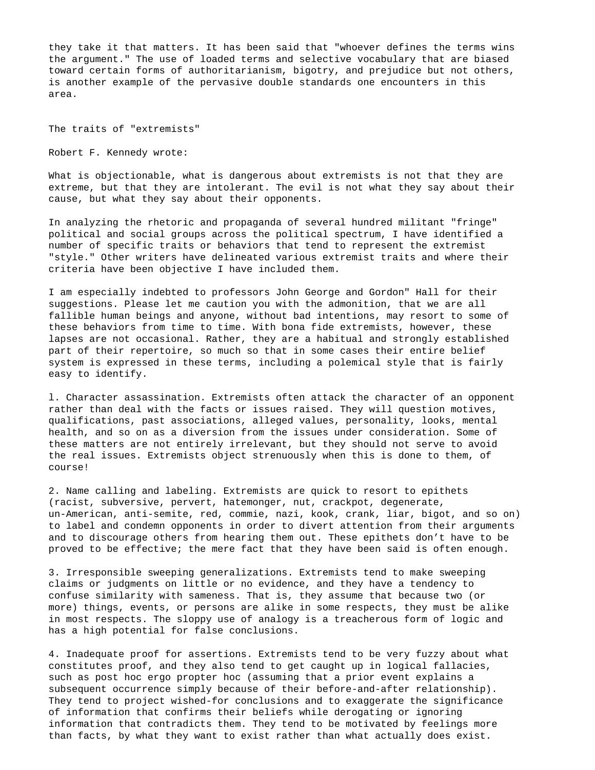they take it that matters. It has been said that "whoever defines the terms wins the argument." The use of loaded terms and selective vocabulary that are biased toward certain forms of authoritarianism, bigotry, and prejudice but not others, is another example of the pervasive double standards one encounters in this area.

The traits of "extremists"

Robert F. Kennedy wrote:

What is objectionable, what is dangerous about extremists is not that they are extreme, but that they are intolerant. The evil is not what they say about their cause, but what they say about their opponents.

In analyzing the rhetoric and propaganda of several hundred militant "fringe" political and social groups across the political spectrum, I have identified a number of specific traits or behaviors that tend to represent the extremist "style." Other writers have delineated various extremist traits and where their criteria have been objective I have included them.

I am especially indebted to professors John George and Gordon" Hall for their suggestions. Please let me caution you with the admonition, that we are all fallible human beings and anyone, without bad intentions, may resort to some of these behaviors from time to time. With bona fide extremists, however, these lapses are not occasional. Rather, they are a habitual and strongly established part of their repertoire, so much so that in some cases their entire belief system is expressed in these terms, including a polemical style that is fairly easy to identify.

l. Character assassination. Extremists often attack the character of an opponent rather than deal with the facts or issues raised. They will question motives, qualifications, past associations, alleged values, personality, looks, mental health, and so on as a diversion from the issues under consideration. Some of these matters are not entirely irrelevant, but they should not serve to avoid the real issues. Extremists object strenuously when this is done to them, of course!

2. Name calling and labeling. Extremists are quick to resort to epithets (racist, subversive, pervert, hatemonger, nut, crackpot, degenerate, un-American, anti-semite, red, commie, nazi, kook, crank, liar, bigot, and so on) to label and condemn opponents in order to divert attention from their arguments and to discourage others from hearing them out. These epithets don't have to be proved to be effective; the mere fact that they have been said is often enough.

3. Irresponsible sweeping generalizations. Extremists tend to make sweeping claims or judgments on little or no evidence, and they have a tendency to confuse similarity with sameness. That is, they assume that because two (or more) things, events, or persons are alike in some respects, they must be alike in most respects. The sloppy use of analogy is a treacherous form of logic and has a high potential for false conclusions.

4. Inadequate proof for assertions. Extremists tend to be very fuzzy about what constitutes proof, and they also tend to get caught up in logical fallacies, such as post hoc ergo propter hoc (assuming that a prior event explains a subsequent occurrence simply because of their before-and-after relationship). They tend to project wished-for conclusions and to exaggerate the significance of information that confirms their beliefs while derogating or ignoring information that contradicts them. They tend to be motivated by feelings more than facts, by what they want to exist rather than what actually does exist.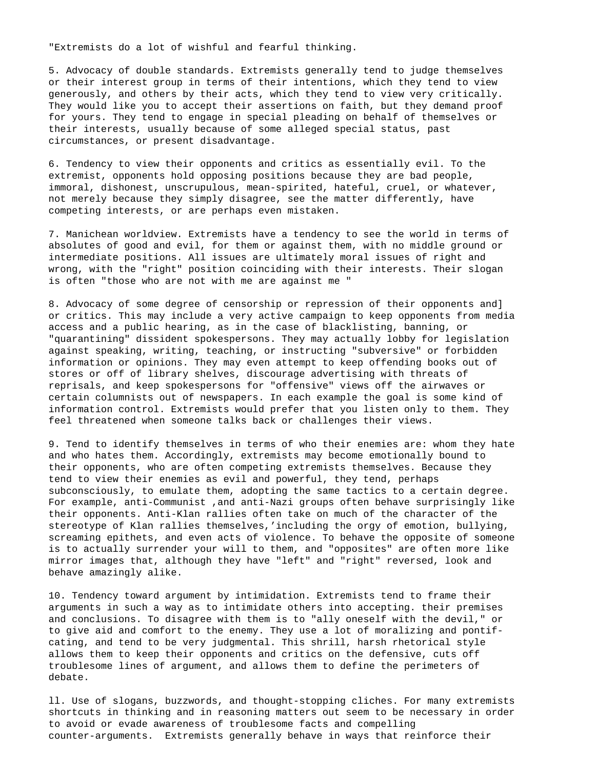"Extremists do a lot of wishful and fearful thinking.

5. Advocacy of double standards. Extremists generally tend to judge themselves or their interest group in terms of their intentions, which they tend to view generously, and others by their acts, which they tend to view very critically. They would like you to accept their assertions on faith, but they demand proof for yours. They tend to engage in special pleading on behalf of themselves or their interests, usually because of some alleged special status, past circumstances, or present disadvantage.

6. Tendency to view their opponents and critics as essentially evil. To the extremist, opponents hold opposing positions because they are bad people, immoral, dishonest, unscrupulous, mean-spirited, hateful, cruel, or whatever, not merely because they simply disagree, see the matter differently, have competing interests, or are perhaps even mistaken.

7. Manichean worldview. Extremists have a tendency to see the world in terms of absolutes of good and evil, for them or against them, with no middle ground or intermediate positions. All issues are ultimately moral issues of right and wrong, with the "right" position coinciding with their interests. Their slogan is often "those who are not with me are against me "

8. Advocacy of some degree of censorship or repression of their opponents and] or critics. This may include a very active campaign to keep opponents from media access and a public hearing, as in the case of blacklisting, banning, or "quarantining" dissident spokespersons. They may actually lobby for legislation against speaking, writing, teaching, or instructing "subversive" or forbidden information or opinions. They may even attempt to keep offending books out of stores or off of library shelves, discourage advertising with threats of reprisals, and keep spokespersons for "offensive" views off the airwaves or certain columnists out of newspapers. In each example the goal is some kind of information control. Extremists would prefer that you listen only to them. They feel threatened when someone talks back or challenges their views.

9. Tend to identify themselves in terms of who their enemies are: whom they hate and who hates them. Accordingly, extremists may become emotionally bound to their opponents, who are often competing extremists themselves. Because they tend to view their enemies as evil and powerful, they tend, perhaps subconsciously, to emulate them, adopting the same tactics to a certain degree. For example, anti-Communist ,and anti-Nazi groups often behave surprisingly like their opponents. Anti-Klan rallies often take on much of the character of the stereotype of Klan rallies themselves,'including the orgy of emotion, bullying, screaming epithets, and even acts of violence. To behave the opposite of someone is to actually surrender your will to them, and "opposites" are often more like mirror images that, although they have "left" and "right" reversed, look and behave amazingly alike.

10. Tendency toward argument by intimidation. Extremists tend to frame their arguments in such a way as to intimidate others into accepting. their premises and conclusions. To disagree with them is to "ally oneself with the devil," or to give aid and comfort to the enemy. They use a lot of moralizing and pontifcating, and tend to be very judgmental. This shrill, harsh rhetorical style allows them to keep their opponents and critics on the defensive, cuts off troublesome lines of argument, and allows them to define the perimeters of debate.

ll. Use of slogans, buzzwords, and thought-stopping cliches. For many extremists shortcuts in thinking and in reasoning matters out seem to be necessary in order to avoid or evade awareness of troublesome facts and compelling counter-arguments. Extremists generally behave in ways that reinforce their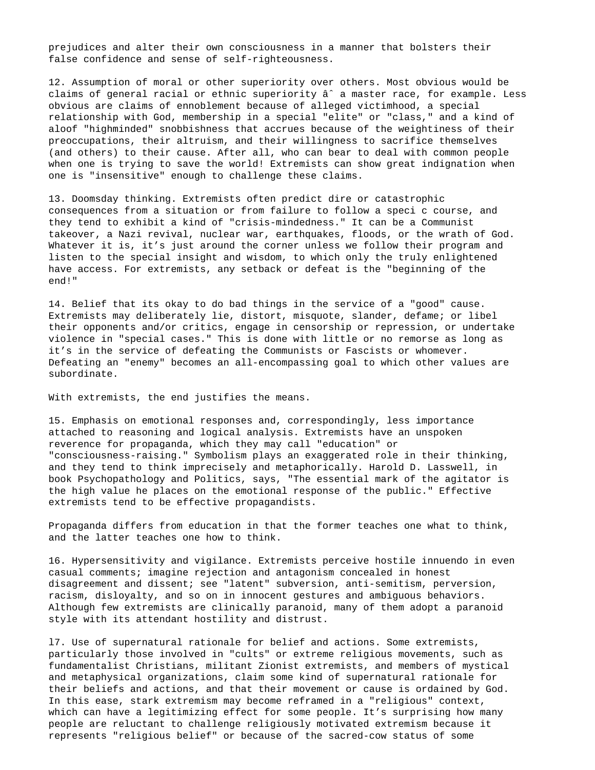prejudices and alter their own consciousness in a manner that bolsters their false confidence and sense of self-righteousness.

12. Assumption of moral or other superiority over others. Most obvious would be claims of general racial or ethnic superiority â ˆ a master race, for example. Less obvious are claims of ennoblement because of alleged victimhood, a special relationship with God, membership in a special "elite" or "class," and a kind of aloof "highminded" snobbishness that accrues because of the weightiness of their preoccupations, their altruism, and their willingness to sacrifice themselves (and others) to their cause. After all, who can bear to deal with common people when one is trying to save the world! Extremists can show great indignation when one is "insensitive" enough to challenge these claims.

13. Doomsday thinking. Extremists often predict dire or catastrophic consequences from a situation or from failure to follow a speci c course, and they tend to exhibit a kind of "crisis-mindedness." It can be a Communist takeover, a Nazi revival, nuclear war, earthquakes, floods, or the wrath of God. Whatever it is, it's just around the corner unless we follow their program and listen to the special insight and wisdom, to which only the truly enlightened have access. For extremists, any setback or defeat is the "beginning of the end!"

14. Belief that its okay to do bad things in the service of a "good" cause. Extremists may deliberately lie, distort, misquote, slander, defame; or libel their opponents and/or critics, engage in censorship or repression, or undertake violence in "special cases." This is done with little or no remorse as long as it's in the service of defeating the Communists or Fascists or whomever. Defeating an "enemy" becomes an all-encompassing goal to which other values are subordinate.

With extremists, the end justifies the means.

15. Emphasis on emotional responses and, correspondingly, less importance attached to reasoning and logical analysis. Extremists have an unspoken reverence for propaganda, which they may call "education" or "consciousness-raising." Symbolism plays an exaggerated role in their thinking, and they tend to think imprecisely and metaphorically. Harold D. Lasswell, in book Psychopathology and Politics, says, "The essential mark of the agitator is the high value he places on the emotional response of the public." Effective extremists tend to be effective propagandists.

Propaganda differs from education in that the former teaches one what to think, and the latter teaches one how to think.

16. Hypersensitivity and vigilance. Extremists perceive hostile innuendo in even casual comments; imagine rejection and antagonism concealed in honest disagreement and dissent; see "latent" subversion, anti-semitism, perversion, racism, disloyalty, and so on in innocent gestures and ambiguous behaviors. Although few extremists are clinically paranoid, many of them adopt a paranoid style with its attendant hostility and distrust.

l7. Use of supernatural rationale for belief and actions. Some extremists, particularly those involved in "cults" or extreme religious movements, such as fundamentalist Christians, militant Zionist extremists, and members of mystical and metaphysical organizations, claim some kind of supernatural rationale for their beliefs and actions, and that their movement or cause is ordained by God. In this ease, stark extremism may become reframed in a "religious" context, which can have a legitimizing effect for some people. It's surprising how many people are reluctant to challenge religiously motivated extremism because it represents "religious belief" or because of the sacred-cow status of some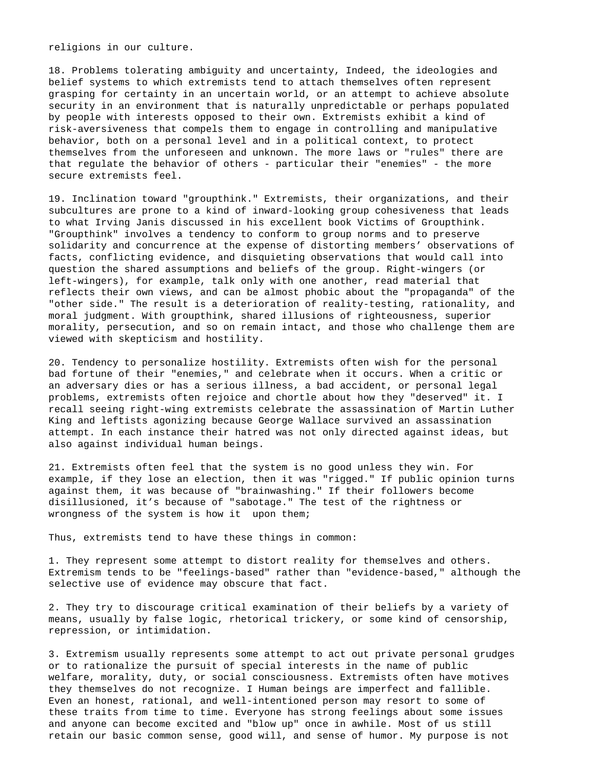religions in our culture.

18. Problems tolerating ambiguity and uncertainty, Indeed, the ideologies and belief systems to which extremists tend to attach themselves often represent grasping for certainty in an uncertain world, or an attempt to achieve absolute security in an environment that is naturally unpredictable or perhaps populated by people with interests opposed to their own. Extremists exhibit a kind of risk-aversiveness that compels them to engage in controlling and manipulative behavior, both on a personal level and in a political context, to protect themselves from the unforeseen and unknown. The more laws or "rules" there are that regulate the behavior of others - particular their "enemies" - the more secure extremists feel.

19. Inclination toward "groupthink." Extremists, their organizations, and their subcultures are prone to a kind of inward-looking group cohesiveness that leads to what Irving Janis discussed in his excellent book Victims of Groupthink. "Groupthink" involves a tendency to conform to group norms and to preserve solidarity and concurrence at the expense of distorting members' observations of facts, conflicting evidence, and disquieting observations that would call into question the shared assumptions and beliefs of the group. Right-wingers (or left-wingers), for example, talk only with one another, read material that reflects their own views, and can be almost phobic about the "propaganda" of the "other side." The result is a deterioration of reality-testing, rationality, and moral judgment. With groupthink, shared illusions of righteousness, superior morality, persecution, and so on remain intact, and those who challenge them are viewed with skepticism and hostility.

20. Tendency to personalize hostility. Extremists often wish for the personal bad fortune of their "enemies," and celebrate when it occurs. When a critic or an adversary dies or has a serious illness, a bad accident, or personal legal problems, extremists often rejoice and chortle about how they "deserved" it. I recall seeing right-wing extremists celebrate the assassination of Martin Luther King and leftists agonizing because George Wallace survived an assassination attempt. In each instance their hatred was not only directed against ideas, but also against individual human beings.

21. Extremists often feel that the system is no good unless they win. For example, if they lose an election, then it was "rigged." If public opinion turns against them, it was because of "brainwashing." If their followers become disillusioned, it's because of "sabotage." The test of the rightness or wrongness of the system is how it upon them;

Thus, extremists tend to have these things in common:

1. They represent some attempt to distort reality for themselves and others. Extremism tends to be "feelings-based" rather than "evidence-based," although the selective use of evidence may obscure that fact.

2. They try to discourage critical examination of their beliefs by a variety of means, usually by false logic, rhetorical trickery, or some kind of censorship, repression, or intimidation.

3. Extremism usually represents some attempt to act out private personal grudges or to rationalize the pursuit of special interests in the name of public welfare, morality, duty, or social consciousness. Extremists often have motives they themselves do not recognize. I Human beings are imperfect and fallible. Even an honest, rational, and well-intentioned person may resort to some of these traits from time to time. Everyone has strong feelings about some issues and anyone can become excited and "blow up" once in awhile. Most of us still retain our basic common sense, good will, and sense of humor. My purpose is not